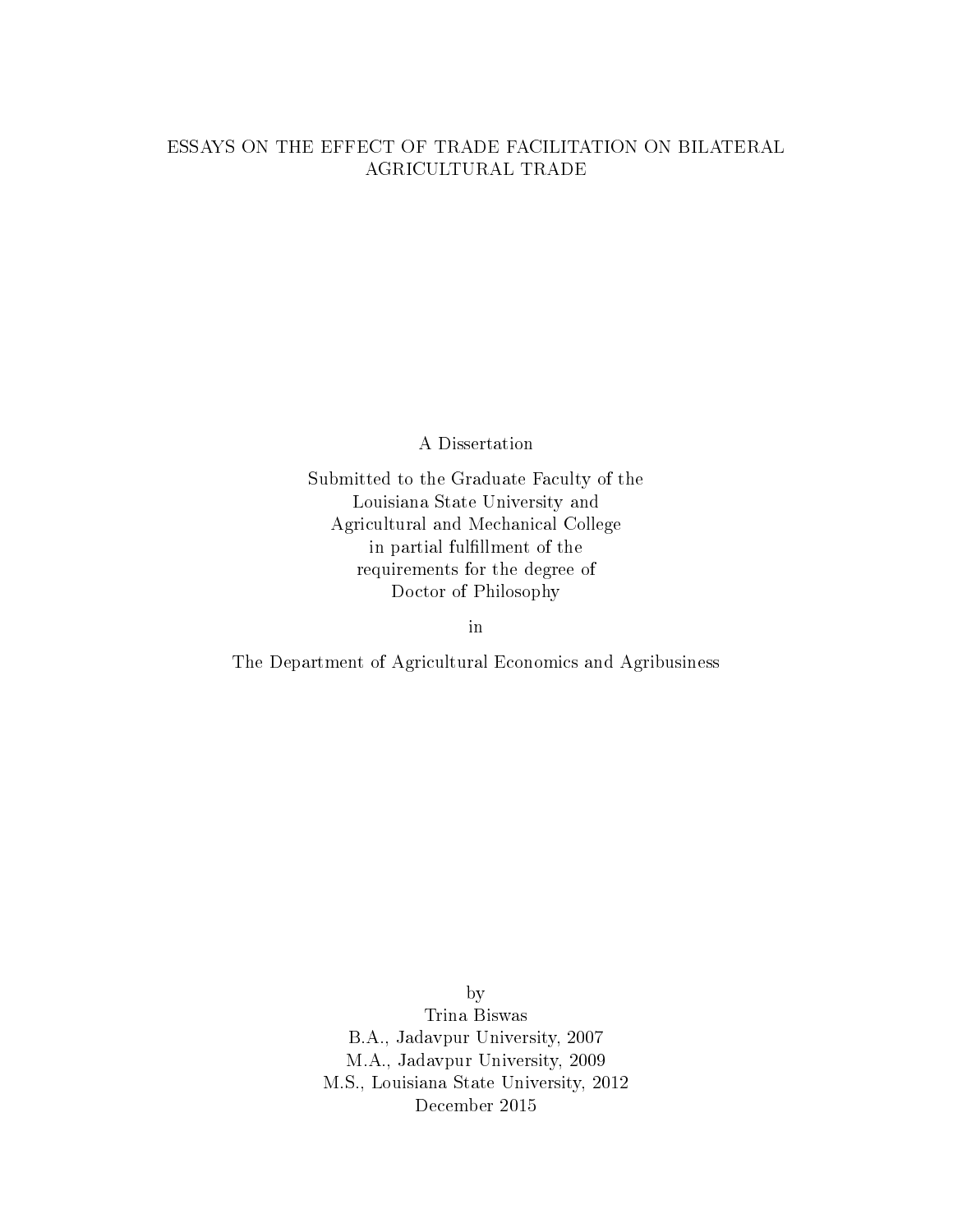### ESSAYS ON THE EFFECT OF TRADE FACILITATION ON BILATERAL AGRICULTURAL TRADE

A Dissertation

Submitted to the Graduate Faculty of the Louisiana State University and Agricultural and Mechanical College in partial fulllment of the requirements for the degree of Doctor of Philosophy

in

The Department of Agricultural Economics and Agribusiness

by Trina Biswas B.A., Jadavpur University, 2007 M.A., Jadavpur University, 2009 M.S., Louisiana State University, 2012 December 2015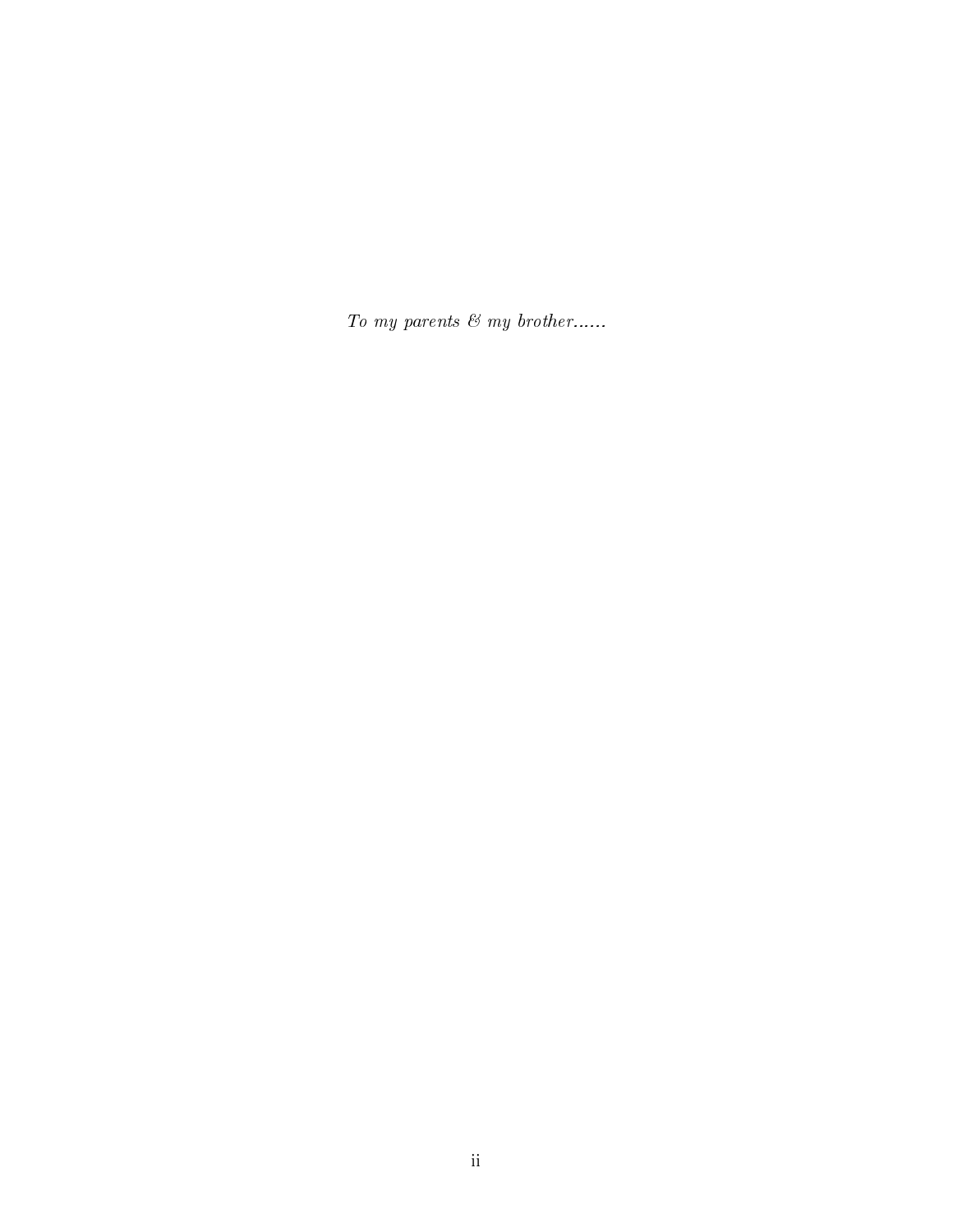To my parents  $\mathcal{C}$  my brother......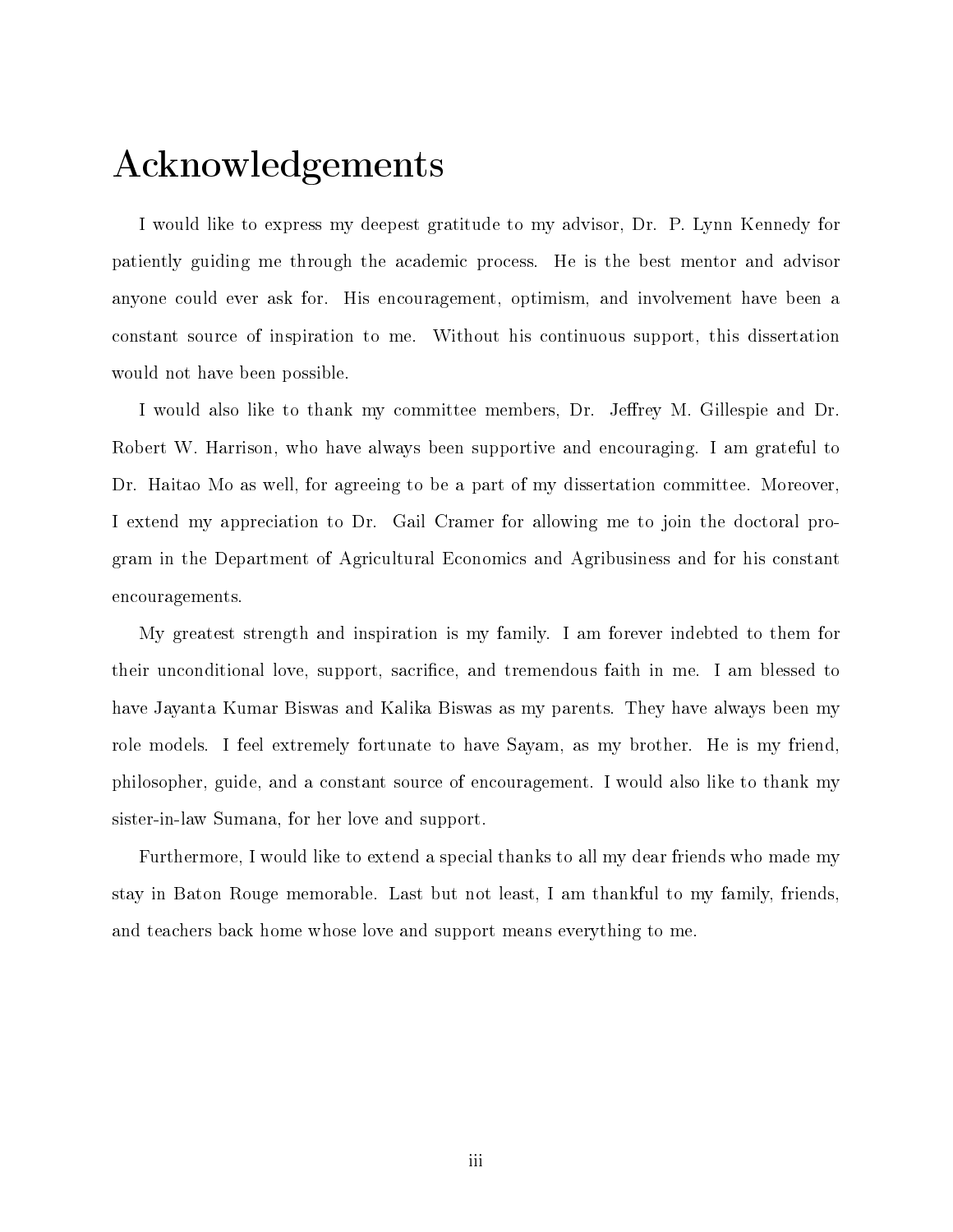### <span id="page-2-0"></span>Acknowledgements

I would like to express my deepest gratitude to my advisor, Dr. P. Lynn Kennedy for patiently guiding me through the academic process. He is the best mentor and advisor anyone could ever ask for. His encouragement, optimism, and involvement have been a constant source of inspiration to me. Without his continuous support, this dissertation would not have been possible.

I would also like to thank my committee members, Dr. Jeffrey M. Gillespie and Dr. Robert W. Harrison, who have always been supportive and encouraging. I am grateful to Dr. Haitao Mo as well, for agreeing to be a part of my dissertation committee. Moreover, I extend my appreciation to Dr. Gail Cramer for allowing me to join the doctoral program in the Department of Agricultural Economics and Agribusiness and for his constant encouragements.

My greatest strength and inspiration is my family. I am forever indebted to them for their unconditional love, support, sacrifice, and tremendous faith in me. I am blessed to have Jayanta Kumar Biswas and Kalika Biswas as my parents. They have always been my role models. I feel extremely fortunate to have Sayam, as my brother. He is my friend, philosopher, guide, and a constant source of encouragement. I would also like to thank my sister-in-law Sumana, for her love and support.

Furthermore, I would like to extend a special thanks to all my dear friends who made my stay in Baton Rouge memorable. Last but not least, I am thankful to my family, friends, and teachers back home whose love and support means everything to me.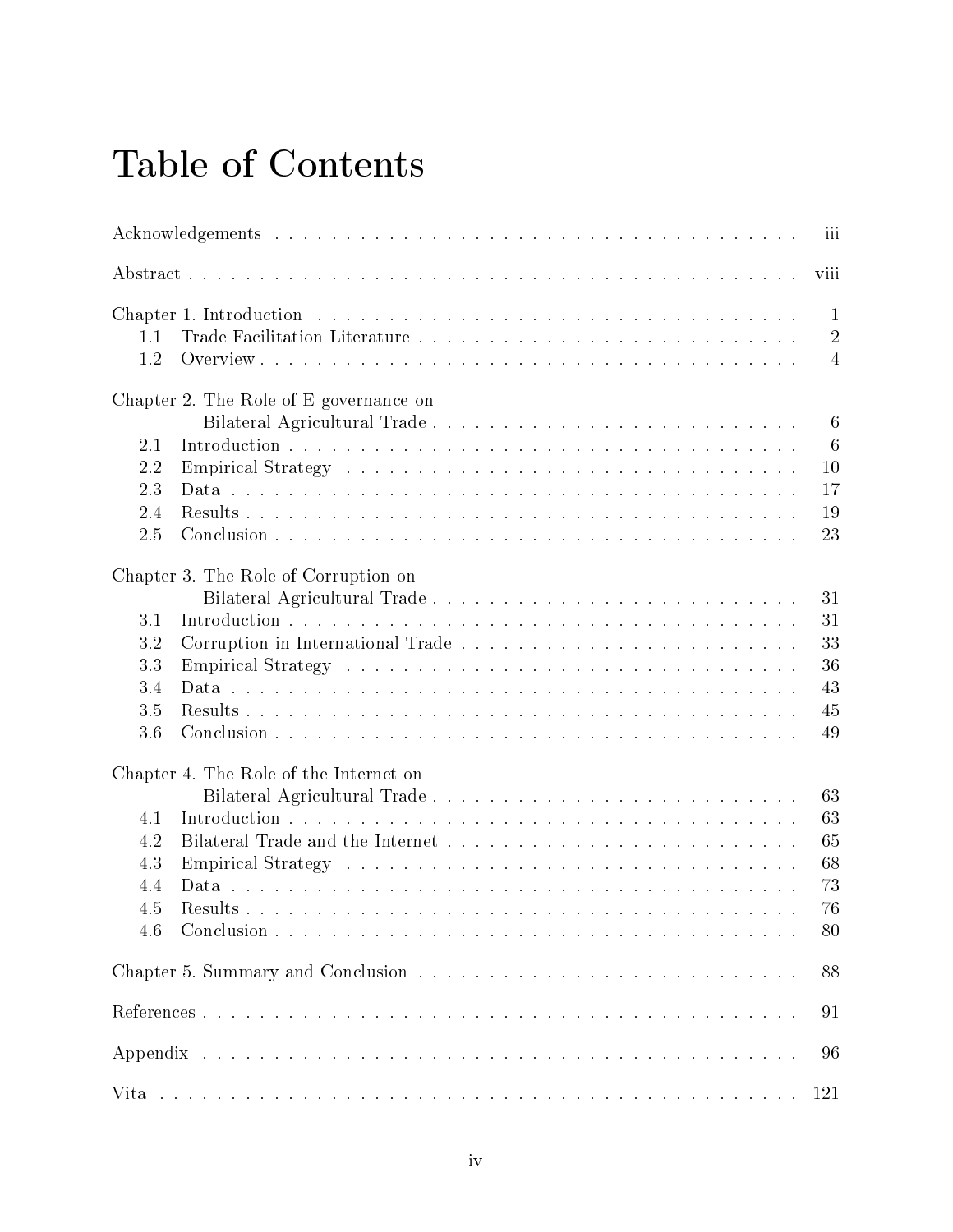## Table of Contents

|            |                                                                                                                                                                                                                                | iii                                              |
|------------|--------------------------------------------------------------------------------------------------------------------------------------------------------------------------------------------------------------------------------|--------------------------------------------------|
|            |                                                                                                                                                                                                                                | viii                                             |
| 1.1<br>1.2 |                                                                                                                                                                                                                                | $\mathbf{1}$<br>$\overline{2}$<br>$\overline{4}$ |
|            | Chapter 2. The Role of E-governance on                                                                                                                                                                                         |                                                  |
|            |                                                                                                                                                                                                                                | $\,6\,$                                          |
| 2.1        |                                                                                                                                                                                                                                | $6\phantom{.}6$                                  |
| 2.2        | Empirical Strategy (a) and a series and a series and series and series and series and series are series and series and series and series and series and series are series and series and series and series are series and seri | 10                                               |
| 2.3        |                                                                                                                                                                                                                                | 17                                               |
| 2.4        |                                                                                                                                                                                                                                | 19                                               |
| 2.5        |                                                                                                                                                                                                                                | 23                                               |
|            | Chapter 3. The Role of Corruption on                                                                                                                                                                                           |                                                  |
|            |                                                                                                                                                                                                                                | 31                                               |
| 3.1        |                                                                                                                                                                                                                                | 31                                               |
| 3.2        |                                                                                                                                                                                                                                | 33                                               |
| 3.3        |                                                                                                                                                                                                                                | 36                                               |
| 3.4        |                                                                                                                                                                                                                                | 43                                               |
| 3.5        |                                                                                                                                                                                                                                | 45                                               |
| 3.6        |                                                                                                                                                                                                                                | 49                                               |
|            | Chapter 4. The Role of the Internet on                                                                                                                                                                                         |                                                  |
|            |                                                                                                                                                                                                                                | 63                                               |
| 4.1        |                                                                                                                                                                                                                                | 63                                               |
| 4.2        |                                                                                                                                                                                                                                | 65                                               |
| 4.3        |                                                                                                                                                                                                                                | 68                                               |
| 4.4        |                                                                                                                                                                                                                                | 73                                               |
| 4.5        |                                                                                                                                                                                                                                | 76                                               |
| 4.6        |                                                                                                                                                                                                                                | 80                                               |
|            |                                                                                                                                                                                                                                | 88                                               |
|            |                                                                                                                                                                                                                                | 91                                               |
|            |                                                                                                                                                                                                                                |                                                  |
|            |                                                                                                                                                                                                                                | 96                                               |
|            |                                                                                                                                                                                                                                | 121                                              |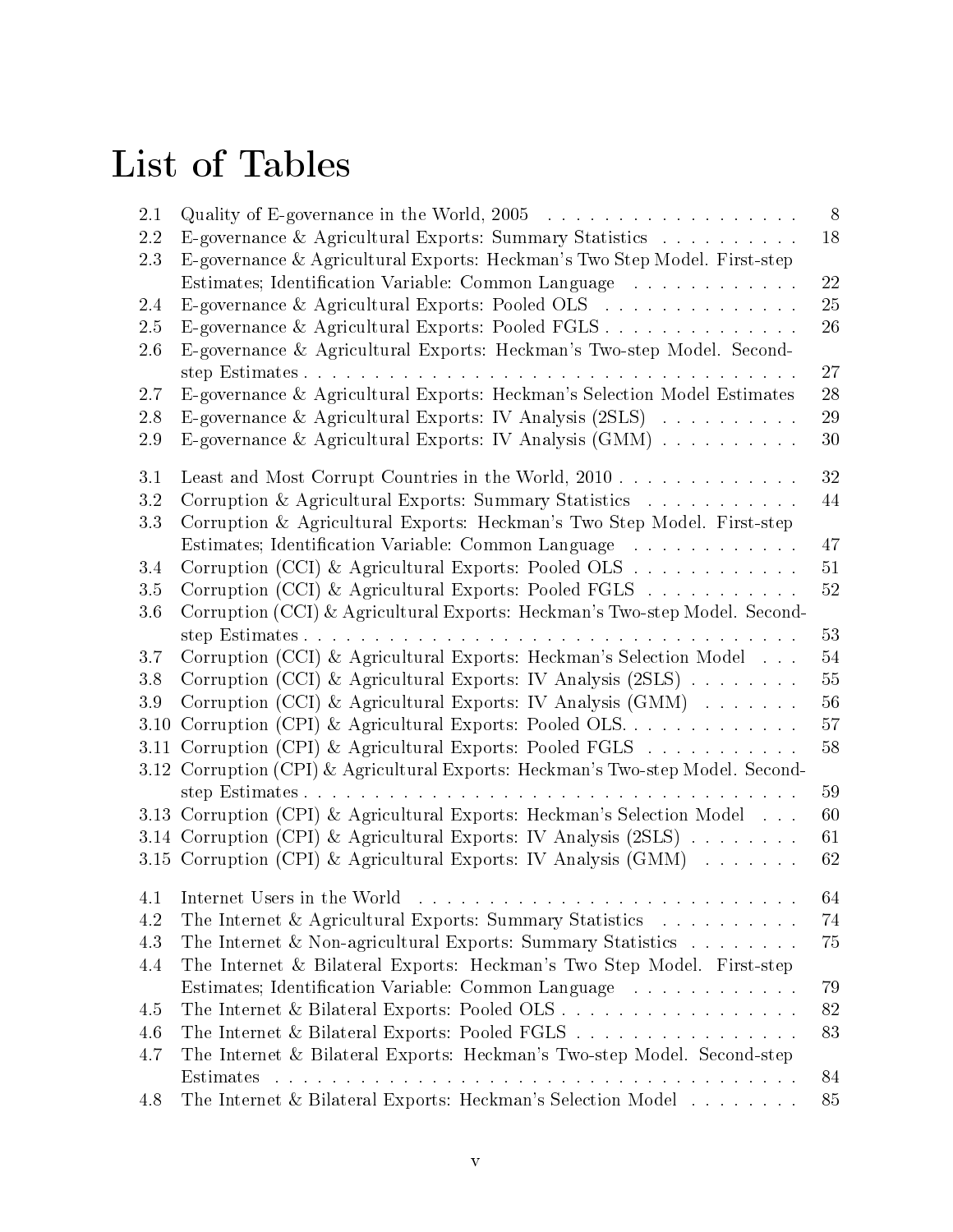# List of Tables

| 2.1         |                                                                                                                                                                                             | 8        |
|-------------|---------------------------------------------------------------------------------------------------------------------------------------------------------------------------------------------|----------|
| 2.2<br>2.3  | E-governance & Agricultural Exports: Summary Statistics<br>E-governance & Agricultural Exports: Heckman's Two Step Model. First-step<br>Estimates; Identification Variable: Common Language | 18<br>22 |
| 2.4         | E-governance & Agricultural Exports: Pooled OLS                                                                                                                                             | 25       |
| 2.5         | E-governance & Agricultural Exports: Pooled FGLS                                                                                                                                            | 26       |
| 2.6         | E-governance & Agricultural Exports: Heckman's Two-step Model. Second-                                                                                                                      |          |
|             |                                                                                                                                                                                             | 27       |
| 2.7         | E-governance & Agricultural Exports: Heckman's Selection Model Estimates                                                                                                                    | 28       |
| 2.8         | E-governance & Agricultural Exports: IV Analysis (2SLS)                                                                                                                                     | 29       |
| 2.9         | E-governance & Agricultural Exports: IV Analysis (GMM)                                                                                                                                      | 30       |
| 3.1         | Least and Most Corrupt Countries in the World, 2010                                                                                                                                         | 32       |
| 3.2         | Corruption & Agricultural Exports: Summary Statistics                                                                                                                                       | 44       |
| 3.3         | Corruption & Agricultural Exports: Heckman's Two Step Model. First-step                                                                                                                     |          |
|             | Estimates; Identification Variable: Common Language                                                                                                                                         | 47       |
| 3.4         | Corruption (CCI) & Agricultural Exports: Pooled OLS                                                                                                                                         | 51       |
| 3.5         | Corruption (CCI) & Agricultural Exports: Pooled FGLS                                                                                                                                        | 52       |
| 3.6         | Corruption (CCI) & Agricultural Exports: Heckman's Two-step Model. Second-                                                                                                                  |          |
|             |                                                                                                                                                                                             | 53       |
| 3.7         | Corruption (CCI) & Agricultural Exports: Heckman's Selection Model                                                                                                                          | 54       |
| 3.8         | Corruption (CCI) & Agricultural Exports: IV Analysis (2SLS)                                                                                                                                 | 55<br>56 |
| 3.9<br>3.10 | Corruption (CCI) & Agricultural Exports: IV Analysis (GMM)<br>Corruption (CPI) & Agricultural Exports: Pooled OLS                                                                           | 57       |
| 3.11        | Corruption (CPI) & Agricultural Exports: Pooled FGLS $\ldots \ldots \ldots$                                                                                                                 | 58       |
|             | 3.12 Corruption (CPI) & Agricultural Exports: Heckman's Two-step Model. Second-                                                                                                             |          |
|             |                                                                                                                                                                                             | 59       |
|             | 3.13 Corruption (CPI) & Agricultural Exports: Heckman's Selection Model                                                                                                                     | 60       |
|             | 3.14 Corruption (CPI) & Agricultural Exports: IV Analysis (2SLS)                                                                                                                            | 61       |
|             | 3.15 Corruption (CPI) & Agricultural Exports: IV Analysis (GMM)                                                                                                                             | 62       |
|             |                                                                                                                                                                                             | 64       |
| 4.2         | The Internet & Agricultural Exports: Summary Statistics                                                                                                                                     | 74       |
| 4.3         | The Internet & Non-agricultural Exports: Summary Statistics                                                                                                                                 | 75       |
| 4.4         | The Internet & Bilateral Exports: Heckman's Two Step Model. First-step                                                                                                                      |          |
|             | Estimates; Identification Variable: Common Language                                                                                                                                         | 79       |
| 4.5         | The Internet & Bilateral Exports: Pooled OLS                                                                                                                                                | 82       |
| 4.6         | The Internet & Bilateral Exports: Pooled FGLS                                                                                                                                               | 83       |
| 4.7         | The Internet & Bilateral Exports: Heckman's Two-step Model. Second-step                                                                                                                     |          |
|             | Estimates                                                                                                                                                                                   | 84       |
| 4.8         | The Internet & Bilateral Exports: Heckman's Selection Model                                                                                                                                 | 85       |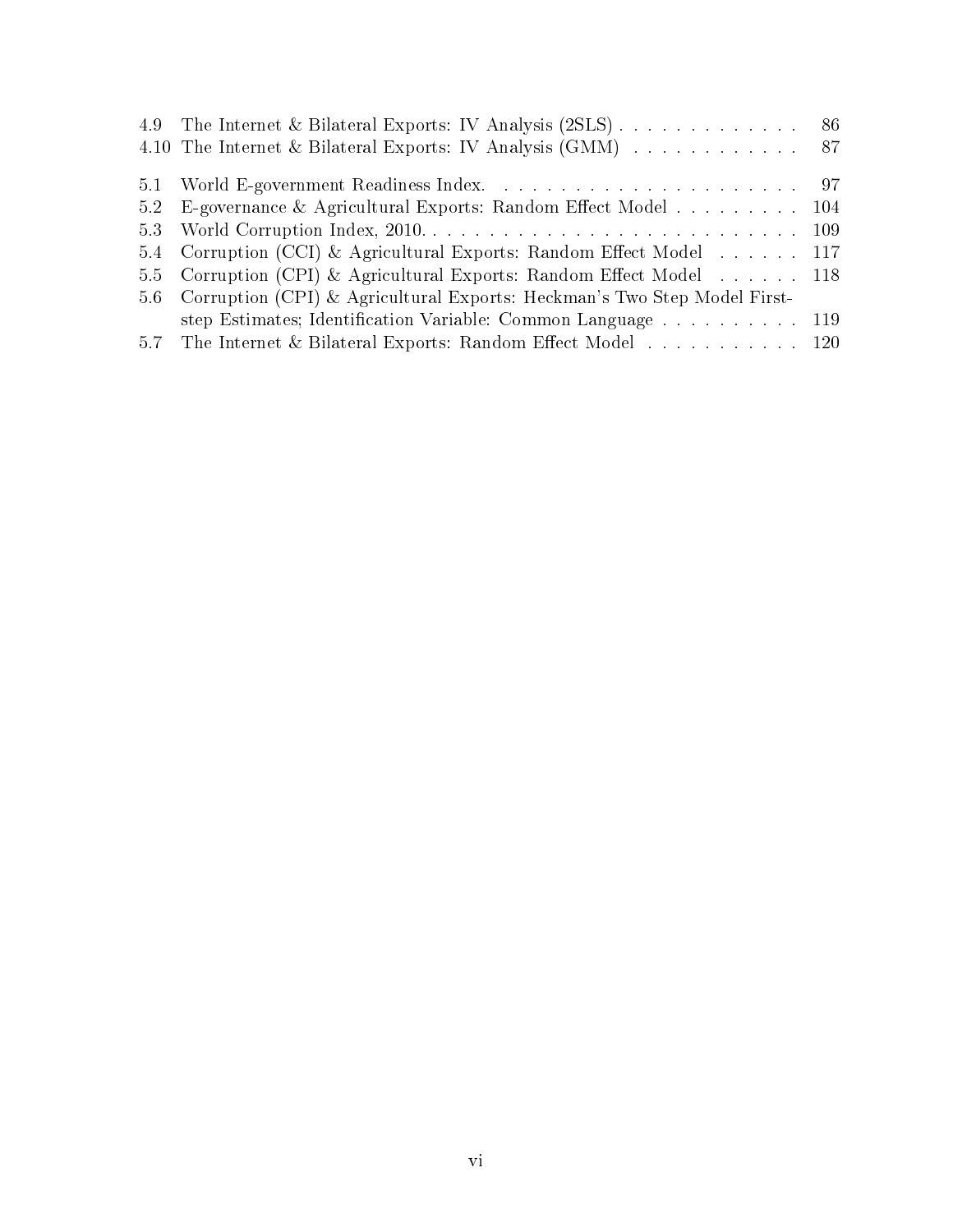|     | 4.9 The Internet & Bilateral Exports: IV Analysis (2SLS) 86              |  |
|-----|--------------------------------------------------------------------------|--|
|     | 4.10 The Internet & Bilateral Exports: IV Analysis (GMM) 87              |  |
|     |                                                                          |  |
|     | 5.2 E-governance & Agricultural Exports: Random Effect Model 104         |  |
|     |                                                                          |  |
|     | 5.4 Corruption (CCI) & Agricultural Exports: Random Effect Model 117     |  |
|     | 5.5 Corruption (CPI) & Agricultural Exports: Random Effect Model 118     |  |
| 5.6 | Corruption (CPI) & Agricultural Exports: Heckman's Two Step Model First- |  |
|     | step Estimates; Identification Variable: Common Language 119             |  |
|     | 5.7 The Internet & Bilateral Exports: Random Effect Model 120            |  |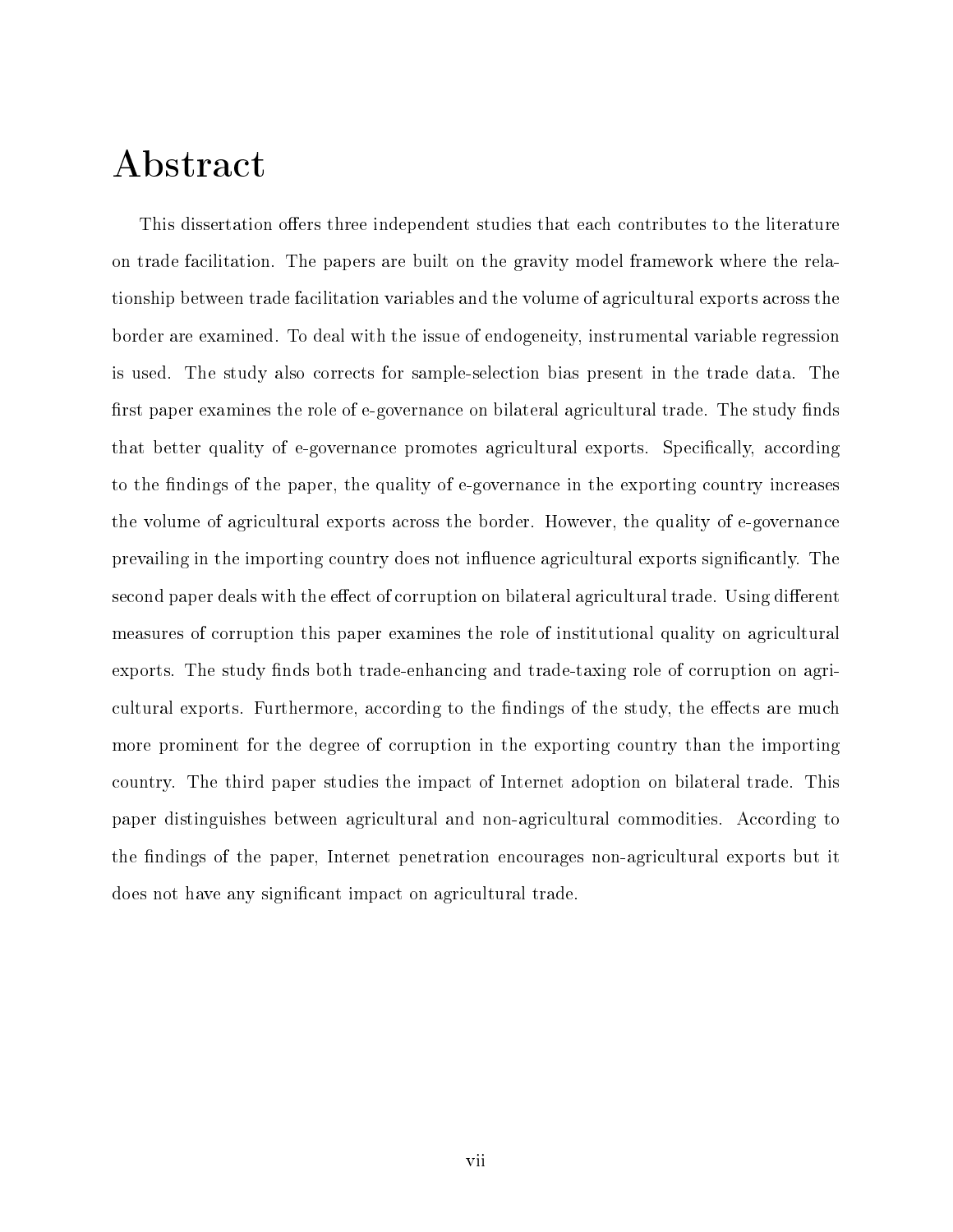## <span id="page-6-0"></span>Abstract

This dissertation offers three independent studies that each contributes to the literature on trade facilitation. The papers are built on the gravity model framework where the relationship between trade facilitation variables and the volume of agricultural exports across the border are examined. To deal with the issue of endogeneity, instrumental variable regression is used. The study also corrects for sample-selection bias present in the trade data. The first paper examines the role of e-governance on bilateral agricultural trade. The study finds that better quality of e-governance promotes agricultural exports. Specifically, according to the findings of the paper, the quality of e-governance in the exporting country increases the volume of agricultural exports across the border. However, the quality of e-governance prevailing in the importing country does not influence agricultural exports significantly. The second paper deals with the effect of corruption on bilateral agricultural trade. Using different measures of corruption this paper examines the role of institutional quality on agricultural exports. The study finds both trade-enhancing and trade-taxing role of corruption on agricultural exports. Furthermore, according to the findings of the study, the effects are much more prominent for the degree of corruption in the exporting country than the importing country. The third paper studies the impact of Internet adoption on bilateral trade. This paper distinguishes between agricultural and non-agricultural commodities. According to the findings of the paper, Internet penetration encourages non-agricultural exports but it does not have any significant impact on agricultural trade.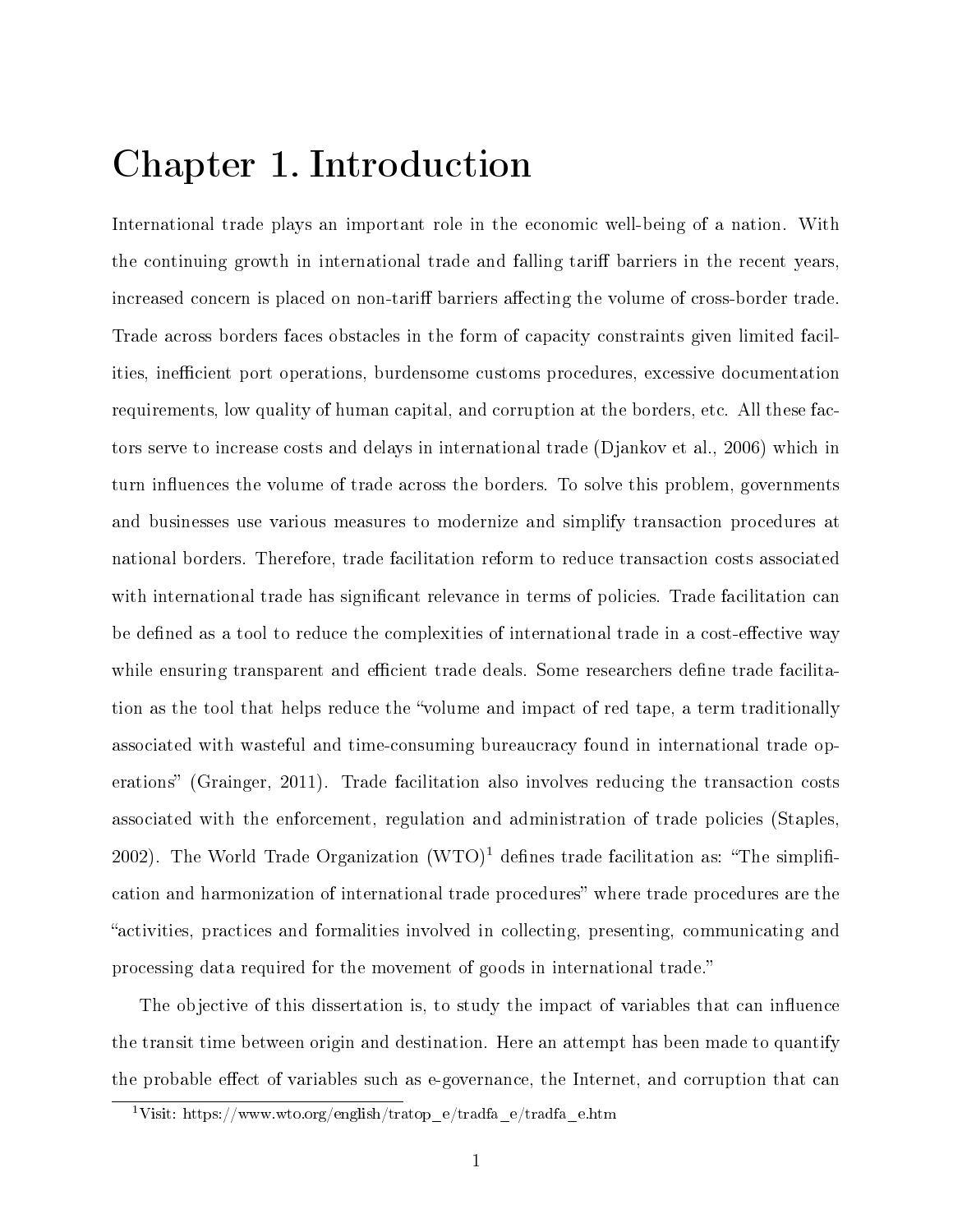### <span id="page-7-0"></span>Chapter 1. Introduction

International trade plays an important role in the economic well-being of a nation. With the continuing growth in international trade and falling tariff barriers in the recent years. increased concern is placed on non-tariff barriers affecting the volume of cross-border trade. Trade across borders faces obstacles in the form of capacity constraints given limited facilities, inefficient port operations, burdensome customs procedures, excessive documentation requirements, low quality of human capital, and corruption at the borders, etc. All these factors serve to increase costs and delays in international trade (Djankov et al., 2006) which in turn influences the volume of trade across the borders. To solve this problem, governments and businesses use various measures to modernize and simplify transaction procedures at national borders. Therefore, trade facilitation reform to reduce transaction costs associated with international trade has significant relevance in terms of policies. Trade facilitation can be defined as a tool to reduce the complexities of international trade in a cost-effective way while ensuring transparent and efficient trade deals. Some researchers define trade facilitation as the tool that helps reduce the "volume and impact of red tape, a term traditionally associated with wasteful and time-consuming bureaucracy found in international trade operations" (Grainger, 2011). Trade facilitation also involves reducing the transaction costs associated with the enforcement, regulation and administration of trade policies (Staples, 2002). The World Trade Organization  $(WTO)^1$  $(WTO)^1$  defines trade facilitation as: "The simplification and harmonization of international trade procedures where trade procedures are the activities, practices and formalities involved in collecting, presenting, communicating and processing data required for the movement of goods in international trade.

The objective of this dissertation is, to study the impact of variables that can influence the transit time between origin and destination. Here an attempt has been made to quantify the probable effect of variables such as e-governance, the Internet, and corruption that can

<span id="page-7-1"></span><sup>&</sup>lt;sup>1</sup>Visit: https://www.wto.org/english/tratop\_e/tradfa\_e/tradfa\_e.htm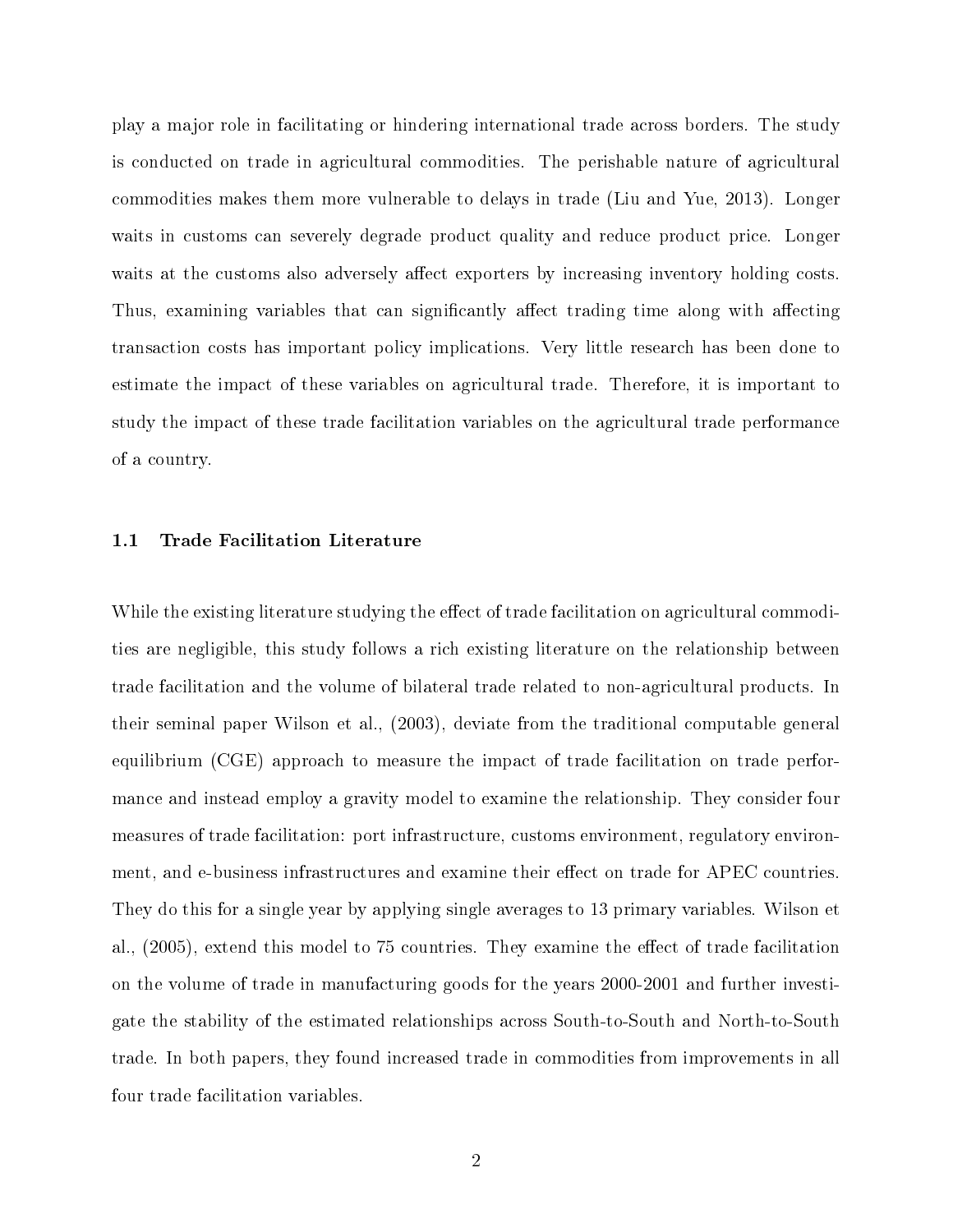play a major role in facilitating or hindering international trade across borders. The study is conducted on trade in agricultural commodities. The perishable nature of agricultural commodities makes them more vulnerable to delays in trade (Liu and Yue, 2013). Longer waits in customs can severely degrade product quality and reduce product price. Longer waits at the customs also adversely affect exporters by increasing inventory holding costs. Thus, examining variables that can significantly affect trading time along with affecting transaction costs has important policy implications. Very little research has been done to estimate the impact of these variables on agricultural trade. Therefore, it is important to study the impact of these trade facilitation variables on the agricultural trade performance of a country.

#### <span id="page-8-0"></span>1.1 Trade Facilitation Literature

While the existing literature studying the effect of trade facilitation on agricultural commodities are negligible, this study follows a rich existing literature on the relationship between trade facilitation and the volume of bilateral trade related to non-agricultural products. In their seminal paper Wilson et al., (2003), deviate from the traditional computable general equilibrium (CGE) approach to measure the impact of trade facilitation on trade performance and instead employ a gravity model to examine the relationship. They consider four measures of trade facilitation: port infrastructure, customs environment, regulatory environment, and e-business infrastructures and examine their effect on trade for APEC countries. They do this for a single year by applying single averages to 13 primary variables. Wilson et al., (2005), extend this model to 75 countries. They examine the effect of trade facilitation on the volume of trade in manufacturing goods for the years 2000-2001 and further investigate the stability of the estimated relationships across South-to-South and North-to-South trade. In both papers, they found increased trade in commodities from improvements in all four trade facilitation variables.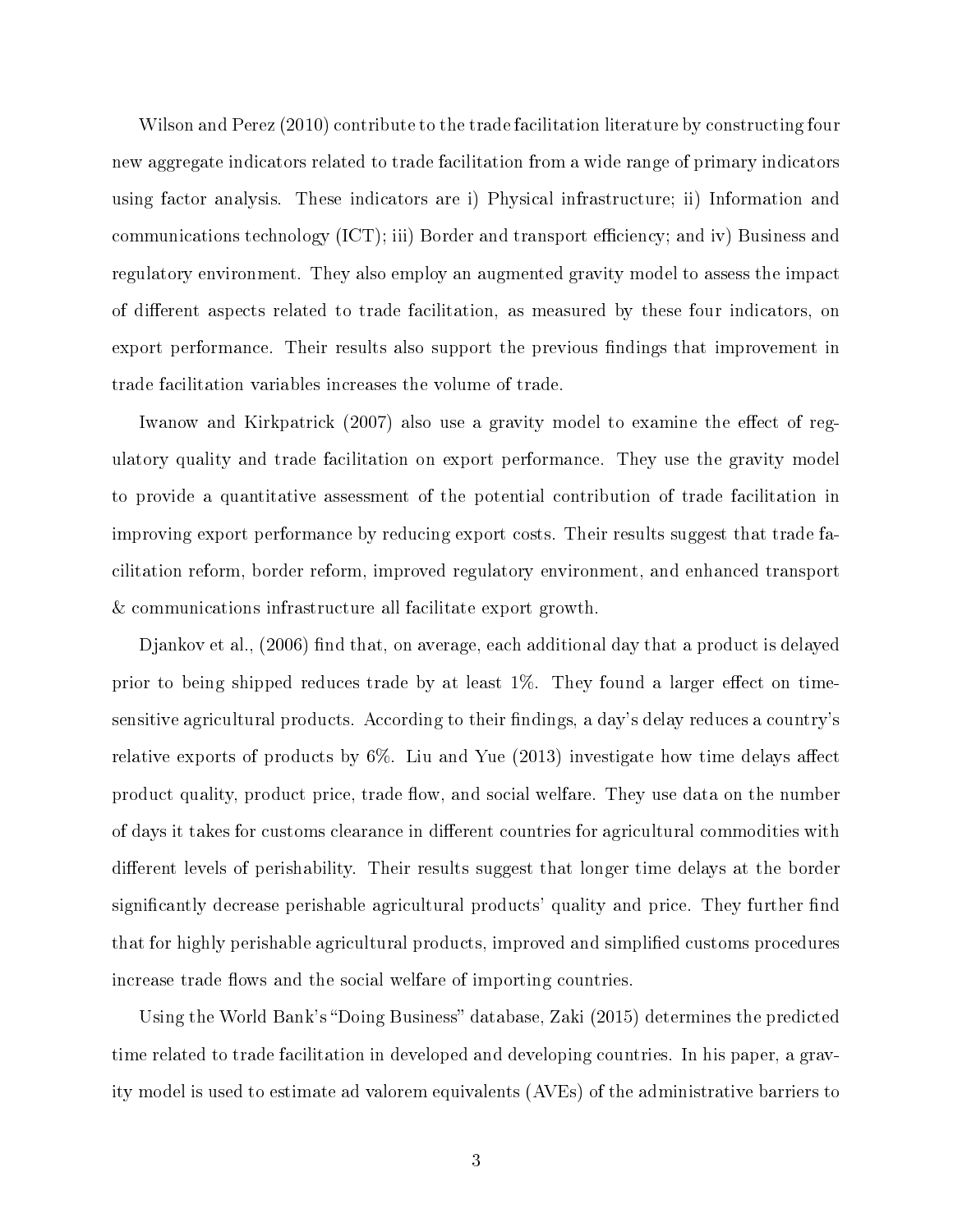Wilson and Perez (2010) contribute to the trade facilitation literature by constructing four new aggregate indicators related to trade facilitation from a wide range of primary indicators using factor analysis. These indicators are i) Physical infrastructure; ii) Information and communications technology (ICT); iii) Border and transport efficiency; and iv) Business and regulatory environment. They also employ an augmented gravity model to assess the impact of different aspects related to trade facilitation, as measured by these four indicators, on export performance. Their results also support the previous findings that improvement in trade facilitation variables increases the volume of trade.

Iwanow and Kirkpatrick (2007) also use a gravity model to examine the effect of regulatory quality and trade facilitation on export performance. They use the gravity model to provide a quantitative assessment of the potential contribution of trade facilitation in improving export performance by reducing export costs. Their results suggest that trade facilitation reform, border reform, improved regulatory environment, and enhanced transport & communications infrastructure all facilitate export growth.

 $D$ jankov et al.,  $(2006)$  find that, on average, each additional day that a product is delayed prior to being shipped reduces trade by at least  $1\%$ . They found a larger effect on timesensitive agricultural products. According to their findings, a day's delay reduces a country's relative exports of products by  $6\%$ . Liu and Yue  $(2013)$  investigate how time delays affect product quality, product price, trade flow, and social welfare. They use data on the number of days it takes for customs clearance in different countries for agricultural commodities with different levels of perishability. Their results suggest that longer time delays at the border significantly decrease perishable agricultural products' quality and price. They further find that for highly perishable agricultural products, improved and simplied customs procedures increase trade flows and the social welfare of importing countries.

Using the World Bank's "Doing Business" database, Zaki (2015) determines the predicted time related to trade facilitation in developed and developing countries. In his paper, a gravity model is used to estimate ad valorem equivalents (AVEs) of the administrative barriers to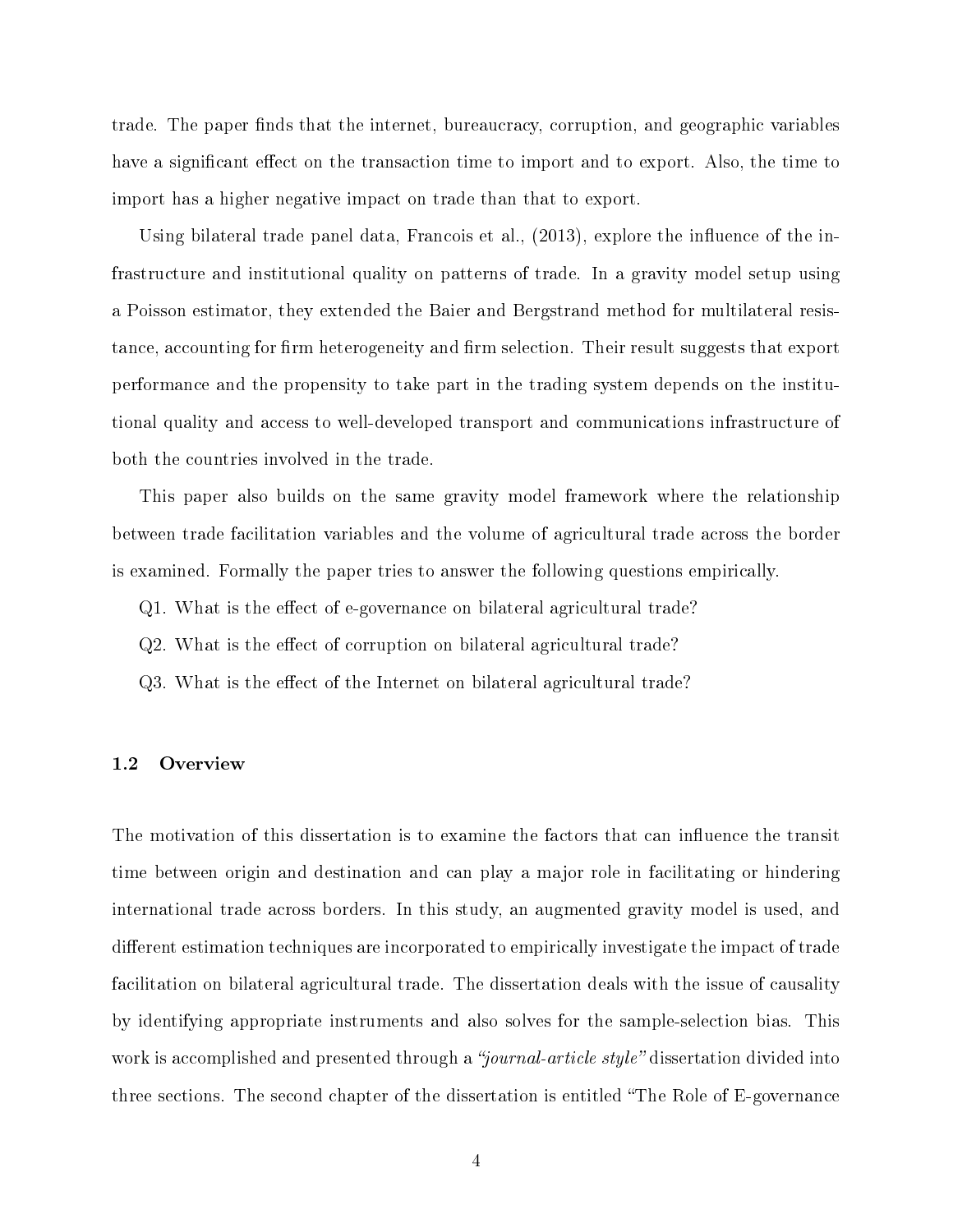trade. The paper finds that the internet, bureaucracy, corruption, and geographic variables have a significant effect on the transaction time to import and to export. Also, the time to import has a higher negative impact on trade than that to export.

Using bilateral trade panel data, Francois et al.,  $(2013)$ , explore the influence of the infrastructure and institutional quality on patterns of trade. In a gravity model setup using a Poisson estimator, they extended the Baier and Bergstrand method for multilateral resistance, accounting for firm heterogeneity and firm selection. Their result suggests that export performance and the propensity to take part in the trading system depends on the institutional quality and access to well-developed transport and communications infrastructure of both the countries involved in the trade.

This paper also builds on the same gravity model framework where the relationship between trade facilitation variables and the volume of agricultural trade across the border is examined. Formally the paper tries to answer the following questions empirically.

Q1. What is the effect of e-governance on bilateral agricultural trade?

Q2. What is the effect of corruption on bilateral agricultural trade?

Q3. What is the effect of the Internet on bilateral agricultural trade?

#### <span id="page-10-0"></span>1.2 Overview

The motivation of this dissertation is to examine the factors that can influence the transit time between origin and destination and can play a major role in facilitating or hindering international trade across borders. In this study, an augmented gravity model is used, and different estimation techniques are incorporated to empirically investigate the impact of trade facilitation on bilateral agricultural trade. The dissertation deals with the issue of causality by identifying appropriate instruments and also solves for the sample-selection bias. This work is accomplished and presented through a "journal-article style" dissertation divided into three sections. The second chapter of the dissertation is entitled "The Role of E-governance"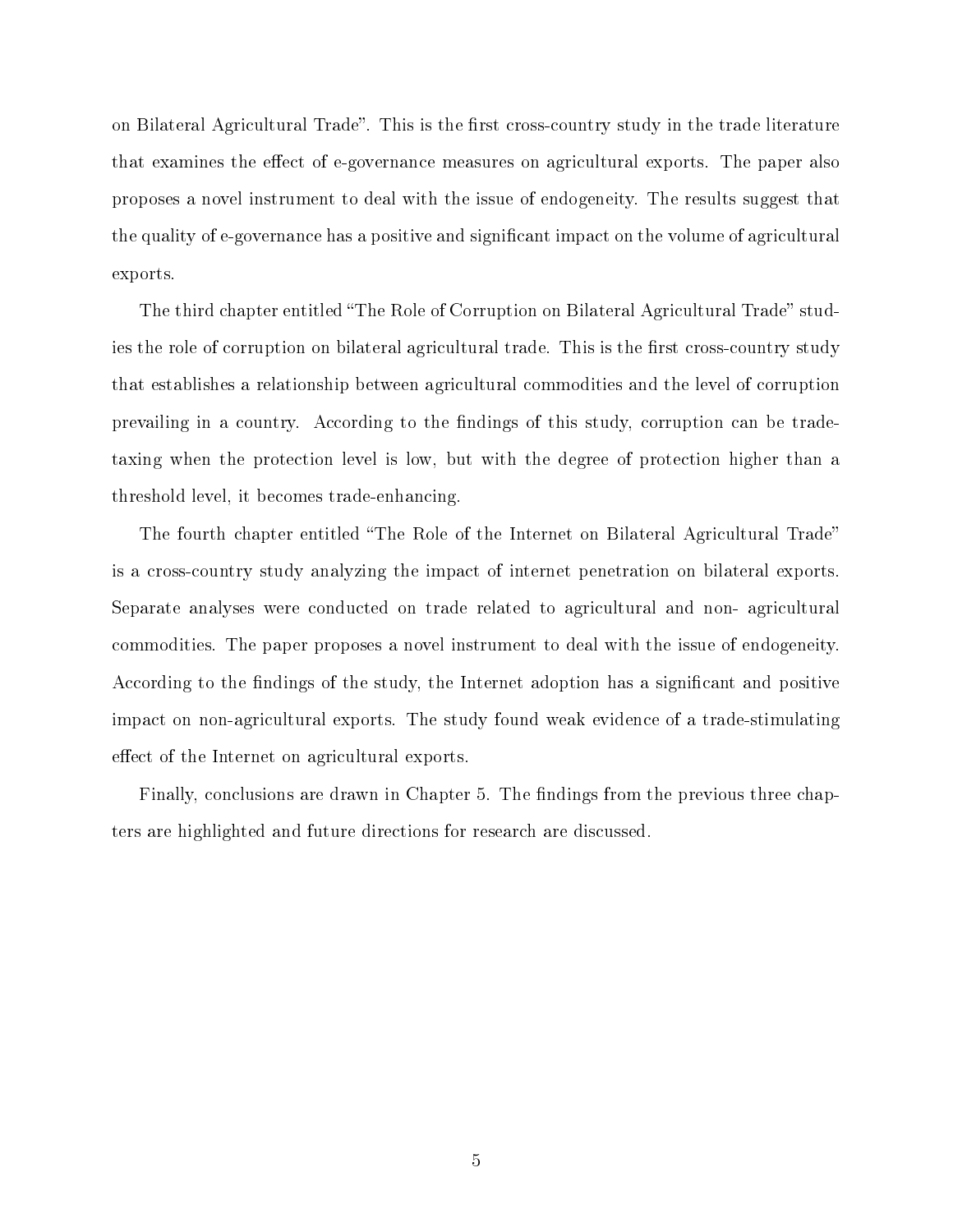on Bilateral Agricultural Trade". This is the first cross-country study in the trade literature that examines the effect of e-governance measures on agricultural exports. The paper also proposes a novel instrument to deal with the issue of endogeneity. The results suggest that the quality of e-governance has a positive and signicant impact on the volume of agricultural exports.

The third chapter entitled "The Role of Corruption on Bilateral Agricultural Trade" studies the role of corruption on bilateral agricultural trade. This is the first cross-country study that establishes a relationship between agricultural commodities and the level of corruption prevailing in a country. According to the findings of this study, corruption can be tradetaxing when the protection level is low, but with the degree of protection higher than a threshold level, it becomes trade-enhancing.

The fourth chapter entitled "The Role of the Internet on Bilateral Agricultural Trade" is a cross-country study analyzing the impact of internet penetration on bilateral exports. Separate analyses were conducted on trade related to agricultural and non- agricultural commodities. The paper proposes a novel instrument to deal with the issue of endogeneity. According to the findings of the study, the Internet adoption has a significant and positive impact on non-agricultural exports. The study found weak evidence of a trade-stimulating effect of the Internet on agricultural exports.

Finally, conclusions are drawn in Chapter 5. The findings from the previous three chapters are highlighted and future directions for research are discussed.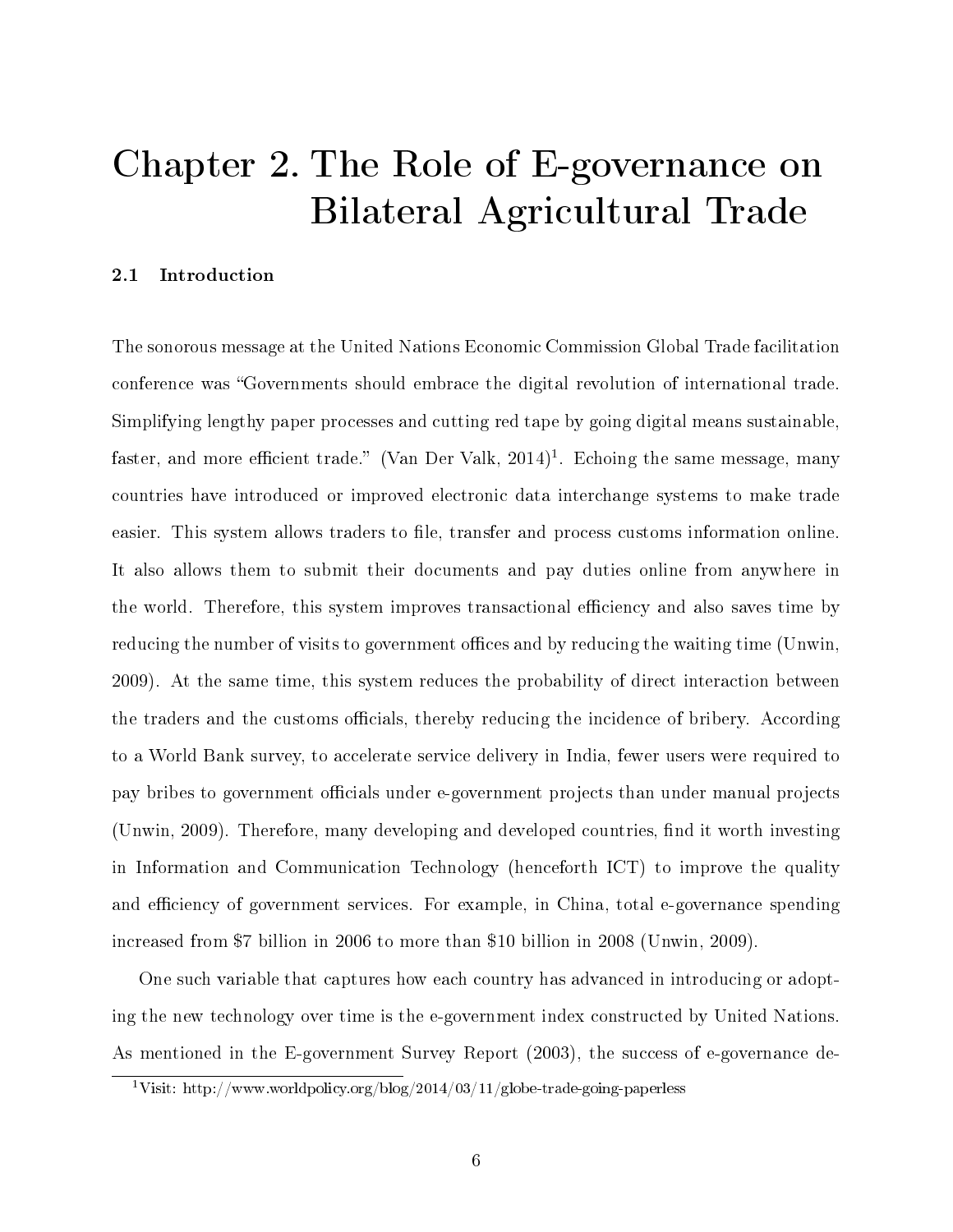## <span id="page-12-0"></span>Chapter 2. The Role of E-governance on Bilateral Agricultural Trade

#### <span id="page-12-1"></span>2.1 Introduction

The sonorous message at the United Nations Economic Commission Global Trade facilitation conference was "Governments should embrace the digital revolution of international trade. Simplifying lengthy paper processes and cutting red tape by going digital means sustainable, faster, and more efficient trade." (Van Der Valk,  $2014)^1$  $2014)^1$  $2014)^1$ . Echoing the same message, many countries have introduced or improved electronic data interchange systems to make trade easier. This system allows traders to file, transfer and process customs information online. It also allows them to submit their documents and pay duties online from anywhere in the world. Therefore, this system improves transactional efficiency and also saves time by reducing the number of visits to government offices and by reducing the waiting time (Unwin, 2009). At the same time, this system reduces the probability of direct interaction between the traders and the customs officials, thereby reducing the incidence of bribery. According to a World Bank survey, to accelerate service delivery in India, fewer users were required to pay bribes to government officials under e-government projects than under manual projects (Unwin, 2009). Therefore, many developing and developed countries, find it worth investing in Information and Communication Technology (henceforth ICT) to improve the quality and efficiency of government services. For example, in China, total e-governance spending increased from \$7 billion in 2006 to more than \$10 billion in 2008 (Unwin, 2009).

One such variable that captures how each country has advanced in introducing or adopting the new technology over time is the e-government index constructed by United Nations. As mentioned in the E-government Survey Report (2003), the success of e-governance de-

<span id="page-12-2"></span><sup>&</sup>lt;sup>1</sup>Visit: http://www.worldpolicy.org/blog/2014/03/11/globe-trade-going-paperless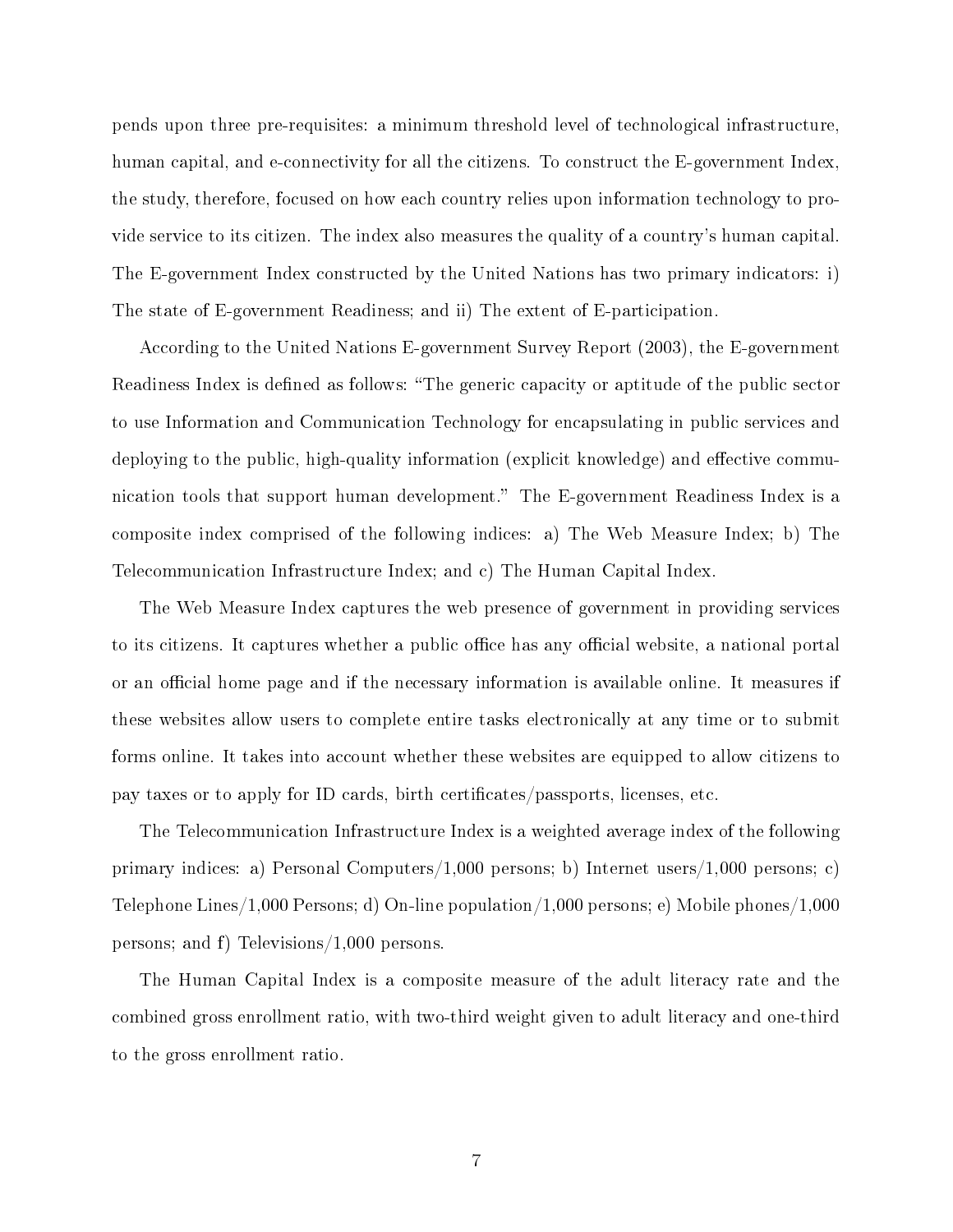pends upon three pre-requisites: a minimum threshold level of technological infrastructure, human capital, and e-connectivity for all the citizens. To construct the E-government Index, the study, therefore, focused on how each country relies upon information technology to provide service to its citizen. The index also measures the quality of a country's human capital. The E-government Index constructed by the United Nations has two primary indicators: i) The state of E-government Readiness; and ii) The extent of E-participation.

According to the United Nations E-government Survey Report (2003), the E-government Readiness Index is defined as follows: "The generic capacity or aptitude of the public sector to use Information and Communication Technology for encapsulating in public services and deploying to the public, high-quality information (explicit knowledge) and effective communication tools that support human development." The E-government Readiness Index is a composite index comprised of the following indices: a) The Web Measure Index; b) The Telecommunication Infrastructure Index; and c) The Human Capital Index.

The Web Measure Index captures the web presence of government in providing services to its citizens. It captures whether a public office has any official website, a national portal or an official home page and if the necessary information is available online. It measures if these websites allow users to complete entire tasks electronically at any time or to submit forms online. It takes into account whether these websites are equipped to allow citizens to pay taxes or to apply for ID cards, birth certificates/passports, licenses, etc.

The Telecommunication Infrastructure Index is a weighted average index of the following primary indices: a) Personal Computers/1,000 persons; b) Internet users/1,000 persons; c) Telephone Lines/1,000 Persons; d) On-line population/1,000 persons; e) Mobile phones/1,000 persons; and f) Televisions/1,000 persons.

The Human Capital Index is a composite measure of the adult literacy rate and the combined gross enrollment ratio, with two-third weight given to adult literacy and one-third to the gross enrollment ratio.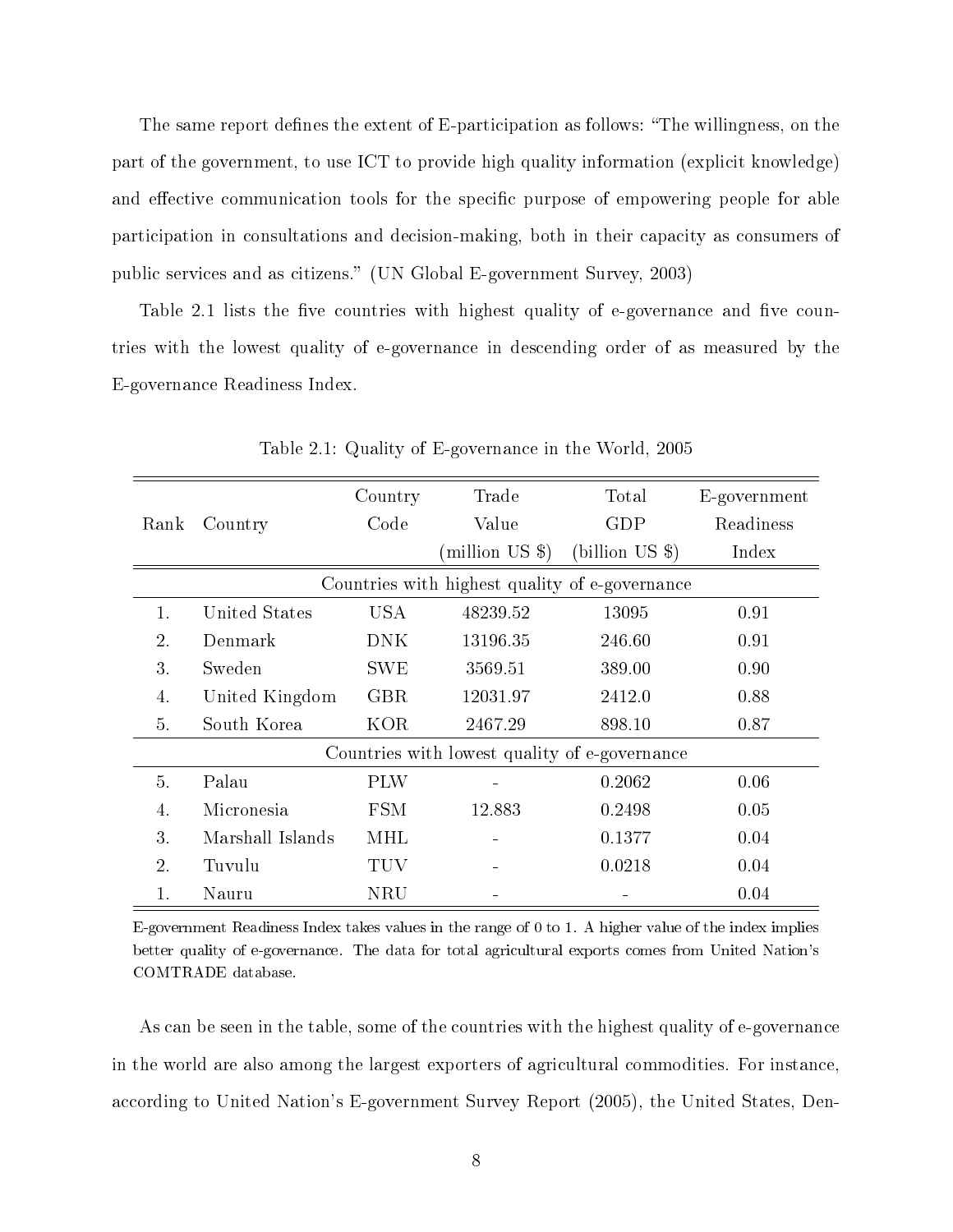The same report defines the extent of E-participation as follows: "The willingness, on the part of the government, to use ICT to provide high quality information (explicit knowledge) and effective communication tools for the specific purpose of empowering people for able participation in consultations and decision-making, both in their capacity as consumers of public services and as citizens." (UN Global E-government Survey, 2003)

Table 2.1 lists the five countries with highest quality of e-governance and five countries with the lowest quality of e-governance in descending order of as measured by the E-governance Readiness Index.

<span id="page-14-0"></span>

|      |                                                | Country    | Trade                                         | Total          | E-government |
|------|------------------------------------------------|------------|-----------------------------------------------|----------------|--------------|
| Rank | Country                                        | Code       | Value                                         | GDP            | Readiness    |
|      |                                                |            | million US \$)                                | (bllion US \$) | Index        |
|      | Countries with highest quality of e-governance |            |                                               |                |              |
| 1.   | United States                                  | USA        | 48239.52                                      | 13095          | 0.91         |
| 2.   | Denmark                                        | DNK.       | 13196.35                                      | 246.60         | 0.91         |
| 3.   | Sweden                                         | <b>SWE</b> | 3569.51                                       | 389.00         | 0.90         |
| 4.   | United Kingdom                                 | <b>GBR</b> | 12031.97                                      | 2412.0         | 0.88         |
| 5.   | South Korea                                    | KOR        | 2467.29                                       | 898.10         | 0.87         |
|      |                                                |            | Countries with lowest quality of e-governance |                |              |
| 5.   | Palau                                          | <b>PLW</b> |                                               | 0.2062         | 0.06         |
| 4.   | Micronesia                                     | <b>FSM</b> | 12.883                                        | 0.2498         | 0.05         |
| 3.   | Marshall Islands                               | MHL        |                                               | 0.1377         | 0.04         |
| 2.   | Tuvulu                                         | TUV        |                                               | 0.0218         | 0.04         |
|      | Nauru                                          | NRU        |                                               |                | 0.04         |

Table 2.1: Quality of E-governance in the World, 2005

E-government Readiness Index takes values in the range of 0 to 1. A higher value of the index implies better quality of e-governance. The data for total agricultural exports comes from United Nation's COMTRADE database.

As can be seen in the table, some of the countries with the highest quality of e-governance in the world are also among the largest exporters of agricultural commodities. For instance, according to United Nation's E-government Survey Report (2005), the United States, Den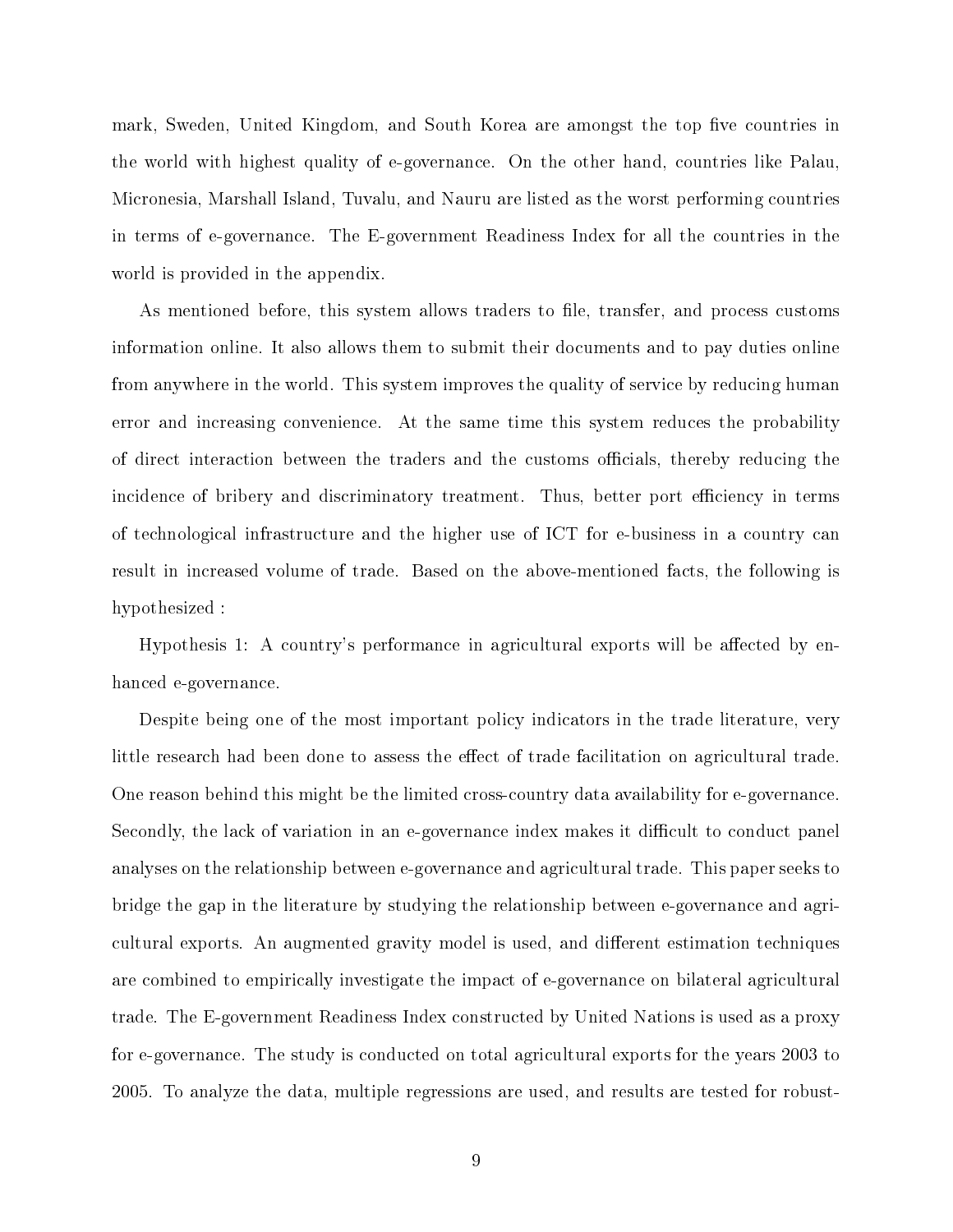mark, Sweden, United Kingdom, and South Korea are amongst the top five countries in the world with highest quality of e-governance. On the other hand, countries like Palau, Micronesia, Marshall Island, Tuvalu, and Nauru are listed as the worst performing countries in terms of e-governance. The E-government Readiness Index for all the countries in the world is provided in the appendix.

As mentioned before, this system allows traders to file, transfer, and process customs information online. It also allows them to submit their documents and to pay duties online from anywhere in the world. This system improves the quality of service by reducing human error and increasing convenience. At the same time this system reduces the probability of direct interaction between the traders and the customs officials, thereby reducing the incidence of bribery and discriminatory treatment. Thus, better port efficiency in terms of technological infrastructure and the higher use of ICT for e-business in a country can result in increased volume of trade. Based on the above-mentioned facts, the following is hypothesized :

Hypothesis 1: A country's performance in agricultural exports will be affected by enhanced e-governance.

Despite being one of the most important policy indicators in the trade literature, very little research had been done to assess the effect of trade facilitation on agricultural trade. One reason behind this might be the limited cross-country data availability for e-governance. Secondly, the lack of variation in an e-governance index makes it difficult to conduct panel analyses on the relationship between e-governance and agricultural trade. This paper seeks to bridge the gap in the literature by studying the relationship between e-governance and agricultural exports. An augmented gravity model is used, and different estimation techniques are combined to empirically investigate the impact of e-governance on bilateral agricultural trade. The E-government Readiness Index constructed by United Nations is used as a proxy for e-governance. The study is conducted on total agricultural exports for the years 2003 to 2005. To analyze the data, multiple regressions are used, and results are tested for robust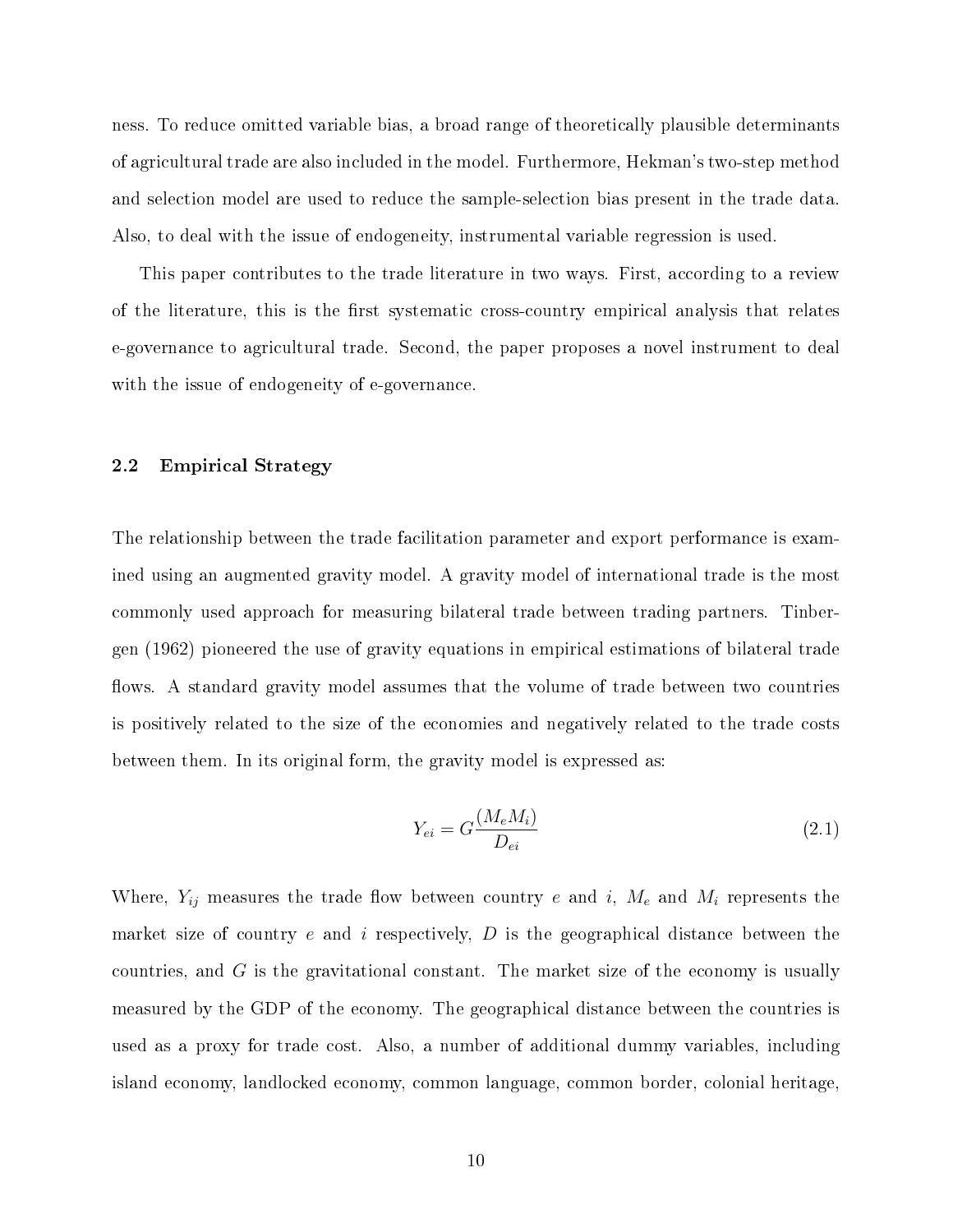ness. To reduce omitted variable bias, a broad range of theoretically plausible determinants of agricultural trade are also included in the model. Furthermore, Hekman's two-step method and selection model are used to reduce the sample-selection bias present in the trade data. Also, to deal with the issue of endogeneity, instrumental variable regression is used.

This paper contributes to the trade literature in two ways. First, according to a review of the literature, this is the first systematic cross-country empirical analysis that relates e-governance to agricultural trade. Second, the paper proposes a novel instrument to deal with the issue of endogeneity of e-governance.

#### <span id="page-16-0"></span>2.2 Empirical Strategy

The relationship between the trade facilitation parameter and export performance is examined using an augmented gravity model. A gravity model of international trade is the most commonly used approach for measuring bilateral trade between trading partners. Tinbergen (1962) pioneered the use of gravity equations in empirical estimations of bilateral trade flows. A standard gravity model assumes that the volume of trade between two countries is positively related to the size of the economies and negatively related to the trade costs between them. In its original form, the gravity model is expressed as:

$$
Y_{ei} = G \frac{(M_e M_i)}{D_{ei}} \tag{2.1}
$$

Where,  $Y_{ij}$  measures the trade flow between country e and i,  $M_e$  and  $M_i$  represents the market size of country  $e$  and  $i$  respectively,  $D$  is the geographical distance between the countries, and  $G$  is the gravitational constant. The market size of the economy is usually measured by the GDP of the economy. The geographical distance between the countries is used as a proxy for trade cost. Also, a number of additional dummy variables, including island economy, landlocked economy, common language, common border, colonial heritage,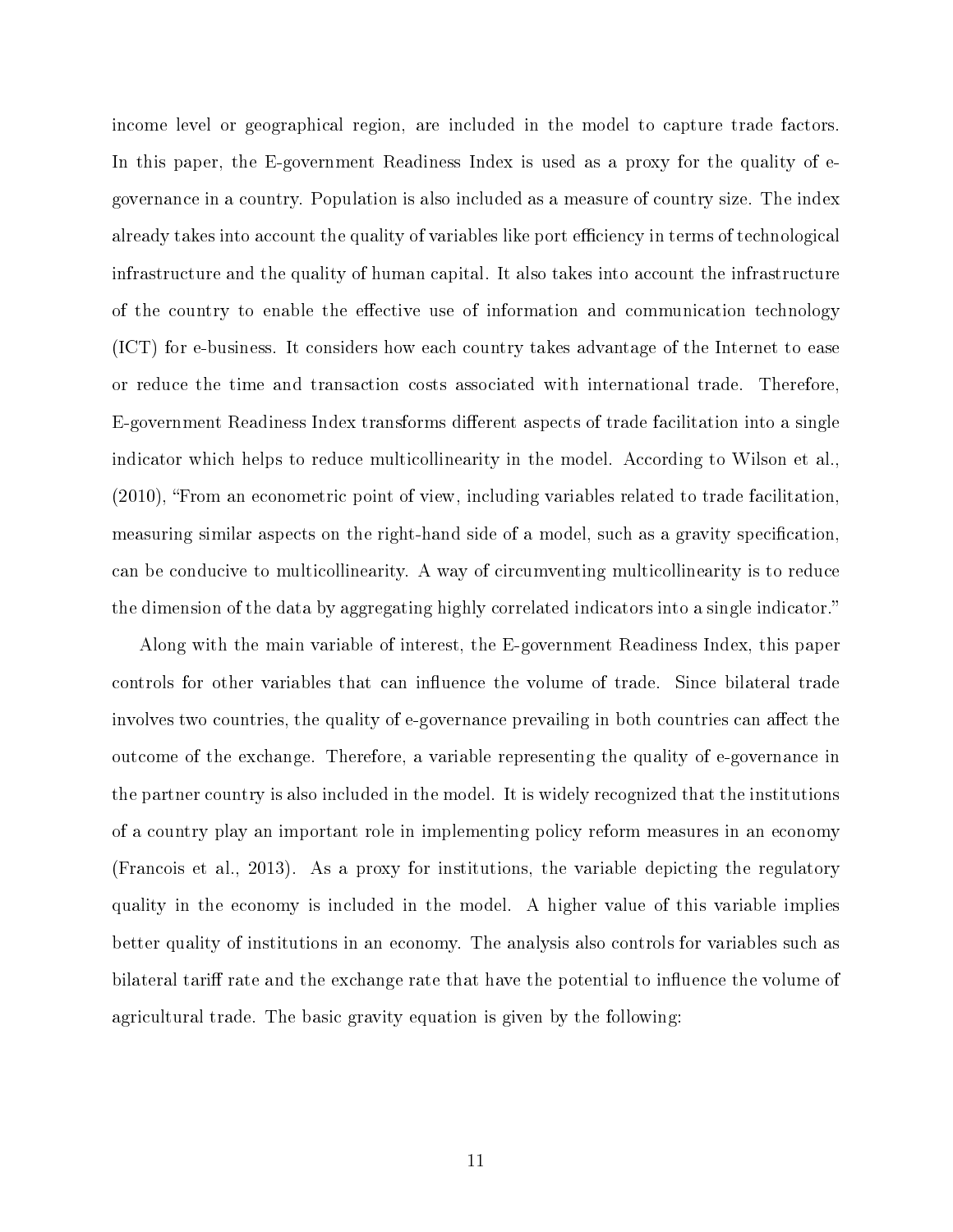income level or geographical region, are included in the model to capture trade factors. In this paper, the E-government Readiness Index is used as a proxy for the quality of egovernance in a country. Population is also included as a measure of country size. The index already takes into account the quality of variables like port efficiency in terms of technological infrastructure and the quality of human capital. It also takes into account the infrastructure of the country to enable the effective use of information and communication technology (ICT) for e-business. It considers how each country takes advantage of the Internet to ease or reduce the time and transaction costs associated with international trade. Therefore, E-government Readiness Index transforms different aspects of trade facilitation into a single indicator which helps to reduce multicollinearity in the model. According to Wilson et al.,  $(2010)$ , "From an econometric point of view, including variables related to trade facilitation. measuring similar aspects on the right-hand side of a model, such as a gravity specification. can be conducive to multicollinearity. A way of circumventing multicollinearity is to reduce the dimension of the data by aggregating highly correlated indicators into a single indicator.

Along with the main variable of interest, the E-government Readiness Index, this paper controls for other variables that can influence the volume of trade. Since bilateral trade involves two countries, the quality of e-governance prevailing in both countries can affect the outcome of the exchange. Therefore, a variable representing the quality of e-governance in the partner country is also included in the model. It is widely recognized that the institutions of a country play an important role in implementing policy reform measures in an economy (Francois et al., 2013). As a proxy for institutions, the variable depicting the regulatory quality in the economy is included in the model. A higher value of this variable implies better quality of institutions in an economy. The analysis also controls for variables such as bilateral tariff rate and the exchange rate that have the potential to influence the volume of agricultural trade. The basic gravity equation is given by the following: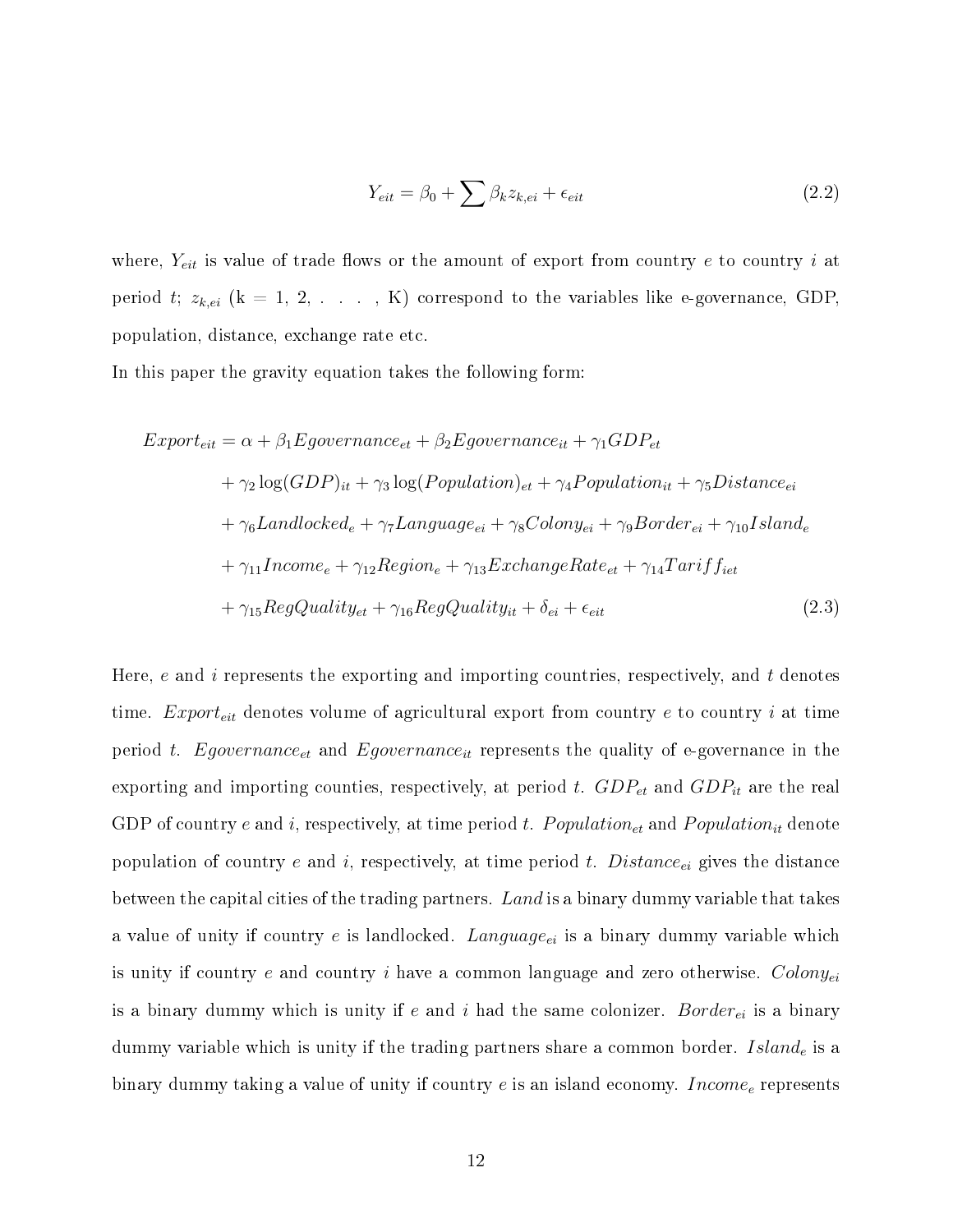$$
Y_{eit} = \beta_0 + \sum \beta_k z_{k,ei} + \epsilon_{eit} \tag{2.2}
$$

where,  $Y_{eit}$  is value of trade flows or the amount of export from country e to country i at period t;  $z_{k,ei}$  (k = 1, 2, ..., K) correspond to the variables like e-governance, GDP, population, distance, exchange rate etc.

In this paper the gravity equation takes the following form:

$$
Export_{eit} = \alpha + \beta_1 Egovername{e}_{te} + \beta_2 Egovername{e}_{te} + \gamma_1 GDP_{et}
$$
  
+  $\gamma_2 \log(GDP)_{it} + \gamma_3 \log(Population)_{et} + \gamma_4 Population_{it} + \gamma_5 Distance_{ei}$   
+  $\gamma_6 Landlocked_e + \gamma_7 Langauge_{ei} + \gamma_8 Colony_{ei} + \gamma_9 Border_{ei} + \gamma_{10} Island_e$   
+  $\gamma_{11} Income_e + \gamma_{12} Region_e + \gamma_{13} ExchangeRate_{et} + \gamma_{14} Tariff_{iet}$   
+  $\gamma_{15} RegQuality_{et} + \gamma_{16} RegQuality_{it} + \delta_{ei} + \epsilon_{eit}$  (2.3)

Here,  $e$  and  $i$  represents the exporting and importing countries, respectively, and  $t$  denotes time.  $Expert_{eit}$  denotes volume of agricultural export from country  $e$  to country  $i$  at time period t. Egovernance<sub>et</sub> and Egovernance<sub>it</sub> represents the quality of e-governance in the exporting and importing counties, respectively, at period t.  $GDP_{et}$  and  $GDP_{it}$  are the real GDP of country e and i, respectively, at time period t.  $Population_{et}$  and  $Population_{it}$  denote population of country e and i, respectively, at time period t.  $Distance_{ei}$  gives the distance between the capital cities of the trading partners. Land is a binary dummy variable that takes a value of unity if country e is landlocked.  $Language_{ei}$  is a binary dummy variable which is unity if country  $e$  and country  $i$  have a common language and zero otherwise.  $Colony_{ei}$ is a binary dummy which is unity if e and i had the same colonizer. Border<sub>ei</sub> is a binary dummy variable which is unity if the trading partners share a common border.  $Island_e$  is a binary dummy taking a value of unity if country  $e$  is an island economy. *Income<sub>e</sub>* represents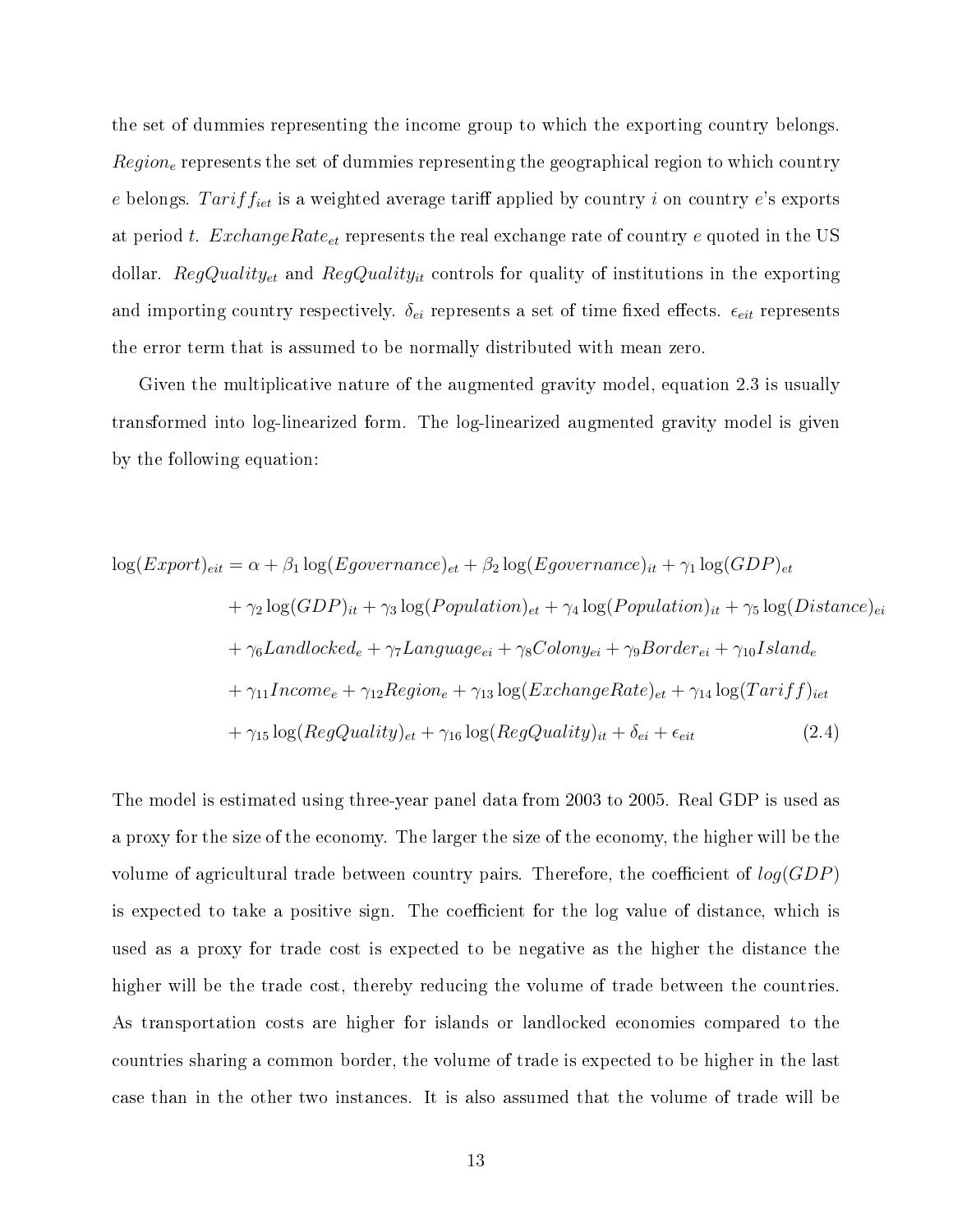the set of dummies representing the income group to which the exporting country belongs.  $Region_e$  represents the set of dummies representing the geographical region to which country e belongs. Tariff<sub>iet</sub> is a weighted average tariff applied by country i on country e's exports at period t.  $ExchangeRate_{et}$  represents the real exchange rate of country e quoted in the US dollar. RegQuality<sub>et</sub> and RegQuality<sub>it</sub> controls for quality of institutions in the exporting and importing country respectively.  $\delta_{ei}$  represents a set of time fixed effects.  $\epsilon_{eit}$  represents the error term that is assumed to be normally distributed with mean zero.

Given the multiplicative nature of the augmented gravity model, equation 2.3 is usually transformed into log-linearized form. The log-linearized augmented gravity model is given by the following equation:

$$
\log(Export)_{eit} = \alpha + \beta_1 \log(Egovernance)_{et} + \beta_2 \log(Egovernance)_{it} + \gamma_1 \log(GDP)_{et}
$$
  
+  $\gamma_2 \log(GDP)_{it} + \gamma_3 \log(Population)_{et} + \gamma_4 \log(Population)_{it} + \gamma_5 \log(Distance)_{ei}$   
+  $\gamma_6 Landlocked_e + \gamma_7 Language_{ei} + \gamma_8Colony_{ei} + \gamma_9 Border_{ei} + \gamma_{10} Island_e$   
+  $\gamma_{11} Income_e + \gamma_{12} Region_e + \gamma_{13} \log(ExchangeRate)_{et} + \gamma_{14} \log(Tariff)_{iet}$   
+  $\gamma_{15} \log(RegQuality)_{et} + \gamma_{16} \log(RegQuality)_{it} + \delta_{ei} + \epsilon_{eit}$  (2.4)

The model is estimated using three-year panel data from 2003 to 2005. Real GDP is used as a proxy for the size of the economy. The larger the size of the economy, the higher will be the volume of agricultural trade between country pairs. Therefore, the coefficient of  $log(GDP)$ is expected to take a positive sign. The coefficient for the log value of distance, which is used as a proxy for trade cost is expected to be negative as the higher the distance the higher will be the trade cost, thereby reducing the volume of trade between the countries. As transportation costs are higher for islands or landlocked economies compared to the countries sharing a common border, the volume of trade is expected to be higher in the last case than in the other two instances. It is also assumed that the volume of trade will be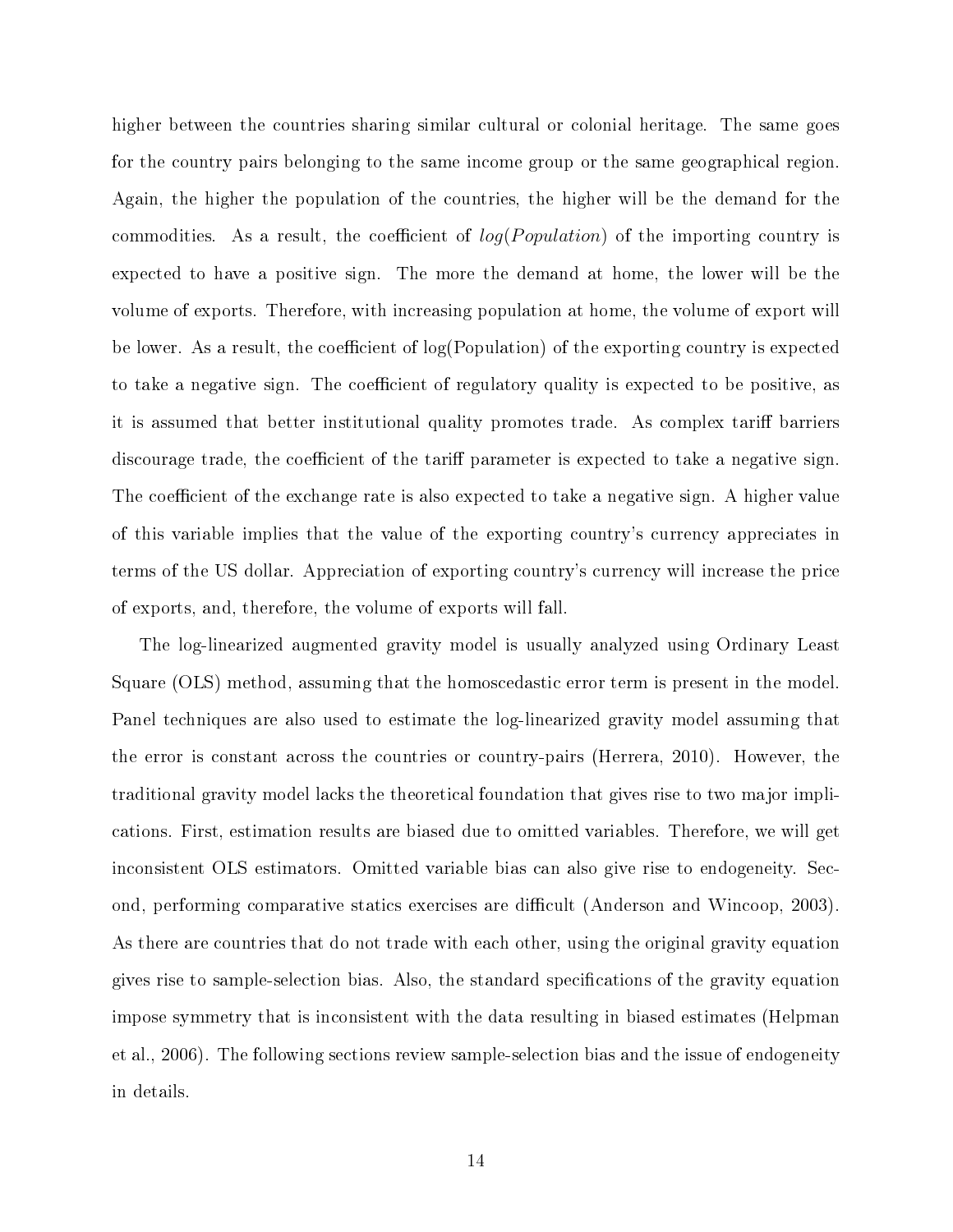higher between the countries sharing similar cultural or colonial heritage. The same goes for the country pairs belonging to the same income group or the same geographical region. Again, the higher the population of the countries, the higher will be the demand for the commodities. As a result, the coefficient of  $log(Population)$  of the importing country is expected to have a positive sign. The more the demand at home, the lower will be the volume of exports. Therefore, with increasing population at home, the volume of export will be lower. As a result, the coefficient of  $log(Population)$  of the exporting country is expected to take a negative sign. The coefficient of regulatory quality is expected to be positive, as it is assumed that better institutional quality promotes trade. As complex tariff barriers discourage trade, the coefficient of the tariff parameter is expected to take a negative sign. The coefficient of the exchange rate is also expected to take a negative sign. A higher value of this variable implies that the value of the exporting country's currency appreciates in terms of the US dollar. Appreciation of exporting country's currency will increase the price of exports, and, therefore, the volume of exports will fall.

The log-linearized augmented gravity model is usually analyzed using Ordinary Least Square (OLS) method, assuming that the homoscedastic error term is present in the model. Panel techniques are also used to estimate the log-linearized gravity model assuming that the error is constant across the countries or country-pairs (Herrera, 2010). However, the traditional gravity model lacks the theoretical foundation that gives rise to two major implications. First, estimation results are biased due to omitted variables. Therefore, we will get inconsistent OLS estimators. Omitted variable bias can also give rise to endogeneity. Second, performing comparative statics exercises are difficult (Anderson and Wincoop, 2003). As there are countries that do not trade with each other, using the original gravity equation gives rise to sample-selection bias. Also, the standard specifications of the gravity equation impose symmetry that is inconsistent with the data resulting in biased estimates (Helpman et al., 2006). The following sections review sample-selection bias and the issue of endogeneity in details.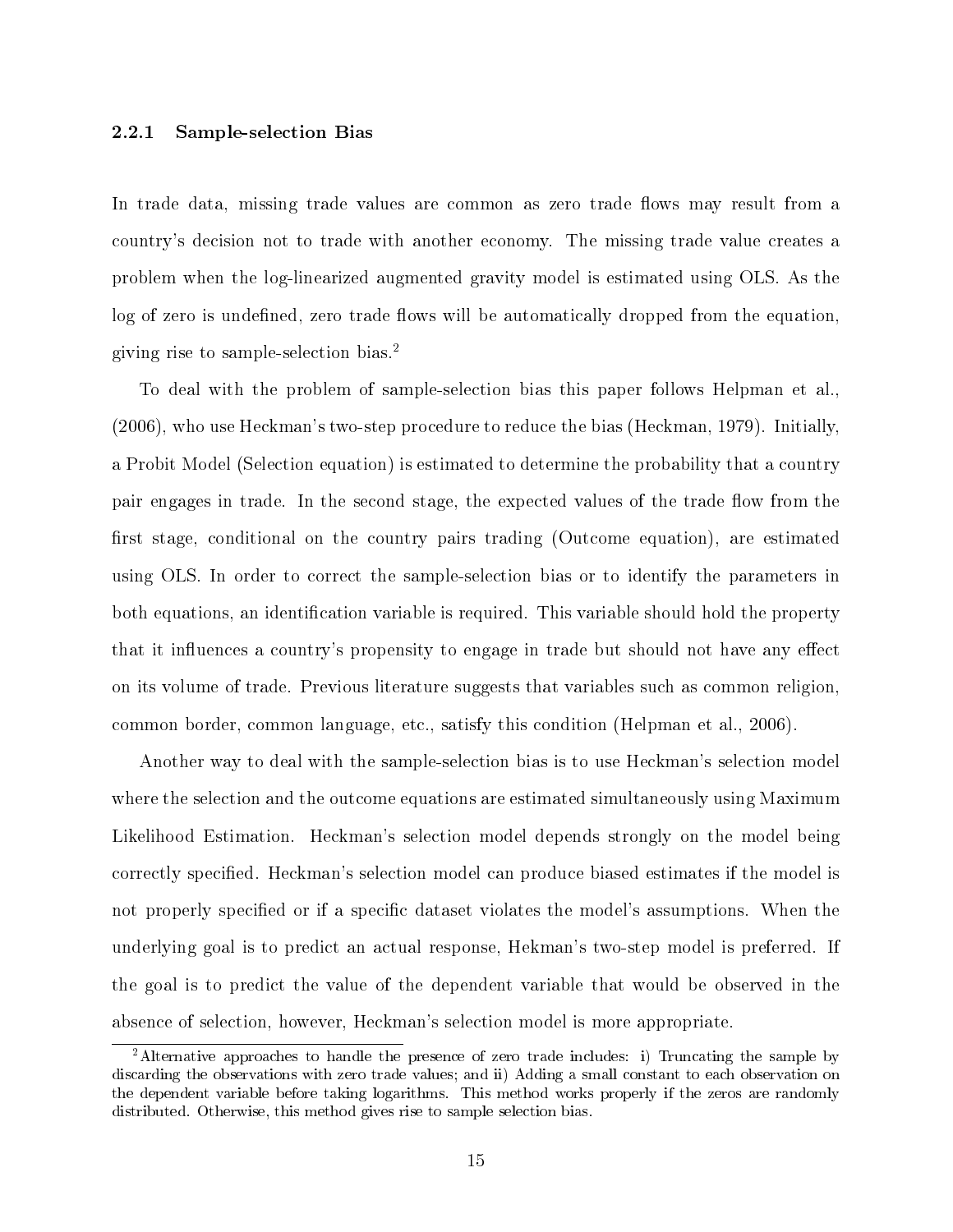#### 2.2.1 Sample-selection Bias

In trade data, missing trade values are common as zero trade flows may result from a country's decision not to trade with another economy. The missing trade value creates a problem when the log-linearized augmented gravity model is estimated using OLS. As the log of zero is undefined, zero trade flows will be automatically dropped from the equation, giving rise to sample-selection bias.[2](#page-21-0)

To deal with the problem of sample-selection bias this paper follows Helpman et al., (2006), who use Heckman's two-step procedure to reduce the bias (Heckman, 1979). Initially, a Probit Model (Selection equation) is estimated to determine the probability that a country pair engages in trade. In the second stage, the expected values of the trade flow from the first stage, conditional on the country pairs trading (Outcome equation), are estimated using OLS. In order to correct the sample-selection bias or to identify the parameters in both equations, an identification variable is required. This variable should hold the property that it influences a country's propensity to engage in trade but should not have any effect on its volume of trade. Previous literature suggests that variables such as common religion, common border, common language, etc., satisfy this condition (Helpman et al., 2006).

Another way to deal with the sample-selection bias is to use Heckman's selection model where the selection and the outcome equations are estimated simultaneously using Maximum Likelihood Estimation. Heckman's selection model depends strongly on the model being correctly specified. Heckman's selection model can produce biased estimates if the model is not properly specified or if a specific dataset violates the model's assumptions. When the underlying goal is to predict an actual response, Hekman's two-step model is preferred. If the goal is to predict the value of the dependent variable that would be observed in the absence of selection, however, Heckman's selection model is more appropriate.

<span id="page-21-0"></span><sup>2</sup>Alternative approaches to handle the presence of zero trade includes: i) Truncating the sample by discarding the observations with zero trade values; and ii) Adding a small constant to each observation on the dependent variable before taking logarithms. This method works properly if the zeros are randomly distributed. Otherwise, this method gives rise to sample selection bias.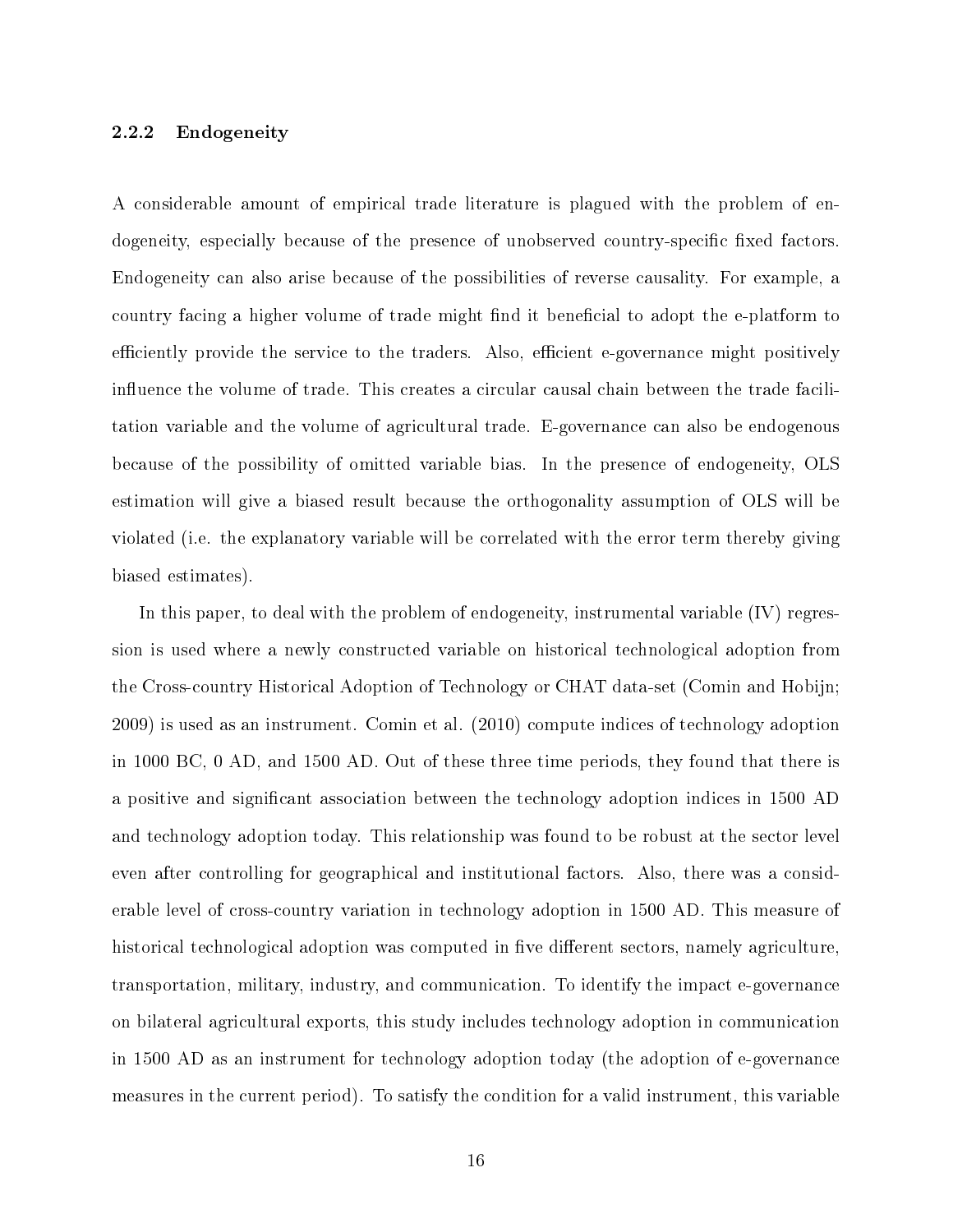#### 2.2.2 Endogeneity

A considerable amount of empirical trade literature is plagued with the problem of endogeneity, especially because of the presence of unobserved country-specific fixed factors. Endogeneity can also arise because of the possibilities of reverse causality. For example, a country facing a higher volume of trade might find it beneficial to adopt the e-platform to efficiently provide the service to the traders. Also, efficient e-governance might positively influence the volume of trade. This creates a circular causal chain between the trade facilitation variable and the volume of agricultural trade. E-governance can also be endogenous because of the possibility of omitted variable bias. In the presence of endogeneity, OLS estimation will give a biased result because the orthogonality assumption of OLS will be violated (i.e. the explanatory variable will be correlated with the error term thereby giving biased estimates).

In this paper, to deal with the problem of endogeneity, instrumental variable (IV) regression is used where a newly constructed variable on historical technological adoption from the Cross-country Historical Adoption of Technology or CHAT data-set (Comin and Hobijn; 2009) is used as an instrument. Comin et al. (2010) compute indices of technology adoption in 1000 BC, 0 AD, and 1500 AD. Out of these three time periods, they found that there is a positive and significant association between the technology adoption indices in 1500 AD and technology adoption today. This relationship was found to be robust at the sector level even after controlling for geographical and institutional factors. Also, there was a considerable level of cross-country variation in technology adoption in 1500 AD. This measure of historical technological adoption was computed in five different sectors, namely agriculture, transportation, military, industry, and communication. To identify the impact e-governance on bilateral agricultural exports, this study includes technology adoption in communication in 1500 AD as an instrument for technology adoption today (the adoption of e-governance measures in the current period). To satisfy the condition for a valid instrument, this variable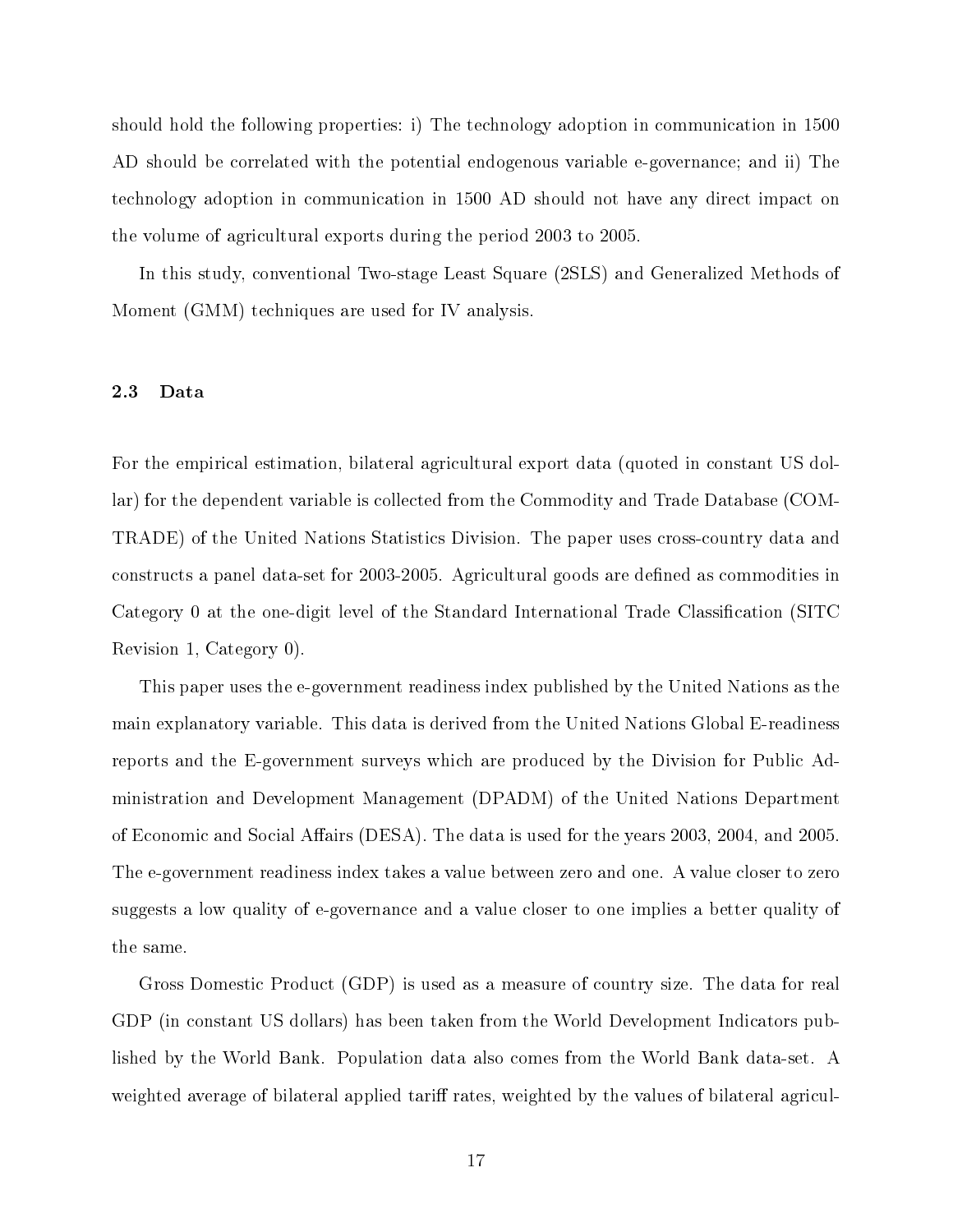should hold the following properties: i) The technology adoption in communication in 1500 AD should be correlated with the potential endogenous variable e-governance; and ii) The technology adoption in communication in 1500 AD should not have any direct impact on the volume of agricultural exports during the period 2003 to 2005.

In this study, conventional Two-stage Least Square (2SLS) and Generalized Methods of Moment (GMM) techniques are used for IV analysis.

#### <span id="page-23-0"></span>2.3 Data

For the empirical estimation, bilateral agricultural export data (quoted in constant US dollar) for the dependent variable is collected from the Commodity and Trade Database (COM-TRADE) of the United Nations Statistics Division. The paper uses cross-country data and constructs a panel data-set for 2003-2005. Agricultural goods are dened as commodities in Category 0 at the one-digit level of the Standard International Trade Classification (SITC Revision 1, Category 0).

This paper uses the e-government readiness index published by the United Nations as the main explanatory variable. This data is derived from the United Nations Global E-readiness reports and the E-government surveys which are produced by the Division for Public Administration and Development Management (DPADM) of the United Nations Department of Economic and Social Affairs (DESA). The data is used for the years 2003, 2004, and 2005. The e-government readiness index takes a value between zero and one. A value closer to zero suggests a low quality of e-governance and a value closer to one implies a better quality of the same.

Gross Domestic Product (GDP) is used as a measure of country size. The data for real GDP (in constant US dollars) has been taken from the World Development Indicators published by the World Bank. Population data also comes from the World Bank data-set. A weighted average of bilateral applied tariff rates, weighted by the values of bilateral agricul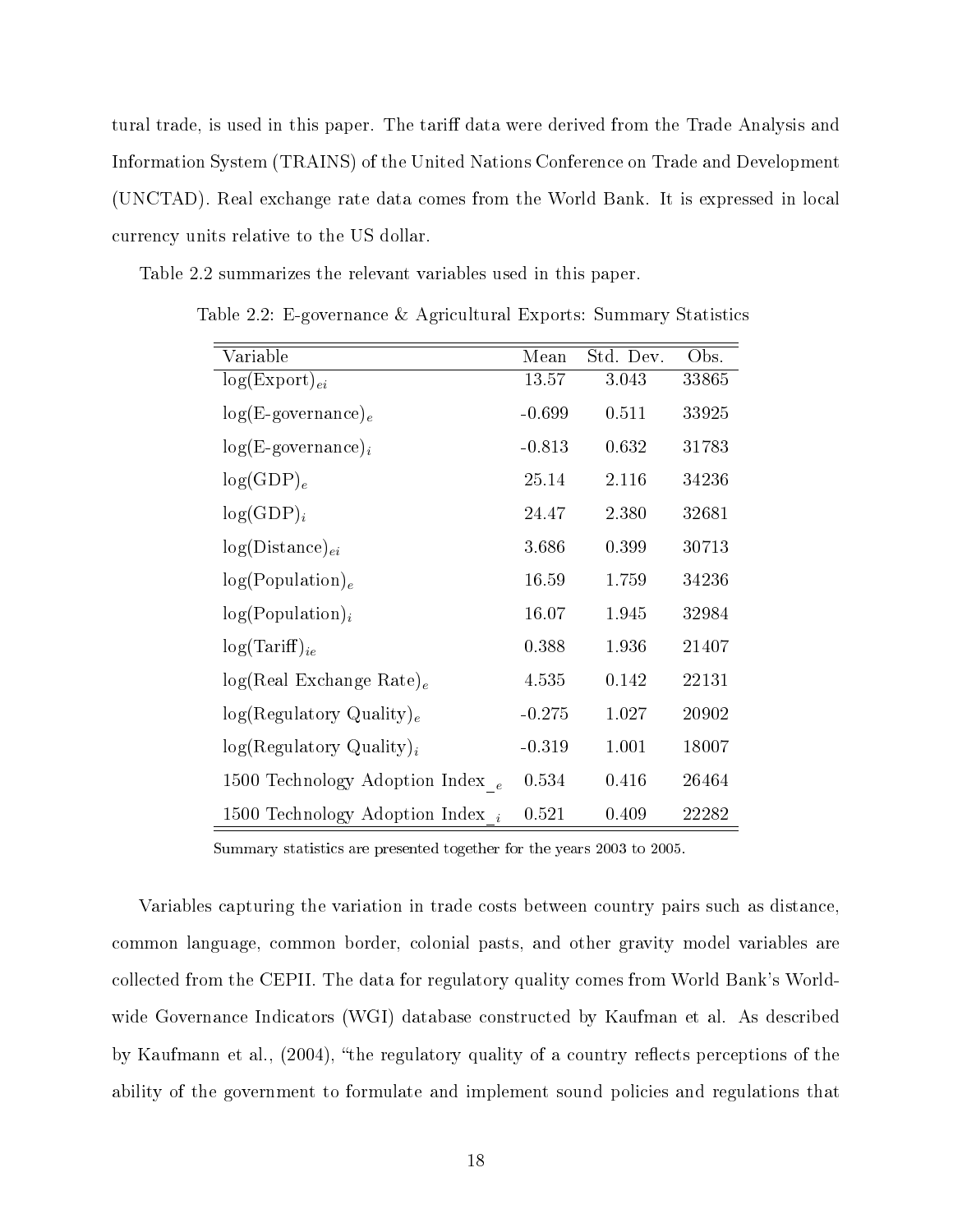tural trade, is used in this paper. The tariff data were derived from the Trade Analysis and Information System (TRAINS) of the United Nations Conference on Trade and Development (UNCTAD). Real exchange rate data comes from the World Bank. It is expressed in local currency units relative to the US dollar.

<span id="page-24-0"></span>Table 2.2 summarizes the relevant variables used in this paper.

Variable Mean Std. Dev. Obs.  $log(Expert)_{ei}$  13.57 3.043 33865  $log(E\text{-}govername)_{e}$  -0.699 0.511 33925  $log(E\text{-}govername)$ <sub>i</sub>  $-0.813$   $0.632$   $31783$  $log(GDP)_e$  25.14 2.116 34236  $log(GDP)_i$  24.47 2.380 32681  $log(Distance)_{ei}$  3.686 0.399 30713  $log(Population)<sub>e</sub>$  16.59 1.759 34236  $log(Population)<sub>i</sub>$  16.07 1.945 32984  $log(Tariff)_{ie}$  0.388 1.936 21407  $log(Real Exchange Rate)_e$  4.535 0.142 22131  $log(Regulatory Quality)<sub>e</sub>$  -0.275 1.027 20902  $log(Regulatory Quality)<sub>i</sub>$  -0.319 1.001 18007 1500 Technology Adoption  $\text{Index}_{e}$  0.534 0.416 26464 1500 Technology Adoption Index  $_i$  0.521 0.409 22282

Table 2.2: E-governance & Agricultural Exports: Summary Statistics

Summary statistics are presented together for the years 2003 to 2005.

Variables capturing the variation in trade costs between country pairs such as distance, common language, common border, colonial pasts, and other gravity model variables are collected from the CEPII. The data for regulatory quality comes from World Bank's Worldwide Governance Indicators (WGI) database constructed by Kaufman et al. As described by Kaufmann et al.,  $(2004)$ , "the regulatory quality of a country reflects perceptions of the ability of the government to formulate and implement sound policies and regulations that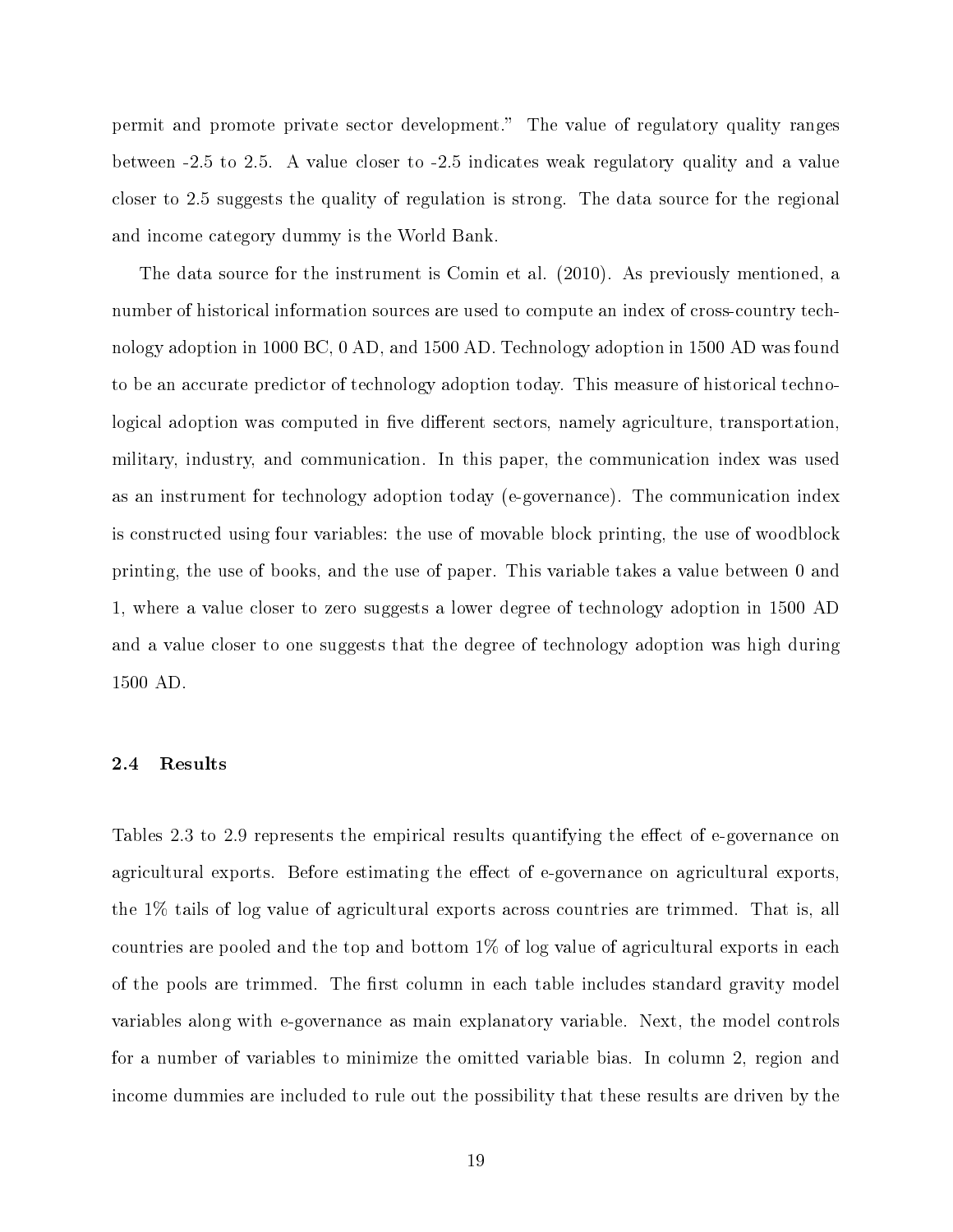permit and promote private sector development. The value of regulatory quality ranges between -2.5 to 2.5. A value closer to -2.5 indicates weak regulatory quality and a value closer to 2.5 suggests the quality of regulation is strong. The data source for the regional and income category dummy is the World Bank.

The data source for the instrument is Comin et al. (2010). As previously mentioned, a number of historical information sources are used to compute an index of cross-country technology adoption in 1000 BC, 0 AD, and 1500 AD. Technology adoption in 1500 AD was found to be an accurate predictor of technology adoption today. This measure of historical technological adoption was computed in five different sectors, namely agriculture, transportation, military, industry, and communication. In this paper, the communication index was used as an instrument for technology adoption today (e-governance). The communication index is constructed using four variables: the use of movable block printing, the use of woodblock printing, the use of books, and the use of paper. This variable takes a value between 0 and 1, where a value closer to zero suggests a lower degree of technology adoption in 1500 AD and a value closer to one suggests that the degree of technology adoption was high during 1500 AD.

#### <span id="page-25-0"></span>2.4 Results

Tables 2.3 to 2.9 represents the empirical results quantifying the effect of e-governance on agricultural exports. Before estimating the effect of e-governance on agricultural exports, the 1% tails of log value of agricultural exports across countries are trimmed. That is, all countries are pooled and the top and bottom 1% of log value of agricultural exports in each of the pools are trimmed. The first column in each table includes standard gravity model variables along with e-governance as main explanatory variable. Next, the model controls for a number of variables to minimize the omitted variable bias. In column 2, region and income dummies are included to rule out the possibility that these results are driven by the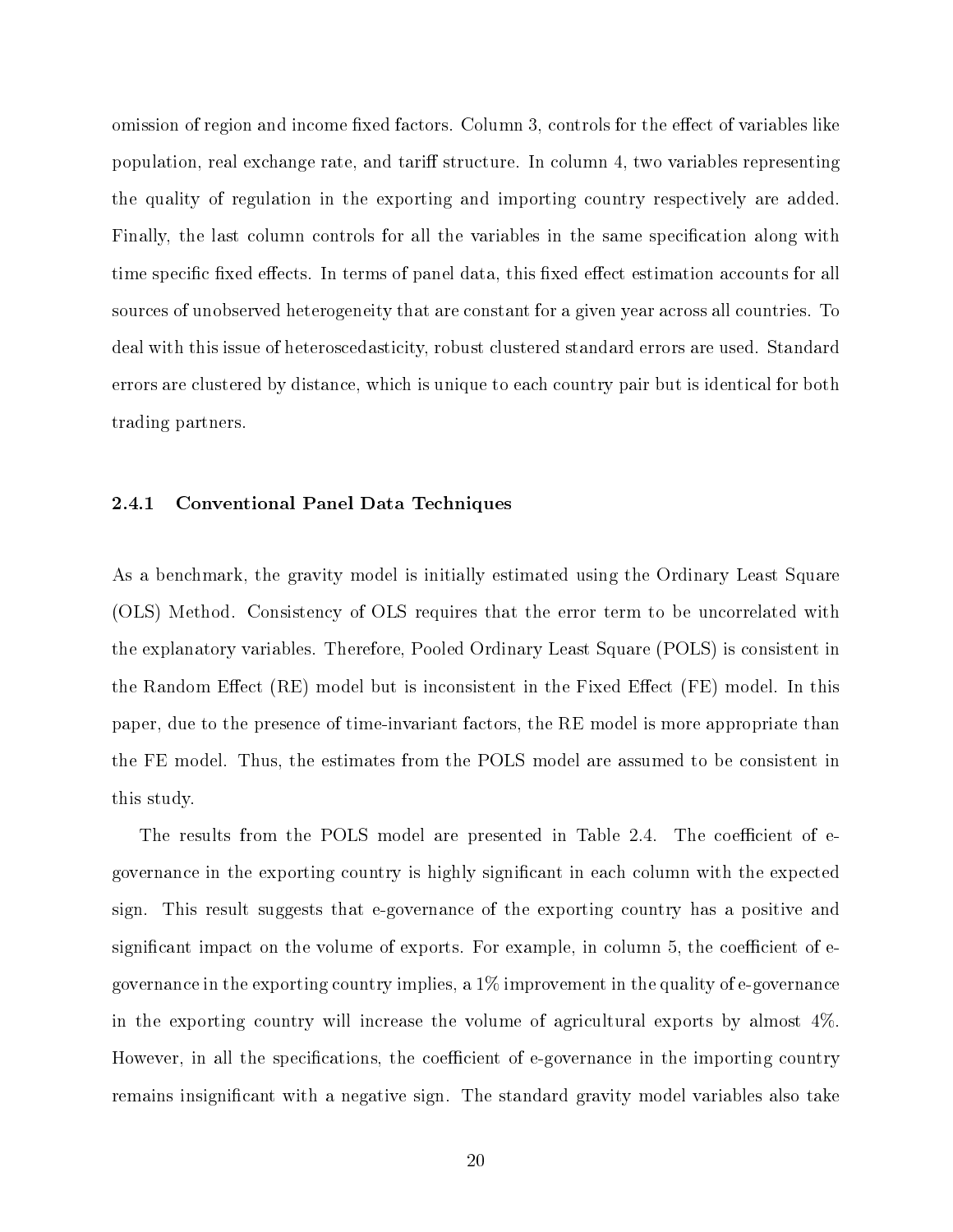omission of region and income fixed factors. Column 3, controls for the effect of variables like population, real exchange rate, and tariff structure. In column 4, two variables representing the quality of regulation in the exporting and importing country respectively are added. Finally, the last column controls for all the variables in the same specification along with time specific fixed effects. In terms of panel data, this fixed effect estimation accounts for all sources of unobserved heterogeneity that are constant for a given year across all countries. To deal with this issue of heteroscedasticity, robust clustered standard errors are used. Standard errors are clustered by distance, which is unique to each country pair but is identical for both trading partners.

#### 2.4.1 Conventional Panel Data Techniques

As a benchmark, the gravity model is initially estimated using the Ordinary Least Square (OLS) Method. Consistency of OLS requires that the error term to be uncorrelated with the explanatory variables. Therefore, Pooled Ordinary Least Square (POLS) is consistent in the Random Effect  $(RE)$  model but is inconsistent in the Fixed Effect  $(FE)$  model. In this paper, due to the presence of time-invariant factors, the RE model is more appropriate than the FE model. Thus, the estimates from the POLS model are assumed to be consistent in this study.

The results from the POLS model are presented in Table 2.4. The coefficient of egovernance in the exporting country is highly signicant in each column with the expected sign. This result suggests that e-governance of the exporting country has a positive and significant impact on the volume of exports. For example, in column 5, the coefficient of  $e$ governance in the exporting country implies, a 1% improvement in the quality of e-governance in the exporting country will increase the volume of agricultural exports by almost 4%. However, in all the specifications, the coefficient of e-governance in the importing country remains insignificant with a negative sign. The standard gravity model variables also take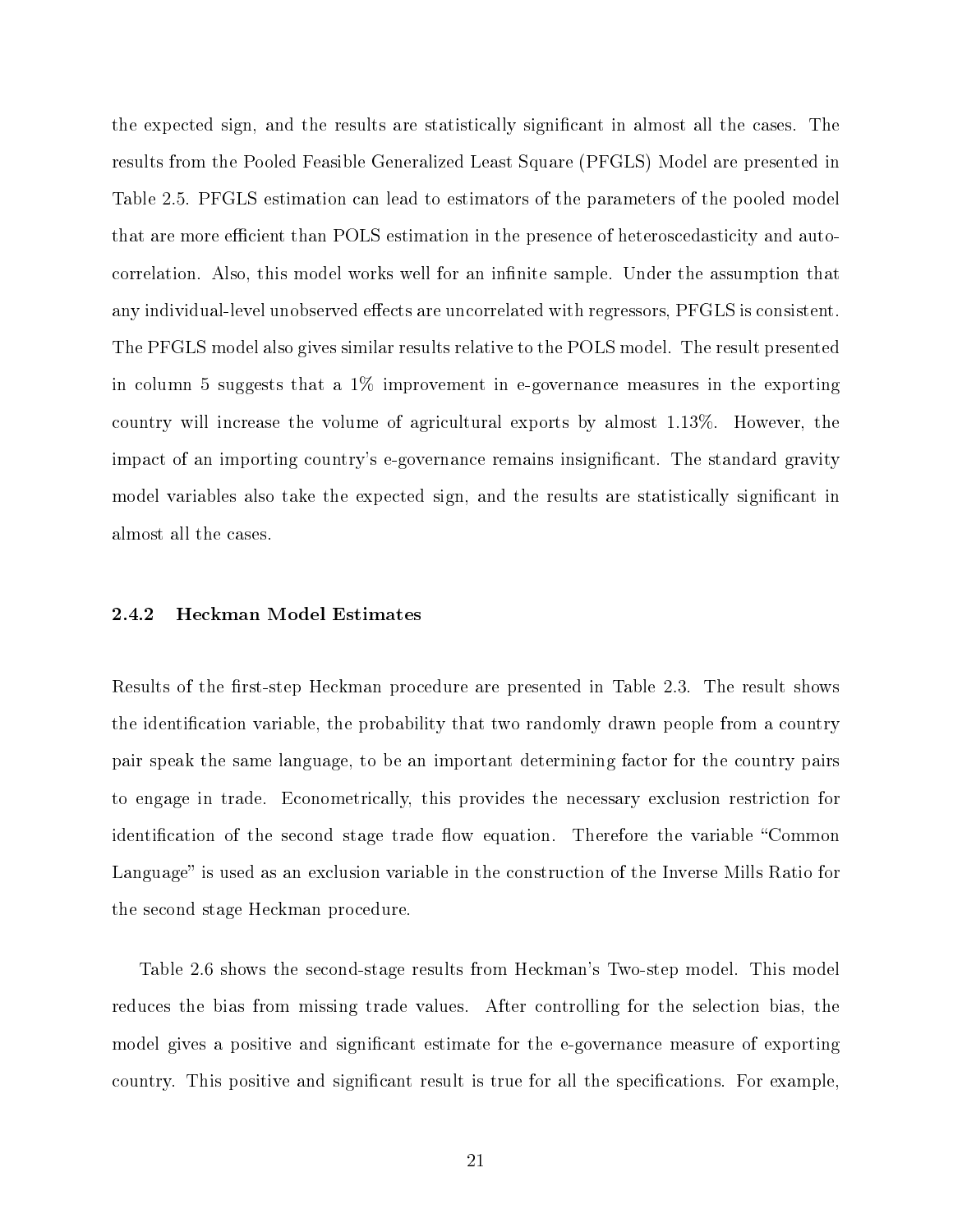the expected sign, and the results are statistically significant in almost all the cases. The results from the Pooled Feasible Generalized Least Square (PFGLS) Model are presented in Table 2.5. PFGLS estimation can lead to estimators of the parameters of the pooled model that are more efficient than POLS estimation in the presence of heteroscedasticity and autocorrelation. Also, this model works well for an infinite sample. Under the assumption that any individual-level unobserved effects are uncorrelated with regressors, PFGLS is consistent. The PFGLS model also gives similar results relative to the POLS model. The result presented in column 5 suggests that a 1% improvement in e-governance measures in the exporting country will increase the volume of agricultural exports by almost 1.13%. However, the impact of an importing country's e-governance remains insignificant. The standard gravity model variables also take the expected sign, and the results are statistically significant in almost all the cases.

#### 2.4.2 Heckman Model Estimates

Results of the first-step Heckman procedure are presented in Table 2.3. The result shows the identification variable, the probability that two randomly drawn people from a country pair speak the same language, to be an important determining factor for the country pairs to engage in trade. Econometrically, this provides the necessary exclusion restriction for identification of the second stage trade flow equation. Therefore the variable "Common Language" is used as an exclusion variable in the construction of the Inverse Mills Ratio for the second stage Heckman procedure.

Table 2.6 shows the second-stage results from Heckman's Two-step model. This model reduces the bias from missing trade values. After controlling for the selection bias, the model gives a positive and significant estimate for the e-governance measure of exporting country. This positive and significant result is true for all the specifications. For example,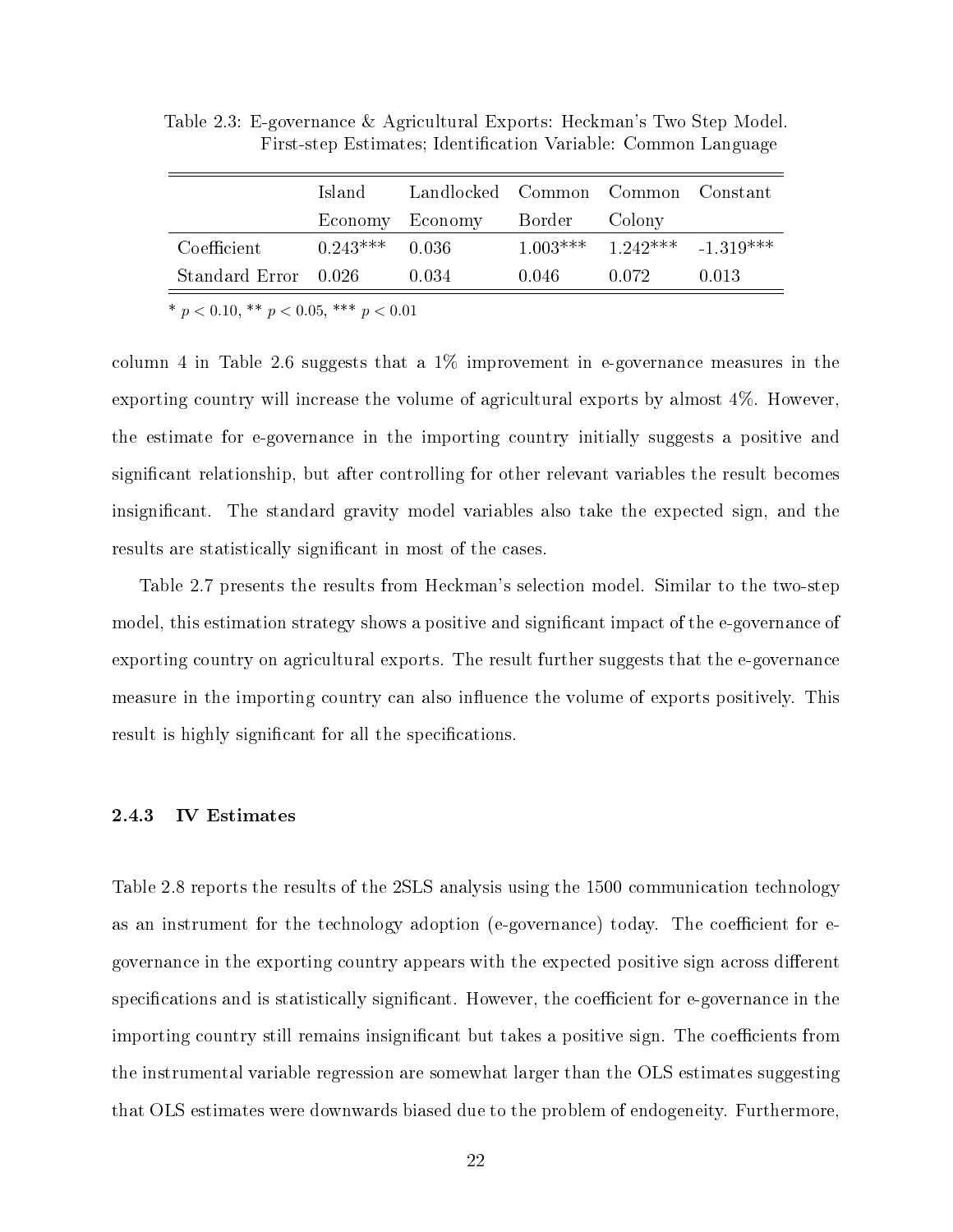|                      | Island-          | Landlocked Common Common Constant |       |                                   |       |
|----------------------|------------------|-----------------------------------|-------|-----------------------------------|-------|
|                      |                  | Economy Economy Border Colony     |       |                                   |       |
| Coefficient          | $0.243***$ 0.036 |                                   |       | $1.003***$ $1.242***$ $-1.319***$ |       |
| Standard Error 0.026 |                  | 0.034                             | 0.046 | -0.072                            | 0.013 |

<span id="page-28-0"></span>Table 2.3: E-governance & Agricultural Exports: Heckman's Two Step Model. First-step Estimates; Identification Variable: Common Language

\*  $p < 0.10,$  \*\*  $p < 0.05,$  \*\*\*  $p < 0.01$ 

column 4 in Table 2.6 suggests that a  $1\%$  improvement in e-governance measures in the exporting country will increase the volume of agricultural exports by almost 4%. However, the estimate for e-governance in the importing country initially suggests a positive and signicant relationship, but after controlling for other relevant variables the result becomes insignicant. The standard gravity model variables also take the expected sign, and the results are statistically significant in most of the cases.

Table 2.7 presents the results from Heckman's selection model. Similar to the two-step model, this estimation strategy shows a positive and significant impact of the e-governance of exporting country on agricultural exports. The result further suggests that the e-governance measure in the importing country can also influence the volume of exports positively. This result is highly significant for all the specifications.

#### 2.4.3 IV Estimates

Table 2.8 reports the results of the 2SLS analysis using the 1500 communication technology as an instrument for the technology adoption (e-governance) today. The coefficient for egovernance in the exporting country appears with the expected positive sign across different specifications and is statistically significant. However, the coefficient for e-governance in the importing country still remains insignificant but takes a positive sign. The coefficients from the instrumental variable regression are somewhat larger than the OLS estimates suggesting that OLS estimates were downwards biased due to the problem of endogeneity. Furthermore,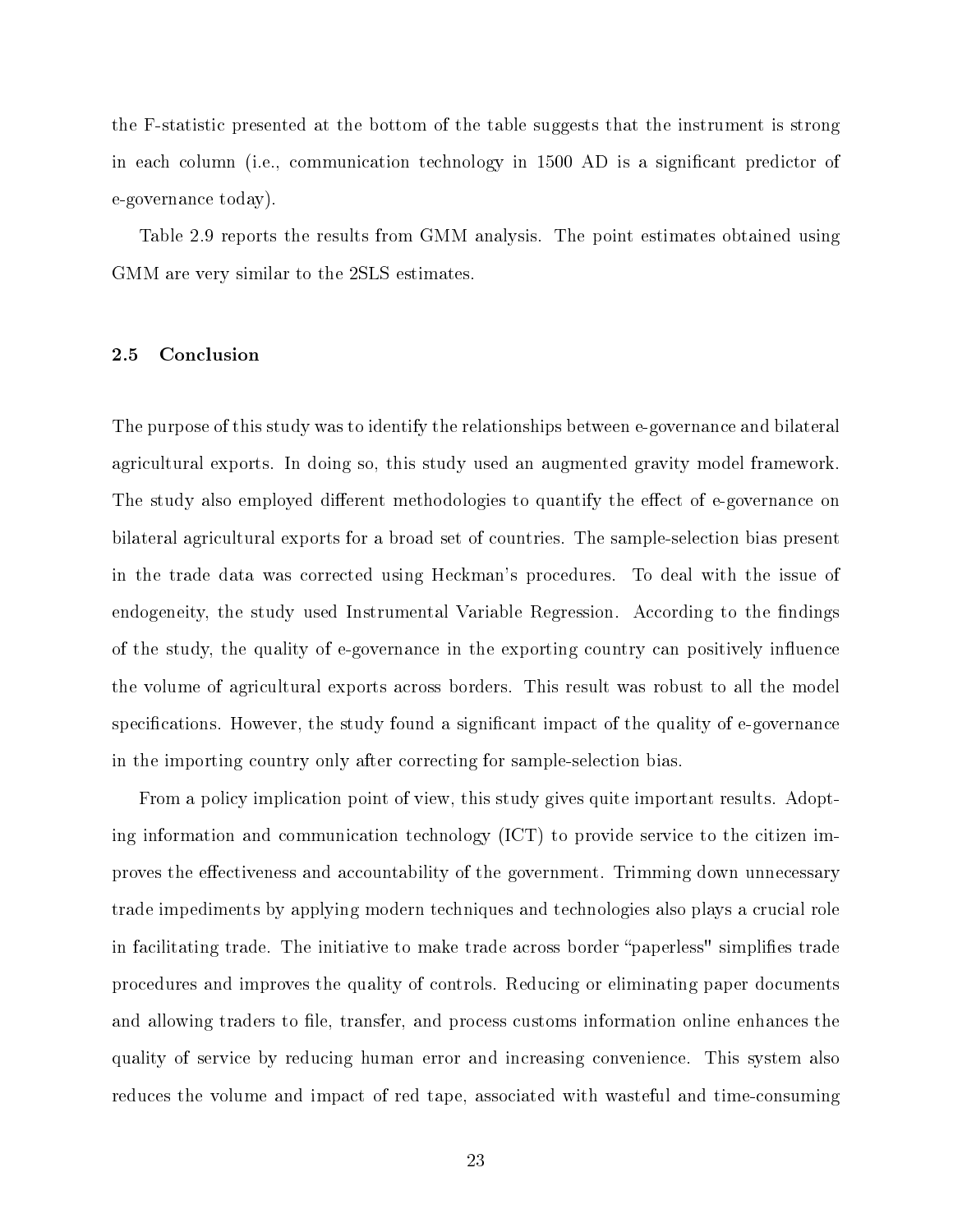the F-statistic presented at the bottom of the table suggests that the instrument is strong in each column (i.e., communication technology in 1500 AD is a signicant predictor of e-governance today).

Table 2.9 reports the results from GMM analysis. The point estimates obtained using GMM are very similar to the 2SLS estimates.

#### <span id="page-29-0"></span>2.5 Conclusion

The purpose of this study was to identify the relationships between e-governance and bilateral agricultural exports. In doing so, this study used an augmented gravity model framework. The study also employed different methodologies to quantify the effect of e-governance on bilateral agricultural exports for a broad set of countries. The sample-selection bias present in the trade data was corrected using Heckman's procedures. To deal with the issue of endogeneity, the study used Instrumental Variable Regression. According to the findings of the study, the quality of e-governance in the exporting country can positively influence the volume of agricultural exports across borders. This result was robust to all the model specifications. However, the study found a significant impact of the quality of e-governance in the importing country only after correcting for sample-selection bias.

From a policy implication point of view, this study gives quite important results. Adopting information and communication technology (ICT) to provide service to the citizen improves the effectiveness and accountability of the government. Trimming down unnecessary trade impediments by applying modern techniques and technologies also plays a crucial role in facilitating trade. The initiative to make trade across border "paperless" simplifies trade procedures and improves the quality of controls. Reducing or eliminating paper documents and allowing traders to file, transfer, and process customs information online enhances the quality of service by reducing human error and increasing convenience. This system also reduces the volume and impact of red tape, associated with wasteful and time-consuming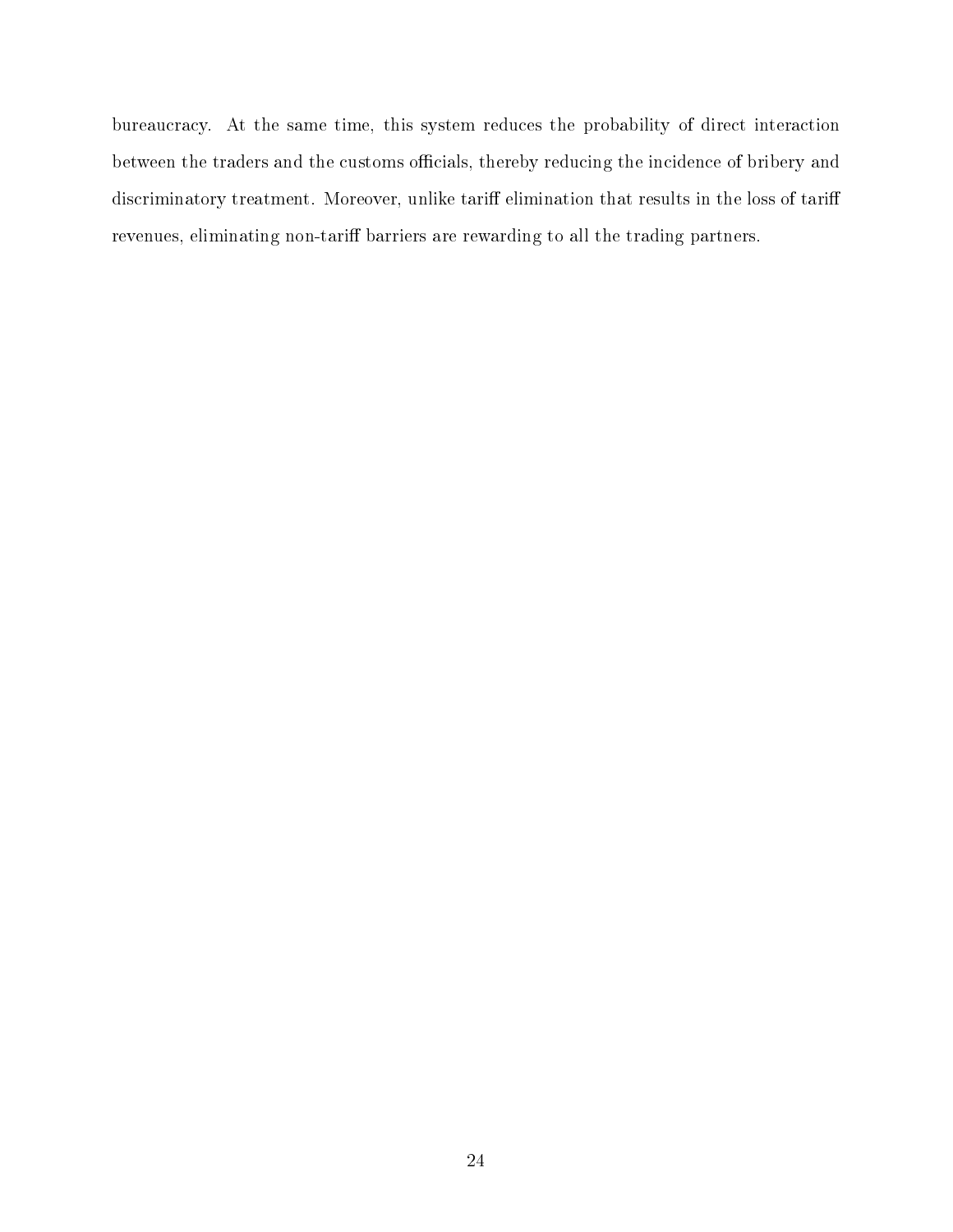bureaucracy. At the same time, this system reduces the probability of direct interaction between the traders and the customs officials, thereby reducing the incidence of bribery and discriminatory treatment. Moreover, unlike tariff elimination that results in the loss of tariff revenues, eliminating non-tariff barriers are rewarding to all the trading partners.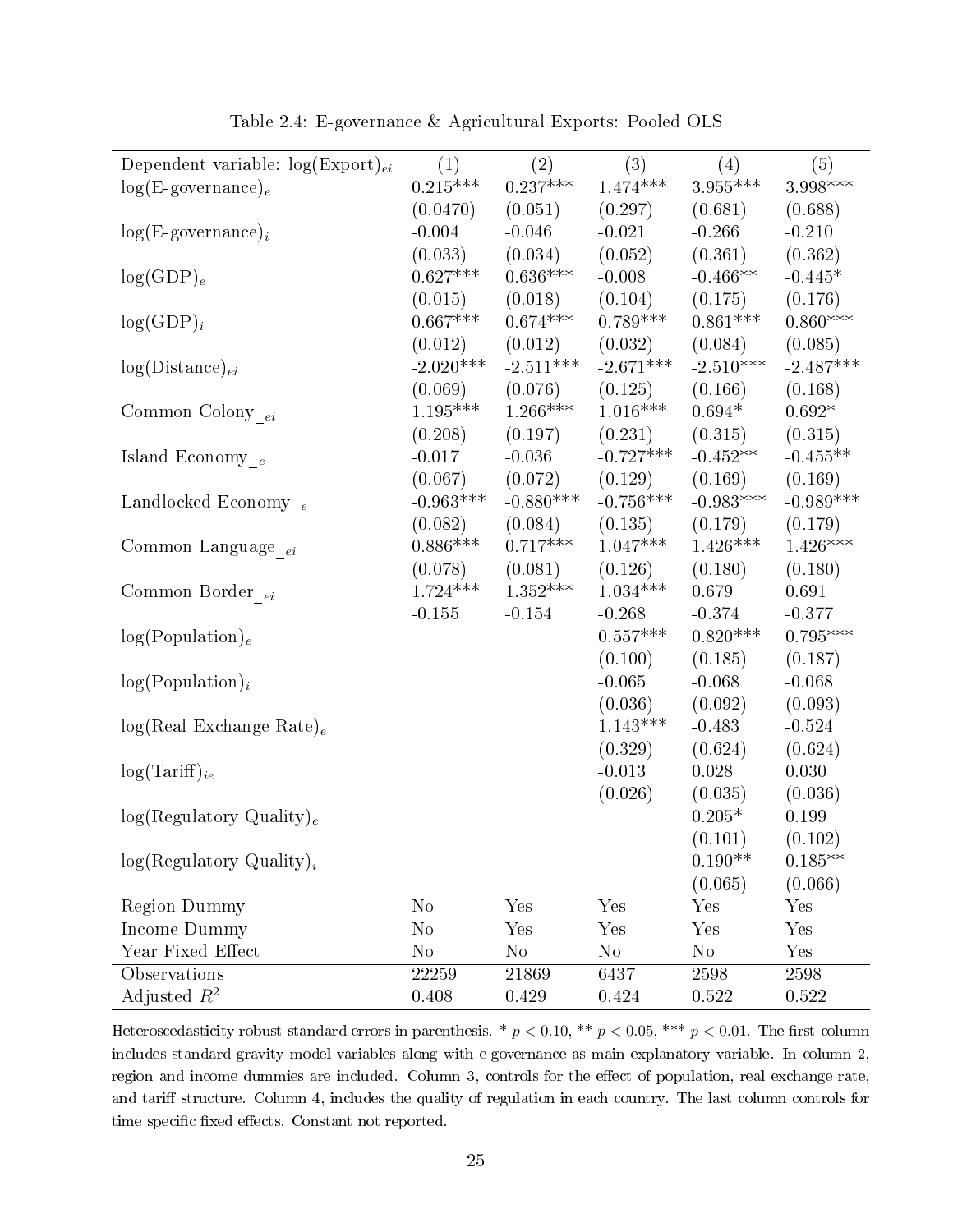<span id="page-31-0"></span>

| Dependent variable: $log(Expert)_{ei}$ | $\left( 1\right)$ | (2)         | $\overline{(3)}$ | $\left( 4\right)$ | (5)              |
|----------------------------------------|-------------------|-------------|------------------|-------------------|------------------|
| $log(E$ -governance) <sub>e</sub>      | $0.215***$        | $0.237***$  | $1.474***$       | $3.955***$        | $3.998***$       |
|                                        | (0.0470)          | (0.051)     | (0.297)          | (0.681)           | (0.688)          |
| $log(E\text{-}govername{name})_i$      | $-0.004$          | $-0.046$    | $-0.021$         | $-0.266$          | $-0.210$         |
|                                        | (0.033)           | (0.034)     | (0.052)          | (0.361)           | (0.362)          |
| $log(GDP)_e$                           | $0.627***$        | $0.636***$  | $-0.008$         | $-0.466**$        | $-0.445*$        |
|                                        | (0.015)           | (0.018)     | (0.104)          | (0.175)           | (0.176)          |
| $log(GDP)_i$                           | $0.667***$        | $0.674***$  | $0.789***$       | $0.861***$        | $0.860***$       |
|                                        | (0.012)           | (0.012)     | (0.032)          | (0.084)           | (0.085)          |
| $log(Distance)_{ei}$                   | $-2.020***$       | $-2.511***$ | $-2.671***$      | $-2.510***$       | $-2.487***$      |
|                                        | (0.069)           | (0.076)     | (0.125)          | (0.166)           | (0.168)          |
| Common Colony $_{ei}$                  | $1.195***$        | $1.266***$  | $1.016***$       | $0.694*$          | $0.692*$         |
|                                        | (0.208)           | (0.197)     | (0.231)          | (0.315)           | (0.315)          |
| Island Economy $_{\,e}$                | $-0.017$          | $-0.036$    | $-0.727***$      | $-0.452**$        | $-0.455**$       |
|                                        | (0.067)           | (0.072)     | (0.129)          | (0.169)           | (0.169)          |
| Landlocked Economy $_e$                | $-0.963***$       | $-0.880***$ | $-0.756***$      | $-0.983***$       | $-0.989***$      |
|                                        | (0.082)           | (0.084)     | (0.135)          | (0.179)           | (0.179)          |
| Common Language $_{\_ei}$              | $0.886***$        | $0.717***$  | $1.047***$       | $1.426***$        | $1.426***$       |
|                                        | (0.078)           | (0.081)     | (0.126)          | (0.180)           | (0.180)          |
| Common Border $_{\,ei}$                | $1.724***$        | $1.352***$  | $1.034***$       | 0.679             | 0.691            |
|                                        | $-0.155$          | $-0.154$    | $-0.268$         | $-0.374$          | $-0.377$         |
| log(Population) <sub>e</sub>           |                   |             | $0.557***$       | $0.820***$        | $0.795***$       |
|                                        |                   |             | (0.100)          | (0.185)           | (0.187)          |
| $log(Population)_{i}$                  |                   |             | $-0.065$         | $-0.068$          | $-0.068$         |
|                                        |                   |             | (0.036)          | (0.092)           | (0.093)          |
|                                        |                   |             | $1.143***$       | $-0.483$          | $-0.524$         |
| $log(Real Exchange Rate)_e$            |                   |             | (0.329)          | (0.624)           |                  |
|                                        |                   |             | $-0.013$         | 0.028             | (0.624)<br>0.030 |
| $log(Tariff)_{ie}$                     |                   |             |                  |                   |                  |
|                                        |                   |             | (0.026)          | (0.035)           | (0.036)          |
| log(Regulatory Quality) <sub>e</sub>   |                   |             |                  | $0.205*$          | 0.199            |
|                                        |                   |             |                  | (0.101)           | (0.102)          |
| $log(Regulatory Quality)_{i}$          |                   |             |                  | $0.190**$         | $0.185**$        |
|                                        |                   |             |                  | (0.065)           | (0.066)          |
| <b>Region Dummy</b>                    | $\rm No$          | Yes         | Yes              | Yes               | Yes              |
| Income Dummy                           | $\rm No$          | Yes         | Yes              | Yes               | Yes              |
| Year Fixed Effect                      | $\rm No$          | $\rm No$    | $\rm No$         | $\rm No$          | Yes              |
| Observations                           | 22259             | 21869       | 6437             | 2598              | 2598             |
| Adjusted $R^2$                         | 0.408             | 0.429       | 0.424            | 0.522             | 0.522            |

Table 2.4: E-governance & Agricultural Exports: Pooled OLS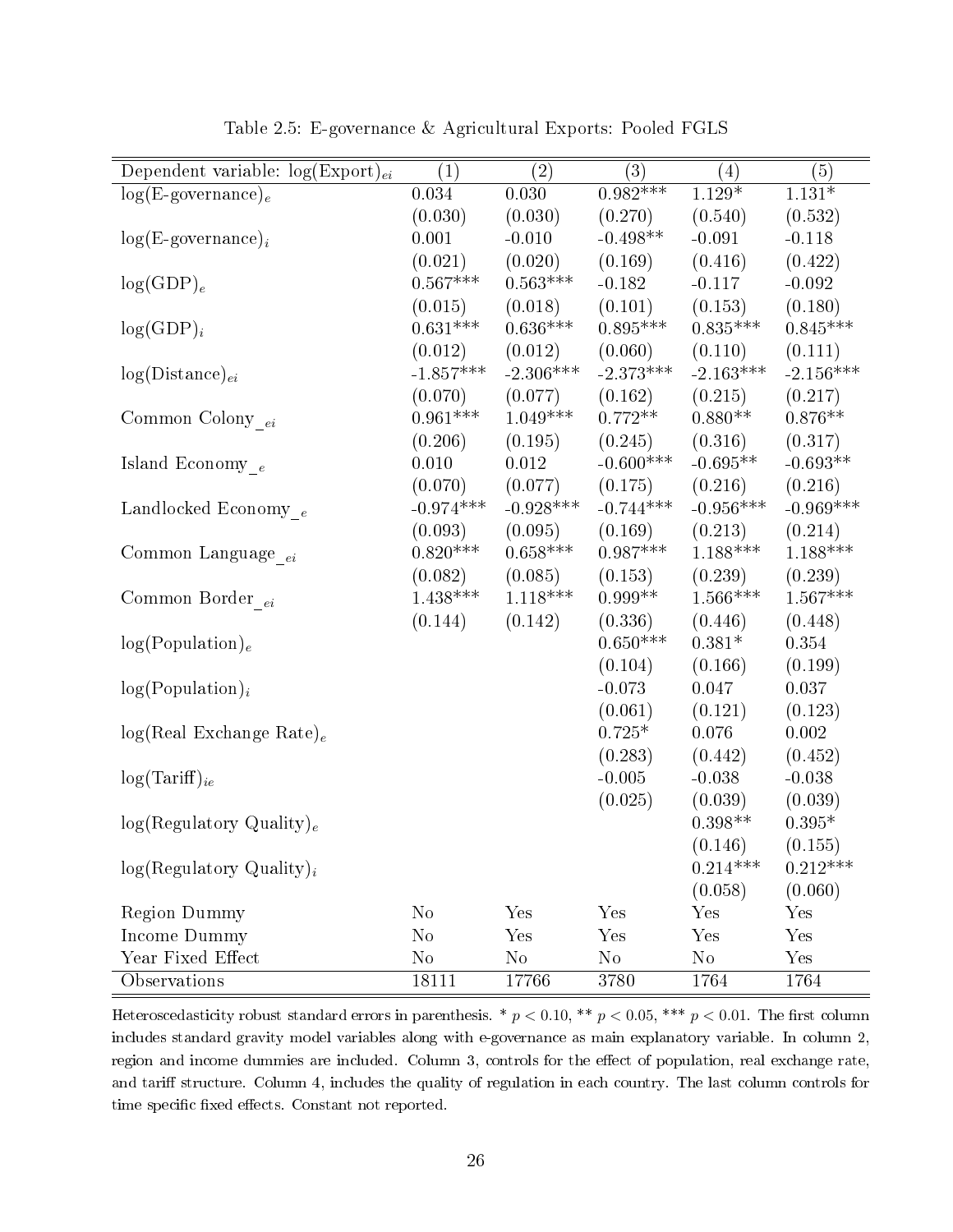<span id="page-32-0"></span>

| Dependent variable: $log(Expert)_{ei}$ | (1)            | $\left( 2\right)$ | (3)         | $\left( 4\right)$ | (5)         |
|----------------------------------------|----------------|-------------------|-------------|-------------------|-------------|
| $log(E\text{-}govername{name})_e$      | 0.034          | 0.030             | $0.982***$  | $1.129*$          | $1.131*$    |
|                                        | (0.030)        | (0.030)           | (0.270)     | (0.540)           | (0.532)     |
| $log(E\text{-}govername{name})_i$      | 0.001          | $-0.010$          | $-0.498**$  | $-0.091$          | $-0.118$    |
|                                        | (0.021)        | (0.020)           | (0.169)     | (0.416)           | (0.422)     |
| $log(GDP)_e$                           | $0.567***$     | $0.563***$        | $-0.182$    | $-0.117$          | $-0.092$    |
|                                        | (0.015)        | (0.018)           | (0.101)     | (0.153)           | (0.180)     |
| $log(GDP)_i$                           | $0.631***$     | $0.636***$        | $0.895***$  | $0.835***$        | $0.845***$  |
|                                        | (0.012)        | (0.012)           | (0.060)     | (0.110)           | (0.111)     |
| $log(Distance)_{ei}$                   | $-1.857***$    | $-2.306***$       | $-2.373***$ | $-2.163***$       | $-2.156***$ |
|                                        | (0.070)        | (0.077)           | (0.162)     | (0.215)           | (0.217)     |
| Common Colony $_{ei}$                  | $0.961***$     | $1.049***$        | $0.772**$   | $0.880**$         | $0.876**$   |
|                                        | (0.206)        | (0.195)           | (0.245)     | (0.316)           | (0.317)     |
| Island Economy $_{\,e}$                | 0.010          | 0.012             | $-0.600***$ | $-0.695**$        | $-0.693**$  |
|                                        | (0.070)        | (0.077)           | (0.175)     | (0.216)           | (0.216)     |
| Landlocked Economy $_e$                | $-0.974***$    | $-0.928***$       | $-0.744***$ | $-0.956***$       | $-0.969***$ |
|                                        | (0.093)        | (0.095)           | (0.169)     | (0.213)           | (0.214)     |
| Common Language $\__{ei}$              | $0.820***$     | $0.658***$        | $0.987***$  | $1.188***$        | $1.188***$  |
|                                        | (0.082)        | (0.085)           | (0.153)     | (0.239)           | (0.239)     |
| Common Border $_{\,ei}$                | $1.438***$     | $1.118***$        | $0.999**$   | $1.566***$        | $1.567***$  |
|                                        | (0.144)        | (0.142)           | (0.336)     | (0.446)           | (0.448)     |
| log(Population) <sub>e</sub>           |                |                   | $0.650***$  | $0.381*$          | 0.354       |
|                                        |                |                   | (0.104)     | (0.166)           | (0.199)     |
| $log(Population)_{i}$                  |                |                   | $-0.073$    | 0.047             | 0.037       |
|                                        |                |                   | (0.061)     | (0.121)           | (0.123)     |
| $log(Real Exchange Rate)_e$            |                |                   | $0.725*$    | 0.076             | 0.002       |
|                                        |                |                   | (0.283)     | (0.442)           | (0.452)     |
| $log(Tariff)_{ie}$                     |                |                   | $-0.005$    | $-0.038$          | $-0.038$    |
|                                        |                |                   | (0.025)     | (0.039)           | (0.039)     |
| log(Regulatory Quality) <sub>e</sub>   |                |                   |             | $0.398**$         | $0.395*$    |
|                                        |                |                   |             | (0.146)           | (0.155)     |
| $log(Regulatory Quality)_{i}$          |                |                   |             | $0.214***$        | $0.212***$  |
|                                        |                |                   |             | (0.058)           | (0.060)     |
| <b>Region Dummy</b>                    | $\rm No$       | Yes               | Yes         | Yes               | Yes         |
| Income Dummy                           | N <sub>o</sub> | Yes               | Yes         | Yes               | Yes         |
| Year Fixed Effect                      | $\rm No$       | No                | $\rm No$    | $\rm No$          | Yes         |
| <b>Observations</b>                    | 18111          | 17766             | 3780        | 1764              | 1764        |

Table 2.5: E-governance & Agricultural Exports: Pooled FGLS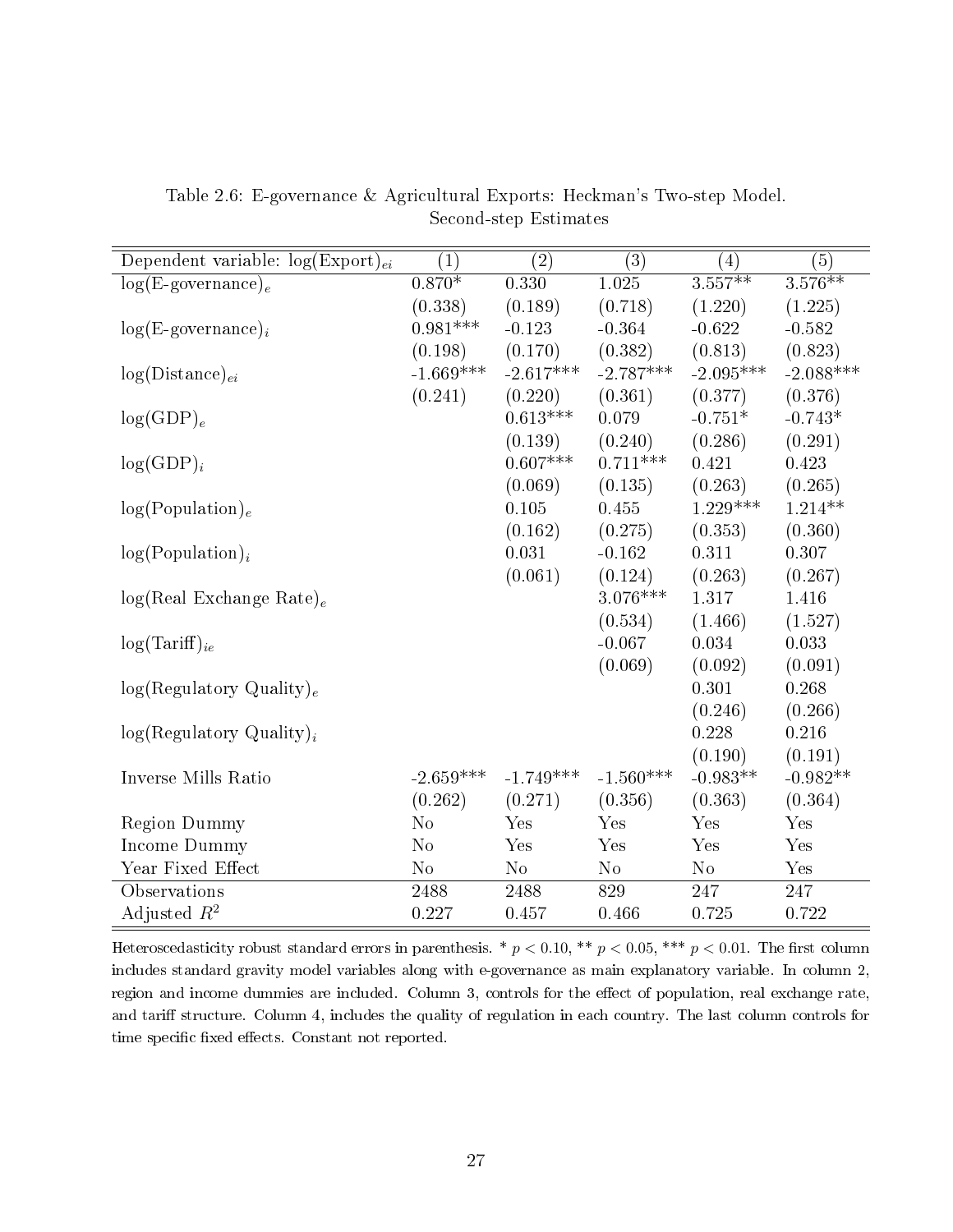| Dependent variable: $log(Expert)_{ei}$ | $\left( 1\right)$ | $\left( 2\right)$ | (3)         | $\left( 4\right)$ | (5)                   |
|----------------------------------------|-------------------|-------------------|-------------|-------------------|-----------------------|
| $log(E\text{-}govername)$              | $0.870*$          | 0.330             | $1.025\,$   | $3.557***$        | $3.\overline{576***}$ |
|                                        | (0.338)           | (0.189)           | (0.718)     | (1.220)           | (1.225)               |
| $log(E\text{-}govername{name})_i$      | $0.981***$        | $-0.123$          | $-0.364$    | $-0.622$          | $-0.582$              |
|                                        | (0.198)           | (0.170)           | (0.382)     | (0.813)           | (0.823)               |
| $log(Distance)_{ei}$                   | $-1.669***$       | $-2.617***$       | $-2.787***$ | $-2.095***$       | $-2.088***$           |
|                                        | (0.241)           | (0.220)           | (0.361)     | (0.377)           | (0.376)               |
| $log(GDP)_e$                           |                   | $0.613***$        | 0.079       | $-0.751*$         | $-0.743*$             |
|                                        |                   | (0.139)           | (0.240)     | (0.286)           | (0.291)               |
| $log(GDP)_i$                           |                   | $0.607***$        | $0.711***$  | 0.421             | 0.423                 |
|                                        |                   | (0.069)           | (0.135)     | (0.263)           | (0.265)               |
| log(Population) <sub>e</sub>           |                   | 0.105             | 0.455       | $1.229***$        | $1.214**$             |
|                                        |                   | (0.162)           | (0.275)     | (0.353)           | (0.360)               |
| $log(Population)_{i}$                  |                   | 0.031             | $-0.162$    | 0.311             | 0.307                 |
|                                        |                   | (0.061)           | (0.124)     | (0.263)           | (0.267)               |
| $log(Real Exchange Rate)_e$            |                   |                   | $3.076***$  | 1.317             | 1.416                 |
|                                        |                   |                   | (0.534)     | (1.466)           | (1.527)               |
| $log(Tariff)_{ie}$                     |                   |                   | $-0.067$    | 0.034             | 0.033                 |
|                                        |                   |                   | (0.069)     | (0.092)           | (0.091)               |
| log(Regulatory Quality) <sub>e</sub>   |                   |                   |             | 0.301             | 0.268                 |
|                                        |                   |                   |             | (0.246)           | (0.266)               |
| $log(Regulatory Quality)_i$            |                   |                   |             | 0.228             | 0.216                 |
|                                        |                   |                   |             | (0.190)           | (0.191)               |
| Inverse Mills Ratio                    | $-2.659***$       | $-1.749***$       | $-1.560***$ | $-0.983**$        | $-0.982**$            |
|                                        | (0.262)           | (0.271)           | (0.356)     | (0.363)           | (0.364)               |
| Region Dummy                           | N <sub>o</sub>    | Yes               | Yes         | Yes               | Yes                   |
| Income Dummy                           | No                | Yes               | Yes         | Yes               | Yes                   |
| Year Fixed Effect                      | No                | N <sub>o</sub>    | $\rm No$    | $\rm No$          | Yes                   |
| Observations                           | 2488              | 2488              | 829         | 247               | 247                   |
| Adjusted $R^2$                         | 0.227             | 0.457             | 0.466       | 0.725             | 0.722                 |

<span id="page-33-0"></span>Table 2.6: E-governance & Agricultural Exports: Heckman's Two-step Model. Second-step Estimates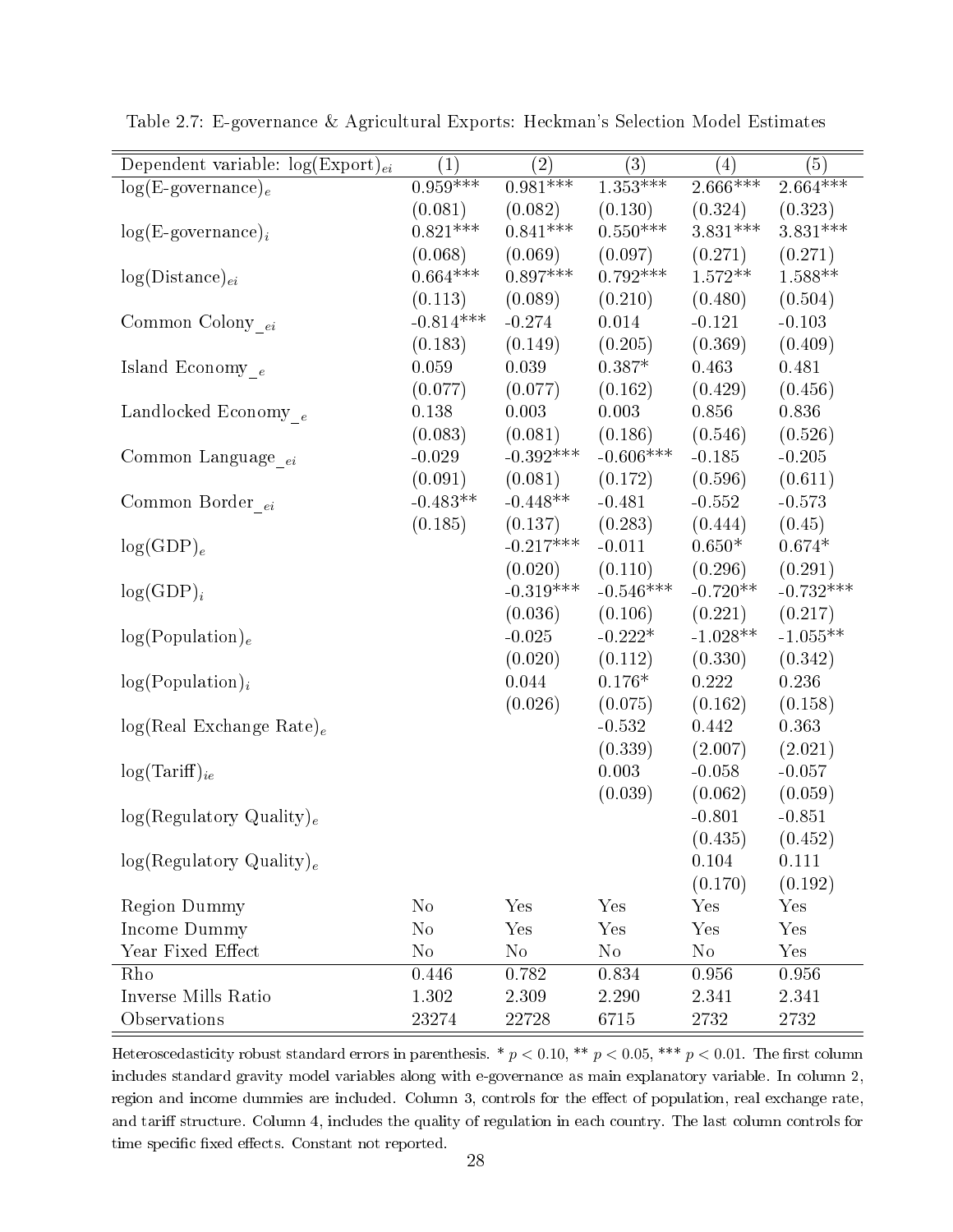| Dependent variable: $log(Expert)_{ei}$ | $\overline{(1)}$ | $\overline{(2)}$ | $\overline{(3)}$ | $\left( 4\right)$ | (5)         |
|----------------------------------------|------------------|------------------|------------------|-------------------|-------------|
| $log(E\text{-}govername{name})_e$      | $0.959***$       | $0.981***$       | $1.353***$       | $2.666***$        | $2.664***$  |
|                                        | (0.081)          | (0.082)          | (0.130)          | (0.324)           | (0.323)     |
| $log(E$ -governance) <sub>i</sub>      | $0.821***$       | $0.841***$       | $0.550***$       | $3.831***$        | $3.831***$  |
|                                        | (0.068)          | (0.069)          | (0.097)          | (0.271)           | (0.271)     |
| $log(Distance)_{ei}$                   | $0.664***$       | $0.897***$       | $0.792***$       | $1.572**$         | $1.588**$   |
|                                        | (0.113)          | (0.089)          | (0.210)          | (0.480)           | (0.504)     |
| Common Colony $_{ei}$                  | $-0.814***$      | $-0.274$         | 0.014            | $-0.121$          | $-0.103$    |
|                                        | (0.183)          | (0.149)          | (0.205)          | (0.369)           | (0.409)     |
| Island Economy $_{\,e}$                | 0.059            | 0.039            | $0.387*$         | 0.463             | 0.481       |
|                                        | (0.077)          | (0.077)          | (0.162)          | (0.429)           | (0.456)     |
| Landlocked Economy $_e$                | 0.138            | 0.003            | 0.003            | 0.856             | 0.836       |
|                                        | (0.083)          | (0.081)          | (0.186)          | (0.546)           | (0.526)     |
| Common Language $_{ei}$                | $-0.029$         | $-0.392***$      | $-0.606***$      | $-0.185$          | $-0.205$    |
|                                        | (0.091)          | (0.081)          | (0.172)          | (0.596)           | (0.611)     |
| Common Border $_{ei}$                  | $-0.483**$       | $-0.448**$       | $-0.481$         | $-0.552$          | $-0.573$    |
|                                        | (0.185)          | (0.137)          | (0.283)          | (0.444)           | (0.45)      |
| $log(GDP)_e$                           |                  | $-0.217***$      | $-0.011$         | $0.650*$          | $0.674*$    |
|                                        |                  | (0.020)          | (0.110)          | (0.296)           | (0.291)     |
| $log(GDP)_i$                           |                  | $-0.319***$      | $-0.546***$      | $-0.720**$        | $-0.732***$ |
|                                        |                  | (0.036)          | (0.106)          | (0.221)           | (0.217)     |
| log(Population) <sub>e</sub>           |                  | $-0.025$         | $-0.222*$        | $-1.028**$        | $-1.055**$  |
|                                        |                  | (0.020)          | (0.112)          | (0.330)           | (0.342)     |
| $log(Population)_{i}$                  |                  | 0.044            | $0.176*$         | 0.222             | 0.236       |
|                                        |                  | (0.026)          | (0.075)          | (0.162)           | (0.158)     |
| $log(Real Exchange Rate)_e$            |                  |                  | $-0.532$         | 0.442             | 0.363       |
|                                        |                  |                  | (0.339)          | (2.007)           | (2.021)     |
| $log(Tariff)_{ie}$                     |                  |                  | 0.003            | $-0.058$          | $-0.057$    |
|                                        |                  |                  | (0.039)          | (0.062)           | (0.059)     |
| log(Regulatory Quality) <sub>e</sub>   |                  |                  |                  | $-0.801$          | $-0.851$    |
|                                        |                  |                  |                  | (0.435)           | (0.452)     |
| log(Regulatory Quality) <sub>e</sub>   |                  |                  |                  | 0.104             | 0.111       |
|                                        |                  |                  |                  | (0.170)           | (0.192)     |
| <b>Region Dummy</b>                    | $\rm No$         | Yes              | Yes              | Yes               | Yes         |
| Income Dummy                           | N <sub>o</sub>   | Yes              | Yes              | Yes               | Yes         |
| Year Fixed Effect                      | $\rm No$         | $\rm No$         | $\rm No$         | $\rm No$          | Yes         |
| Rho                                    | 0.446            | 0.782            | 0.834            | 0.956             | $0.956\,$   |
| Inverse Mills Ratio                    | 1.302            | 2.309            | 2.290            | 2.341             | 2.341       |
| Observations                           | 23274            | 22728            | 6715             | 2732              | 2732        |
|                                        |                  |                  |                  |                   |             |

<span id="page-34-0"></span>Table 2.7: E-governance & Agricultural Exports: Heckman's Selection Model Estimates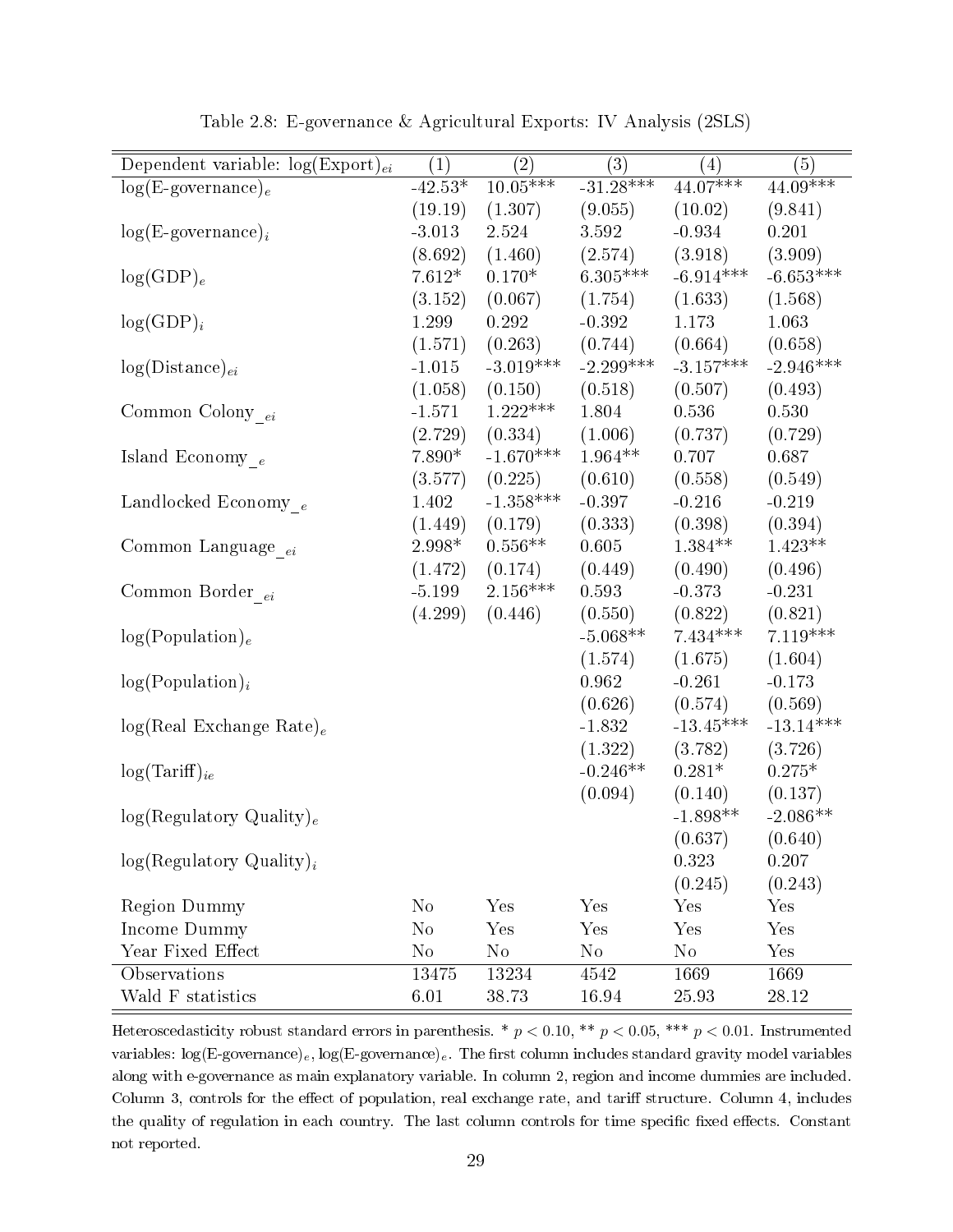<span id="page-35-0"></span>

| Dependent variable: $log(Expert)_{ei}$ | (1)            | $\left( 2\right)$ | $\overline{(3)}$ | $\left( 4\right)$ | (5)         |
|----------------------------------------|----------------|-------------------|------------------|-------------------|-------------|
| $log(E\text{-}govername{name})_e$      | $-42.53*$      | $10.05***$        | $-31.28***$      | $44.07***$        | $44.09***$  |
|                                        | (19.19)        | (1.307)           | (9.055)          | (10.02)           | (9.841)     |
| $log(E\text{-}govername)$              | $-3.013$       | 2.524             | 3.592            | $-0.934$          | 0.201       |
|                                        | (8.692)        | (1.460)           | (2.574)          | (3.918)           | (3.909)     |
| $log(GDP)_e$                           | $7.612*$       | $0.170*$          | $6.305***$       | $-6.914***$       | $-6.653***$ |
|                                        | (3.152)        | (0.067)           | (1.754)          | (1.633)           | (1.568)     |
| $log(GDP)_i$                           | 1.299          | 0.292             | $-0.392$         | 1.173             | 1.063       |
|                                        | (1.571)        | (0.263)           | (0.744)          | (0.664)           | (0.658)     |
| $log(Distance)_{ei}$                   | $-1.015$       | $-3.019***$       | $-2.299***$      | $-3.157***$       | $-2.946***$ |
|                                        | (1.058)        | (0.150)           | (0.518)          | (0.507)           | (0.493)     |
| Common Colony $_{ei}$                  | $-1.571$       | $1.222***$        | 1.804            | 0.536             | 0.530       |
|                                        | (2.729)        | (0.334)           | (1.006)          | (0.737)           | (0.729)     |
| Island Economy $_e$                    | $7.890*$       | $-1.670***$       | $1.964**$        | 0.707             | 0.687       |
|                                        | (3.577)        | (0.225)           | (0.610)          | (0.558)           | (0.549)     |
| Landlocked Economy $_{e}\,$            | 1.402          | $-1.358***$       | $-0.397$         | $-0.216$          | $-0.219$    |
|                                        | (1.449)        | (0.179)           | (0.333)          | (0.398)           | (0.394)     |
| Common Language <sub>ei</sub>          | $2.998*$       | $0.556**$         | 0.605            | $1.384**$         | $1.423**$   |
|                                        | (1.472)        | (0.174)           | (0.449)          | (0.490)           | (0.496)     |
| Common Border $_{ei}$                  | $-5.199$       | $2.156***$        | 0.593            | $-0.373$          | $-0.231$    |
|                                        | (4.299)        | (0.446)           | (0.550)          | (0.822)           | (0.821)     |
| log(Population) <sub>e</sub>           |                |                   | $-5.068**$       | $7.434***$        | $7.119***$  |
|                                        |                |                   | (1.574)          | (1.675)           | (1.604)     |
| $log(Population)_{i}$                  |                |                   | 0.962            | $-0.261$          | $-0.173$    |
|                                        |                |                   | (0.626)          | (0.574)           | (0.569)     |
| $log(Real Exchange Rate)_e$            |                |                   | $-1.832$         | $-13.45***$       | $-13.14***$ |
|                                        |                |                   | (1.322)          | (3.782)           | (3.726)     |
| $log(Tariff)_{ie}$                     |                |                   | $-0.246**$       | $0.281*$          | $0.275*$    |
|                                        |                |                   | (0.094)          | (0.140)           | (0.137)     |
| log(Regulatory Quality) <sub>e</sub>   |                |                   |                  | $-1.898**$        | $-2.086**$  |
|                                        |                |                   |                  | (0.637)           | (0.640)     |
| $log(Regulatory Quality)_{i}$          |                |                   |                  | 0.323             | 0.207       |
|                                        |                |                   |                  | (0.245)           | (0.243)     |
| <b>Region Dummy</b>                    | N <sub>o</sub> | Yes               | Yes              | Yes               | Yes         |
| Income Dummy                           | N <sub>o</sub> | Yes               | Yes              | Yes               | Yes         |
| Year Fixed Effect                      | N <sub>o</sub> | $\rm No$          | $\rm No$         | $\rm No$          | Yes         |
| Observations                           | 13475          | 13234             | 4542             | 1669              | 1669        |
| Wald F statistics                      | $6.01\,$       | 38.73             | 16.94            | 25.93             | 28.12       |

Table 2.8: E-governance & Agricultural Exports: IV Analysis (2SLS)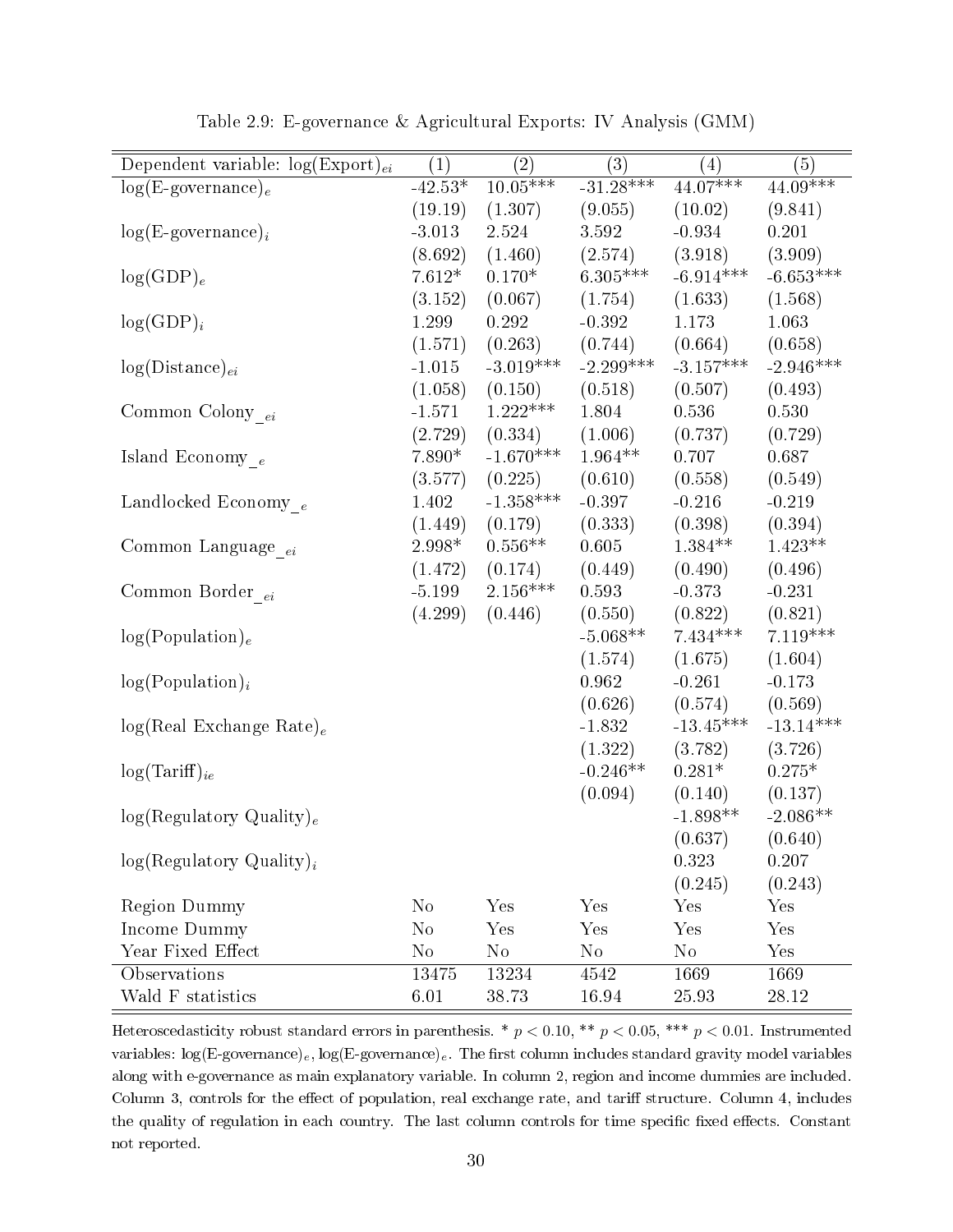| Dependent variable: $log(Expert)_{ei}$ | (1)       | $\left( 2\right)$ | $\overline{(3)}$ | $\left( 4\right)$ | (5)         |
|----------------------------------------|-----------|-------------------|------------------|-------------------|-------------|
| $log(E\text{-}govername{name})_e$      | $-42.53*$ | $10.05***$        | $-31.28***$      | $44.07***$        | $44.09***$  |
|                                        | (19.19)   | (1.307)           | (9.055)          | (10.02)           | (9.841)     |
| $log(E\text{-}govername{name})_i$      | $-3.013$  | 2.524             | 3.592            | $-0.934$          | 0.201       |
|                                        | (8.692)   | (1.460)           | (2.574)          | (3.918)           | (3.909)     |
| $log(GDP)_e$                           | $7.612*$  | $0.170*$          | $6.305***$       | $-6.914***$       | $-6.653***$ |
|                                        | (3.152)   | (0.067)           | (1.754)          | (1.633)           | (1.568)     |
| $log(GDP)_i$                           | 1.299     | 0.292             | $-0.392$         | 1.173             | 1.063       |
|                                        | (1.571)   | (0.263)           | (0.744)          | (0.664)           | (0.658)     |
| $log(Distance)_{ei}$                   | $-1.015$  | $-3.019***$       | $-2.299***$      | $-3.157***$       | $-2.946***$ |
|                                        | (1.058)   | (0.150)           | (0.518)          | (0.507)           | (0.493)     |
| Common Colony $_{\,ei}$                | $-1.571$  | $1.222***$        | 1.804            | 0.536             | 0.530       |
|                                        | (2.729)   | (0.334)           | (1.006)          | (0.737)           | (0.729)     |
| Island Economy $_e$                    | $7.890*$  | $-1.670***$       | $1.964**$        | 0.707             | 0.687       |
|                                        | (3.577)   | (0.225)           | (0.610)          | (0.558)           | (0.549)     |
| Landlocked Economy $_e$                | 1.402     | $-1.358***$       | $-0.397$         | $-0.216$          | $-0.219$    |
|                                        | (1.449)   | (0.179)           | (0.333)          | (0.398)           | (0.394)     |
| Common Language <sub>ei</sub>          | $2.998*$  | $0.556**$         | 0.605            | $1.384**$         | $1.423**$   |
|                                        | (1.472)   | (0.174)           | (0.449)          | (0.490)           | (0.496)     |
| Common Border $_{\,ei}$                | $-5.199$  | $2.156***$        | 0.593            | $-0.373$          | $-0.231$    |
|                                        | (4.299)   | (0.446)           | (0.550)          | (0.822)           | (0.821)     |
| log(Population) <sub>e</sub>           |           |                   | $-5.068**$       | $7.434***$        | $7.119***$  |
|                                        |           |                   | (1.574)          | (1.675)           | (1.604)     |
| $log(Population)_{i}$                  |           |                   | 0.962            | $-0.261$          | $-0.173$    |
|                                        |           |                   | (0.626)          | (0.574)           | (0.569)     |
| $log(Real Exchange Rate)_e$            |           |                   | $-1.832$         | $-13.45***$       | $-13.14***$ |
|                                        |           |                   | (1.322)          | (3.782)           | (3.726)     |
| $log(Tariff)_{ie}$                     |           |                   | $-0.246**$       | $0.281*$          | $0.275*$    |
|                                        |           |                   | (0.094)          | (0.140)           | (0.137)     |
| log(Regulatory Quality) <sub>e</sub>   |           |                   |                  | $-1.898**$        | $-2.086**$  |
|                                        |           |                   |                  | (0.637)           | (0.640)     |
| $log(Regulatory Quality)_{i}$          |           |                   |                  | 0.323             | 0.207       |
|                                        |           |                   |                  | (0.245)           | (0.243)     |
| <b>Region Dummy</b>                    | $\rm No$  | Yes               | Yes              | Yes               | Yes         |
| Income Dummy                           | $\rm No$  | Yes               | Yes              | Yes               | Yes         |
| Year Fixed Effect                      | $\rm No$  | $\rm No$          | $\rm No$         | $\rm No$          | Yes         |
| Observations                           | 13475     | 13234             | 4542             | 1669              | 1669        |
| Wald F statistics                      | $6.01\,$  | 38.73             | 16.94            | 25.93             | 28.12       |

Table 2.9: E-governance & Agricultural Exports: IV Analysis (GMM)

Heteroscedasticity robust standard errors in parenthesis. \*  $p < 0.10$ , \*\*  $p < 0.05$ , \*\*\*  $p < 0.01$ . Instrumented variables:  $log(E\text{-}govername{e})_e$ ,  $log(E\text{-}govername{e})_e$ . The first column includes standard gravity model variables along with e-governance as main explanatory variable. In column 2, region and income dummies are included. Column 3, controls for the effect of population, real exchange rate, and tariff structure. Column 4, includes the quality of regulation in each country. The last column controls for time specific fixed effects. Constant not reported.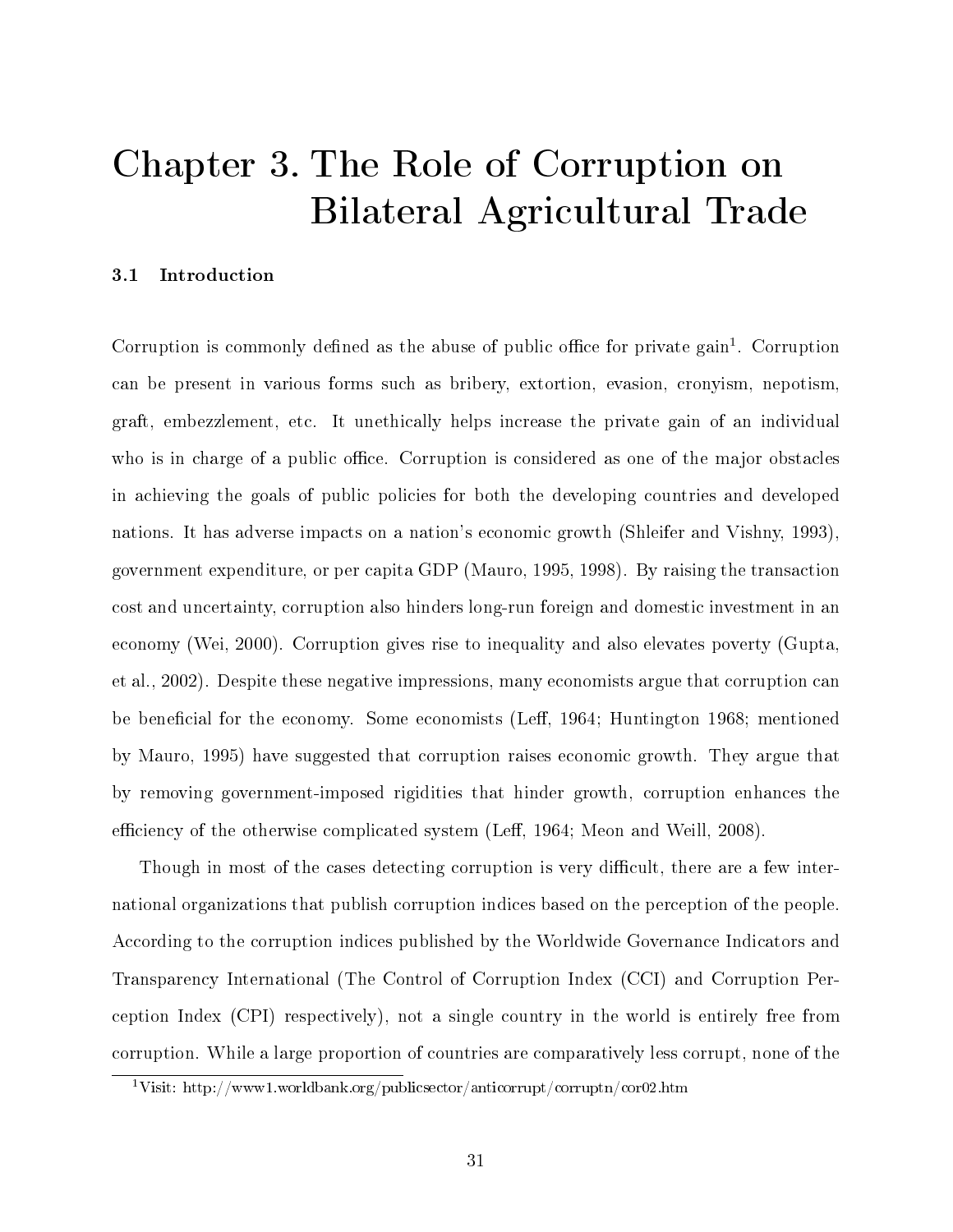# Chapter 3. The Role of Corruption on Bilateral Agricultural Trade

## 3.1 Introduction

Corruption is commonly defined as the abuse of public office for private gain<sup>[1](#page-37-0)</sup>. Corruption can be present in various forms such as bribery, extortion, evasion, cronyism, nepotism, graft, embezzlement, etc. It unethically helps increase the private gain of an individual who is in charge of a public office. Corruption is considered as one of the major obstacles in achieving the goals of public policies for both the developing countries and developed nations. It has adverse impacts on a nation's economic growth (Shleifer and Vishny, 1993), government expenditure, or per capita GDP (Mauro, 1995, 1998). By raising the transaction cost and uncertainty, corruption also hinders long-run foreign and domestic investment in an economy (Wei, 2000). Corruption gives rise to inequality and also elevates poverty (Gupta, et al., 2002). Despite these negative impressions, many economists argue that corruption can be beneficial for the economy. Some economists (Leff, 1964; Huntington 1968; mentioned by Mauro, 1995) have suggested that corruption raises economic growth. They argue that by removing government-imposed rigidities that hinder growth, corruption enhances the efficiency of the otherwise complicated system (Leff, 1964; Meon and Weill, 2008).

Though in most of the cases detecting corruption is very difficult, there are a few international organizations that publish corruption indices based on the perception of the people. According to the corruption indices published by the Worldwide Governance Indicators and Transparency International (The Control of Corruption Index (CCI) and Corruption Perception Index (CPI) respectively), not a single country in the world is entirely free from corruption. While a large proportion of countries are comparatively less corrupt, none of the

<span id="page-37-0"></span><sup>1</sup>Visit: http://www1.worldbank.org/publicsector/anticorrupt/corruptn/cor02.htm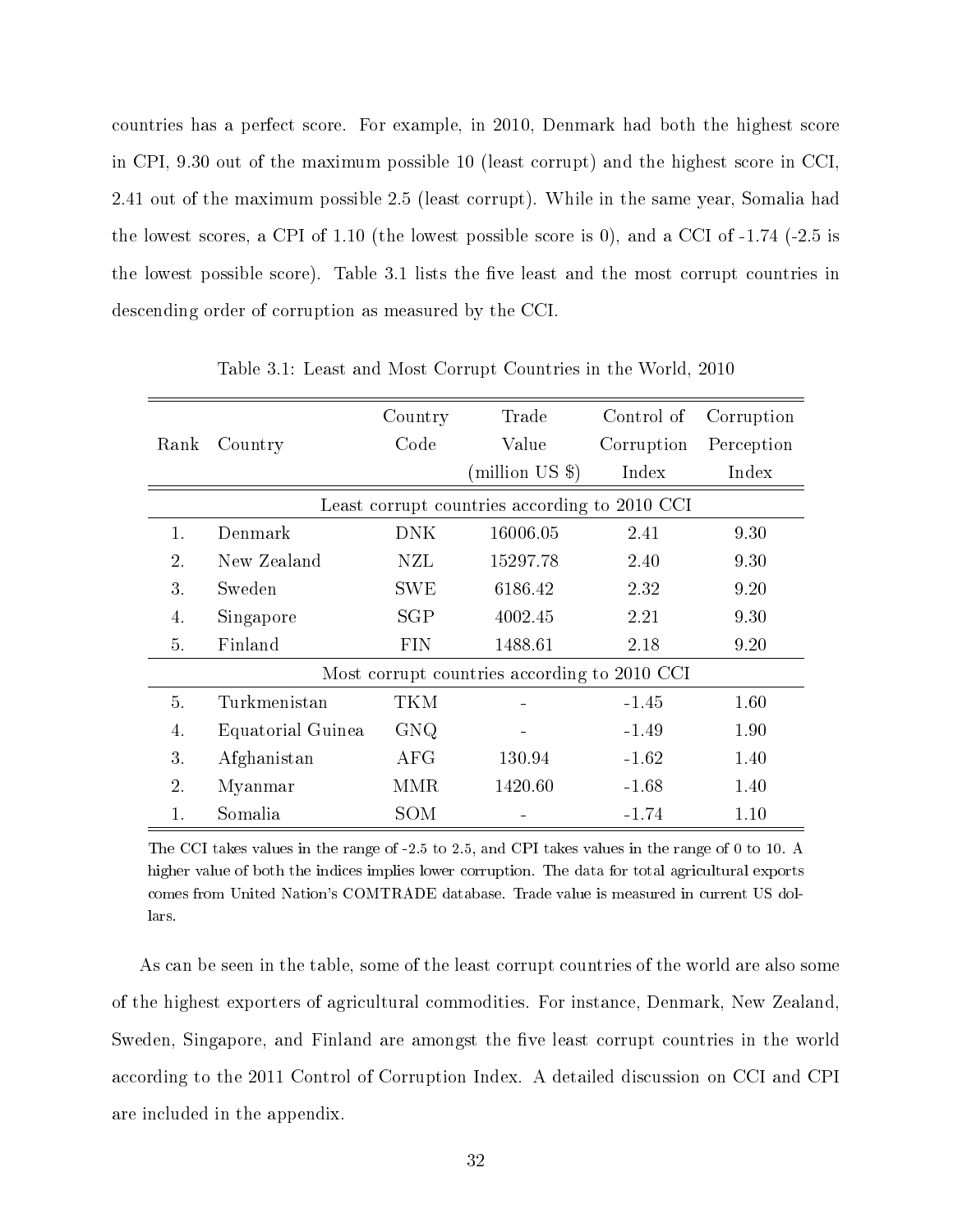countries has a perfect score. For example, in 2010, Denmark had both the highest score in CPI, 9.30 out of the maximum possible 10 (least corrupt) and the highest score in CCI, 2.41 out of the maximum possible 2.5 (least corrupt). While in the same year, Somalia had the lowest scores, a CPI of 1.10 (the lowest possible score is 0), and a CCI of  $-1.74$  ( $-2.5$  is the lowest possible score). Table 3.1 lists the five least and the most corrupt countries in descending order of corruption as measured by the CCI.

|                                               |                   | Country    | Trade                                        | Control of | Corruption |  |  |
|-----------------------------------------------|-------------------|------------|----------------------------------------------|------------|------------|--|--|
| Rank                                          | Country           | Code       | Value                                        | Corruption | Perception |  |  |
|                                               |                   |            | (million US \$)                              | Index      | Index      |  |  |
| Least corrupt countries according to 2010 CCI |                   |            |                                              |            |            |  |  |
| 1.                                            | Denmark           | <b>DNK</b> | 16006.05                                     | 2.41       | 9.30       |  |  |
| $\overline{2}$ .                              | New Zealand       | NZL        | 15297.78                                     | 2.40       | 9.30       |  |  |
| 3.                                            | Sweden            | <b>SWE</b> | 6186.42                                      | 2.32       | 9.20       |  |  |
| 4.                                            | Singapore         | SGP        | 4002.45                                      | 2.21       | 9.30       |  |  |
| 5.                                            | Finland           | <b>FIN</b> | 1488.61                                      | 2.18       | 9.20       |  |  |
|                                               |                   |            | Most corrupt countries according to 2010 CCI |            |            |  |  |
| 5.                                            | Turkmenistan      | TKM        |                                              | $-1.45$    | 1.60       |  |  |
| 4.                                            | Equatorial Guinea | <b>GNQ</b> |                                              | $-1.49$    | 1.90       |  |  |
| 3.                                            | Afghanistan       | AFG        | 130.94                                       | $-1.62$    | 1.40       |  |  |
| $\overline{2}$ .                              | Myanmar           | MMR        | 1420.60                                      | $-1.68$    | 1.40       |  |  |
| $\mathbf{1}$ .                                | Somalia           | SOM        |                                              | -1.74      | 1.10       |  |  |

Table 3.1: Least and Most Corrupt Countries in the World, 2010

The CCI takes values in the range of -2.5 to 2.5, and CPI takes values in the range of 0 to 10. A higher value of both the indices implies lower corruption. The data for total agricultural exports comes from United Nation's COMTRADE database. Trade value is measured in current US dollars.

As can be seen in the table, some of the least corrupt countries of the world are also some of the highest exporters of agricultural commodities. For instance, Denmark, New Zealand, Sweden, Singapore, and Finland are amongst the five least corrupt countries in the world according to the 2011 Control of Corruption Index. A detailed discussion on CCI and CPI are included in the appendix.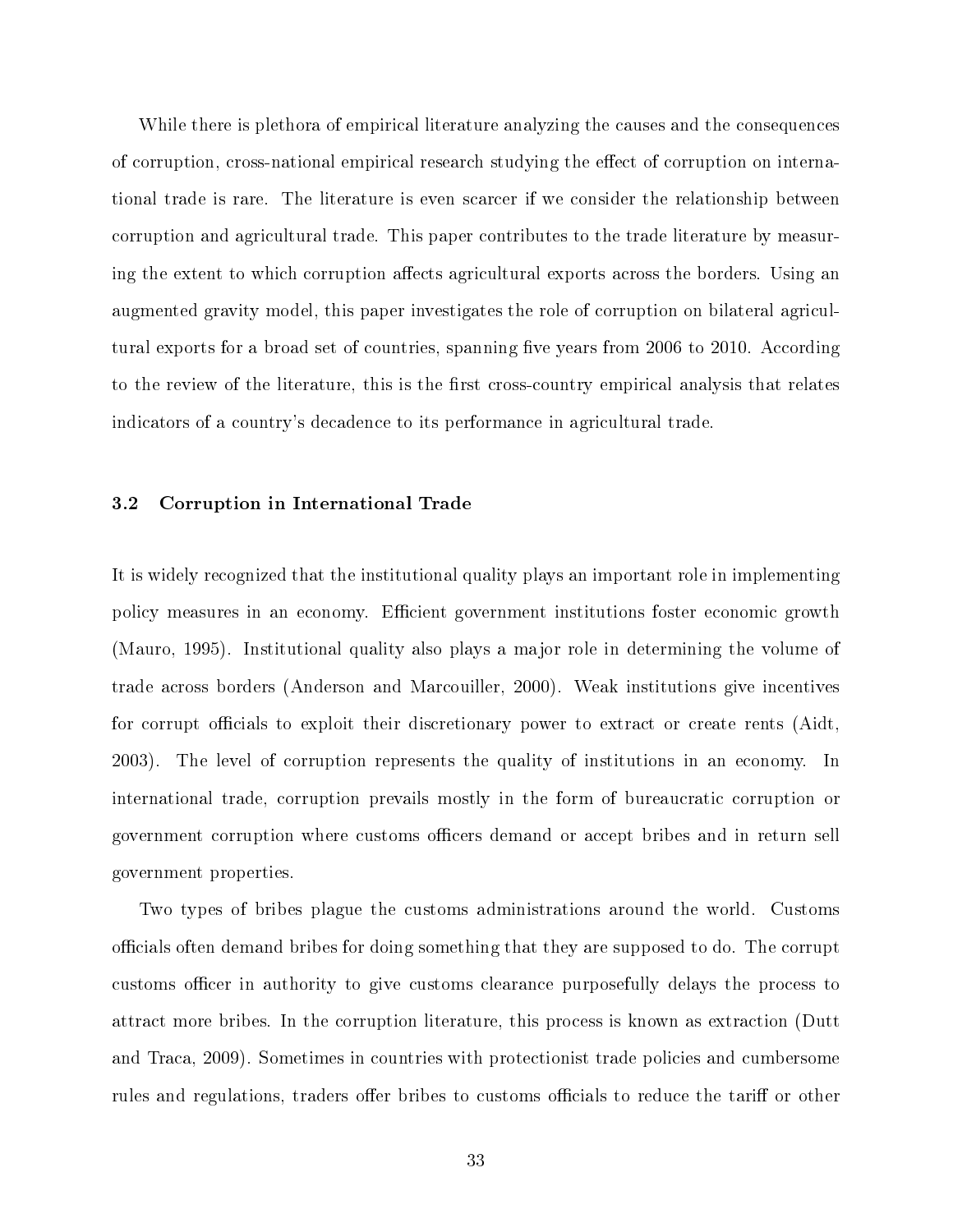While there is plethora of empirical literature analyzing the causes and the consequences of corruption, cross-national empirical research studying the effect of corruption on international trade is rare. The literature is even scarcer if we consider the relationship between corruption and agricultural trade. This paper contributes to the trade literature by measuring the extent to which corruption affects agricultural exports across the borders. Using an augmented gravity model, this paper investigates the role of corruption on bilateral agricultural exports for a broad set of countries, spanning five years from 2006 to 2010. According to the review of the literature, this is the first cross-country empirical analysis that relates indicators of a country's decadence to its performance in agricultural trade.

#### 3.2 Corruption in International Trade

It is widely recognized that the institutional quality plays an important role in implementing policy measures in an economy. Efficient government institutions foster economic growth (Mauro, 1995). Institutional quality also plays a major role in determining the volume of trade across borders (Anderson and Marcouiller, 2000). Weak institutions give incentives for corrupt officials to exploit their discretionary power to extract or create rents (Aidt, 2003). The level of corruption represents the quality of institutions in an economy. In international trade, corruption prevails mostly in the form of bureaucratic corruption or government corruption where customs officers demand or accept bribes and in return sell government properties.

Two types of bribes plague the customs administrations around the world. Customs officials often demand bribes for doing something that they are supposed to do. The corrupt customs officer in authority to give customs clearance purposefully delays the process to attract more bribes. In the corruption literature, this process is known as extraction (Dutt and Traca, 2009). Sometimes in countries with protectionist trade policies and cumbersome rules and regulations, traders offer bribes to customs officials to reduce the tariff or other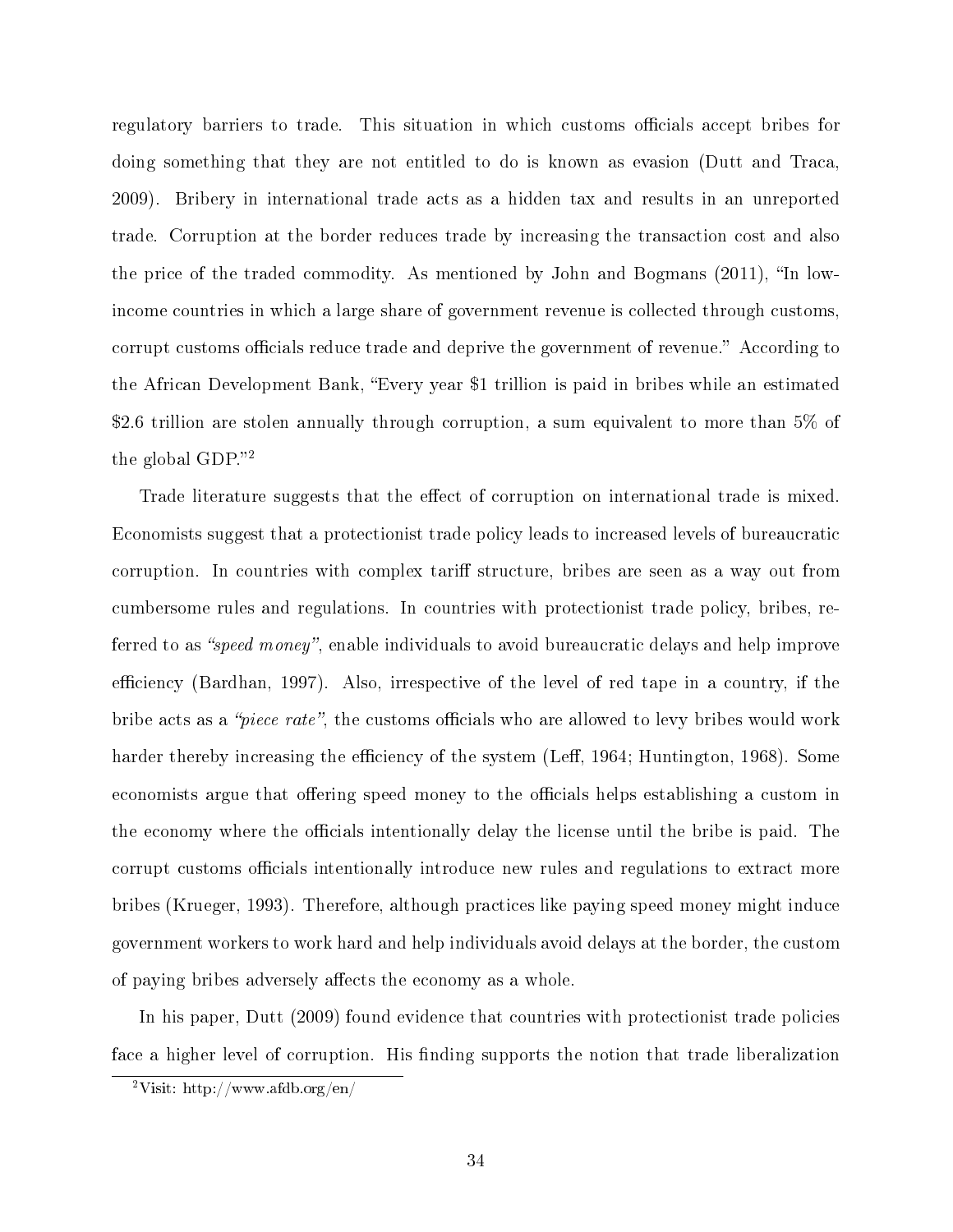regulatory barriers to trade. This situation in which customs officials accept bribes for doing something that they are not entitled to do is known as evasion (Dutt and Traca, 2009). Bribery in international trade acts as a hidden tax and results in an unreported trade. Corruption at the border reduces trade by increasing the transaction cost and also the price of the traded commodity. As mentioned by John and Bogmans  $(2011)$ , "In lowincome countries in which a large share of government revenue is collected through customs, corrupt customs officials reduce trade and deprive the government of revenue." According to the African Development Bank, Every year \$1 trillion is paid in bribes while an estimated \$2.6 trillion are stolen annually through corruption, a sum equivalent to more than 5% of the global GDP. $"^{2}$  $"^{2}$  $"^{2}$ 

Trade literature suggests that the effect of corruption on international trade is mixed. Economists suggest that a protectionist trade policy leads to increased levels of bureaucratic corruption. In countries with complex tariff structure, bribes are seen as a way out from cumbersome rules and regulations. In countries with protectionist trade policy, bribes, referred to as "*speed money*", enable individuals to avoid bureaucratic delays and help improve efficiency (Bardhan, 1997). Also, irrespective of the level of red tape in a country, if the bribe acts as a "piece rate", the customs officials who are allowed to levy bribes would work harder thereby increasing the efficiency of the system (Leff, 1964; Huntington, 1968). Some economists argue that offering speed money to the officials helps establishing a custom in the economy where the officials intentionally delay the license until the bribe is paid. The corrupt customs officials intentionally introduce new rules and regulations to extract more bribes (Krueger, 1993). Therefore, although practices like paying speed money might induce government workers to work hard and help individuals avoid delays at the border, the custom of paying bribes adversely affects the economy as a whole.

In his paper, Dutt (2009) found evidence that countries with protectionist trade policies face a higher level of corruption. His finding supports the notion that trade liberalization

<span id="page-40-0"></span><sup>&</sup>lt;sup>2</sup>Visit: http://www.afdb.org/en/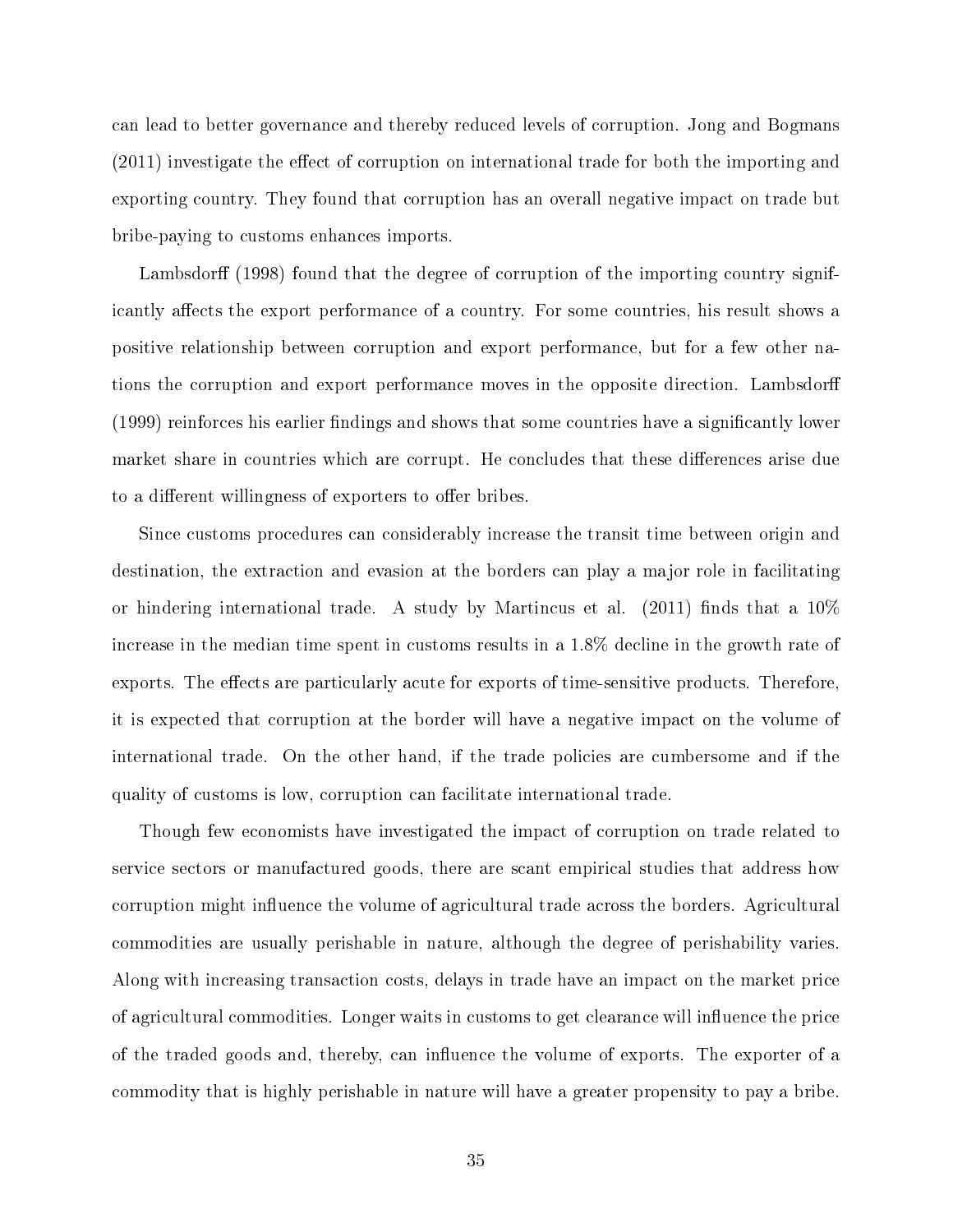can lead to better governance and thereby reduced levels of corruption. Jong and Bogmans  $(2011)$  investigate the effect of corruption on international trade for both the importing and exporting country. They found that corruption has an overall negative impact on trade but bribe-paying to customs enhances imports.

Lambsdorff (1998) found that the degree of corruption of the importing country significantly affects the export performance of a country. For some countries, his result shows a positive relationship between corruption and export performance, but for a few other nations the corruption and export performance moves in the opposite direction. Lambsdor  $(1999)$  reinforces his earlier findings and shows that some countries have a significantly lower market share in countries which are corrupt. He concludes that these differences arise due to a different willingness of exporters to offer bribes.

Since customs procedures can considerably increase the transit time between origin and destination, the extraction and evasion at the borders can play a major role in facilitating or hindering international trade. A study by Martincus et al.  $(2011)$  finds that a  $10\%$ increase in the median time spent in customs results in a 1.8% decline in the growth rate of exports. The effects are particularly acute for exports of time-sensitive products. Therefore, it is expected that corruption at the border will have a negative impact on the volume of international trade. On the other hand, if the trade policies are cumbersome and if the quality of customs is low, corruption can facilitate international trade.

Though few economists have investigated the impact of corruption on trade related to service sectors or manufactured goods, there are scant empirical studies that address how corruption might influence the volume of agricultural trade across the borders. Agricultural commodities are usually perishable in nature, although the degree of perishability varies. Along with increasing transaction costs, delays in trade have an impact on the market price of agricultural commodities. Longer waits in customs to get clearance will influence the price of the traded goods and, thereby, can influence the volume of exports. The exporter of a commodity that is highly perishable in nature will have a greater propensity to pay a bribe.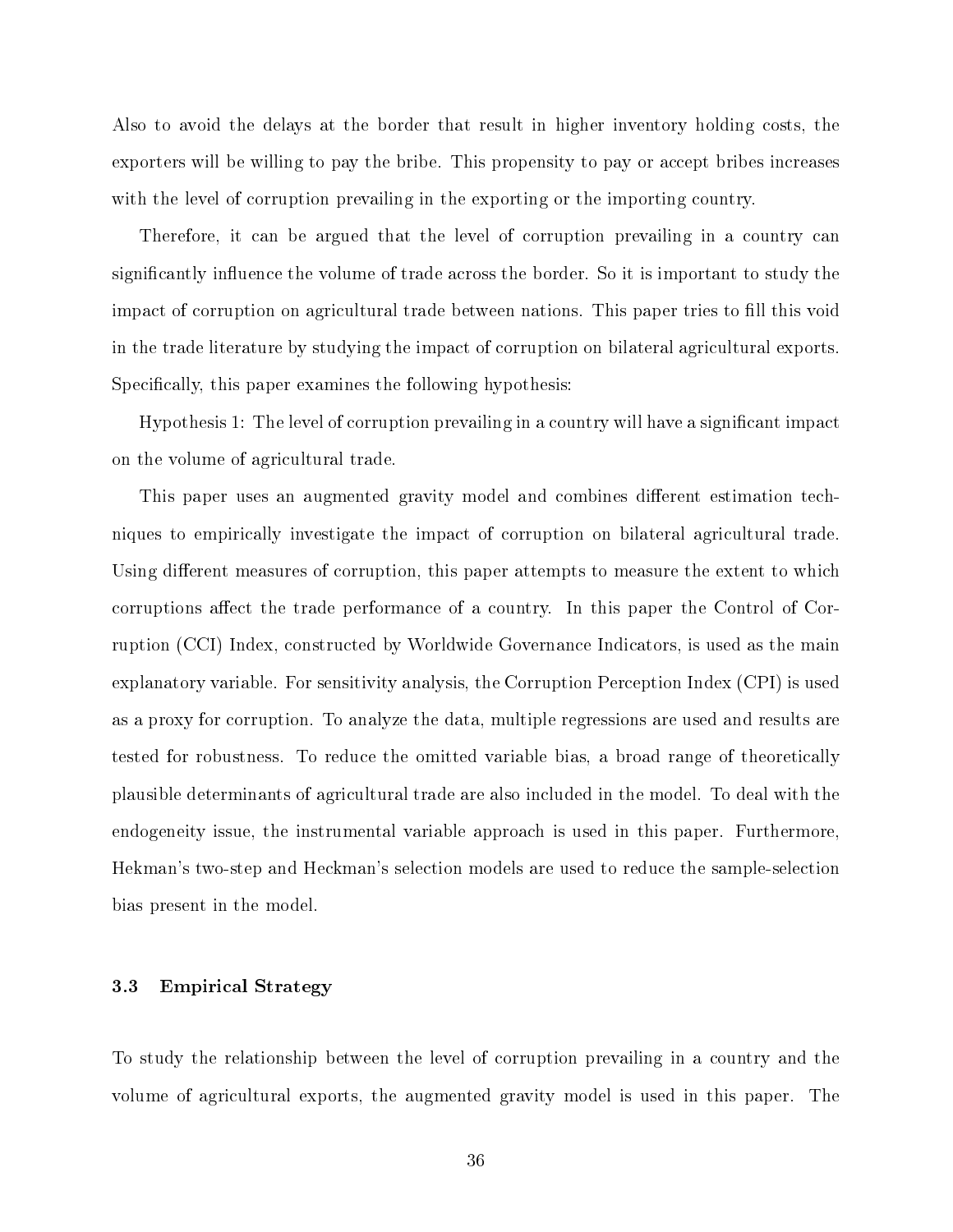Also to avoid the delays at the border that result in higher inventory holding costs, the exporters will be willing to pay the bribe. This propensity to pay or accept bribes increases with the level of corruption prevailing in the exporting or the importing country.

Therefore, it can be argued that the level of corruption prevailing in a country can significantly influence the volume of trade across the border. So it is important to study the impact of corruption on agricultural trade between nations. This paper tries to fill this void in the trade literature by studying the impact of corruption on bilateral agricultural exports. Specifically, this paper examines the following hypothesis:

Hypothesis 1: The level of corruption prevailing in a country will have a significant impact on the volume of agricultural trade.

This paper uses an augmented gravity model and combines different estimation techniques to empirically investigate the impact of corruption on bilateral agricultural trade. Using different measures of corruption, this paper attempts to measure the extent to which corruptions affect the trade performance of a country. In this paper the Control of Corruption (CCI) Index, constructed by Worldwide Governance Indicators, is used as the main explanatory variable. For sensitivity analysis, the Corruption Perception Index (CPI) is used as a proxy for corruption. To analyze the data, multiple regressions are used and results are tested for robustness. To reduce the omitted variable bias, a broad range of theoretically plausible determinants of agricultural trade are also included in the model. To deal with the endogeneity issue, the instrumental variable approach is used in this paper. Furthermore, Hekman's two-step and Heckman's selection models are used to reduce the sample-selection bias present in the model.

## 3.3 Empirical Strategy

To study the relationship between the level of corruption prevailing in a country and the volume of agricultural exports, the augmented gravity model is used in this paper. The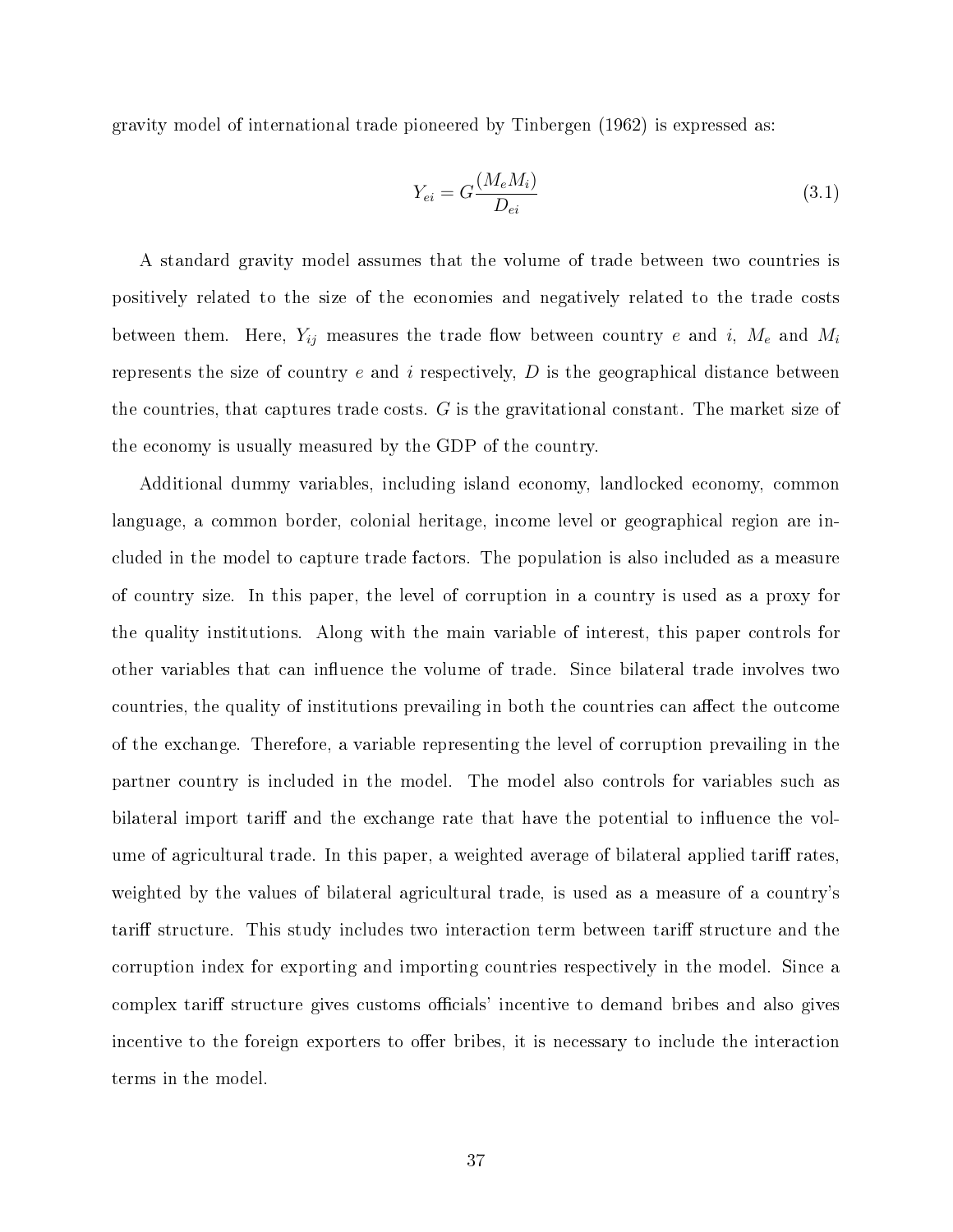gravity model of international trade pioneered by Tinbergen (1962) is expressed as:

$$
Y_{ei} = G \frac{(M_e M_i)}{D_{ei}} \tag{3.1}
$$

A standard gravity model assumes that the volume of trade between two countries is positively related to the size of the economies and negatively related to the trade costs between them. Here,  $Y_{ij}$  measures the trade flow between country e and i,  $M_e$  and  $M_i$ represents the size of country  $e$  and  $i$  respectively,  $D$  is the geographical distance between the countries, that captures trade costs. G is the gravitational constant. The market size of the economy is usually measured by the GDP of the country.

Additional dummy variables, including island economy, landlocked economy, common language, a common border, colonial heritage, income level or geographical region are included in the model to capture trade factors. The population is also included as a measure of country size. In this paper, the level of corruption in a country is used as a proxy for the quality institutions. Along with the main variable of interest, this paper controls for other variables that can influence the volume of trade. Since bilateral trade involves two countries, the quality of institutions prevailing in both the countries can affect the outcome of the exchange. Therefore, a variable representing the level of corruption prevailing in the partner country is included in the model. The model also controls for variables such as bilateral import tariff and the exchange rate that have the potential to influence the volume of agricultural trade. In this paper, a weighted average of bilateral applied tariff rates. weighted by the values of bilateral agricultural trade, is used as a measure of a country's tariff structure. This study includes two interaction term between tariff structure and the corruption index for exporting and importing countries respectively in the model. Since a complex tariff structure gives customs officials' incentive to demand bribes and also gives incentive to the foreign exporters to offer bribes, it is necessary to include the interaction terms in the model.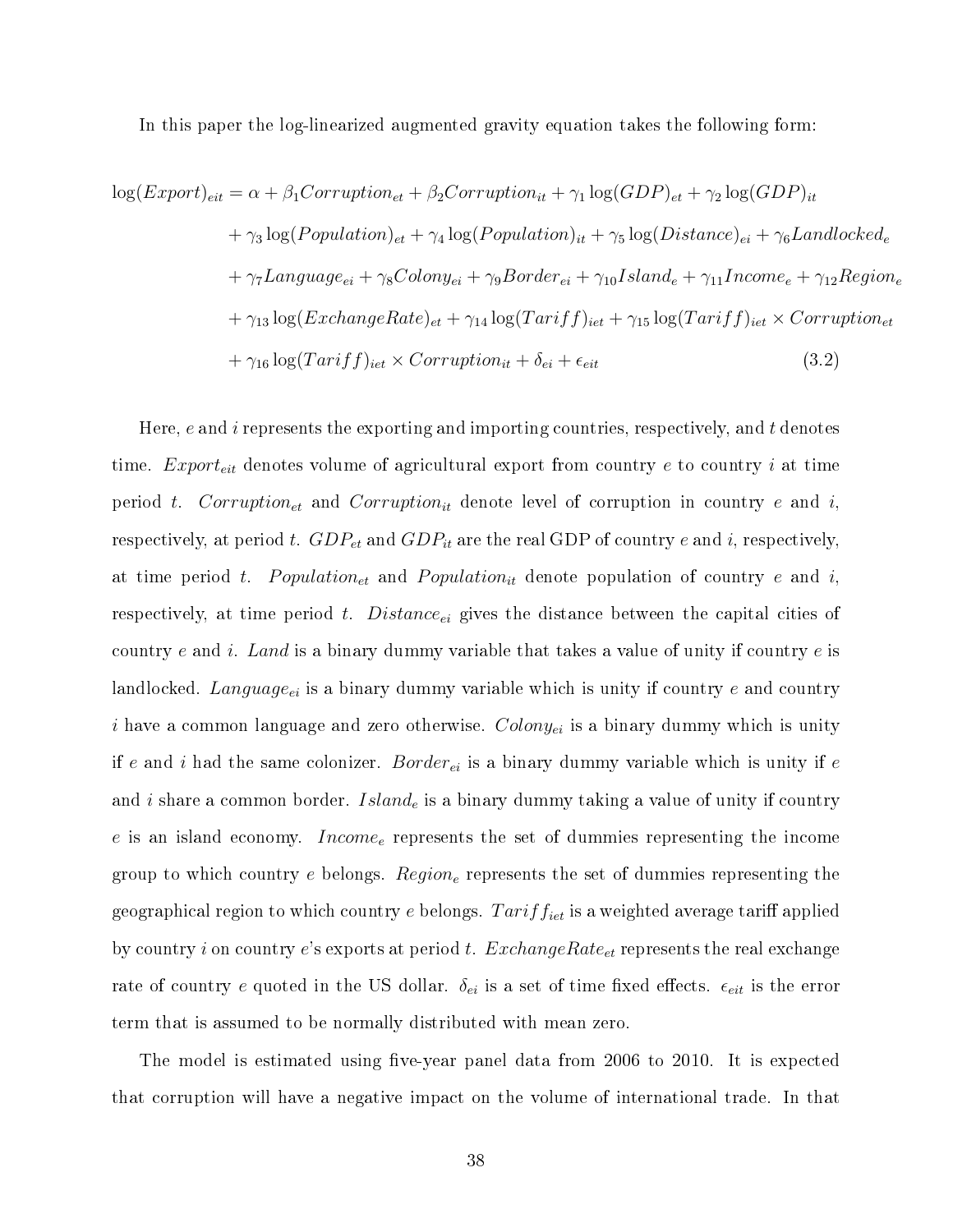In this paper the log-linearized augmented gravity equation takes the following form:

$$
log(Export)_{eit} = \alpha + \beta_1 Corruption_{et} + \beta_2 Corruption_{it} + \gamma_1 log(GDP)_{et} + \gamma_2 log(GDP)_{it}
$$
  
+  $\gamma_3 log(Population)_{et} + \gamma_4 log(Population)_{it} + \gamma_5 log(Distance)_{ei} + \gamma_6 Landlocked_e$   
+  $\gamma_7 Langauge_{ei} + \gamma_8Colony_{ei} + \gamma_9 Border_{ei} + \gamma_{10} Island_e + \gamma_{11} Income_e + \gamma_{12} Region_e$   
+  $\gamma_{13} log(ExchangeRate)_{et} + \gamma_{14} log(Tariff)_{iet} + \gamma_{15} log(Tariff)_{iet} \times Corruption_{et}$   
+  $\gamma_{16} log(Tariff)_{iet} \times Corruption_{it} + \delta_{ei} + \epsilon_{eit}$  (3.2)

Here,  $e$  and i represents the exporting and importing countries, respectively, and t denotes time.  $Expert_{eit}$  denotes volume of agricultural export from country  $e$  to country  $i$  at time period t. Corruption<sub>et</sub> and Corruption<sub>it</sub> denote level of corruption in country e and i, respectively, at period t.  $GDP_{et}$  and  $GDP_{it}$  are the real GDP of country e and i, respectively, at time period t. Population<sub>et</sub> and Population<sub>it</sub> denote population of country e and i, respectively, at time period  $t$ . Distance<sub>ei</sub> gives the distance between the capital cities of country e and i. Land is a binary dummy variable that takes a value of unity if country  $e$  is landlocked. Language<sub>ei</sub> is a binary dummy variable which is unity if country e and country i have a common language and zero otherwise.  $Colony_{ei}$  is a binary dummy which is unity if e and i had the same colonizer. Border<sub>ei</sub> is a binary dummy variable which is unity if e and i share a common border.  $Island_e$  is a binary dummy taking a value of unity if country  $e$  is an island economy. *Income* represents the set of dummies representing the income group to which country  $e$  belongs.  $Region_e$  represents the set of dummies representing the geographical region to which country e belongs.  $Tariff_{iet}$  is a weighted average tariff applied by country i on country e's exports at period t.  $ExchangeRate_{et}$  represents the real exchange rate of country e quoted in the US dollar.  $\delta_{ei}$  is a set of time fixed effects.  $\epsilon_{eit}$  is the error term that is assumed to be normally distributed with mean zero.

The model is estimated using five-year panel data from 2006 to 2010. It is expected that corruption will have a negative impact on the volume of international trade. In that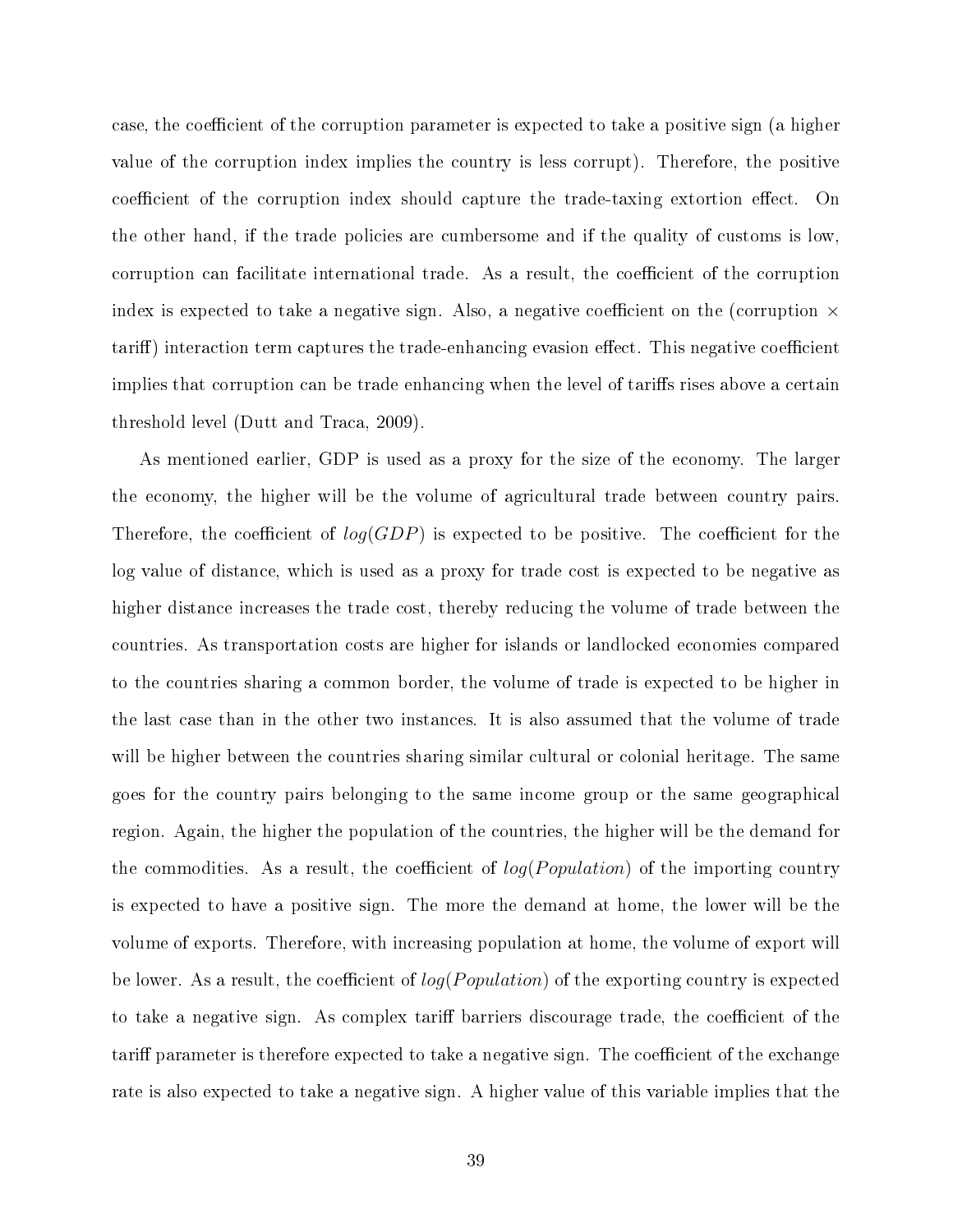case, the coefficient of the corruption parameter is expected to take a positive sign (a higher value of the corruption index implies the country is less corrupt). Therefore, the positive coefficient of the corruption index should capture the trade-taxing extortion effect. On the other hand, if the trade policies are cumbersome and if the quality of customs is low, corruption can facilitate international trade. As a result, the coefficient of the corruption index is expected to take a negative sign. Also, a negative coefficient on the (corruption  $\times$ tariff) interaction term captures the trade-enhancing evasion effect. This negative coefficient implies that corruption can be trade enhancing when the level of tariffs rises above a certain threshold level (Dutt and Traca, 2009).

As mentioned earlier, GDP is used as a proxy for the size of the economy. The larger the economy, the higher will be the volume of agricultural trade between country pairs. Therefore, the coefficient of  $log(GDP)$  is expected to be positive. The coefficient for the log value of distance, which is used as a proxy for trade cost is expected to be negative as higher distance increases the trade cost, thereby reducing the volume of trade between the countries. As transportation costs are higher for islands or landlocked economies compared to the countries sharing a common border, the volume of trade is expected to be higher in the last case than in the other two instances. It is also assumed that the volume of trade will be higher between the countries sharing similar cultural or colonial heritage. The same goes for the country pairs belonging to the same income group or the same geographical region. Again, the higher the population of the countries, the higher will be the demand for the commodities. As a result, the coefficient of  $log(Population)$  of the importing country is expected to have a positive sign. The more the demand at home, the lower will be the volume of exports. Therefore, with increasing population at home, the volume of export will be lower. As a result, the coefficient of  $log(Population)$  of the exporting country is expected to take a negative sign. As complex tariff barriers discourage trade, the coefficient of the tariff parameter is therefore expected to take a negative sign. The coefficient of the exchange rate is also expected to take a negative sign. A higher value of this variable implies that the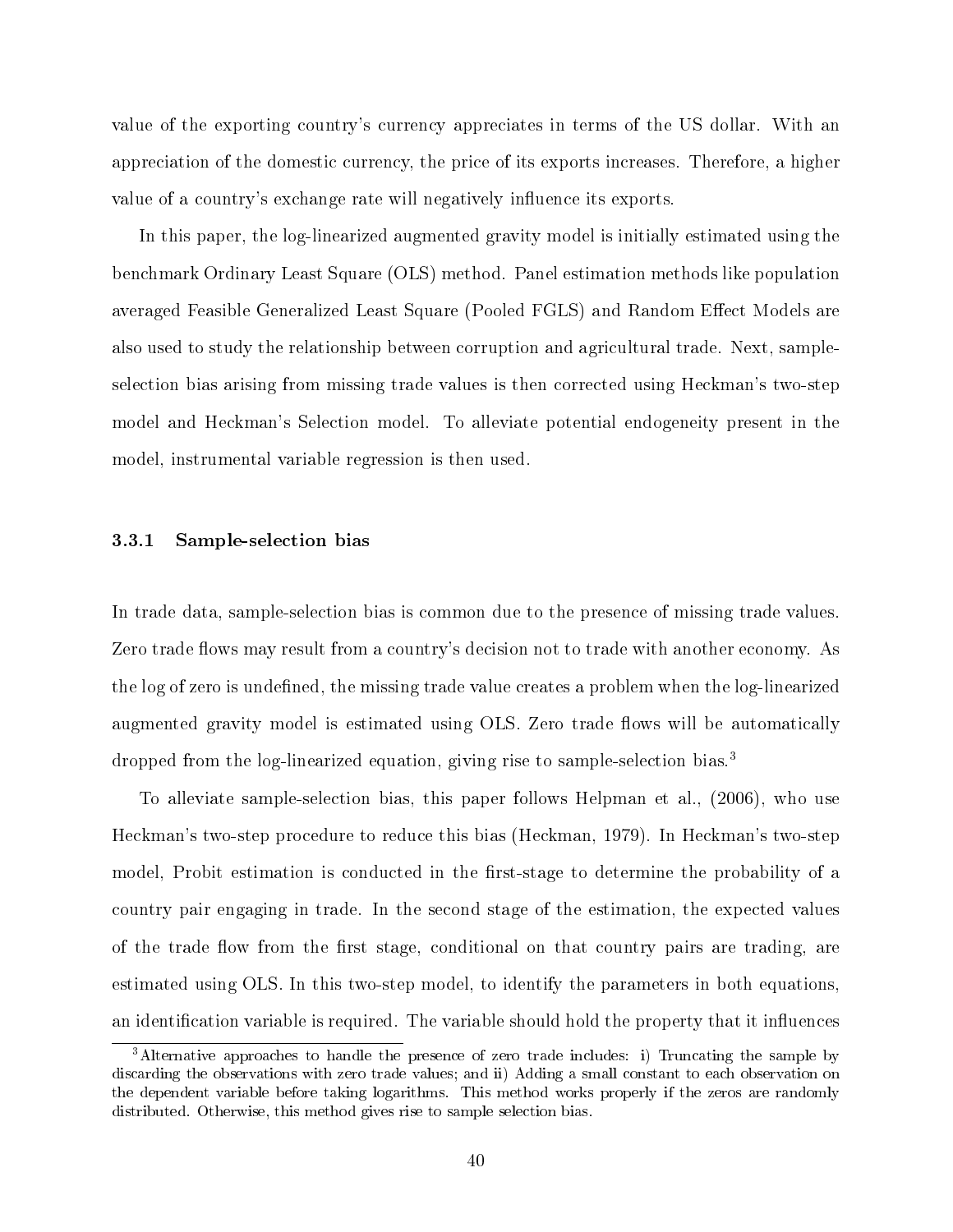value of the exporting country's currency appreciates in terms of the US dollar. With an appreciation of the domestic currency, the price of its exports increases. Therefore, a higher value of a country's exchange rate will negatively influence its exports.

In this paper, the log-linearized augmented gravity model is initially estimated using the benchmark Ordinary Least Square (OLS) method. Panel estimation methods like population averaged Feasible Generalized Least Square (Pooled FGLS) and Random Effect Models are also used to study the relationship between corruption and agricultural trade. Next, sampleselection bias arising from missing trade values is then corrected using Heckman's two-step model and Heckman's Selection model. To alleviate potential endogeneity present in the model, instrumental variable regression is then used.

#### 3.3.1 Sample-selection bias

In trade data, sample-selection bias is common due to the presence of missing trade values. Zero trade flows may result from a country's decision not to trade with another economy. As the log of zero is undefined, the missing trade value creates a problem when the log-linearized augmented gravity model is estimated using OLS. Zero trade flows will be automatically dropped from the log-linearized equation, giving rise to sample-selection bias.<sup>[3](#page-46-0)</sup>

To alleviate sample-selection bias, this paper follows Helpman et al., (2006), who use Heckman's two-step procedure to reduce this bias (Heckman, 1979). In Heckman's two-step model, Probit estimation is conducted in the first-stage to determine the probability of a country pair engaging in trade. In the second stage of the estimation, the expected values of the trade flow from the first stage, conditional on that country pairs are trading, are estimated using OLS. In this two-step model, to identify the parameters in both equations, an identification variable is required. The variable should hold the property that it influences

<span id="page-46-0"></span><sup>&</sup>lt;sup>3</sup>Alternative approaches to handle the presence of zero trade includes: i) Truncating the sample by discarding the observations with zero trade values; and ii) Adding a small constant to each observation on the dependent variable before taking logarithms. This method works properly if the zeros are randomly distributed. Otherwise, this method gives rise to sample selection bias.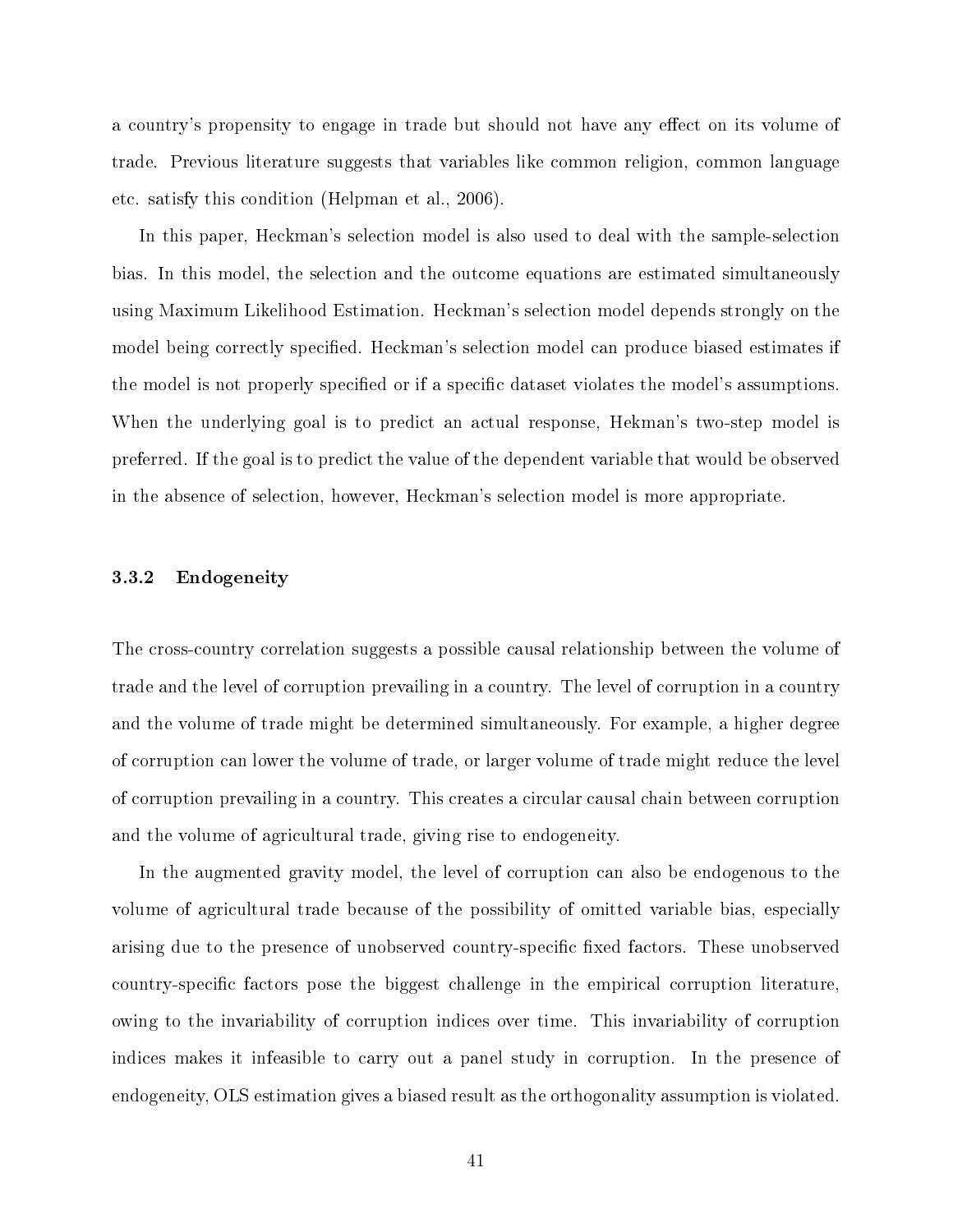a country's propensity to engage in trade but should not have any effect on its volume of trade. Previous literature suggests that variables like common religion, common language etc. satisfy this condition (Helpman et al., 2006).

In this paper, Heckman's selection model is also used to deal with the sample-selection bias. In this model, the selection and the outcome equations are estimated simultaneously using Maximum Likelihood Estimation. Heckman's selection model depends strongly on the model being correctly specified. Heckman's selection model can produce biased estimates if the model is not properly specified or if a specific dataset violates the model's assumptions. When the underlying goal is to predict an actual response, Hekman's two-step model is preferred. If the goal is to predict the value of the dependent variable that would be observed in the absence of selection, however, Heckman's selection model is more appropriate.

## 3.3.2 Endogeneity

The cross-country correlation suggests a possible causal relationship between the volume of trade and the level of corruption prevailing in a country. The level of corruption in a country and the volume of trade might be determined simultaneously. For example, a higher degree of corruption can lower the volume of trade, or larger volume of trade might reduce the level of corruption prevailing in a country. This creates a circular causal chain between corruption and the volume of agricultural trade, giving rise to endogeneity.

In the augmented gravity model, the level of corruption can also be endogenous to the volume of agricultural trade because of the possibility of omitted variable bias, especially arising due to the presence of unobserved country-specific fixed factors. These unobserved country-specific factors pose the biggest challenge in the empirical corruption literature. owing to the invariability of corruption indices over time. This invariability of corruption indices makes it infeasible to carry out a panel study in corruption. In the presence of endogeneity, OLS estimation gives a biased result as the orthogonality assumption is violated.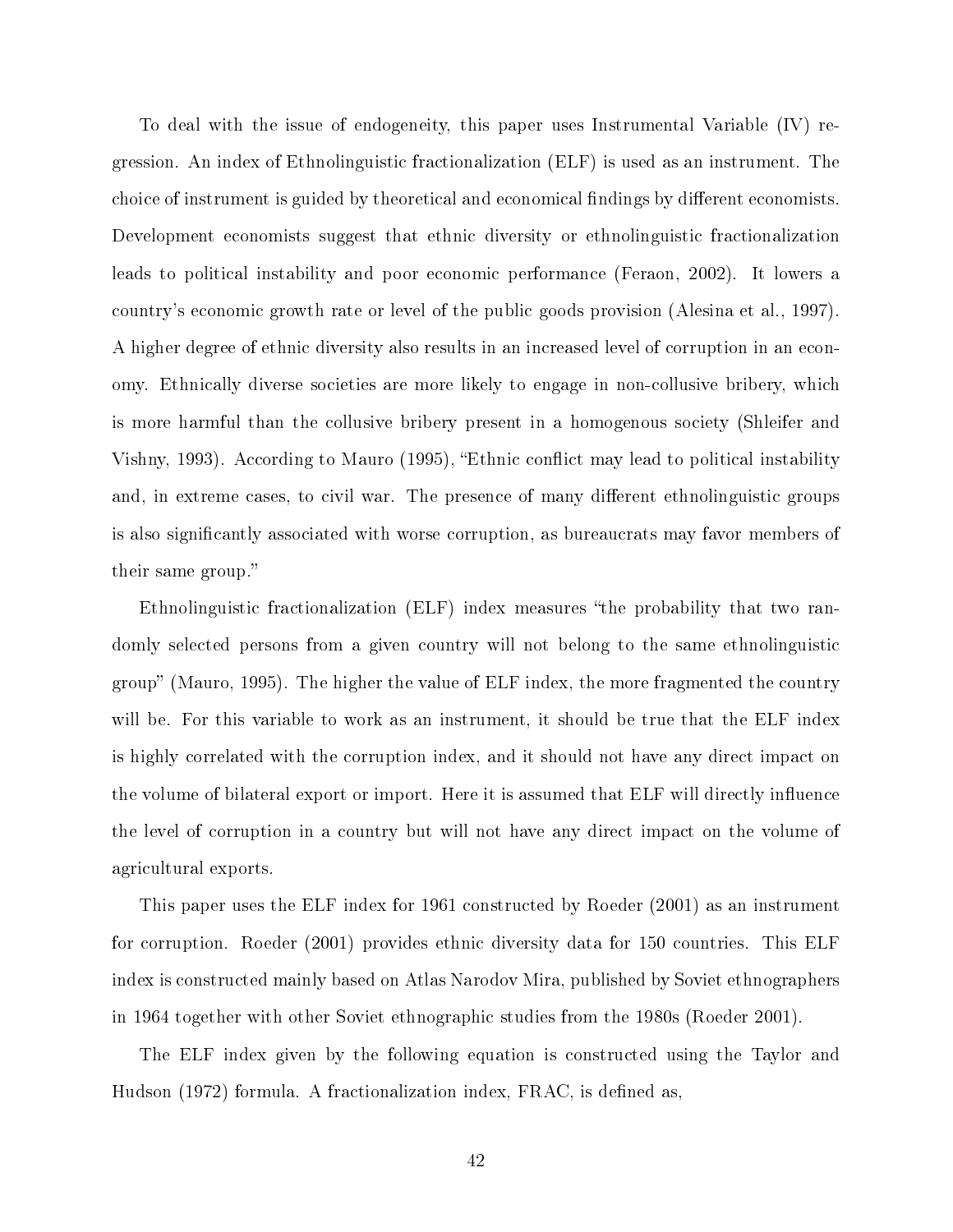To deal with the issue of endogeneity, this paper uses Instrumental Variable (IV) regression. An index of Ethnolinguistic fractionalization (ELF) is used as an instrument. The choice of instrument is guided by theoretical and economical findings by different economists. Development economists suggest that ethnic diversity or ethnolinguistic fractionalization leads to political instability and poor economic performance (Feraon, 2002). It lowers a country's economic growth rate or level of the public goods provision (Alesina et al., 1997). A higher degree of ethnic diversity also results in an increased level of corruption in an economy. Ethnically diverse societies are more likely to engage in non-collusive bribery, which is more harmful than the collusive bribery present in a homogenous society (Shleifer and Vishny, 1993). According to Mauro (1995), "Ethnic conflict may lead to political instability and, in extreme cases, to civil war. The presence of many different ethnolinguistic groups is also significantly associated with worse corruption, as bureaucrats may favor members of their same group.

Ethnolinguistic fractionalization (ELF) index measures the probability that two randomly selected persons from a given country will not belong to the same ethnolinguistic group" (Mauro, 1995). The higher the value of  $ELF$  index, the more fragmented the country will be. For this variable to work as an instrument, it should be true that the ELF index is highly correlated with the corruption index, and it should not have any direct impact on the volume of bilateral export or import. Here it is assumed that ELF will directly influence the level of corruption in a country but will not have any direct impact on the volume of agricultural exports.

This paper uses the ELF index for 1961 constructed by Roeder (2001) as an instrument for corruption. Roeder (2001) provides ethnic diversity data for 150 countries. This ELF index is constructed mainly based on Atlas Narodov Mira, published by Soviet ethnographers in 1964 together with other Soviet ethnographic studies from the 1980s (Roeder 2001).

The ELF index given by the following equation is constructed using the Taylor and Hudson (1972) formula. A fractionalization index, FRAC, is defined as,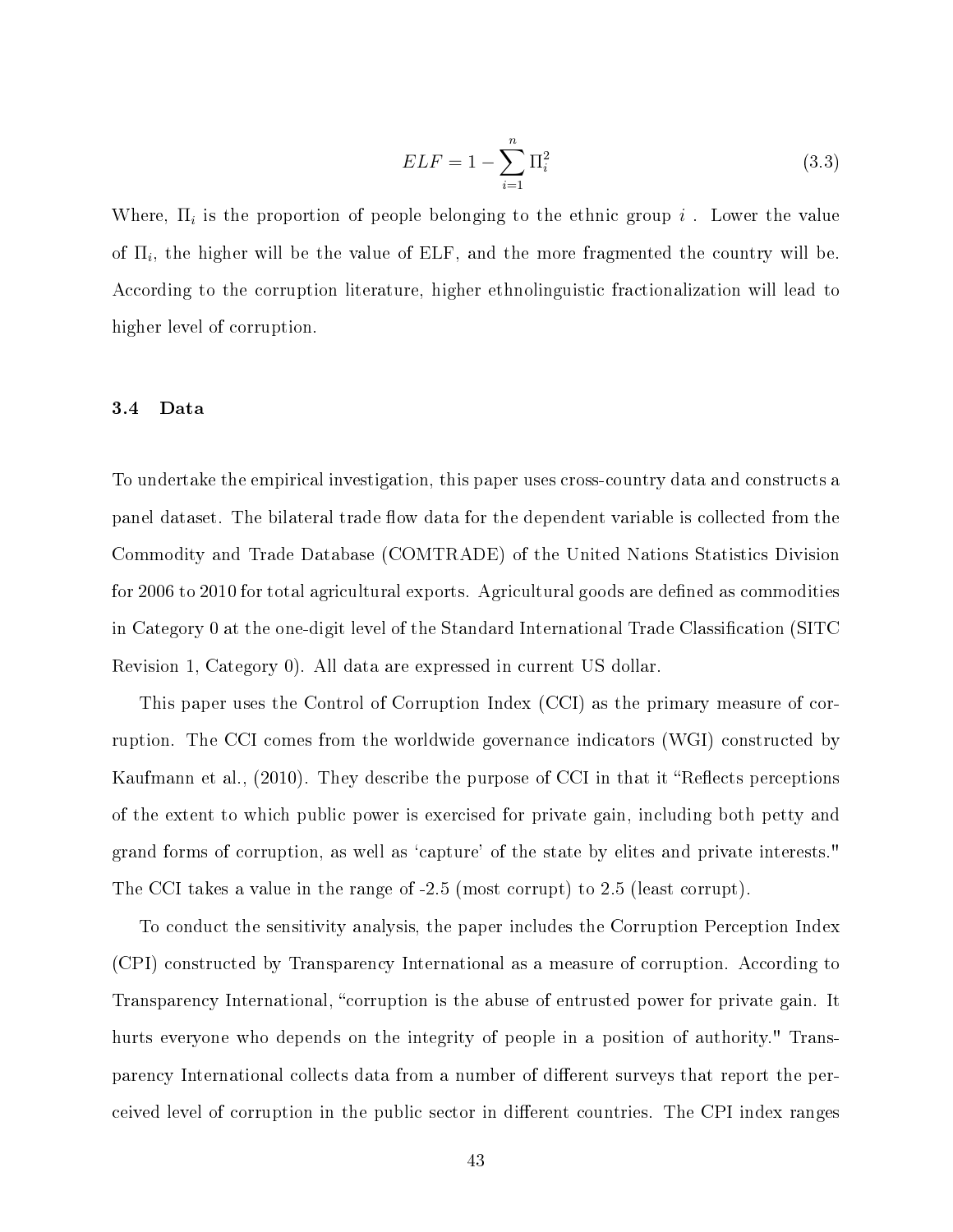$$
ELF = 1 - \sum_{i=1}^{n} \Pi_i^2
$$
\n(3.3)

Where,  $\Pi_i$  is the proportion of people belonging to the ethnic group  $i$  . Lower the value of  $\Pi_i$ , the higher will be the value of ELF, and the more fragmented the country will be. According to the corruption literature, higher ethnolinguistic fractionalization will lead to higher level of corruption.

#### 3.4 Data

To undertake the empirical investigation, this paper uses cross-country data and constructs a panel dataset. The bilateral trade flow data for the dependent variable is collected from the Commodity and Trade Database (COMTRADE) of the United Nations Statistics Division for 2006 to 2010 for total agricultural exports. Agricultural goods are defined as commodities in Category 0 at the one-digit level of the Standard International Trade Classification (SITC Revision 1, Category 0). All data are expressed in current US dollar.

This paper uses the Control of Corruption Index (CCI) as the primary measure of corruption. The CCI comes from the worldwide governance indicators (WGI) constructed by Kaufmann et al., (2010). They describe the purpose of CCI in that it "Reflects perceptions of the extent to which public power is exercised for private gain, including both petty and grand forms of corruption, as well as `capture' of the state by elites and private interests." The CCI takes a value in the range of -2.5 (most corrupt) to 2.5 (least corrupt).

To conduct the sensitivity analysis, the paper includes the Corruption Perception Index (CPI) constructed by Transparency International as a measure of corruption. According to Transparency International, "corruption is the abuse of entrusted power for private gain. It hurts everyone who depends on the integrity of people in a position of authority." Transparency International collects data from a number of different surveys that report the perceived level of corruption in the public sector in different countries. The CPI index ranges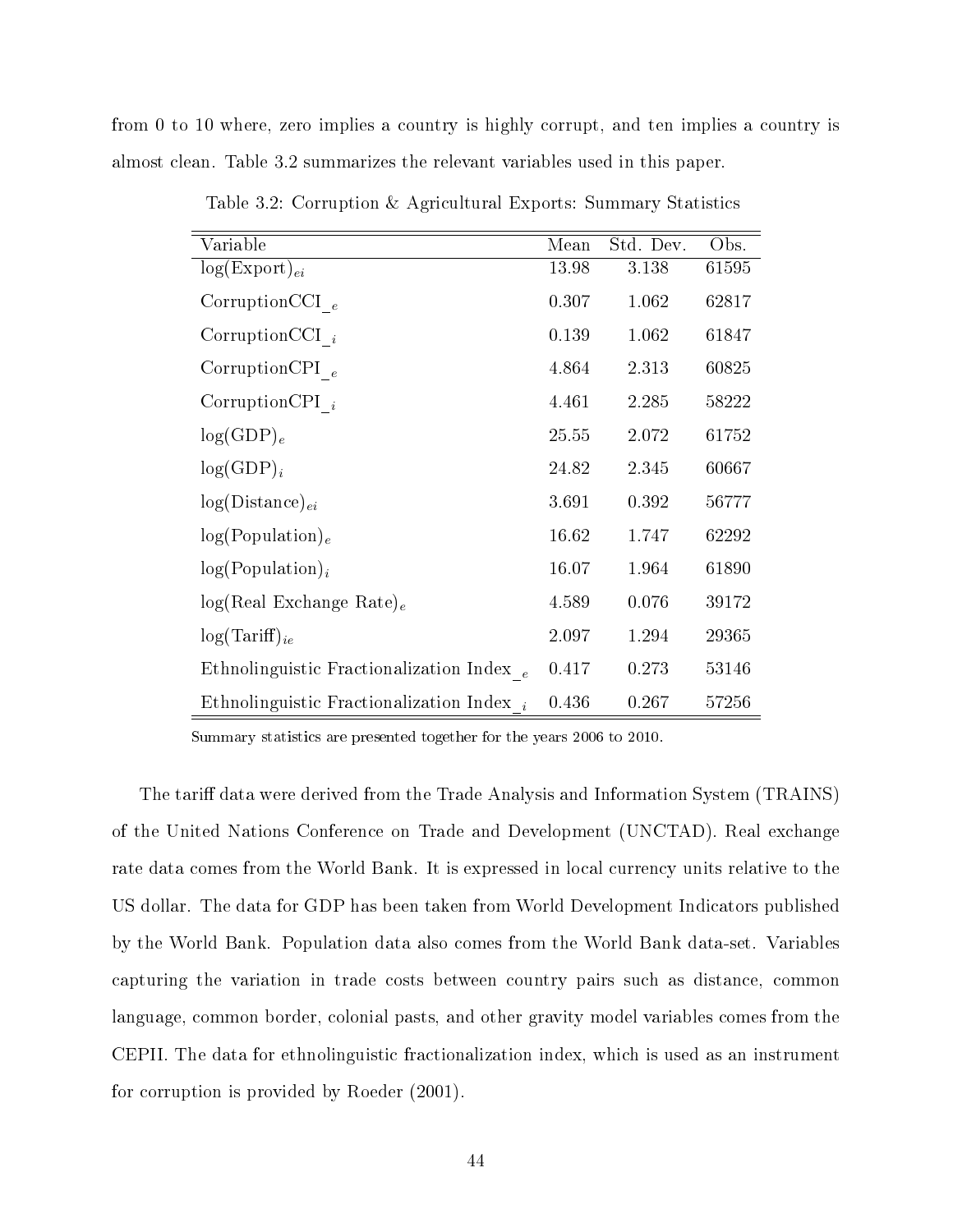from 0 to 10 where, zero implies a country is highly corrupt, and ten implies a country is almost clean. Table 3.2 summarizes the relevant variables used in this paper.

| Variable                                     | Mean  | Std. Dev. | Obs.  |
|----------------------------------------------|-------|-----------|-------|
| $log(Expert)_{ei}$                           | 13.98 | 3.138     | 61595 |
| CorruptionCCI $_e$                           | 0.307 | 1.062     | 62817 |
| CorruptionCCI $_i$                           | 0.139 | 1.062     | 61847 |
| CorruptionCPI $_e$                           | 4.864 | 2.313     | 60825 |
| CorruptionCPI $_i$                           | 4.461 | 2.285     | 58222 |
| $log(GDP)_e$                                 | 25.55 | 2.072     | 61752 |
| $log(GDP)_i$                                 | 24.82 | 2.345     | 60667 |
| $log(Distance)_{ei}$                         | 3.691 | 0.392     | 56777 |
| $log(Population)_{e}$                        | 16.62 | 1.747     | 62292 |
| $log(Population)_{i}$                        | 16.07 | 1.964     | 61890 |
| $log(Real Exchange Rate)_e$                  | 4.589 | 0.076     | 39172 |
| $log(Tariff)_{ie}$                           | 2.097 | 1.294     | 29365 |
| Ethnolinguistic Fractionalization Index $_e$ | 0.417 | 0.273     | 53146 |
| Ethnolinguistic Fractionalization Index $_i$ | 0.436 | 0.267     | 57256 |

Table 3.2: Corruption & Agricultural Exports: Summary Statistics

Summary statistics are presented together for the years 2006 to 2010.

The tariff data were derived from the Trade Analysis and Information System (TRAINS) of the United Nations Conference on Trade and Development (UNCTAD). Real exchange rate data comes from the World Bank. It is expressed in local currency units relative to the US dollar. The data for GDP has been taken from World Development Indicators published by the World Bank. Population data also comes from the World Bank data-set. Variables capturing the variation in trade costs between country pairs such as distance, common language, common border, colonial pasts, and other gravity model variables comes from the CEPII. The data for ethnolinguistic fractionalization index, which is used as an instrument for corruption is provided by Roeder (2001).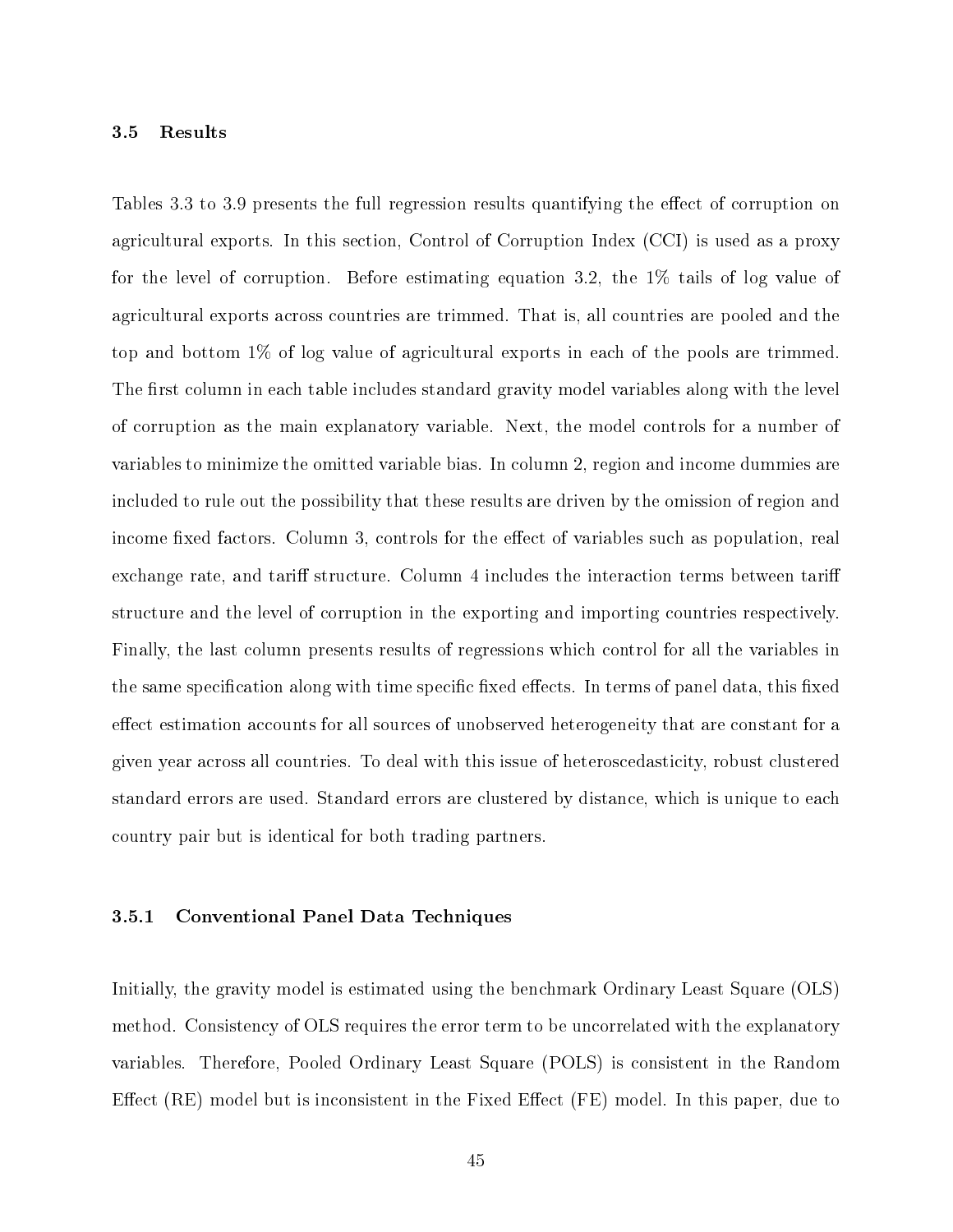#### 3.5 Results

Tables 3.3 to 3.9 presents the full regression results quantifying the effect of corruption on agricultural exports. In this section, Control of Corruption Index (CCI) is used as a proxy for the level of corruption. Before estimating equation 3.2, the 1% tails of log value of agricultural exports across countries are trimmed. That is, all countries are pooled and the top and bottom 1% of log value of agricultural exports in each of the pools are trimmed. The first column in each table includes standard gravity model variables along with the level of corruption as the main explanatory variable. Next, the model controls for a number of variables to minimize the omitted variable bias. In column 2, region and income dummies are included to rule out the possibility that these results are driven by the omission of region and income fixed factors. Column 3, controls for the effect of variables such as population, real exchange rate, and tariff structure. Column 4 includes the interaction terms between tariff structure and the level of corruption in the exporting and importing countries respectively. Finally, the last column presents results of regressions which control for all the variables in the same specification along with time specific fixed effects. In terms of panel data, this fixed effect estimation accounts for all sources of unobserved heterogeneity that are constant for a given year across all countries. To deal with this issue of heteroscedasticity, robust clustered standard errors are used. Standard errors are clustered by distance, which is unique to each country pair but is identical for both trading partners.

#### 3.5.1 Conventional Panel Data Techniques

Initially, the gravity model is estimated using the benchmark Ordinary Least Square (OLS) method. Consistency of OLS requires the error term to be uncorrelated with the explanatory variables. Therefore, Pooled Ordinary Least Square (POLS) is consistent in the Random Effect (RE) model but is inconsistent in the Fixed Effect (FE) model. In this paper, due to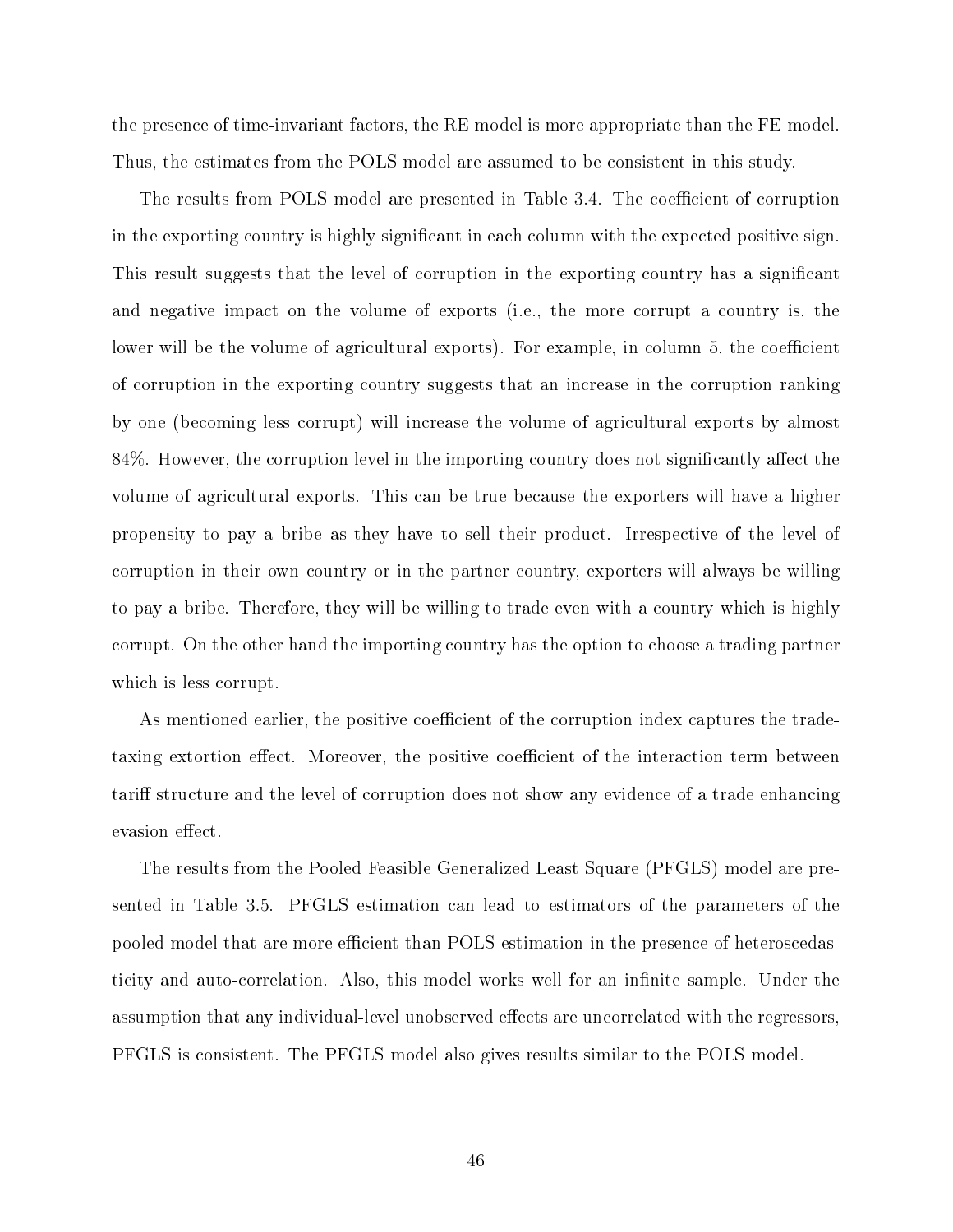the presence of time-invariant factors, the RE model is more appropriate than the FE model. Thus, the estimates from the POLS model are assumed to be consistent in this study.

The results from POLS model are presented in Table 3.4. The coefficient of corruption in the exporting country is highly signicant in each column with the expected positive sign. This result suggests that the level of corruption in the exporting country has a signicant and negative impact on the volume of exports (i.e., the more corrupt a country is, the lower will be the volume of agricultural exports). For example, in column 5, the coefficient of corruption in the exporting country suggests that an increase in the corruption ranking by one (becoming less corrupt) will increase the volume of agricultural exports by almost 84%. However, the corruption level in the importing country does not significantly affect the volume of agricultural exports. This can be true because the exporters will have a higher propensity to pay a bribe as they have to sell their product. Irrespective of the level of corruption in their own country or in the partner country, exporters will always be willing to pay a bribe. Therefore, they will be willing to trade even with a country which is highly corrupt. On the other hand the importing country has the option to choose a trading partner which is less corrupt.

As mentioned earlier, the positive coefficient of the corruption index captures the tradetaxing extortion effect. Moreover, the positive coefficient of the interaction term between tariff structure and the level of corruption does not show any evidence of a trade enhancing evasion effect.

The results from the Pooled Feasible Generalized Least Square (PFGLS) model are presented in Table 3.5. PFGLS estimation can lead to estimators of the parameters of the pooled model that are more efficient than POLS estimation in the presence of heteroscedasticity and auto-correlation. Also, this model works well for an infinite sample. Under the assumption that any individual-level unobserved effects are uncorrelated with the regressors, PFGLS is consistent. The PFGLS model also gives results similar to the POLS model.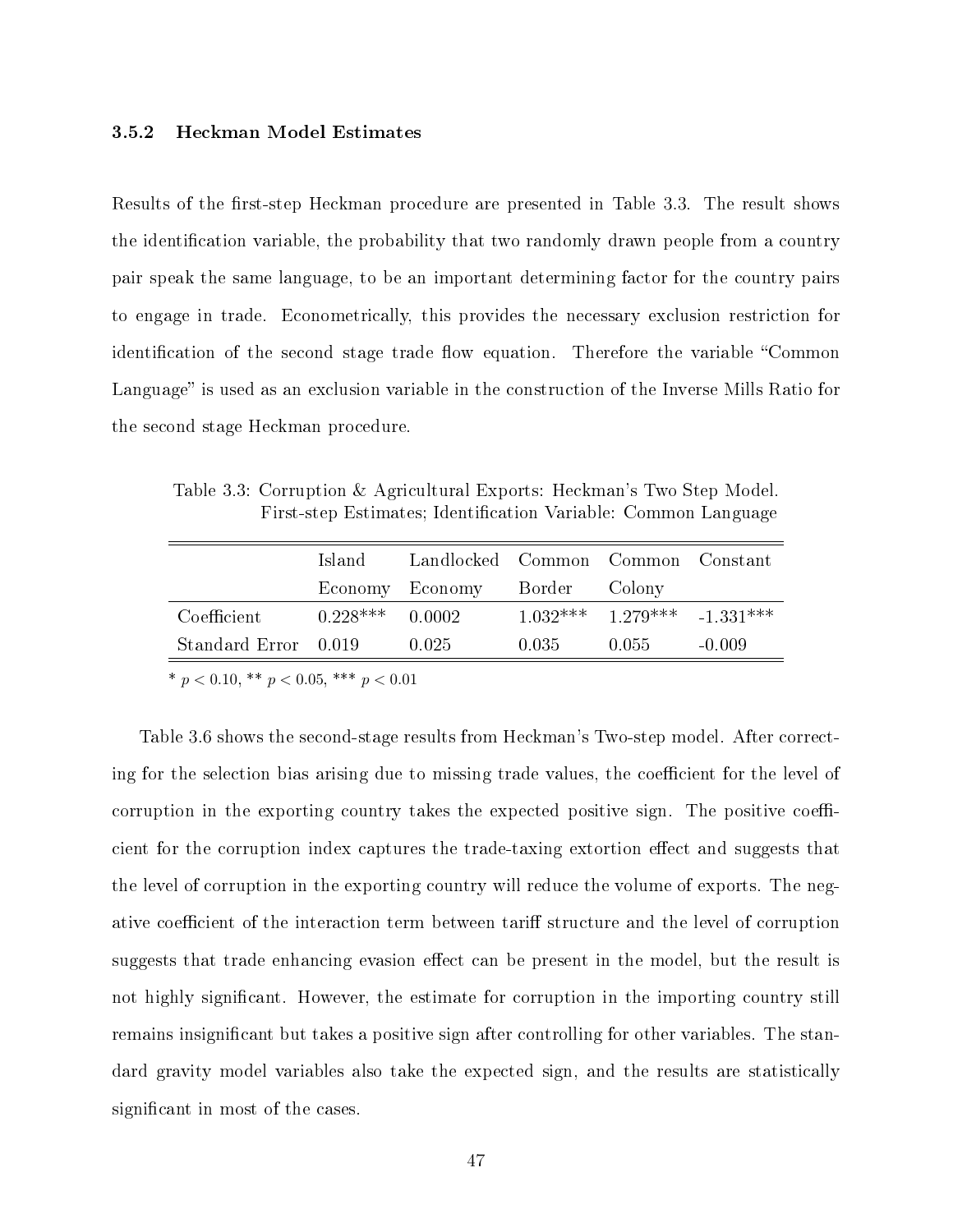#### 3.5.2 Heckman Model Estimates

Results of the first-step Heckman procedure are presented in Table 3.3. The result shows the identification variable, the probability that two randomly drawn people from a country pair speak the same language, to be an important determining factor for the country pairs to engage in trade. Econometrically, this provides the necessary exclusion restriction for identification of the second stage trade flow equation. Therefore the variable "Common Language" is used as an exclusion variable in the construction of the Inverse Mills Ratio for the second stage Heckman procedure.

Table 3.3: Corruption & Agricultural Exports: Heckman's Two Step Model. First-step Estimates; Identification Variable: Common Language

|                      | Island            | Landlocked Common Common Constant |       |                                   |          |
|----------------------|-------------------|-----------------------------------|-------|-----------------------------------|----------|
|                      |                   | Economy Economy Border Colony     |       |                                   |          |
| Coefficient          | $0.228***$ 0.0002 |                                   |       | $1.032***$ $1.279***$ $-1.331***$ |          |
| Standard Error 0.019 |                   | -0.025-                           | 0.035 | 0.055                             | $-0.009$ |
|                      |                   |                                   |       |                                   |          |

\*  $p < 0.10,$  \*\*  $p < 0.05,$  \*\*\*  $p < 0.01$ 

Table 3.6 shows the second-stage results from Heckman's Two-step model. After correcting for the selection bias arising due to missing trade values, the coefficient for the level of corruption in the exporting country takes the expected positive sign. The positive coefficient for the corruption index captures the trade-taxing extortion effect and suggests that the level of corruption in the exporting country will reduce the volume of exports. The negative coefficient of the interaction term between tariff structure and the level of corruption suggests that trade enhancing evasion effect can be present in the model, but the result is not highly significant. However, the estimate for corruption in the importing country still remains insignicant but takes a positive sign after controlling for other variables. The standard gravity model variables also take the expected sign, and the results are statistically significant in most of the cases.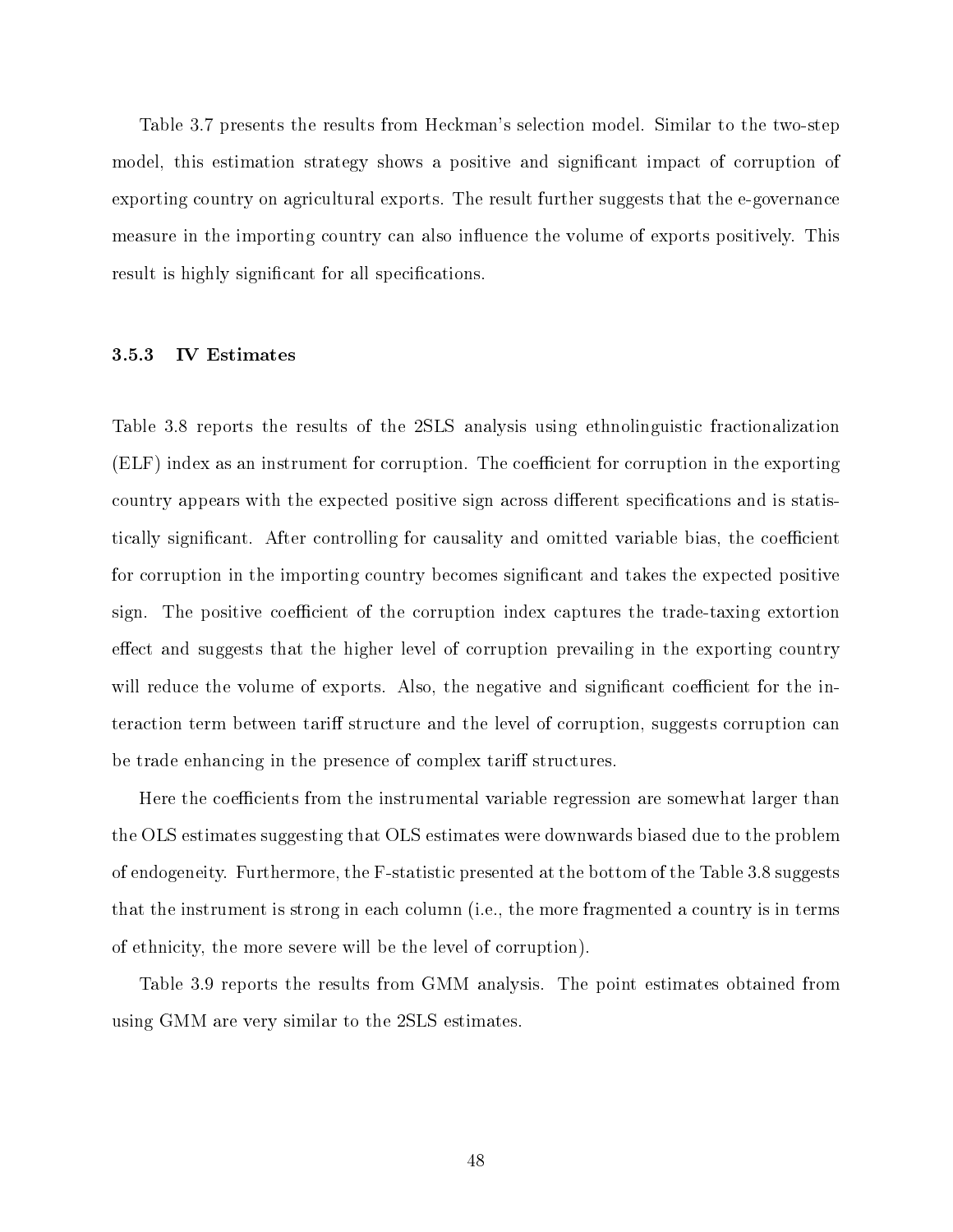Table 3.7 presents the results from Heckman's selection model. Similar to the two-step model, this estimation strategy shows a positive and significant impact of corruption of exporting country on agricultural exports. The result further suggests that the e-governance measure in the importing country can also influence the volume of exports positively. This result is highly significant for all specifications.

#### 3.5.3 IV Estimates

Table 3.8 reports the results of the 2SLS analysis using ethnolinguistic fractionalization  $(ELF)$  index as an instrument for corruption. The coefficient for corruption in the exporting country appears with the expected positive sign across different specifications and is statistically significant. After controlling for causality and omitted variable bias, the coefficient for corruption in the importing country becomes significant and takes the expected positive sign. The positive coefficient of the corruption index captures the trade-taxing extortion effect and suggests that the higher level of corruption prevailing in the exporting country will reduce the volume of exports. Also, the negative and significant coefficient for the interaction term between tariff structure and the level of corruption, suggests corruption can be trade enhancing in the presence of complex tariff structures.

Here the coefficients from the instrumental variable regression are somewhat larger than the OLS estimates suggesting that OLS estimates were downwards biased due to the problem of endogeneity. Furthermore, the F-statistic presented at the bottom of the Table 3.8 suggests that the instrument is strong in each column (i.e., the more fragmented a country is in terms of ethnicity, the more severe will be the level of corruption).

Table 3.9 reports the results from GMM analysis. The point estimates obtained from using GMM are very similar to the 2SLS estimates.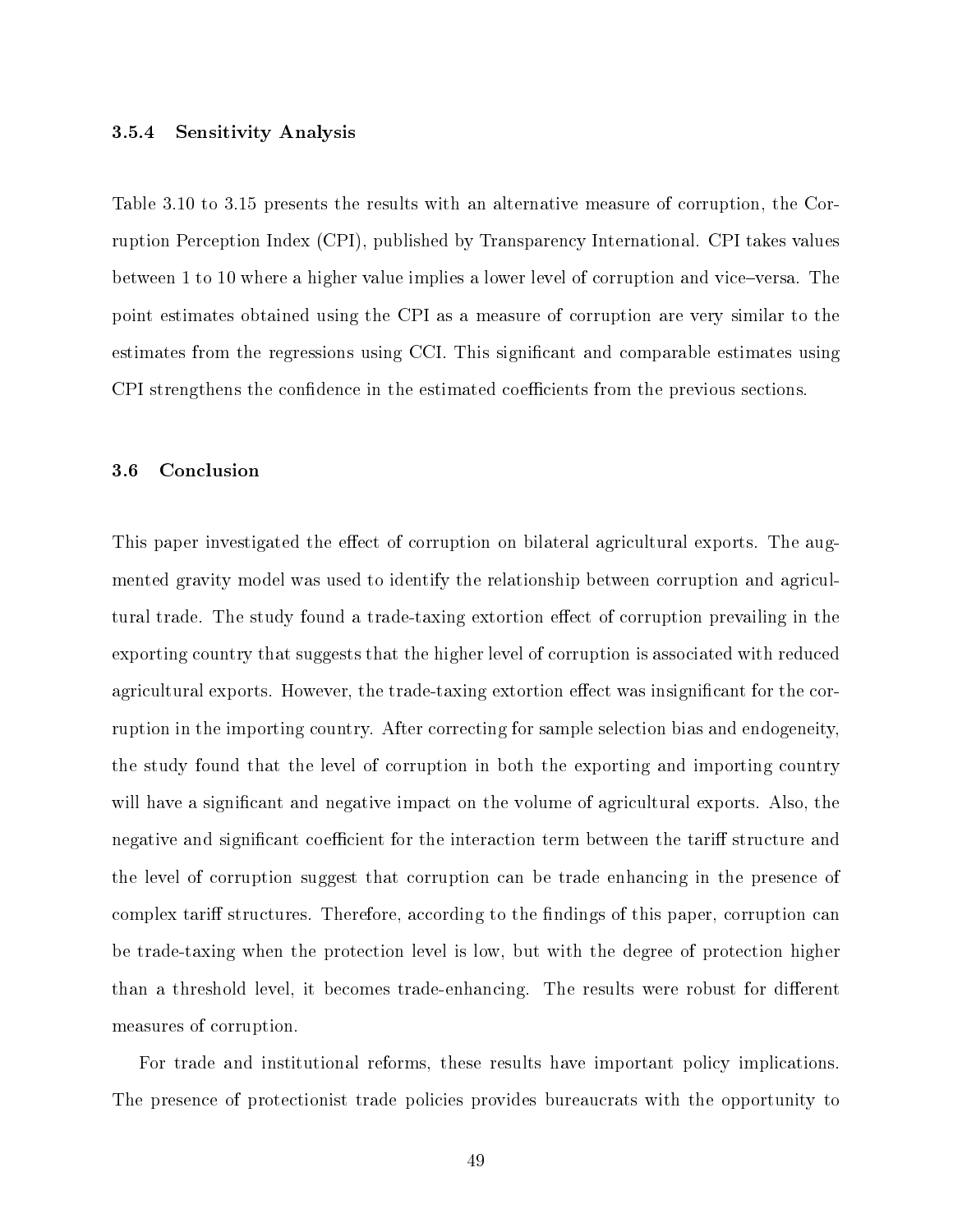#### 3.5.4 Sensitivity Analysis

Table 3.10 to 3.15 presents the results with an alternative measure of corruption, the Corruption Perception Index (CPI), published by Transparency International. CPI takes values between 1 to 10 where a higher value implies a lower level of corruption and vice-versa. The point estimates obtained using the CPI as a measure of corruption are very similar to the estimates from the regressions using CCI. This signicant and comparable estimates using CPI strengthens the confidence in the estimated coefficients from the previous sections.

## 3.6 Conclusion

This paper investigated the effect of corruption on bilateral agricultural exports. The augmented gravity model was used to identify the relationship between corruption and agricultural trade. The study found a trade-taxing extortion effect of corruption prevailing in the exporting country that suggests that the higher level of corruption is associated with reduced agricultural exports. However, the trade-taxing extortion effect was insignificant for the corruption in the importing country. After correcting for sample selection bias and endogeneity, the study found that the level of corruption in both the exporting and importing country will have a significant and negative impact on the volume of agricultural exports. Also, the negative and significant coefficient for the interaction term between the tariff structure and the level of corruption suggest that corruption can be trade enhancing in the presence of complex tariff structures. Therefore, according to the findings of this paper, corruption can be trade-taxing when the protection level is low, but with the degree of protection higher than a threshold level, it becomes trade-enhancing. The results were robust for different measures of corruption.

For trade and institutional reforms, these results have important policy implications. The presence of protectionist trade policies provides bureaucrats with the opportunity to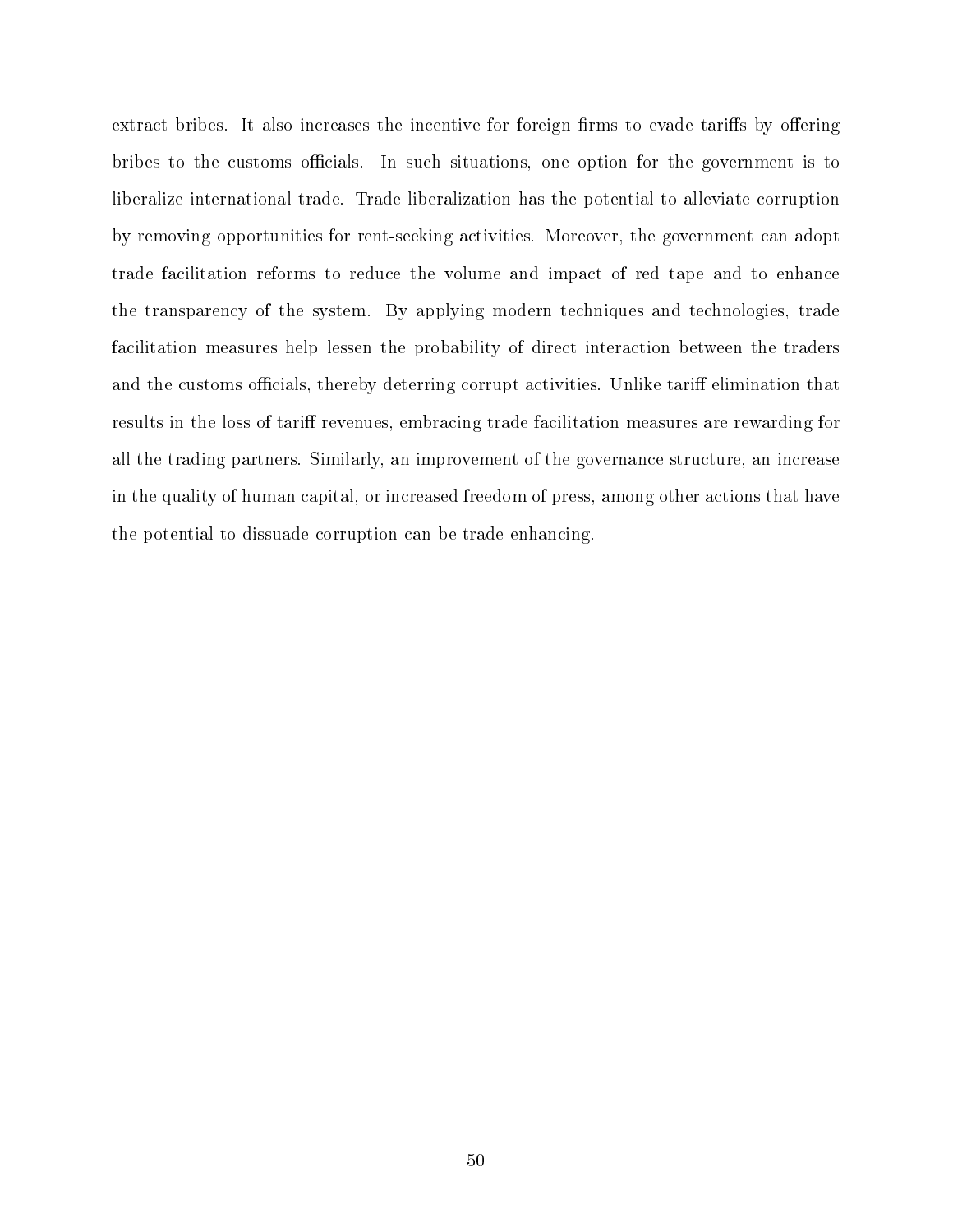extract bribes. It also increases the incentive for foreign firms to evade tariffs by offering bribes to the customs officials. In such situations, one option for the government is to liberalize international trade. Trade liberalization has the potential to alleviate corruption by removing opportunities for rent-seeking activities. Moreover, the government can adopt trade facilitation reforms to reduce the volume and impact of red tape and to enhance the transparency of the system. By applying modern techniques and technologies, trade facilitation measures help lessen the probability of direct interaction between the traders and the customs officials, thereby deterring corrupt activities. Unlike tariff elimination that results in the loss of tariff revenues, embracing trade facilitation measures are rewarding for all the trading partners. Similarly, an improvement of the governance structure, an increase in the quality of human capital, or increased freedom of press, among other actions that have the potential to dissuade corruption can be trade-enhancing.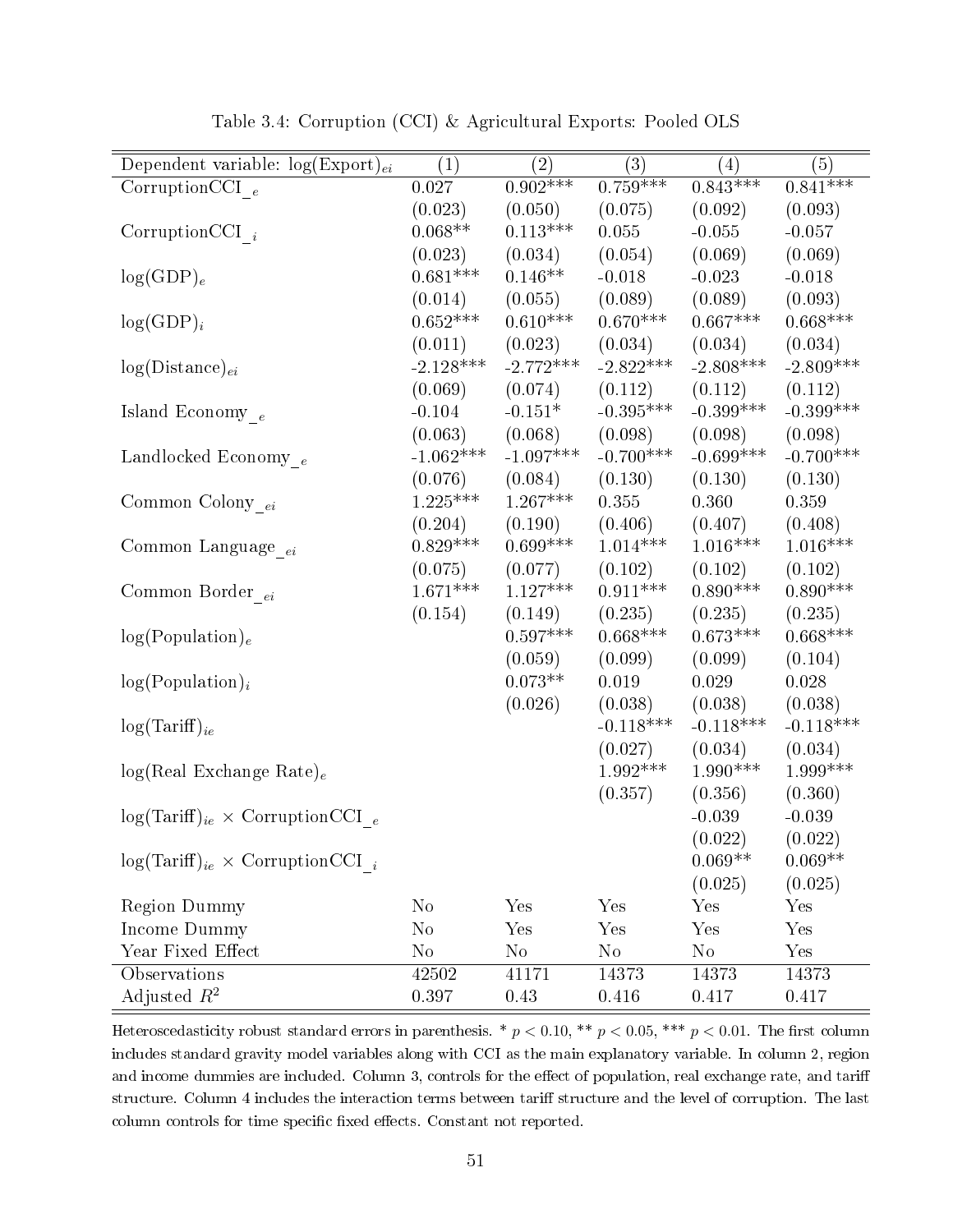| Dependent variable: $log(Expert)_{ei}$      | $\left( 1\right)$ | $\left( 2\right)$ | (3)                   | (4)                    | (5)                    |
|---------------------------------------------|-------------------|-------------------|-----------------------|------------------------|------------------------|
| Corruption CCI $_e$                         | 0.027             | $0.902***$        | $0.759***$            | $0.843***$             | $0.841***$             |
|                                             | (0.023)           | (0.050)           | (0.075)               | (0.092)                | (0.093)                |
| Corruption CCI $_i$                         | $0.068**$         | $0.113***$        | 0.055                 | $-0.055$               | $-0.057$               |
|                                             | (0.023)           | (0.034)           | (0.054)               | (0.069)                | (0.069)                |
| $log(GDP)_e$                                | $0.681***$        | $0.146**$         | $-0.018$              | $-0.023$               | $-0.018$               |
|                                             | (0.014)           | (0.055)           | (0.089)               | (0.089)                | (0.093)                |
| $log(GDP)_i$                                | $0.652***$        | $0.610***$        | $0.670***$            | $0.667***$             | $0.668***$             |
|                                             | (0.011)           | (0.023)           | (0.034)               | (0.034)                | (0.034)                |
| $log(Distance)_{ei}$                        | $-2.128***$       | $-2.772***$       | $-2.822***$           | $-2.808***$            | $-2.809***$            |
|                                             | (0.069)           | (0.074)           | (0.112)               | (0.112)                | (0.112)                |
| Island Economy $_{\,e}$                     | $-0.104$          | $-0.151*$         | $-0.395***$           | $-0.399***$            | $-0.399***$            |
|                                             | (0.063)           | (0.068)           | (0.098)               | (0.098)                | (0.098)                |
| Landlocked Economy $_e$                     | $-1.062***$       | $-1.097***$       | $-0.700***$           | $-0.699***$            | $-0.700***$            |
|                                             | (0.076)           | (0.084)           | (0.130)               | (0.130)                | (0.130)                |
| Common Colony $_{ei}$                       | $1.225***$        | $1.267***$        | 0.355                 | 0.360                  | 0.359                  |
|                                             | (0.204)           | (0.190)           | (0.406)               | (0.407)                | (0.408)                |
| Common Language <sub>ei</sub>               | $0.829***$        | $0.699***$        | $1.014***$            | $1.016***$             | $1.016***$             |
|                                             | (0.075)           | (0.077)           | (0.102)               | (0.102)                | (0.102)                |
| Common Border $_{ei}$                       | $1.671***$        | $1.127***$        | $0.911***$            | $0.890***$             | $0.890***$             |
|                                             | (0.154)           | (0.149)           | (0.235)               | (0.235)                | (0.235)                |
| log(Population) <sub>e</sub>                |                   | $0.597***$        | $0.668***$            | $0.673***$             | $0.668***$             |
|                                             |                   | (0.059)           | (0.099)               | (0.099)                | (0.104)                |
|                                             |                   | $0.073**$         | 0.019                 | 0.029                  | 0.028                  |
| $log(Population)_{i}$                       |                   | (0.026)           | (0.038)               |                        |                        |
|                                             |                   |                   | $-0.118***$           | (0.038)<br>$-0.118***$ | (0.038)<br>$-0.118***$ |
| $log(Tariff)_{ie}$                          |                   |                   |                       |                        |                        |
|                                             |                   |                   | (0.027)<br>$1.992***$ | (0.034)<br>$1.990***$  | (0.034)<br>$1.999***$  |
| $log(Real Exchange Rate)_e$                 |                   |                   |                       |                        |                        |
|                                             |                   |                   | (0.357)               | (0.356)                | (0.360)                |
| $log(Tariff)_{ie} \times CorruptionCCI_{e}$ |                   |                   |                       | $-0.039$               | $-0.039$               |
|                                             |                   |                   |                       | (0.022)                | (0.022)                |
| $log(Tariff)_{ie} \times CorruptionCCI_{i}$ |                   |                   |                       | $0.069^{\ast\ast}$     | $0.069**$              |
|                                             |                   |                   |                       | (0.025)                | (0.025)                |
| <b>Region Dummy</b>                         | $\rm No$          | Yes               | Yes                   | Yes                    | Yes                    |
| Income Dummy                                | $\rm No$          | Yes               | Yes                   | Yes                    | Yes                    |
| Year Fixed Effect                           | $\rm No$          | $\rm No$          | $\rm No$              | $\rm No$               | Yes                    |
| Observations                                | 42502             | 41171             | 14373                 | 14373                  | 14373                  |
| Adjusted $R^2$                              | 0.397             | 0.43              | 0.416                 | 0.417                  | 0.417                  |

Table 3.4: Corruption (CCI) & Agricultural Exports: Pooled OLS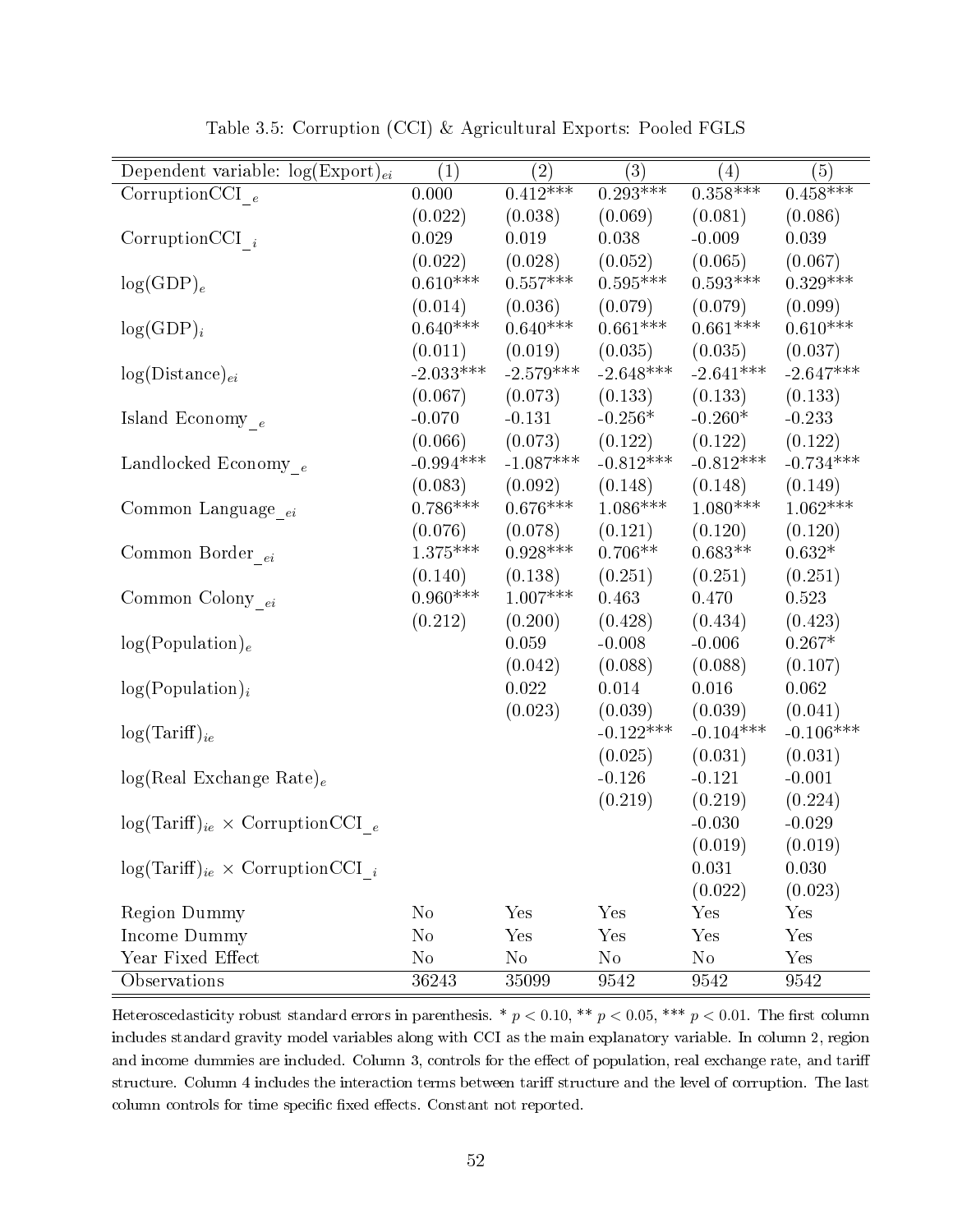| Dependent variable: $log(Expert)_{ei}$      | (1)            | $\left( 2\right)$ | (3)             | (4)             | (5)         |
|---------------------------------------------|----------------|-------------------|-----------------|-----------------|-------------|
| $\overline{\text{CorruptionCCI}}_{e}$       | 0.000          | $0.412***$        | $0.293***$      | $0.358***$      | $0.458***$  |
|                                             | (0.022)        | (0.038)           | (0.069)         | (0.081)         | (0.086)     |
| CorruptionCCI $_i$                          | 0.029          | 0.019             | 0.038           | $-0.009$        | 0.039       |
|                                             | (0.022)        | (0.028)           | (0.052)         | (0.065)         | (0.067)     |
| $log(GDP)_{e}$                              | $0.610***$     | $0.557***$        | $0.595***$      | $0.593***$      | $0.329***$  |
|                                             | (0.014)        | (0.036)           | (0.079)         | (0.079)         | (0.099)     |
| $log(GDP)_i$                                | $0.640***$     | $0.640***$        | $0.661***$      | $0.661***$      | $0.610***$  |
|                                             | (0.011)        | (0.019)           | (0.035)         | (0.035)         | (0.037)     |
| $log(Distance)_{ei}$                        | $-2.033***$    | $-2.579***$       | $-2.648***$     | $-2.641***$     | $-2.647***$ |
|                                             | (0.067)        | (0.073)           | (0.133)         | (0.133)         | (0.133)     |
| Island Economy $_{\,e}$                     | $-0.070$       | $-0.131$          | $-0.256*$       | $-0.260*$       | $-0.233$    |
|                                             | (0.066)        | (0.073)           | (0.122)         | (0.122)         | (0.122)     |
| Landlocked Economy $_{e}\,$                 | $-0.994***$    | $-1.087***$       | $-0.812***$     | $-0.812***$     | $-0.734***$ |
|                                             | (0.083)        | (0.092)           | (0.148)         | (0.148)         | (0.149)     |
| Common Language <sub>ei</sub>               | $0.786***$     | $0.676***$        | $1.086^{***}\;$ | $1.080^{***}\;$ | $1.062***$  |
|                                             | (0.076)        | (0.078)           | (0.121)         | (0.120)         | (0.120)     |
| Common Border $_{ei}$                       | $1.375***$     | $0.928***$        | $0.706**$       | $0.683**$       | $0.632*$    |
|                                             | (0.140)        | (0.138)           | (0.251)         | (0.251)         | (0.251)     |
| Common Colony $_{\ensuremath{ei}}$          | $0.960***$     | $1.007***$        | 0.463           | 0.470           | 0.523       |
|                                             | (0.212)        | (0.200)           | (0.428)         | (0.434)         | (0.423)     |
| log(Population) <sub>e</sub>                |                | 0.059             | $-0.008$        | $-0.006$        | $0.267*$    |
|                                             |                | (0.042)           | (0.088)         | (0.088)         | (0.107)     |
| $log(Population)_{i}$                       |                | 0.022             | 0.014           | 0.016           | 0.062       |
|                                             |                | (0.023)           | (0.039)         | (0.039)         | (0.041)     |
| $log(Tariff)_{ie}$                          |                |                   | $-0.122***$     | $-0.104***$     | $-0.106***$ |
|                                             |                |                   | (0.025)         | (0.031)         | (0.031)     |
| $log(Real Exchange Rate)_e$                 |                |                   | $-0.126$        | $-0.121$        | $-0.001$    |
|                                             |                |                   | (0.219)         | (0.219)         | (0.224)     |
| $log(Tariff)_{ie} \times CorruptionCCI_{e}$ |                |                   |                 | $-0.030$        | $-0.029$    |
|                                             |                |                   |                 | (0.019)         | (0.019)     |
| $log(Tariff)_{ie} \times CorruptionCCI_{i}$ |                |                   |                 | 0.031           | 0.030       |
|                                             |                |                   |                 | (0.022)         | (0.023)     |
| <b>Region Dummy</b>                         | N <sub>0</sub> | Yes               | Yes             | Yes             | Yes         |
| Income Dummy                                | $\rm No$       | Yes               | Yes             | Yes             | Yes         |
| Year Fixed Effect                           | $\rm No$       | $\rm No$          | $\rm No$        | No              | Yes         |
| Observations                                | 36243          | 35099             | 9542            | 9542            | 9542        |

Table 3.5: Corruption (CCI) & Agricultural Exports: Pooled FGLS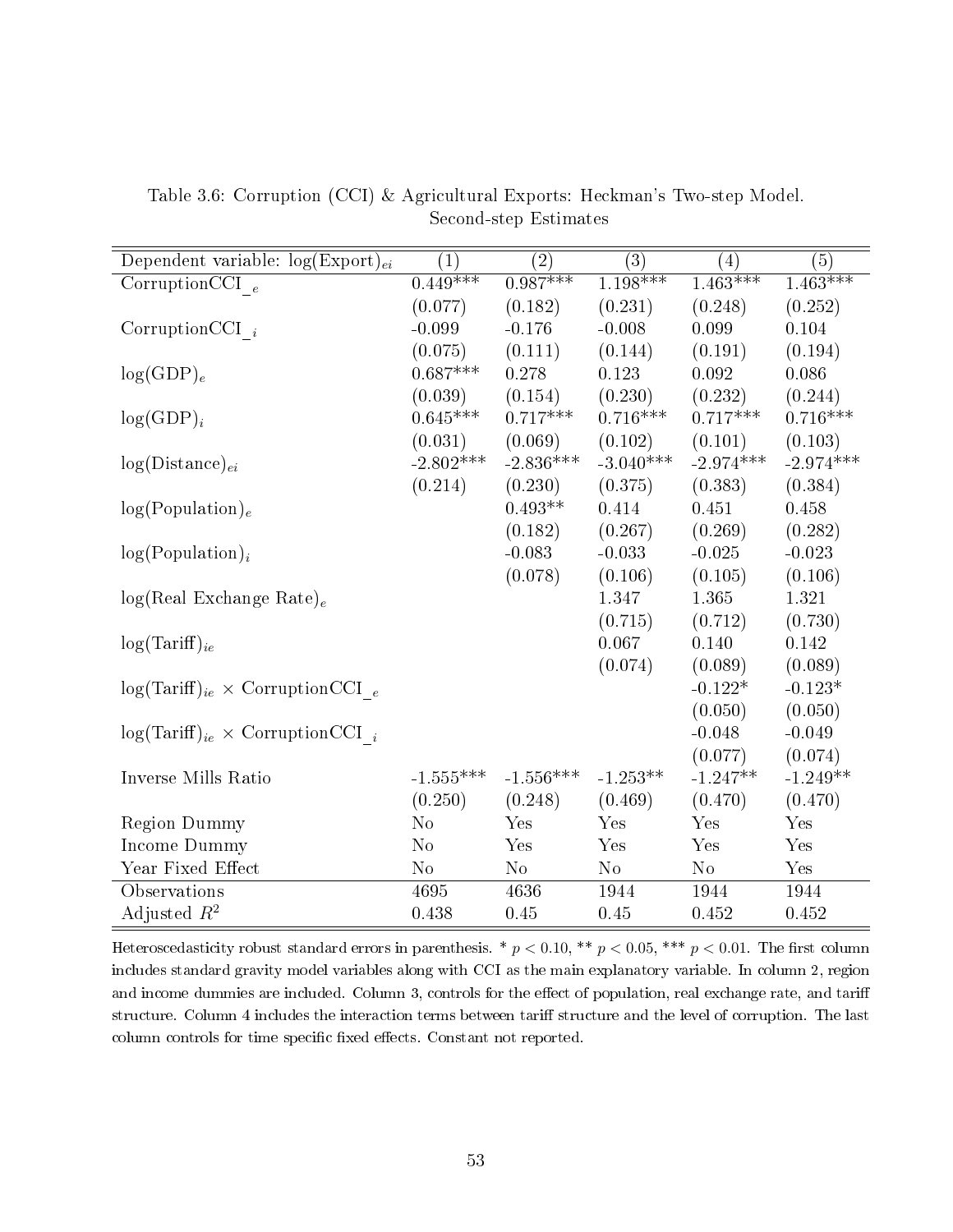| Dependent variable: $log(Expert)_{ei}$      | $\left( 1\right)$ | $\left( 2\right)$ | (3)         | $\left( 4\right)$ | (5)         |
|---------------------------------------------|-------------------|-------------------|-------------|-------------------|-------------|
| CorruptionCCI $_e$                          | $0.449***$        | $0.987***$        | $1.198***$  | $1.463***$        | $1.463***$  |
|                                             | (0.077)           | (0.182)           | (0.231)     | (0.248)           | (0.252)     |
| Corruption<br>CCI $\,$ $_{i}$               | $-0.099$          | $-0.176$          | $-0.008$    | 0.099             | 0.104       |
|                                             | (0.075)           | (0.111)           | (0.144)     | (0.191)           | (0.194)     |
| $log(GDP)_e$                                | $0.687***$        | 0.278             | 0.123       | 0.092             | 0.086       |
|                                             | (0.039)           | (0.154)           | (0.230)     | (0.232)           | (0.244)     |
| $log(GDP)_i$                                | $0.645***$        | $0.717***$        | $0.716***$  | $0.717***$        | $0.716***$  |
|                                             | (0.031)           | (0.069)           | (0.102)     | (0.101)           | (0.103)     |
| $log(Distance)_{ei}$                        | $-2.802***$       | $-2.836***$       | $-3.040***$ | $-2.974***$       | $-2.974***$ |
|                                             | (0.214)           | (0.230)           | (0.375)     | (0.383)           | (0.384)     |
| log(Population) <sub>e</sub>                |                   | $0.493**$         | 0.414       | 0.451             | 0.458       |
|                                             |                   | (0.182)           | (0.267)     | (0.269)           | (0.282)     |
| $log(Population)_{i}$                       |                   | $-0.083$          | $-0.033$    | $-0.025$          | $-0.023$    |
|                                             |                   | (0.078)           | (0.106)     | (0.105)           | (0.106)     |
| $log(Real Exchange Rate)_e$                 |                   |                   | 1.347       | $1.365\,$         | 1.321       |
|                                             |                   |                   | (0.715)     | (0.712)           | (0.730)     |
| $log(Tariff)_{ie}$                          |                   |                   | 0.067       | 0.140             | 0.142       |
|                                             |                   |                   | (0.074)     | (0.089)           | (0.089)     |
| $log(Tariff)_{ie} \times CorruptionCCI_{e}$ |                   |                   |             | $-0.122*$         | $-0.123*$   |
|                                             |                   |                   |             | (0.050)           | (0.050)     |
| $log(Tariff)_{ie} \times CorruptionCCI_{i}$ |                   |                   |             | $-0.048$          | $-0.049$    |
|                                             |                   |                   |             | (0.077)           | (0.074)     |
| Inverse Mills Ratio                         | $-1.555***$       | $-1.556***$       | $-1.253**$  | $-1.247**$        | $-1.249**$  |
|                                             | (0.250)           | (0.248)           | (0.469)     | (0.470)           | (0.470)     |
| <b>Region Dummy</b>                         | $\rm No$          | Yes               | Yes         | Yes               | Yes         |
| Income Dummy                                | $\rm No$          | Yes               | Yes         | Yes               | Yes         |
| Year Fixed Effect                           | $\rm No$          | No                | No          | No                | Yes         |
| Observations                                | 4695              | 4636              | 1944        | 1944              | 1944        |
| Adjusted $R^2$                              | 0.438             | 0.45              | $0.45\,$    | 0.452             | 0.452       |

Table 3.6: Corruption (CCI) & Agricultural Exports: Heckman's Two-step Model. Second-step Estimates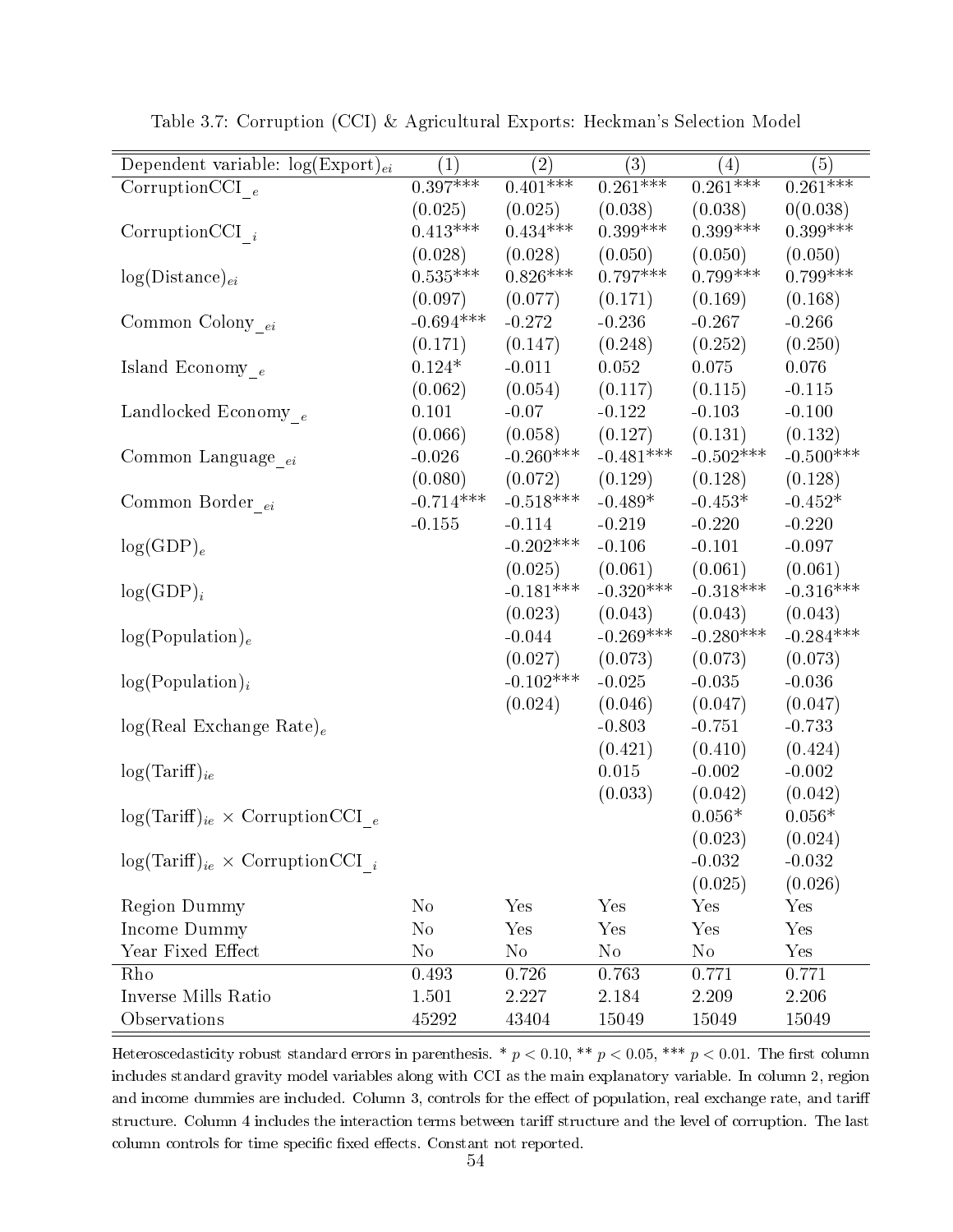| Dependent variable: $log(Expert)_{ei}$      | $\overline{(1)}$ | $\overline{(2)}$ | $\overline{(3)}$ | (4)         | $\overline{(5)}$ |
|---------------------------------------------|------------------|------------------|------------------|-------------|------------------|
| CorruptionCCI $_{e}$                        | $0.397***$       | $0.401***$       | $0.261***$       | $0.261***$  | $0.261***$       |
|                                             | (0.025)          | (0.025)          | (0.038)          | (0.038)     | 0(0.038)         |
| Corruption CCI $_i$                         | $0.413***$       | $0.434***$       | $0.399***$       | $0.399***$  | $0.399***$       |
|                                             | (0.028)          | (0.028)          | (0.050)          | (0.050)     | (0.050)          |
| $log(Distance)_{ei}$                        | $0.535***$       | $0.826***$       | $0.797***$       | $0.799***$  | $0.799***$       |
|                                             | (0.097)          | (0.077)          | (0.171)          | (0.169)     | (0.168)          |
| Common Colony $_{\ensuremath{ei}}$          | $-0.694***$      | $-0.272$         | $-0.236$         | $-0.267$    | $-0.266$         |
|                                             | (0.171)          | (0.147)          | (0.248)          | (0.252)     | (0.250)          |
| Island Economy $_e$                         | $0.124*$         | $-0.011$         | 0.052            | 0.075       | 0.076            |
|                                             | (0.062)          | (0.054)          | (0.117)          | (0.115)     | $-0.115$         |
| Landlocked Economy $_e$                     | 0.101            | $-0.07$          | $-0.122$         | $-0.103$    | $-0.100$         |
|                                             | (0.066)          | (0.058)          | (0.127)          | (0.131)     | (0.132)          |
| Common Language <sub>ei</sub>               | $-0.026$         | $-0.260***$      | $-0.481***$      | $-0.502***$ | $-0.500***$      |
|                                             | (0.080)          | (0.072)          | (0.129)          | (0.128)     | (0.128)          |
| Common Border $_{ei}$                       | $-0.714***$      | $-0.518***$      | $-0.489*$        | $-0.453*$   | $-0.452*$        |
|                                             | $-0.155$         | $-0.114$         | $-0.219$         | $-0.220$    | $-0.220$         |
| $log(GDP)_{e}$                              |                  | $-0.202***$      | $-0.106$         | $-0.101$    | $-0.097$         |
|                                             |                  | (0.025)          | (0.061)          | (0.061)     | (0.061)          |
| $log(GDP)_i$                                |                  | $-0.181***$      | $-0.320***$      | $-0.318***$ | $-0.316***$      |
|                                             |                  | (0.023)          | (0.043)          | (0.043)     | (0.043)          |
| log(Population) <sub>e</sub>                |                  | $-0.044$         | $-0.269***$      | $-0.280***$ | $-0.284***$      |
|                                             |                  | (0.027)          | (0.073)          | (0.073)     | (0.073)          |
| $log(Population)_{i}$                       |                  | $-0.102***$      | $-0.025$         | $-0.035$    | $-0.036$         |
|                                             |                  | (0.024)          | (0.046)          | (0.047)     | (0.047)          |
| $log(Real Exchange Rate)_e$                 |                  |                  | $-0.803$         | $-0.751$    | $-0.733$         |
|                                             |                  |                  | (0.421)          | (0.410)     | (0.424)          |
| $log(Tariff)_{ie}$                          |                  |                  | 0.015            | $-0.002$    | $-0.002$         |
|                                             |                  |                  | (0.033)          | (0.042)     | (0.042)          |
| $log(Tariff)_{ie} \times CorruptionCCI_{e}$ |                  |                  |                  | $0.056*$    | $0.056*$         |
|                                             |                  |                  |                  | (0.023)     | (0.024)          |
| $log(Tariff)_{ie} \times CorruptionCCI_{i}$ |                  |                  |                  | $-0.032$    | $-0.032$         |
|                                             |                  |                  |                  | (0.025)     | (0.026)          |
| <b>Region Dummy</b>                         | $\rm No$         | Yes              | Yes              | Yes         | Yes              |
| Income Dummy                                | $\rm No$         | Yes              | Yes              | Yes         | Yes              |
| Year Fixed Effect                           | $\rm No$         | $\rm No$         | $\rm No$         | $\rm No$    | Yes              |
| Rho                                         | 0.493            | 0.726            | 0.763            | 0.771       | 0.771            |
| Inverse Mills Ratio                         | 1.501            | 2.227            | 2.184            | 2.209       | 2.206            |
| Observations                                | 45292            | 43404            | 15049            | 15049       | 15049            |

Table 3.7: Corruption (CCI) & Agricultural Exports: Heckman's Selection Model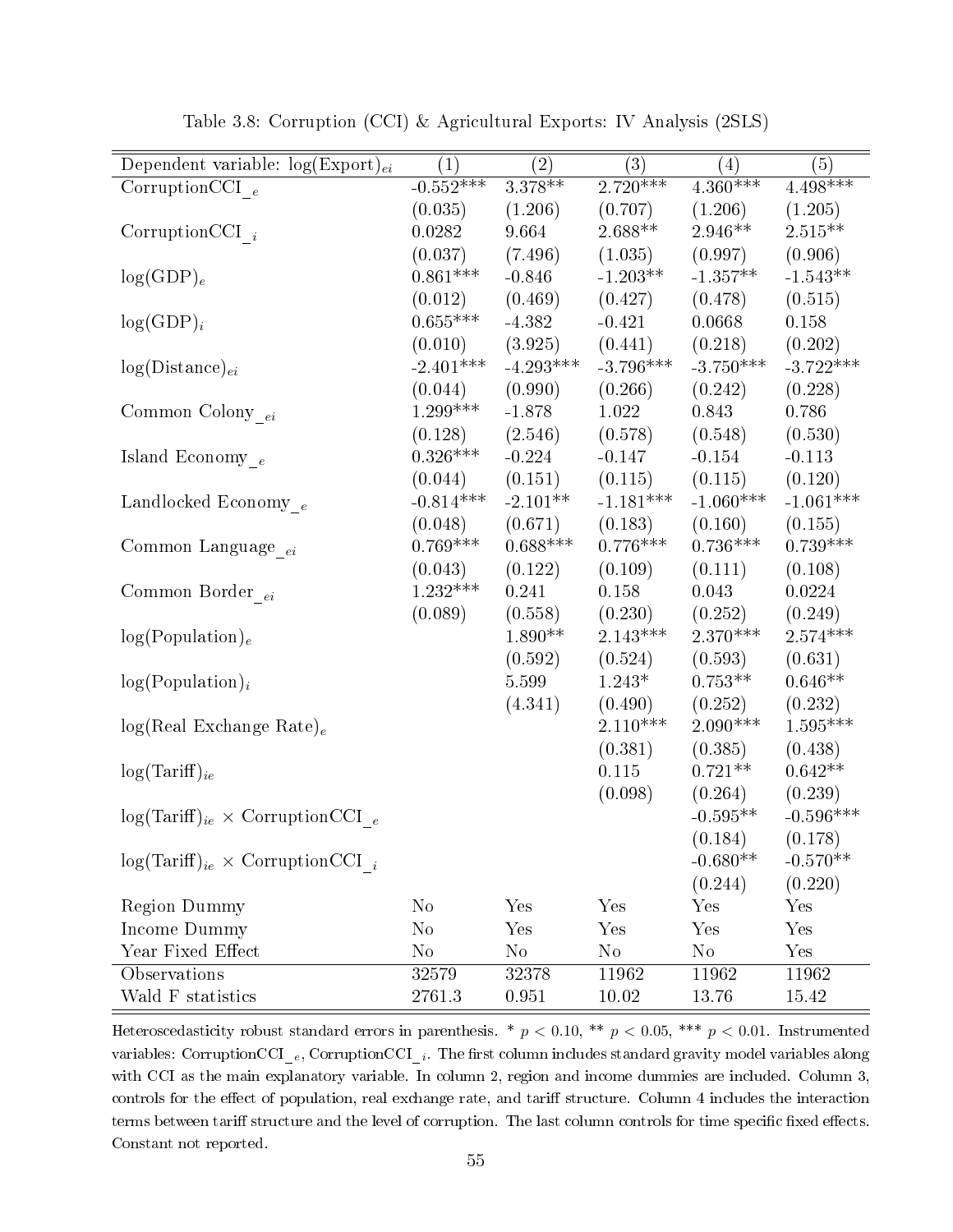| Dependent variable: $log(Expert)_{ei}$      | $\left( 1\right)$ | $\rm(2)$    | (3)         | (4)         | (5)                  |
|---------------------------------------------|-------------------|-------------|-------------|-------------|----------------------|
|                                             | $-0.552***$       | $3.378***$  | $2.720***$  | $4.360***$  | $4.498***$           |
| CorruptionCCI $_{e}$                        |                   |             |             |             |                      |
|                                             | (0.035)           | (1.206)     | (0.707)     | (1.206)     | (1.205)              |
| Corruption CCI $_i$                         | 0.0282            | 9.664       | $2.688**$   | $2.946**$   | $2.515**$            |
|                                             | (0.037)           | (7.496)     | (1.035)     | (0.997)     | (0.906)              |
| $log(GDP)_e$                                | $0.861***$        | $-0.846$    | $-1.203**$  | $-1.357**$  | $-1.543**$           |
|                                             | (0.012)           | (0.469)     | (0.427)     | (0.478)     | (0.515)              |
| $log(GDP)_i$                                | $0.655^{***}\,$   | $-4.382$    | $-0.421$    | 0.0668      | 0.158                |
|                                             | (0.010)           | (3.925)     | (0.441)     | (0.218)     | (0.202)              |
| $log(Distance)_{ei}$                        | $-2.401***$       | $-4.293***$ | $-3.796***$ | $-3.750***$ | $-3.722***$          |
|                                             | (0.044)           | (0.990)     | (0.266)     | (0.242)     | (0.228)              |
| Common Colony $_{ei}$                       | $1.299***$        | $-1.878$    | 1.022       | 0.843       | 0.786                |
|                                             | (0.128)           | (2.546)     | (0.578)     | (0.548)     | (0.530)              |
| Island Economy $_e$                         | $0.326***$        | $-0.224$    | $-0.147$    | $-0.154$    | $-0.113$             |
|                                             | (0.044)           | (0.151)     | (0.115)     | (0.115)     | (0.120)              |
| Landlocked Economy <sub>e</sub>             | $-0.814***$       | $-2.101**$  | $-1.181***$ | $-1.060***$ | $-1.061***$          |
|                                             | (0.048)           | (0.671)     | (0.183)     | (0.160)     | (0.155)              |
| Common Language $_{ei}$                     | $0.769***$        | $0.688***$  | $0.776***$  | $0.736***$  | $0.739***$           |
|                                             | (0.043)           | (0.122)     | (0.109)     | (0.111)     | (0.108)              |
| Common Border $_{ei}$                       | $1.232***$        | 0.241       | 0.158       | 0.043       | 0.0224               |
|                                             | (0.089)           | (0.558)     | (0.230)     | (0.252)     | (0.249)              |
| log(Population) <sub>e</sub>                |                   | $1.890**$   | $2.143***$  | $2.370***$  | $2.574***$           |
|                                             |                   | (0.592)     | (0.524)     | (0.593)     | (0.631)              |
| $log(Population)_{i}$                       |                   | 5.599       | $1.243*$    | $0.753**$   | $0.646**$            |
|                                             |                   | (4.341)     | (0.490)     | (0.252)     | (0.232)              |
|                                             |                   |             | $2.110***$  | $2.090***$  | $1.595***$           |
| $log(Real Exchange Rate)_e$                 |                   |             |             |             |                      |
|                                             |                   |             | (0.381)     | (0.385)     | (0.438)<br>$0.642**$ |
| $log(Tariff)_{ie}$                          |                   |             | 0.115       | $0.721**$   |                      |
|                                             |                   |             | (0.098)     | (0.264)     | (0.239)              |
| $log(Tariff)_{ie} \times CorruptionCCI_{e}$ |                   |             |             | $-0.595**$  | $-0.596***$          |
|                                             |                   |             |             | (0.184)     | (0.178)              |
| $log(Tariff)_{ie} \times CorruptionCCI_{i}$ |                   |             |             | $-0.680**$  | $-0.570**$           |
|                                             |                   |             |             | (0.244)     | (0.220)              |
| <b>Region Dummy</b>                         | $\rm No$          | Yes         | Yes         | Yes         | Yes                  |
| Income Dummy                                | $\rm No$          | Yes         | Yes         | Yes         | Yes                  |
| Year Fixed Effect                           | $\rm No$          | $\rm No$    | $\rm No$    | $\rm No$    | Yes                  |
| Observations                                | 32579             | 32378       | 11962       | 11962       | 11962                |
| Wald F statistics                           | 2761.3            | 0.951       | 10.02       | 13.76       | 15.42                |

Table 3.8: Corruption (CCI) & Agricultural Exports: IV Analysis (2SLS)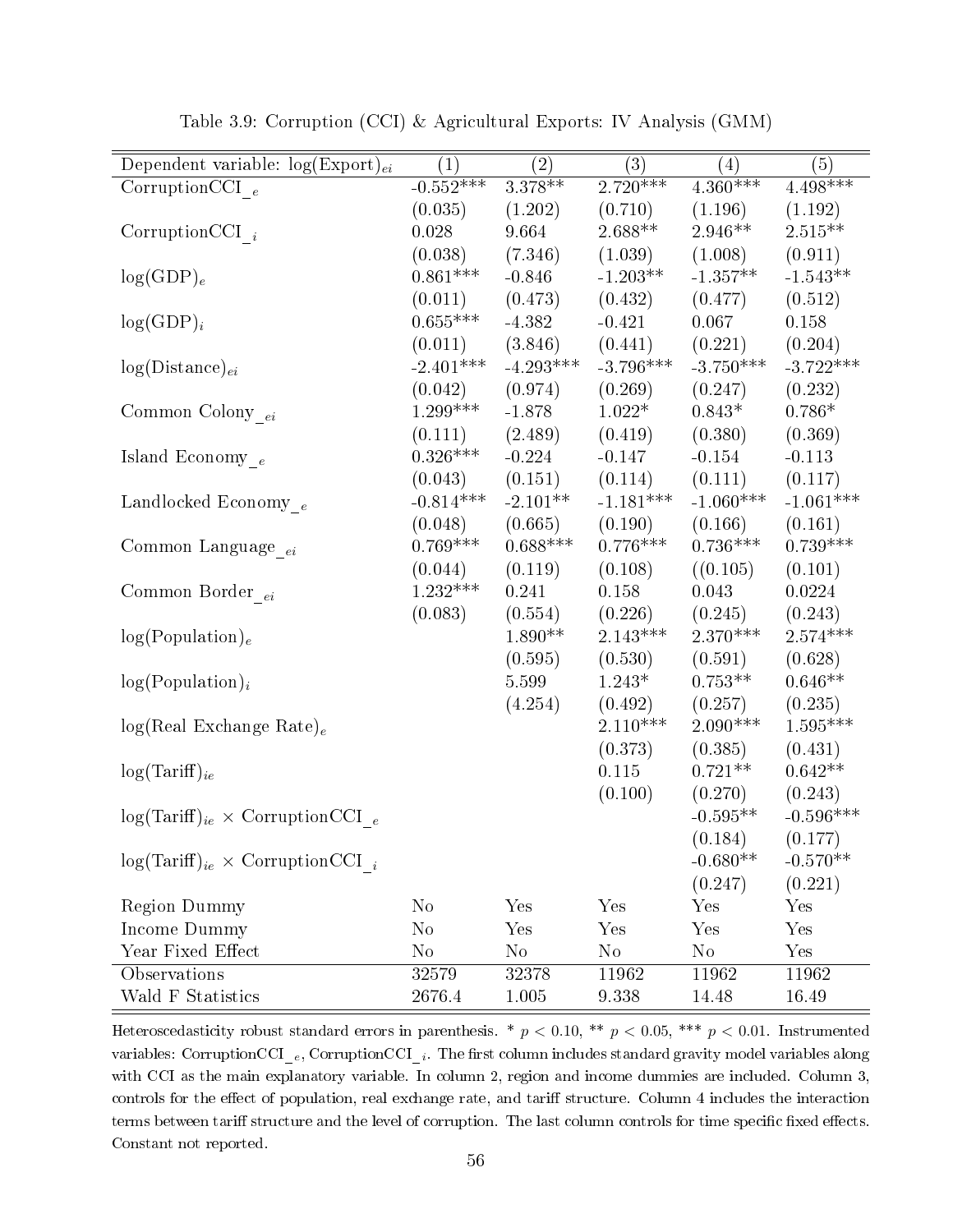| Dependent variable: $log(Expert)_{ei}$      | $\left( 1\right)$ | $\left( 2\right)$ | $\overline{(3)}$ | $\left( 4\right)$ | (5)         |
|---------------------------------------------|-------------------|-------------------|------------------|-------------------|-------------|
| Corruption CCI $_e$                         | $-0.552***$       | $3.378***$        | $2.720***$       | $4.360***$        | $4.498***$  |
|                                             | (0.035)           | (1.202)           | (0.710)          | (1.196)           | (1.192)     |
| Corruption CCI $_i$                         | 0.028             | 9.664             | $2.688**$        | $2.946**$         | $2.515**$   |
|                                             | (0.038)           | (7.346)           | (1.039)          | (1.008)           | (0.911)     |
| $log(GDP)_e$                                | $0.861***$        | $-0.846$          | $-1.203**$       | $-1.357**$        | $-1.543**$  |
|                                             | (0.011)           | (0.473)           | (0.432)          | (0.477)           | (0.512)     |
| $log(GDP)_i$                                | $0.655***$        | $-4.382$          | $-0.421$         | 0.067             | 0.158       |
|                                             | (0.011)           | (3.846)           | (0.441)          | (0.221)           | (0.204)     |
| $log(Distance)_{ei}$                        | $-2.401***$       | $-4.293***$       | $-3.796***$      | $-3.750***$       | $-3.722***$ |
|                                             | (0.042)           | (0.974)           | (0.269)          | (0.247)           | (0.232)     |
| Common Colony $_{\ensuremath{ei}}$          | $1.299***$        | $-1.878$          | $1.022*$         | $0.843*$          | $0.786*$    |
|                                             | (0.111)           | (2.489)           | (0.419)          | (0.380)           | (0.369)     |
| Island Economy $_{\it e}$                   | $0.326***$        | $-0.224$          | $-0.147$         | $-0.154$          | $-0.113$    |
|                                             | (0.043)           | (0.151)           | (0.114)          | (0.111)           | (0.117)     |
| Landlocked Economy $_e$                     | $-0.814***$       | $-2.101**$        | $-1.181***$      | $-1.060***$       | $-1.061***$ |
|                                             | (0.048)           | (0.665)           | (0.190)          | (0.166)           | (0.161)     |
| Common Language <sub>ei</sub>               | $0.769***$        | $0.688***$        | $0.776***$       | $0.736***$        | $0.739***$  |
|                                             | (0.044)           | (0.119)           | (0.108)          | ((0.105)          | (0.101)     |
| Common Border $_{ei}$                       | $1.232***$        | 0.241             | 0.158            | 0.043             | 0.0224      |
|                                             | (0.083)           | (0.554)           | (0.226)          | (0.245)           | (0.243)     |
| log(Population) <sub>e</sub>                |                   | $1.890**$         | $2.143***$       | $2.370***$        | $2.574***$  |
|                                             |                   | (0.595)           | (0.530)          | (0.591)           | (0.628)     |
| $log(Population)_{i}$                       |                   | 5.599             | $1.243*$         | $0.753**$         | $0.646**$   |
|                                             |                   | (4.254)           | (0.492)          | (0.257)           | (0.235)     |
| $log(Real Exchange Rate)_e$                 |                   |                   | $2.110***$       | $2.090***$        | $1.595***$  |
|                                             |                   |                   | (0.373)          | (0.385)           | (0.431)     |
| $log(Tariff)_{ie}$                          |                   |                   | 0.115            | $0.721**$         | $0.642**$   |
|                                             |                   |                   | (0.100)          | (0.270)           | (0.243)     |
| $log(Tariff)_{ie} \times CorruptionCCI_{e}$ |                   |                   |                  | $-0.595**$        | $-0.596***$ |
|                                             |                   |                   |                  | (0.184)           | (0.177)     |
| $log(Tariff)_{ie} \times CorruptionCCI_{i}$ |                   |                   |                  | $-0.680**$        | $-0.570**$  |
|                                             |                   |                   |                  | (0.247)           | (0.221)     |
| <b>Region Dummy</b>                         | $\rm No$          | Yes               | Yes              | Yes               | Yes         |
| Income Dummy                                | $\rm No$          | Yes               | Yes              | Yes               | Yes         |
| Year Fixed Effect                           | $\rm No$          | $\rm No$          | $\rm No$         | $\rm No$          | Yes         |
| Observations                                |                   |                   |                  |                   |             |
|                                             | 32579             | 32378             | 11962            | 11962             | 11962       |

Table 3.9: Corruption (CCI) & Agricultural Exports: IV Analysis (GMM)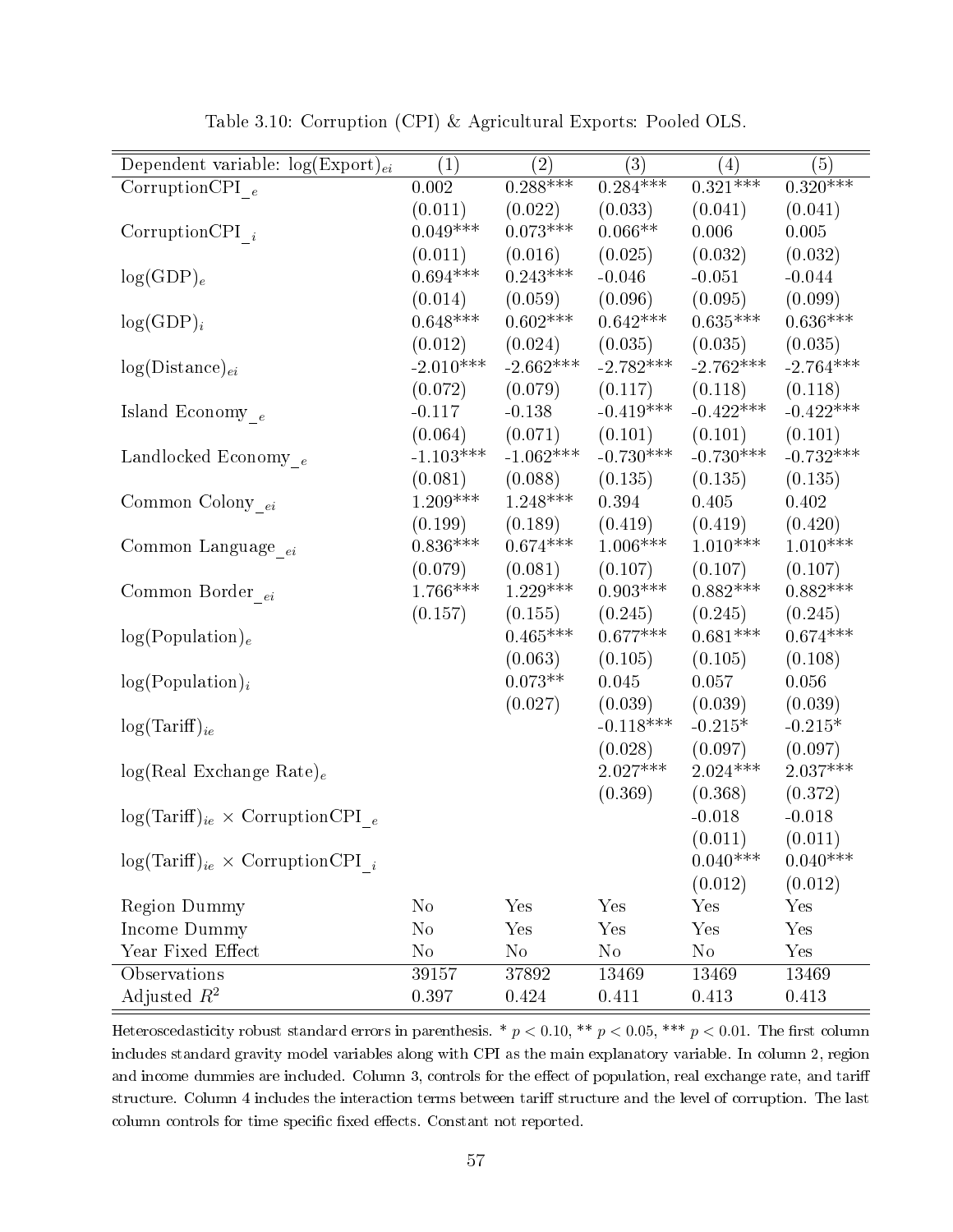| Dependent variable: $log(Expert)_{ei}$      | $\left( 1\right)$ | $\left( 2\right)$ | (3)         | (4)         | (5)         |
|---------------------------------------------|-------------------|-------------------|-------------|-------------|-------------|
| Corruption CPI $_e$                         | 0.002             | $0.288***$        | $0.284***$  | $0.321***$  | $0.320***$  |
|                                             | (0.011)           | (0.022)           | (0.033)     | (0.041)     | (0.041)     |
| Corruption CPI $_i$                         | $0.049***$        | $0.073***$        | $0.066**$   | 0.006       | 0.005       |
|                                             | (0.011)           | (0.016)           | (0.025)     | (0.032)     | (0.032)     |
| $log(GDP)_e$                                | $0.694***$        | $0.243***$        | $-0.046$    | $-0.051$    | $-0.044$    |
|                                             | (0.014)           | (0.059)           | (0.096)     | (0.095)     | (0.099)     |
| $log(GDP)_i$                                | $0.648***$        | $0.602***$        | $0.642***$  | $0.635***$  | $0.636***$  |
|                                             | (0.012)           | (0.024)           | (0.035)     | (0.035)     | (0.035)     |
| $log(Distance)_{ei}$                        | $-2.010***$       | $-2.662***$       | $-2.782***$ | $-2.762***$ | $-2.764***$ |
|                                             | (0.072)           | (0.079)           | (0.117)     | (0.118)     | (0.118)     |
| Island Economy $_{\,e}$                     | $-0.117$          | $-0.138$          | $-0.419***$ | $-0.422***$ | $-0.422***$ |
|                                             | (0.064)           | (0.071)           | (0.101)     | (0.101)     | (0.101)     |
| Landlocked Economy $_e$                     | $-1.103***$       | $-1.062***$       | $-0.730***$ | $-0.730***$ | $-0.732***$ |
|                                             | (0.081)           | (0.088)           | (0.135)     | (0.135)     | (0.135)     |
| Common Colony $_{ei}$                       | $1.209***$        | $1.248***$        | 0.394       | 0.405       | 0.402       |
|                                             | (0.199)           | (0.189)           | (0.419)     | (0.419)     | (0.420)     |
| Common Language <sub>ei</sub>               | $0.836***$        | $0.674***$        | $1.006***$  | $1.010***$  | $1.010***$  |
|                                             | (0.079)           | (0.081)           | (0.107)     | (0.107)     | (0.107)     |
| Common Border $_{ei}$                       | $1.766***$        | $1.229***$        | $0.903***$  | $0.882***$  | $0.882***$  |
|                                             | (0.157)           | (0.155)           | (0.245)     | (0.245)     | (0.245)     |
| log(Population) <sub>e</sub>                |                   | $0.465***$        | $0.677***$  | $0.681***$  | $0.674***$  |
|                                             |                   | (0.063)           | (0.105)     | (0.105)     | (0.108)     |
| $log(Population)_{i}$                       |                   | $0.073**$         | 0.045       | 0.057       | 0.056       |
|                                             |                   | (0.027)           | (0.039)     | (0.039)     | (0.039)     |
| $log(Tariff)_{ie}$                          |                   |                   | $-0.118***$ | $-0.215*$   | $-0.215*$   |
|                                             |                   |                   | (0.028)     | (0.097)     | (0.097)     |
| $log(Real Exchange Rate)_e$                 |                   |                   | $2.027***$  | $2.024***$  | $2.037***$  |
|                                             |                   |                   | (0.369)     | (0.368)     | (0.372)     |
| $log(Tariff)_{ie} \times CorruptionCPI_e$   |                   |                   |             | $-0.018$    | $-0.018$    |
|                                             |                   |                   |             | (0.011)     | (0.011)     |
| $log(Tariff)_{ie} \times CorruptionCPI_{i}$ |                   |                   |             | $0.040***$  | $0.040***$  |
|                                             |                   |                   |             | (0.012)     | (0.012)     |
| <b>Region Dummy</b>                         | $\rm No$          | Yes               | Yes         | Yes         | Yes         |
| Income Dummy                                | $\rm No$          | Yes               | Yes         | Yes         | Yes         |
| Year Fixed Effect                           | $\rm No$          | $\rm No$          | $\rm No$    | $\rm No$    | Yes         |
| Observations                                | 39157             | 37892             | 13469       | 13469       | 13469       |
| Adjusted $R^2$                              |                   |                   |             |             |             |
|                                             | 0.397             | 0.424             | 0.411       | 0.413       | 0.413       |

Table 3.10: Corruption (CPI) & Agricultural Exports: Pooled OLS.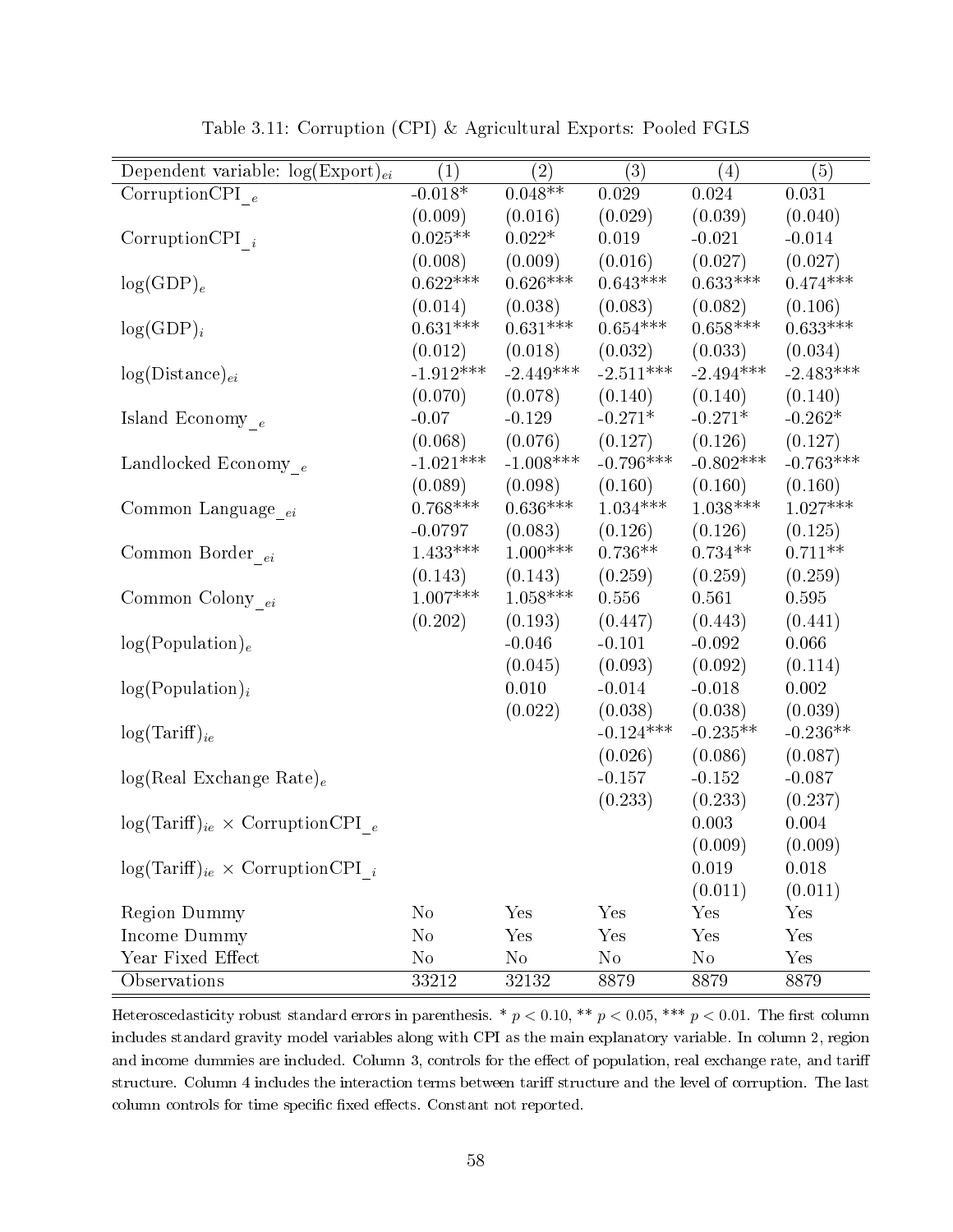| Dependent variable: $log(Expert)_{ei}$      | (1)         | (2)         | (3)             | $\left( 4\right)$ | (5)         |
|---------------------------------------------|-------------|-------------|-----------------|-------------------|-------------|
| Corruption CPI $_e$                         | $-0.018*$   | $0.048**$   | $0.029\,$       | 0.024             | $0.031\,$   |
|                                             | (0.009)     | (0.016)     | (0.029)         | (0.039)           | (0.040)     |
| Corruption CPI $_i$                         | $0.025**$   | $0.022*$    | 0.019           | $-0.021$          | $-0.014$    |
|                                             | (0.008)     | (0.009)     | (0.016)         | (0.027)           | (0.027)     |
| $log(GDP)_e$                                | $0.622***$  | $0.626***$  | $0.643***$      | $0.633***$        | $0.474***$  |
|                                             | (0.014)     | (0.038)     | (0.083)         | (0.082)           | (0.106)     |
| $log(GDP)_i$                                | $0.631***$  | $0.631***$  | $0.654***$      | $0.658***$        | $0.633***$  |
|                                             | (0.012)     | (0.018)     | (0.032)         | (0.033)           | (0.034)     |
| $log(Distance)_{ei}$                        | $-1.912***$ | $-2.449***$ | $-2.511***$     | $-2.494***$       | $-2.483***$ |
|                                             | (0.070)     | (0.078)     | (0.140)         | (0.140)           | (0.140)     |
| Island Economy $_{\,e}$                     | $-0.07$     | $-0.129$    | $-0.271*$       | $-0.271*$         | $-0.262*$   |
|                                             | (0.068)     | (0.076)     | (0.127)         | (0.126)           | (0.127)     |
| Landlocked Economy $_e$                     | $-1.021***$ | $-1.008***$ | $-0.796***$     | $-0.802***$       | $-0.763***$ |
|                                             | (0.089)     | (0.098)     | (0.160)         | (0.160)           | (0.160)     |
| Common Language $_{ei}$                     | $0.768***$  | $0.636***$  | $1.034^{***}\;$ | $1.038***$        | $1.027***$  |
|                                             | $-0.0797$   | (0.083)     | (0.126)         | (0.126)           | (0.125)     |
| Common Border $_{\,ei}$                     | $1.433***$  | $1.000***$  | $0.736**$       | $0.734**$         | $0.711**$   |
|                                             | (0.143)     | (0.143)     | (0.259)         | (0.259)           | (0.259)     |
| Common Colony $_{\ensuremath{ei}}$          | $1.007***$  | $1.058***$  | 0.556           | 0.561             | 0.595       |
|                                             | (0.202)     | (0.193)     | (0.447)         | (0.443)           | (0.441)     |
| log(Population) <sub>e</sub>                |             | $-0.046$    | $-0.101$        | $-0.092$          | 0.066       |
|                                             |             | (0.045)     | (0.093)         | (0.092)           | (0.114)     |
| $log(Population)_{i}$                       |             | 0.010       | $-0.014$        | $-0.018$          | 0.002       |
|                                             |             | (0.022)     | (0.038)         | (0.038)           | (0.039)     |
| $log(Tariff)_{ie}$                          |             |             | $-0.124***$     | $-0.235**$        | $-0.236**$  |
|                                             |             |             | (0.026)         | (0.086)           | (0.087)     |
| $log(Real Exchange Rate)_e$                 |             |             | $-0.157$        | $-0.152$          | $-0.087$    |
|                                             |             |             | (0.233)         | (0.233)           | (0.237)     |
| $log(Tariff)_{ie} \times CorruptionCPI_e$   |             |             |                 | 0.003             | 0.004       |
|                                             |             |             |                 | (0.009)           | (0.009)     |
| $log(Tariff)_{ie} \times CorruptionCPI_{i}$ |             |             |                 | 0.019             | 0.018       |
|                                             |             |             |                 | (0.011)           | (0.011)     |
| Region Dummy                                | $\rm No$    | Yes         | Yes             | Yes               | Yes         |
| Income Dummy                                | $\rm No$    | Yes         | Yes             | Yes               | Yes         |
| Year Fixed Effect                           | $\rm No$    | $\rm No$    | $\rm No$        | $\rm No$          | Yes         |
| Observations                                | 33212       | 32132       | 8879            | 8879              | 8879        |

Table 3.11: Corruption (CPI) & Agricultural Exports: Pooled FGLS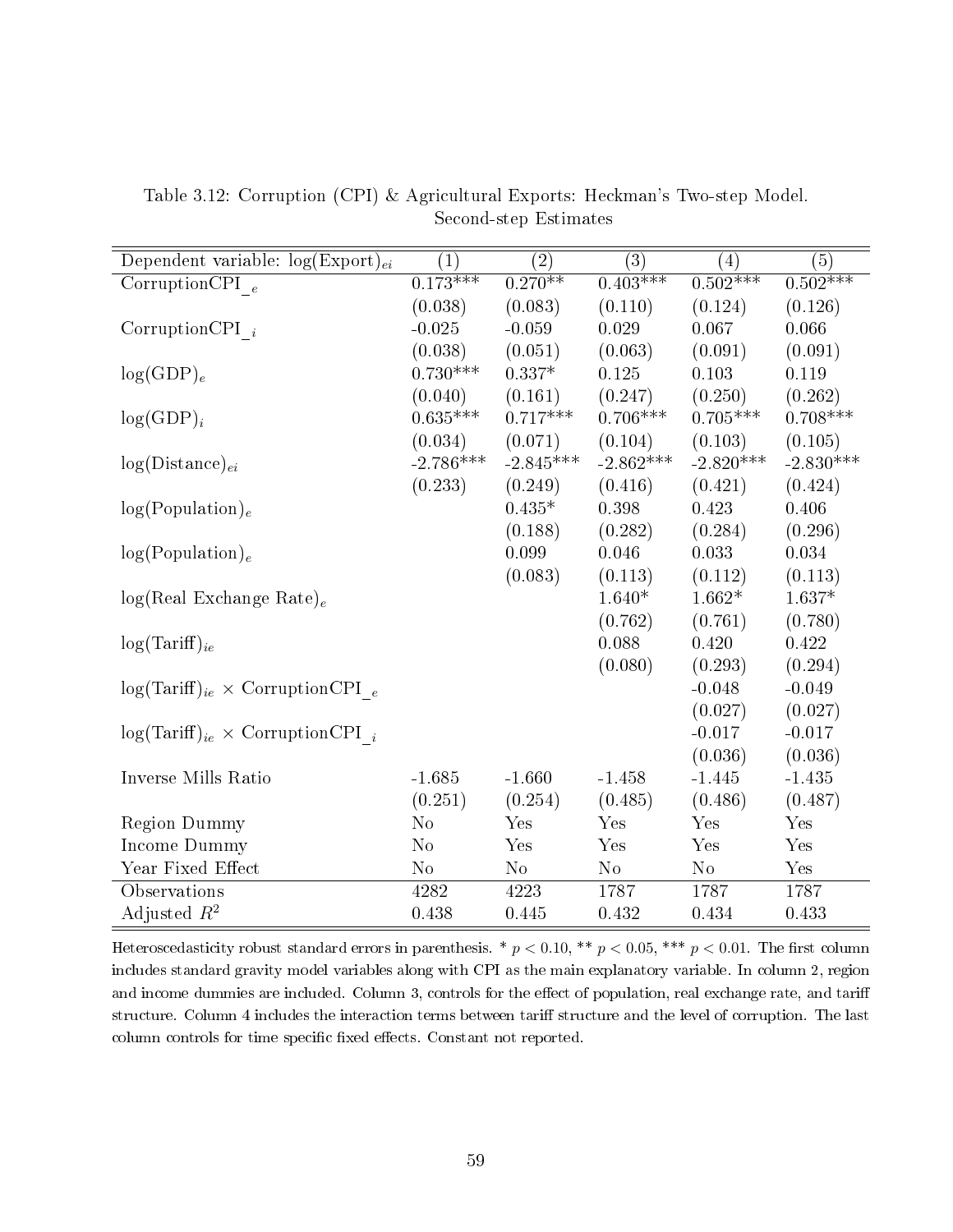| Dependent variable: $log(Expert)_{ei}$      | $\left( 1\right)$ | $\left( 2\right)$ | (3)         | $\left( 4\right)$ | (5)         |
|---------------------------------------------|-------------------|-------------------|-------------|-------------------|-------------|
| CorruptionCPI $_e$                          | $0.173***$        | $0.270**$         | $0.403***$  | $0.502***$        | $0.502***$  |
|                                             | (0.038)           | (0.083)           | (0.110)     | (0.124)           | (0.126)     |
| Corruption CPI $_i$                         | $-0.025$          | $-0.059$          | 0.029       | 0.067             | 0.066       |
|                                             | (0.038)           | (0.051)           | (0.063)     | (0.091)           | (0.091)     |
| $log(GDP)_e$                                | $0.730***$        | $0.337*$          | 0.125       | 0.103             | 0.119       |
|                                             | (0.040)           | (0.161)           | (0.247)     | (0.250)           | (0.262)     |
| $log(GDP)_i$                                | $0.635***$        | $0.717***$        | $0.706***$  | $0.705***$        | $0.708***$  |
|                                             | (0.034)           | (0.071)           | (0.104)     | (0.103)           | (0.105)     |
| $log(Distance)_{ei}$                        | $-2.786***$       | $-2.845***$       | $-2.862***$ | $-2.820***$       | $-2.830***$ |
|                                             | (0.233)           | (0.249)           | (0.416)     | (0.421)           | (0.424)     |
| $log(Population)_{e}$                       |                   | $0.435*$          | 0.398       | 0.423             | 0.406       |
|                                             |                   | (0.188)           | (0.282)     | (0.284)           | (0.296)     |
| log(Population) <sub>e</sub>                |                   | 0.099             | 0.046       | 0.033             | 0.034       |
|                                             |                   | (0.083)           | (0.113)     | (0.112)           | (0.113)     |
| $log(Real Exchange Rate)_e$                 |                   |                   | $1.640*$    | $1.662*$          | $1.637*$    |
|                                             |                   |                   | (0.762)     | (0.761)           | (0.780)     |
| $log(Tariff)_{ie}$                          |                   |                   | 0.088       | 0.420             | 0.422       |
|                                             |                   |                   | (0.080)     | (0.293)           | (0.294)     |
| $log(Tariff)_{ie} \times CorruptionCPI_e$   |                   |                   |             | $-0.048$          | $-0.049$    |
|                                             |                   |                   |             | (0.027)           | (0.027)     |
| $log(Tariff)_{ie} \times CorruptionCPI_{i}$ |                   |                   |             | $-0.017$          | $-0.017$    |
|                                             |                   |                   |             | (0.036)           | (0.036)     |
| Inverse Mills Ratio                         | $-1.685$          | $-1.660$          | $-1.458$    | $-1.445$          | $-1.435$    |
|                                             | (0.251)           | (0.254)           | (0.485)     | (0.486)           | (0.487)     |
| <b>Region Dummy</b>                         | $\rm No$          | Yes               | Yes         | Yes               | Yes         |
| Income Dummy                                | No                | Yes               | Yes         | Yes               | Yes         |
| Year Fixed Effect                           | $\rm No$          | No                | No          | No                | Yes         |
| Observations                                | 4282              | 4223              | 1787        | 1787              | 1787        |
| Adjusted $R^2$                              | 0.438             | 0.445             | 0.432       | 0.434             | 0.433       |

Table 3.12: Corruption (CPI) & Agricultural Exports: Heckman's Two-step Model. Second-step Estimates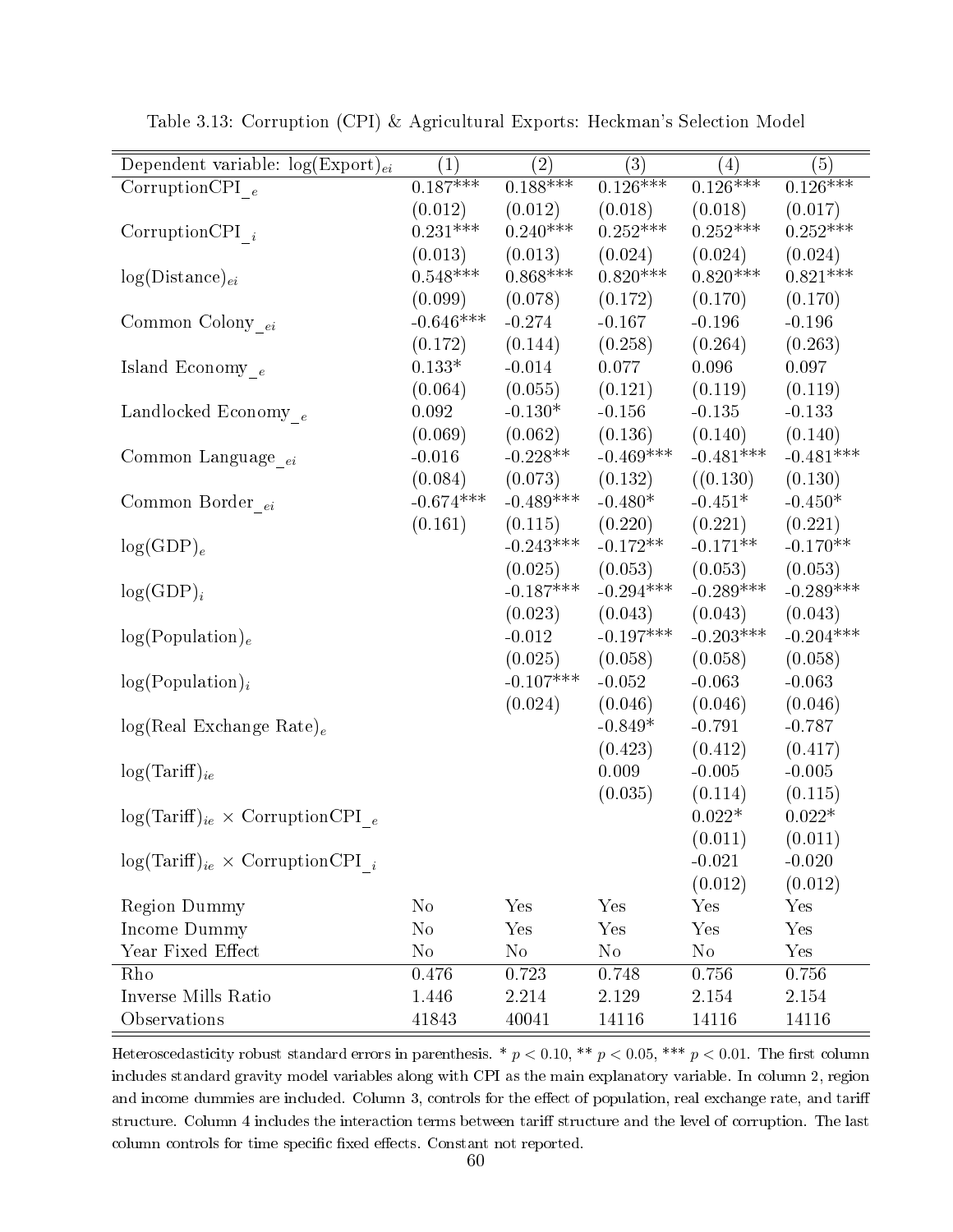| Dependent variable: $log(Expert)_{ei}$      | $\left( 1\right)$ | $\rm(2)$    | (3)         | (4)         | (5)         |
|---------------------------------------------|-------------------|-------------|-------------|-------------|-------------|
| Corruption CPI $_e$                         | $0.187***$        | $0.188***$  | $0.126***$  | $0.126***$  | $0.126***$  |
|                                             | (0.012)           | (0.012)     | (0.018)     | (0.018)     | (0.017)     |
| Corruption CPI $_i$                         | $0.231***$        | $0.240***$  | $0.252***$  | $0.252***$  | $0.252***$  |
|                                             | (0.013)           | (0.013)     | (0.024)     | (0.024)     | (0.024)     |
| $log(Distance)_{ei}$                        | $0.548***$        | $0.868***$  | $0.820***$  | $0.820***$  | $0.821***$  |
|                                             | (0.099)           | (0.078)     | (0.172)     | (0.170)     | (0.170)     |
| Common Colony $_{ei}$                       | $-0.646***$       | $-0.274$    | $-0.167$    | $-0.196$    | $-0.196$    |
|                                             | (0.172)           | (0.144)     | (0.258)     | (0.264)     | (0.263)     |
| Island Economy $_{\it e}$                   | $0.133*$          | $-0.014$    | 0.077       | 0.096       | 0.097       |
|                                             | (0.064)           | (0.055)     | (0.121)     | (0.119)     | (0.119)     |
| Landlocked Economy $_{e}\,$                 | 0.092             | $-0.130*$   | $-0.156$    | $-0.135$    | $-0.133$    |
|                                             | (0.069)           | (0.062)     | (0.136)     | (0.140)     | (0.140)     |
| Common Language $_{ei}$                     | $-0.016$          | $-0.228**$  | $-0.469***$ | $-0.481***$ | $-0.481***$ |
|                                             | (0.084)           | (0.073)     | (0.132)     | ((0.130))   | (0.130)     |
| Common Border $_{ei}$                       | $-0.674***$       | $-0.489***$ | $-0.480*$   | $-0.451*$   | $-0.450*$   |
|                                             | (0.161)           | (0.115)     | (0.220)     | (0.221)     | (0.221)     |
| $log(GDP)_e$                                |                   | $-0.243***$ | $-0.172**$  | $-0.171**$  | $-0.170**$  |
|                                             |                   | (0.025)     | (0.053)     | (0.053)     | (0.053)     |
| $log(GDP)_i$                                |                   | $-0.187***$ | $-0.294***$ | $-0.289***$ | $-0.289***$ |
|                                             |                   | (0.023)     | (0.043)     | (0.043)     | (0.043)     |
| log(Population) <sub>e</sub>                |                   | $-0.012$    | $-0.197***$ | $-0.203***$ | $-0.204***$ |
|                                             |                   | (0.025)     | (0.058)     | (0.058)     | (0.058)     |
| $log(Population)_{i}$                       |                   | $-0.107***$ | $-0.052$    | $-0.063$    | $-0.063$    |
|                                             |                   | (0.024)     | (0.046)     | (0.046)     | (0.046)     |
| $log(Real Exchange Rate)_e$                 |                   |             | $-0.849*$   | $-0.791$    | $-0.787$    |
|                                             |                   |             | (0.423)     | (0.412)     | (0.417)     |
| $log(Tariff)_{ie}$                          |                   |             | 0.009       | $-0.005$    | $-0.005$    |
|                                             |                   |             | (0.035)     | (0.114)     | (0.115)     |
| $log(Tariff)_{ie} \times CorruptionCPI_e$   |                   |             |             | $0.022*$    | $0.022*$    |
|                                             |                   |             |             | (0.011)     | (0.011)     |
| $log(Tariff)_{ie} \times CorruptionCPI_{i}$ |                   |             |             | $-0.021$    | $-0.020$    |
|                                             |                   |             |             | (0.012)     | (0.012)     |
| <b>Region Dummy</b>                         | $\rm No$          | Yes         | Yes         | Yes         | Yes         |
| Income Dummy                                | N <sub>o</sub>    | Yes         | Yes         | Yes         | Yes         |
| Year Fixed Effect                           | $\rm No$          | $\rm No$    | $\rm No$    | $\rm No$    | Yes         |
| Rho                                         | 0.476             | 0.723       | 0.748       | 0.756       | 0.756       |
| Inverse Mills Ratio                         | 1.446             | 2.214       | 2.129       | 2.154       | 2.154       |
| Observations                                | 41843             | 40041       | 14116       | 14116       | 14116       |

Table 3.13: Corruption (CPI) & Agricultural Exports: Heckman's Selection Model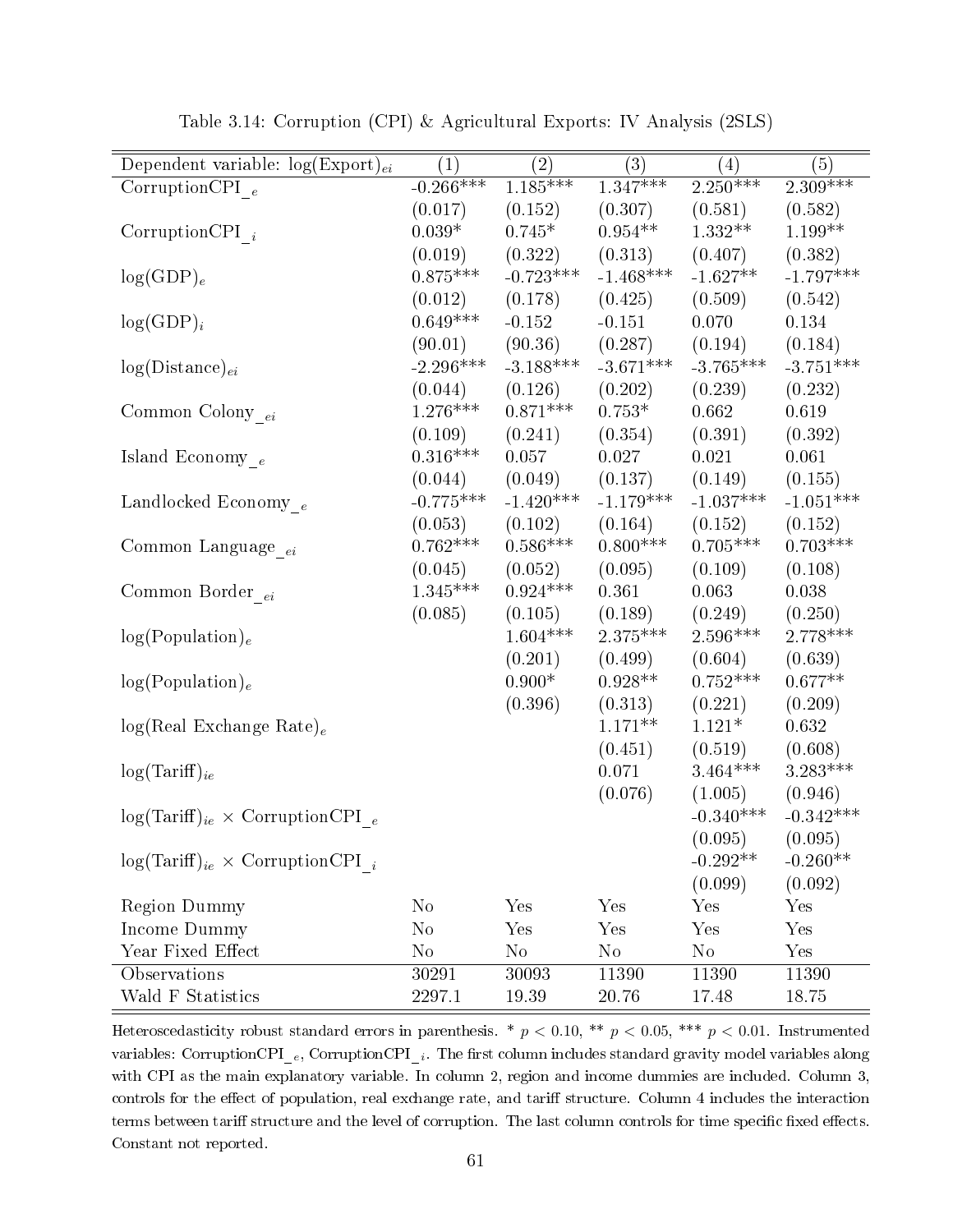| Dependent variable: $log(Expert)_{ei}$      | $\left( 1\right)$ | $\left( 2\right)$ | (3)         | $\left( 4\right)$ | (5)         |
|---------------------------------------------|-------------------|-------------------|-------------|-------------------|-------------|
| CorruptionCPI $_{e}\,$                      | $-0.266***$       | $1.185***$        | $1.347***$  | $2.250***$        | $2.309***$  |
|                                             | (0.017)           | (0.152)           | (0.307)     | (0.581)           | (0.582)     |
| Corruption CPI $_i$                         | $0.039*$          | $0.745*$          | $0.954**$   | $1.332**$         | $1.199**$   |
|                                             | (0.019)           | (0.322)           | (0.313)     | (0.407)           | (0.382)     |
| $log(GDP)_e$                                | $0.875***$        | $-0.723***$       | $-1.468***$ | $-1.627**$        | $-1.797***$ |
|                                             | (0.012)           | (0.178)           | (0.425)     | (0.509)           | (0.542)     |
| $log(GDP)_i$                                | $0.649***$        | $-0.152$          | $-0.151$    | 0.070             | 0.134       |
|                                             | (90.01)           | (90.36)           | (0.287)     | (0.194)           | (0.184)     |
| $log(Distance)_{ei}$                        | $-2.296***$       | $-3.188***$       | $-3.671***$ | $-3.765***$       | $-3.751***$ |
|                                             | (0.044)           | (0.126)           | (0.202)     | (0.239)           | (0.232)     |
| Common Colony $_{\ensuremath{ei}}$          | $1.276***$        | $0.871***$        | $0.753*$    | 0.662             | 0.619       |
|                                             | (0.109)           | (0.241)           | (0.354)     | (0.391)           | (0.392)     |
| Island Economy $_{\,e}$                     | $0.316***$        | 0.057             | 0.027       | $0.021\,$         | 0.061       |
|                                             | (0.044)           | (0.049)           | (0.137)     | (0.149)           | (0.155)     |
| Landlocked Economy $_e$                     | $-0.775***$       | $-1.420***$       | $-1.179***$ | $-1.037***$       | $-1.051***$ |
|                                             | (0.053)           | (0.102)           | (0.164)     | (0.152)           | (0.152)     |
| Common Language <sub>ei</sub>               | $0.762***$        | $0.586***$        | $0.800***$  | $0.705***$        | $0.703***$  |
|                                             | (0.045)           | (0.052)           | (0.095)     | (0.109)           | (0.108)     |
| Common Border $_{ei}$                       | $1.345***$        | $0.924***$        | 0.361       | 0.063             | 0.038       |
|                                             | (0.085)           | (0.105)           | (0.189)     | (0.249)           | (0.250)     |
| log(Population) <sub>e</sub>                |                   | $1.604***$        | $2.375***$  | $2.596***$        | $2.778***$  |
|                                             |                   | (0.201)           | (0.499)     | (0.604)           | (0.639)     |
| log(Population) <sub>e</sub>                |                   | $0.900*$          | $0.928**$   | $0.752***$        | $0.677**$   |
|                                             |                   | (0.396)           | (0.313)     | (0.221)           | (0.209)     |
| $log(Real Exchange Rate)_e$                 |                   |                   | $1.171**$   | $1.121*$          | 0.632       |
|                                             |                   |                   | (0.451)     | (0.519)           | (0.608)     |
| $log(Tariff)_{ie}$                          |                   |                   | 0.071       | $3.464^{***}\,$   | $3.283***$  |
|                                             |                   |                   | (0.076)     | (1.005)           | (0.946)     |
| $log(Tariff)_{ie} \times CorruptionCPI_e$   |                   |                   |             | $-0.340***$       | $-0.342***$ |
|                                             |                   |                   |             | (0.095)           | (0.095)     |
| $log(Tariff)_{ie} \times CorruptionCPI_{i}$ |                   |                   |             | $-0.292**$        | $-0.260**$  |
|                                             |                   |                   |             | (0.099)           | (0.092)     |
| <b>Region Dummy</b>                         | $\rm No$          | Yes               | Yes         | Yes               | Yes         |
| Income Dummy                                | $\rm No$          | Yes               | Yes         | Yes               | Yes         |
| Year Fixed Effect                           | $\rm No$          | $\rm No$          | $\rm No$    | $\rm No$          | Yes         |
| Observations                                | 30291             | 30093             | 11390       | 11390             | 11390       |
| Wald F Statistics                           | 2297.1            | 19.39             | 20.76       | 17.48             | 18.75       |

Table 3.14: Corruption (CPI) & Agricultural Exports: IV Analysis (2SLS)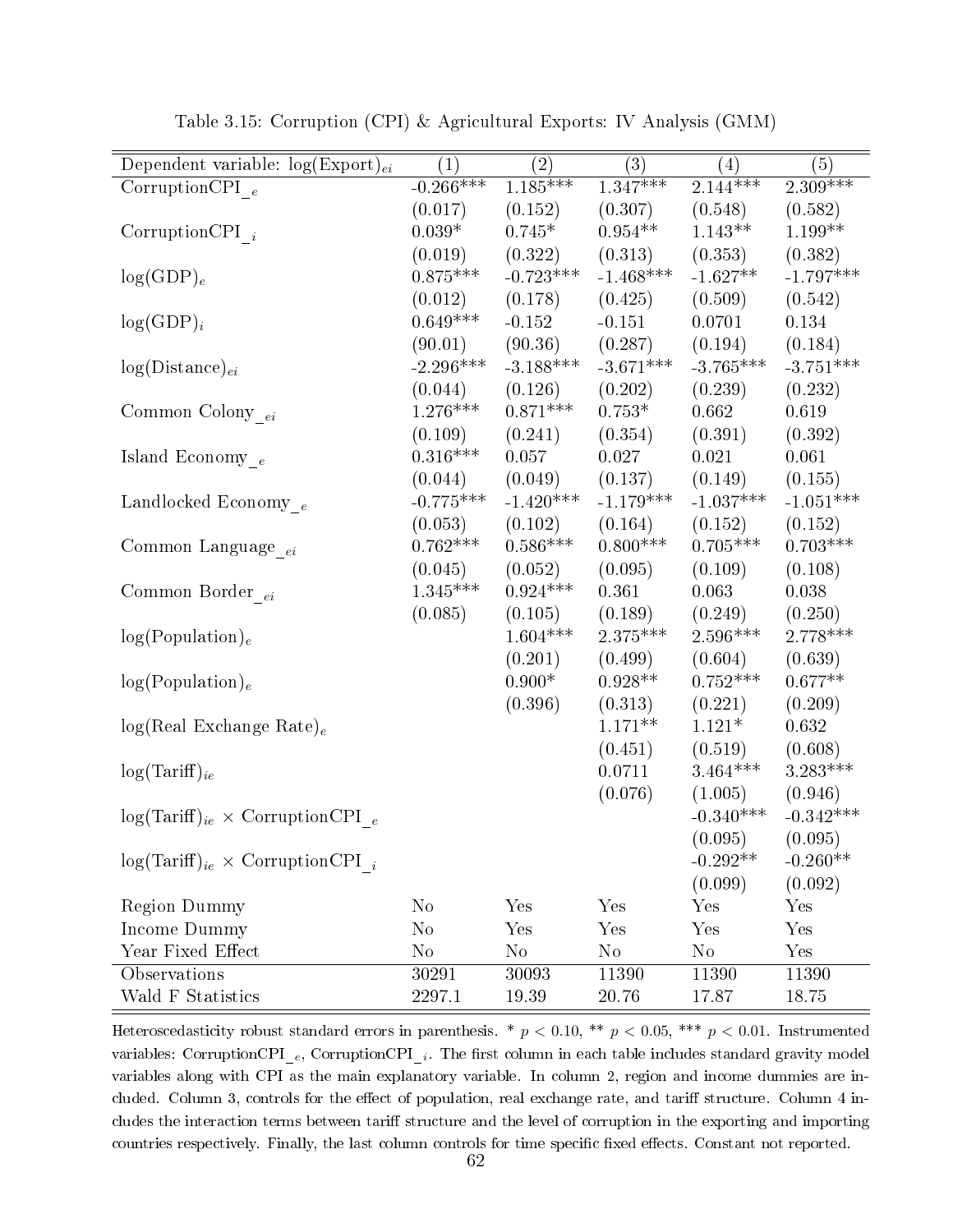| Dependent variable: $log(Expert)_{ei}$      | $\left( 1\right)$  | $\left( 2\right)$ | (3)         | $\left( 4\right)$ | (5)         |
|---------------------------------------------|--------------------|-------------------|-------------|-------------------|-------------|
| Corruption CPI $_e$                         | $-0.266***$        | $1.185***$        | $1.347***$  | $2.144***$        | $2.309***$  |
|                                             | (0.017)            | (0.152)           | (0.307)     | (0.548)           | (0.582)     |
| $CorruptionCPI_i$                           | $0.039*$           | $0.745*$          | $0.954**$   | $1.143**$         | $1.199**$   |
|                                             | (0.019)            | (0.322)           | (0.313)     | (0.353)           | (0.382)     |
| $log(GDP)_e$                                | $0.875***$         | $-0.723***$       | $-1.468***$ | $-1.627**$        | $-1.797***$ |
|                                             | (0.012)            | (0.178)           | (0.425)     | (0.509)           | (0.542)     |
| $log(GDP)_i$                                | $0.649***$         | $-0.152$          | $-0.151$    | 0.0701            | 0.134       |
|                                             | (90.01)            | (90.36)           | (0.287)     | (0.194)           | (0.184)     |
| $log(Distance)_{ei}$                        | $-2.296***$        | $-3.188***$       | $-3.671***$ | $-3.765***$       | $-3.751***$ |
|                                             | (0.044)            | (0.126)           | (0.202)     | (0.239)           | (0.232)     |
| Common Colony $_{\,ei}$                     | $1.276***$         | $0.871***$        | $0.753*$    | 0.662             | 0.619       |
|                                             | (0.109)            | (0.241)           | (0.354)     | (0.391)           | (0.392)     |
| Island Economy $_{\,e}$                     | $0.316***$         | 0.057             | 0.027       | 0.021             | 0.061       |
|                                             | (0.044)            | (0.049)           | (0.137)     | (0.149)           | (0.155)     |
| Landlocked Economy $_e$                     | $-0.775***$        | $-1.420***$       | $-1.179***$ | $-1.037***$       | $-1.051***$ |
|                                             | (0.053)            | (0.102)           | (0.164)     | (0.152)           | (0.152)     |
| Common Language <sub>ei</sub>               | $0.762***$         | $0.586***$        | $0.800***$  | $0.705***$        | $0.703***$  |
|                                             | (0.045)            | (0.052)           | (0.095)     | (0.109)           | (0.108)     |
| Common Border $_{ei}$                       | $1.345^{***}\;$    | $0.924***$        | 0.361       | 0.063             | 0.038       |
|                                             | (0.085)            | (0.105)           | (0.189)     | (0.249)           | (0.250)     |
| log(Population) <sub>e</sub>                |                    | $1.604***$        | $2.375***$  | $2.596***$        | $2.778***$  |
|                                             |                    | (0.201)           | (0.499)     | (0.604)           | (0.639)     |
| log(Population) <sub>e</sub>                |                    | $0.900*$          | $0.928**$   | $0.752***$        | $0.677**$   |
|                                             |                    | (0.396)           | (0.313)     | (0.221)           | (0.209)     |
| $log(Real Exchange Rate)_e$                 |                    |                   | $1.171**$   | $1.121*$          | 0.632       |
|                                             |                    |                   | (0.451)     | (0.519)           | (0.608)     |
| $log(Tariff)_{ie}$                          |                    |                   | 0.0711      | $3.464^{***}\,$   | $3.283***$  |
|                                             |                    |                   | (0.076)     | (1.005)           | (0.946)     |
| $log(Tariff)_{ie} \times CorruptionCPI_e$   |                    |                   |             | $-0.340***$       | $-0.342***$ |
|                                             |                    |                   |             | (0.095)           | (0.095)     |
| $log(Tariff)_{ie} \times CorruptionCPI_{i}$ |                    |                   |             | $-0.292**$        | $-0.260**$  |
|                                             |                    |                   |             | (0.099)           | (0.092)     |
| <b>Region Dummy</b>                         | N <sub>o</sub>     | Yes               | Yes         | Yes               | Yes         |
| Income Dummy                                | N <sub>o</sub>     | Yes               | Yes         | Yes               | Yes         |
| Year Fixed Effect                           | $\rm No$           | $\rm No$          | No          | $\rm No$          | Yes         |
| Observations                                | $30\overline{291}$ | 30093             | 11390       | 11390             | 11390       |
| Wald F Statistics                           | 2297.1             | 19.39             | 20.76       | 17.87             | 18.75       |

Table 3.15: Corruption (CPI) & Agricultural Exports: IV Analysis (GMM)

Heteroscedasticity robust standard errors in parenthesis. \*  $p < 0.10$ , \*\*  $p < 0.05$ , \*\*\*  $p < 0.01$ . Instrumented variables: CorruptionCPI<sub>\_e</sub>, CorruptionCPI<sub>\_i</sub>. The first column in each table includes standard gravity model variables along with CPI as the main explanatory variable. In column 2, region and income dummies are included. Column 3, controls for the effect of population, real exchange rate, and tariff structure. Column 4 includes the interaction terms between tariff structure and the level of corruption in the exporting and importing countries respectively. Finally, the last column controls for time specific fixed effects. Constant not reported.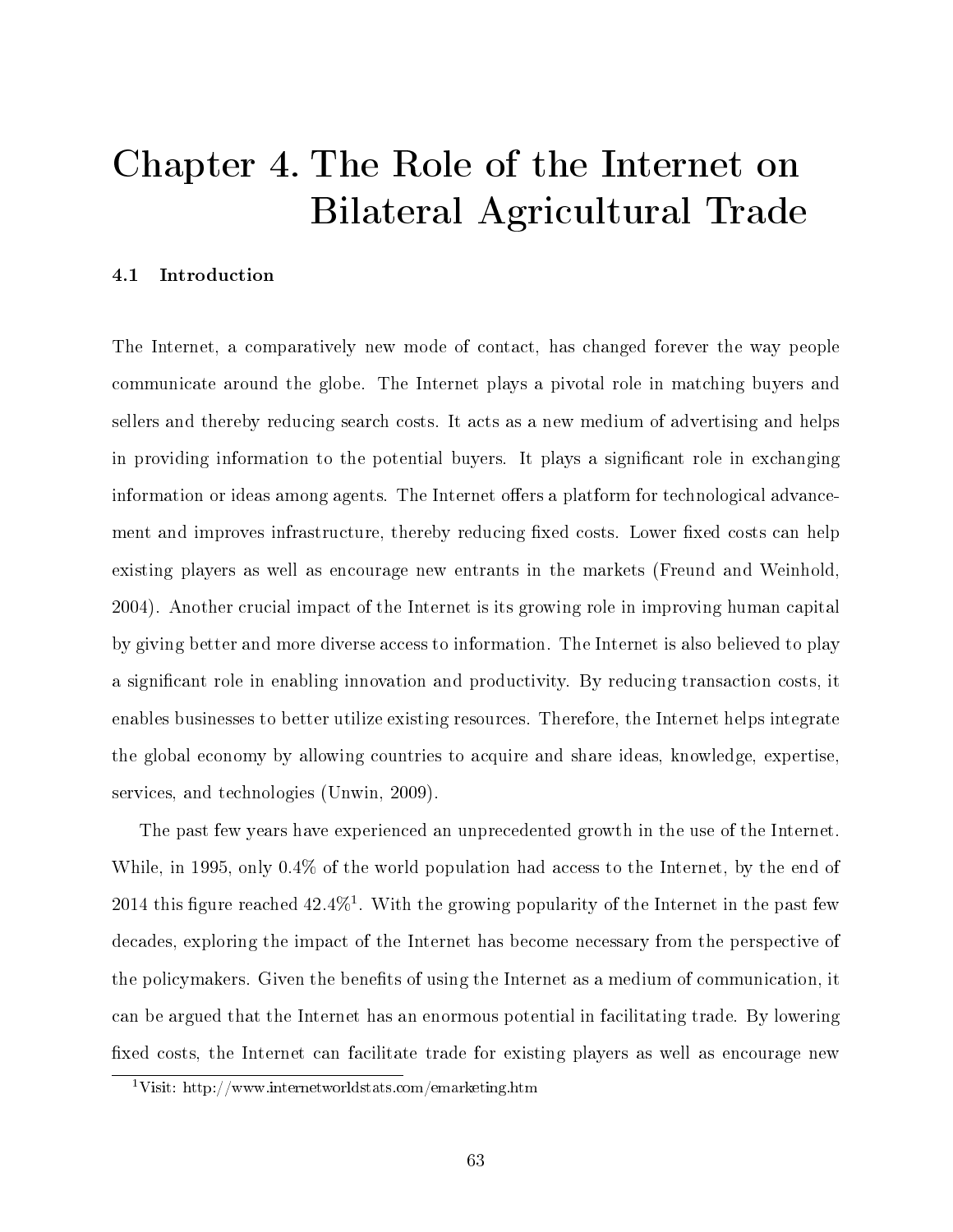## Chapter 4. The Role of the Internet on Bilateral Agricultural Trade

## 4.1 Introduction

The Internet, a comparatively new mode of contact, has changed forever the way people communicate around the globe. The Internet plays a pivotal role in matching buyers and sellers and thereby reducing search costs. It acts as a new medium of advertising and helps in providing information to the potential buyers. It plays a significant role in exchanging information or ideas among agents. The Internet offers a platform for technological advancement and improves infrastructure, thereby reducing fixed costs. Lower fixed costs can help existing players as well as encourage new entrants in the markets (Freund and Weinhold, 2004). Another crucial impact of the Internet is its growing role in improving human capital by giving better and more diverse access to information. The Internet is also believed to play a signicant role in enabling innovation and productivity. By reducing transaction costs, it enables businesses to better utilize existing resources. Therefore, the Internet helps integrate the global economy by allowing countries to acquire and share ideas, knowledge, expertise, services, and technologies (Unwin, 2009).

The past few years have experienced an unprecedented growth in the use of the Internet. While, in 1995, only 0.4% of the world population had access to the Internet, by the end of  $2014$  $2014$  $2014$  this figure reached  $42.4\%$ <sup>1</sup>. With the growing popularity of the Internet in the past few decades, exploring the impact of the Internet has become necessary from the perspective of the policymakers. Given the benefits of using the Internet as a medium of communication, it can be argued that the Internet has an enormous potential in facilitating trade. By lowering fixed costs, the Internet can facilitate trade for existing players as well as encourage new

<span id="page-69-0"></span><sup>1</sup>Visit: http://www.internetworldstats.com/emarketing.htm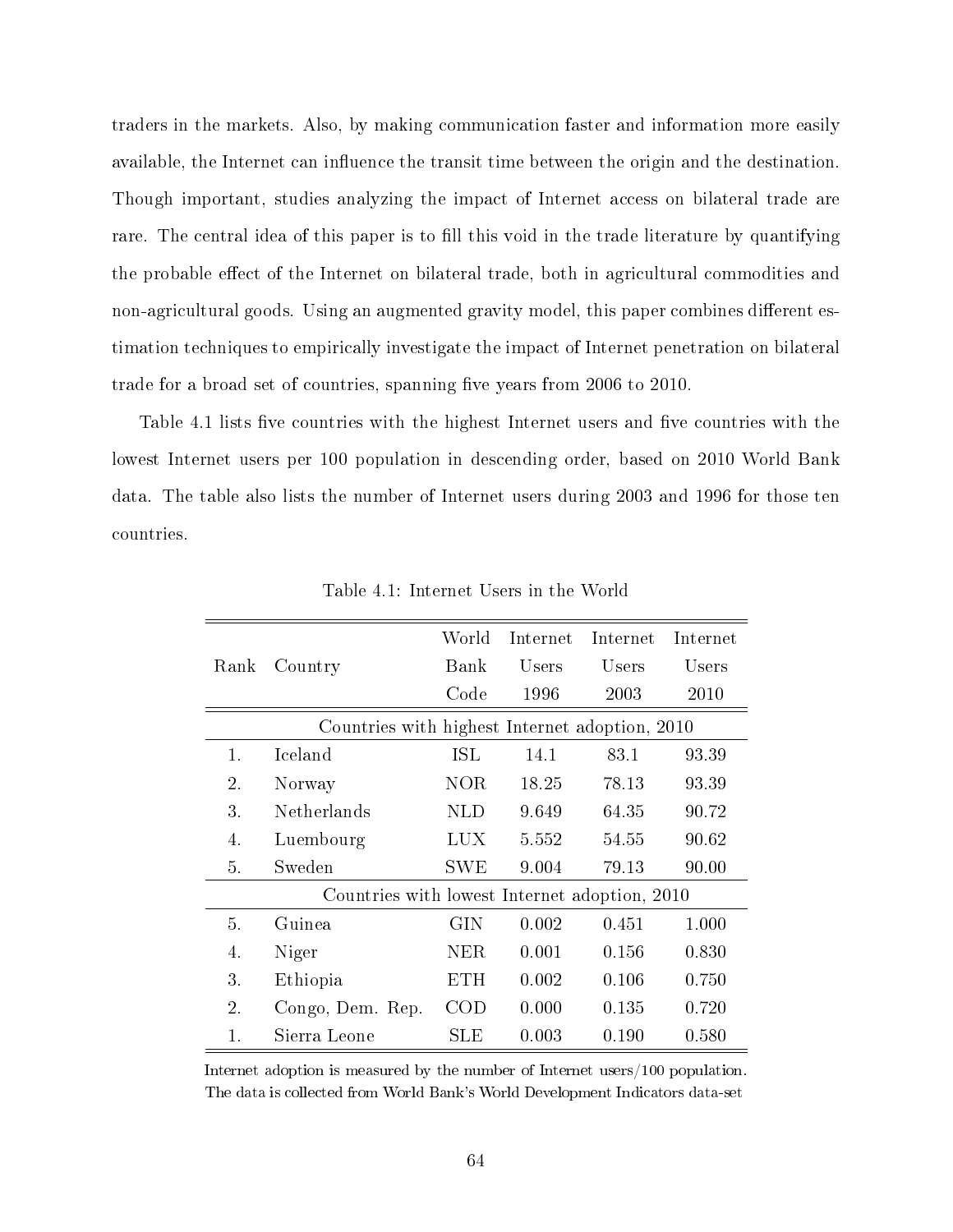traders in the markets. Also, by making communication faster and information more easily available, the Internet can influence the transit time between the origin and the destination. Though important, studies analyzing the impact of Internet access on bilateral trade are rare. The central idea of this paper is to fill this void in the trade literature by quantifying the probable effect of the Internet on bilateral trade, both in agricultural commodities and non-agricultural goods. Using an augmented gravity model, this paper combines different estimation techniques to empirically investigate the impact of Internet penetration on bilateral trade for a broad set of countries, spanning five years from 2006 to 2010.

Table 4.1 lists five countries with the highest Internet users and five countries with the lowest Internet users per 100 population in descending order, based on 2010 World Bank data. The table also lists the number of Internet users during 2003 and 1996 for those ten countries.

|                                                |                    | World      |       | Internet Internet | Internet |  |  |  |
|------------------------------------------------|--------------------|------------|-------|-------------------|----------|--|--|--|
| Rank                                           | Country            | Bank       | Users | Users             | Users    |  |  |  |
|                                                |                    | Code       | 1996  | 2003              | 2010     |  |  |  |
| Countries with highest Internet adoption, 2010 |                    |            |       |                   |          |  |  |  |
| 1.                                             | <b>Iceland</b>     | <b>ISL</b> | 14.1  | 83.1              | 93.39    |  |  |  |
| 2.                                             | Norway             | <b>NOR</b> | 18.25 | 78.13             | 93.39    |  |  |  |
| 3.                                             | <b>Netherlands</b> | <b>NLD</b> | 9.649 | 64.35             | 90.72    |  |  |  |
| 4.                                             | Luembourg          | LUX.       | 5.552 | 54.55             | 90.62    |  |  |  |
| 5.                                             | Sweden             | <b>SWE</b> | 9.004 | 79.13             | 90.00    |  |  |  |
| Countries with lowest Internet adoption, 2010  |                    |            |       |                   |          |  |  |  |
| 5.                                             | Guinea             | GIN        | 0.002 | 0.451             | 1.000    |  |  |  |
| 4.                                             | Niger              | <b>NER</b> | 0.001 | 0.156             | 0.830    |  |  |  |
| 3.                                             | Ethiopia           | <b>ETH</b> | 0.002 | 0.106             | 0.750    |  |  |  |
| 2.                                             | Congo, Dem. Rep.   | COD        | 0.000 | 0.135             | 0.720    |  |  |  |
| 1.                                             | Sierra Leone       | SLE        | 0.003 | 0.190             | 0.580    |  |  |  |

Table 4.1: Internet Users in the World

Internet adoption is measured by the number of Internet users/100 population. The data is collected from World Bank's World Development Indicators data-set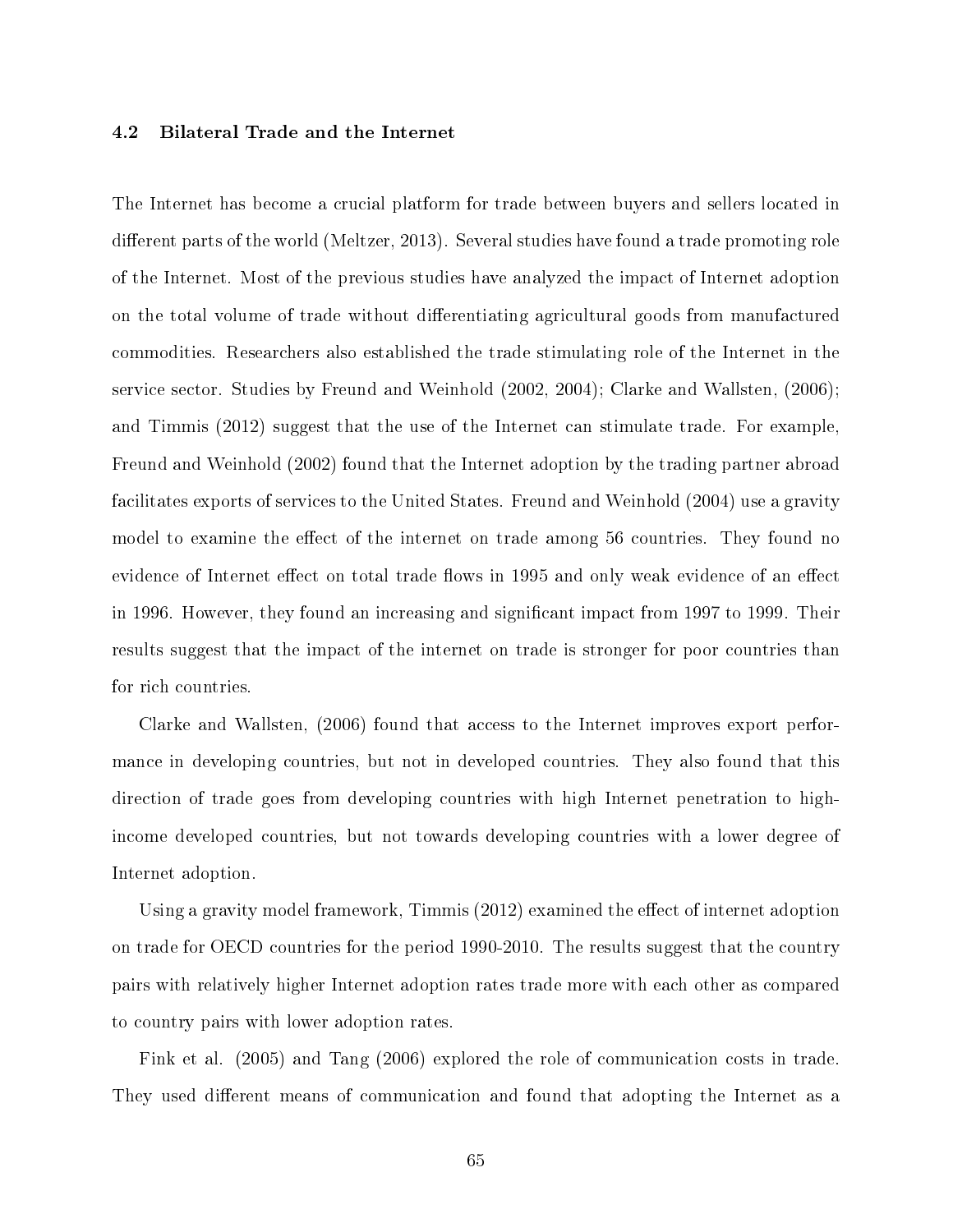## 4.2 Bilateral Trade and the Internet

The Internet has become a crucial platform for trade between buyers and sellers located in different parts of the world (Meltzer, 2013). Several studies have found a trade promoting role of the Internet. Most of the previous studies have analyzed the impact of Internet adoption on the total volume of trade without differentiating agricultural goods from manufactured commodities. Researchers also established the trade stimulating role of the Internet in the service sector. Studies by Freund and Weinhold (2002, 2004); Clarke and Wallsten, (2006); and Timmis (2012) suggest that the use of the Internet can stimulate trade. For example, Freund and Weinhold (2002) found that the Internet adoption by the trading partner abroad facilitates exports of services to the United States. Freund and Weinhold (2004) use a gravity model to examine the effect of the internet on trade among 56 countries. They found no evidence of Internet effect on total trade flows in 1995 and only weak evidence of an effect in 1996. However, they found an increasing and signicant impact from 1997 to 1999. Their results suggest that the impact of the internet on trade is stronger for poor countries than for rich countries.

Clarke and Wallsten, (2006) found that access to the Internet improves export performance in developing countries, but not in developed countries. They also found that this direction of trade goes from developing countries with high Internet penetration to highincome developed countries, but not towards developing countries with a lower degree of Internet adoption.

Using a gravity model framework, Timmis  $(2012)$  examined the effect of internet adoption on trade for OECD countries for the period 1990-2010. The results suggest that the country pairs with relatively higher Internet adoption rates trade more with each other as compared to country pairs with lower adoption rates.

Fink et al. (2005) and Tang (2006) explored the role of communication costs in trade. They used different means of communication and found that adopting the Internet as a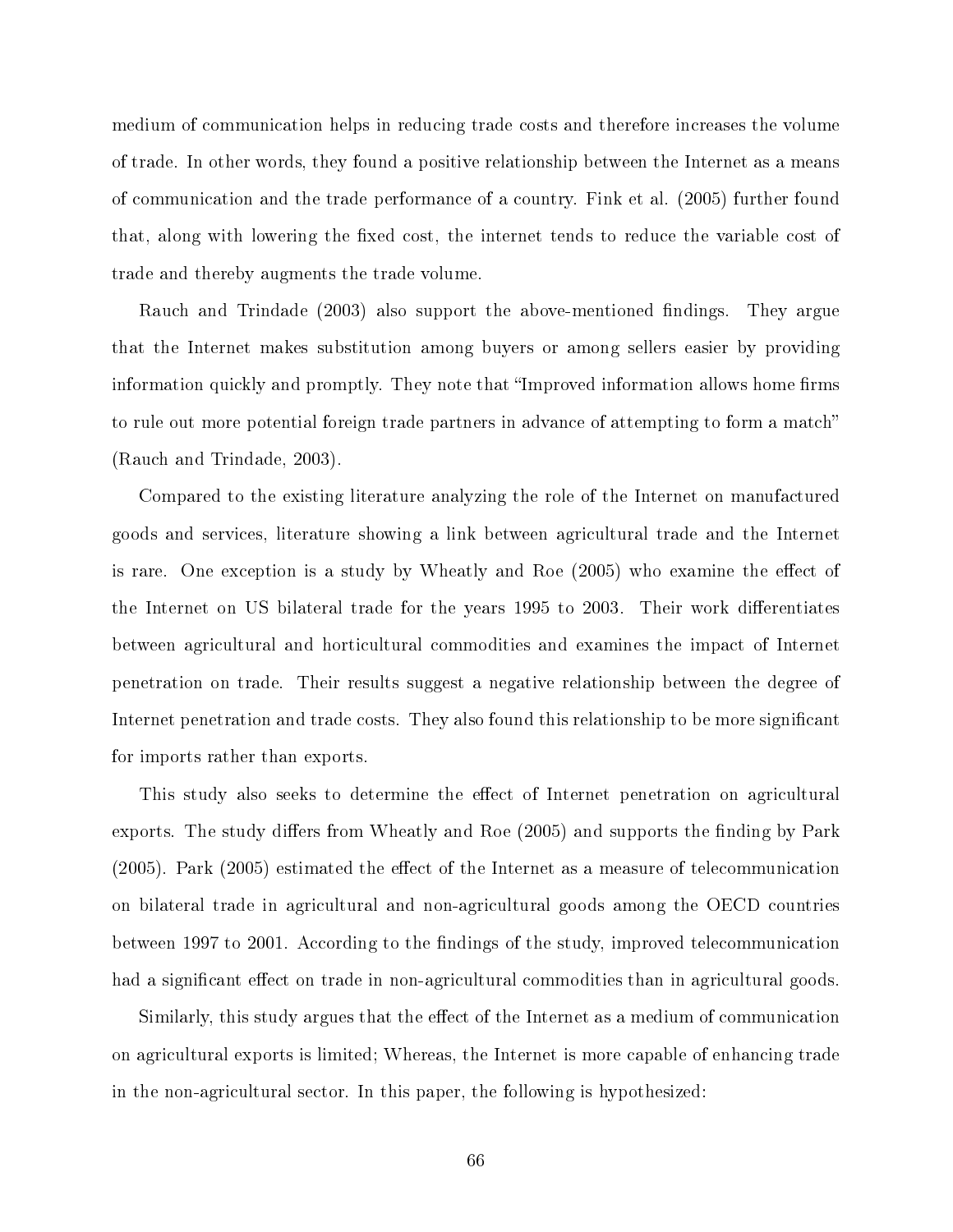medium of communication helps in reducing trade costs and therefore increases the volume of trade. In other words, they found a positive relationship between the Internet as a means of communication and the trade performance of a country. Fink et al. (2005) further found that, along with lowering the fixed cost, the internet tends to reduce the variable cost of trade and thereby augments the trade volume.

Rauch and Trindade (2003) also support the above-mentioned findings. They argue that the Internet makes substitution among buyers or among sellers easier by providing information quickly and promptly. They note that "Improved information allows home firms to rule out more potential foreign trade partners in advance of attempting to form a match (Rauch and Trindade, 2003).

Compared to the existing literature analyzing the role of the Internet on manufactured goods and services, literature showing a link between agricultural trade and the Internet is rare. One exception is a study by Wheatly and Roe (2005) who examine the effect of the Internet on US bilateral trade for the years 1995 to 2003. Their work differentiates between agricultural and horticultural commodities and examines the impact of Internet penetration on trade. Their results suggest a negative relationship between the degree of Internet penetration and trade costs. They also found this relationship to be more signicant for imports rather than exports.

This study also seeks to determine the effect of Internet penetration on agricultural exports. The study differs from Wheatly and Roe (2005) and supports the finding by Park  $(2005)$ . Park  $(2005)$  estimated the effect of the Internet as a measure of telecommunication on bilateral trade in agricultural and non-agricultural goods among the OECD countries between 1997 to 2001. According to the findings of the study, improved telecommunication had a significant effect on trade in non-agricultural commodities than in agricultural goods.

Similarly, this study argues that the effect of the Internet as a medium of communication on agricultural exports is limited; Whereas, the Internet is more capable of enhancing trade in the non-agricultural sector. In this paper, the following is hypothesized: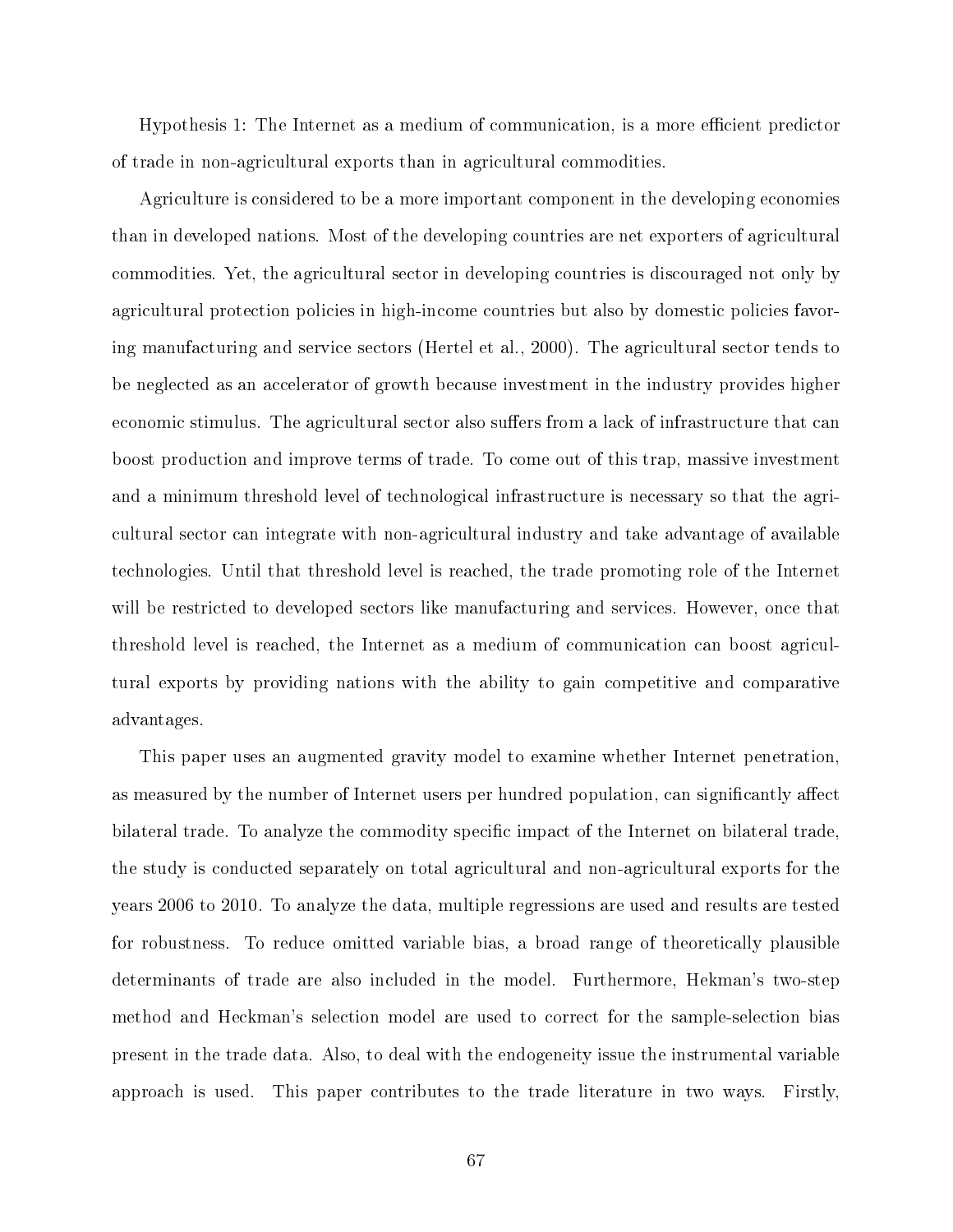Hypothesis 1: The Internet as a medium of communication, is a more efficient predictor of trade in non-agricultural exports than in agricultural commodities.

Agriculture is considered to be a more important component in the developing economies than in developed nations. Most of the developing countries are net exporters of agricultural commodities. Yet, the agricultural sector in developing countries is discouraged not only by agricultural protection policies in high-income countries but also by domestic policies favoring manufacturing and service sectors (Hertel et al., 2000). The agricultural sector tends to be neglected as an accelerator of growth because investment in the industry provides higher economic stimulus. The agricultural sector also suffers from a lack of infrastructure that can boost production and improve terms of trade. To come out of this trap, massive investment and a minimum threshold level of technological infrastructure is necessary so that the agricultural sector can integrate with non-agricultural industry and take advantage of available technologies. Until that threshold level is reached, the trade promoting role of the Internet will be restricted to developed sectors like manufacturing and services. However, once that threshold level is reached, the Internet as a medium of communication can boost agricultural exports by providing nations with the ability to gain competitive and comparative advantages.

This paper uses an augmented gravity model to examine whether Internet penetration, as measured by the number of Internet users per hundred population, can significantly affect bilateral trade. To analyze the commodity specific impact of the Internet on bilateral trade, the study is conducted separately on total agricultural and non-agricultural exports for the years 2006 to 2010. To analyze the data, multiple regressions are used and results are tested for robustness. To reduce omitted variable bias, a broad range of theoretically plausible determinants of trade are also included in the model. Furthermore, Hekman's two-step method and Heckman's selection model are used to correct for the sample-selection bias present in the trade data. Also, to deal with the endogeneity issue the instrumental variable approach is used. This paper contributes to the trade literature in two ways. Firstly,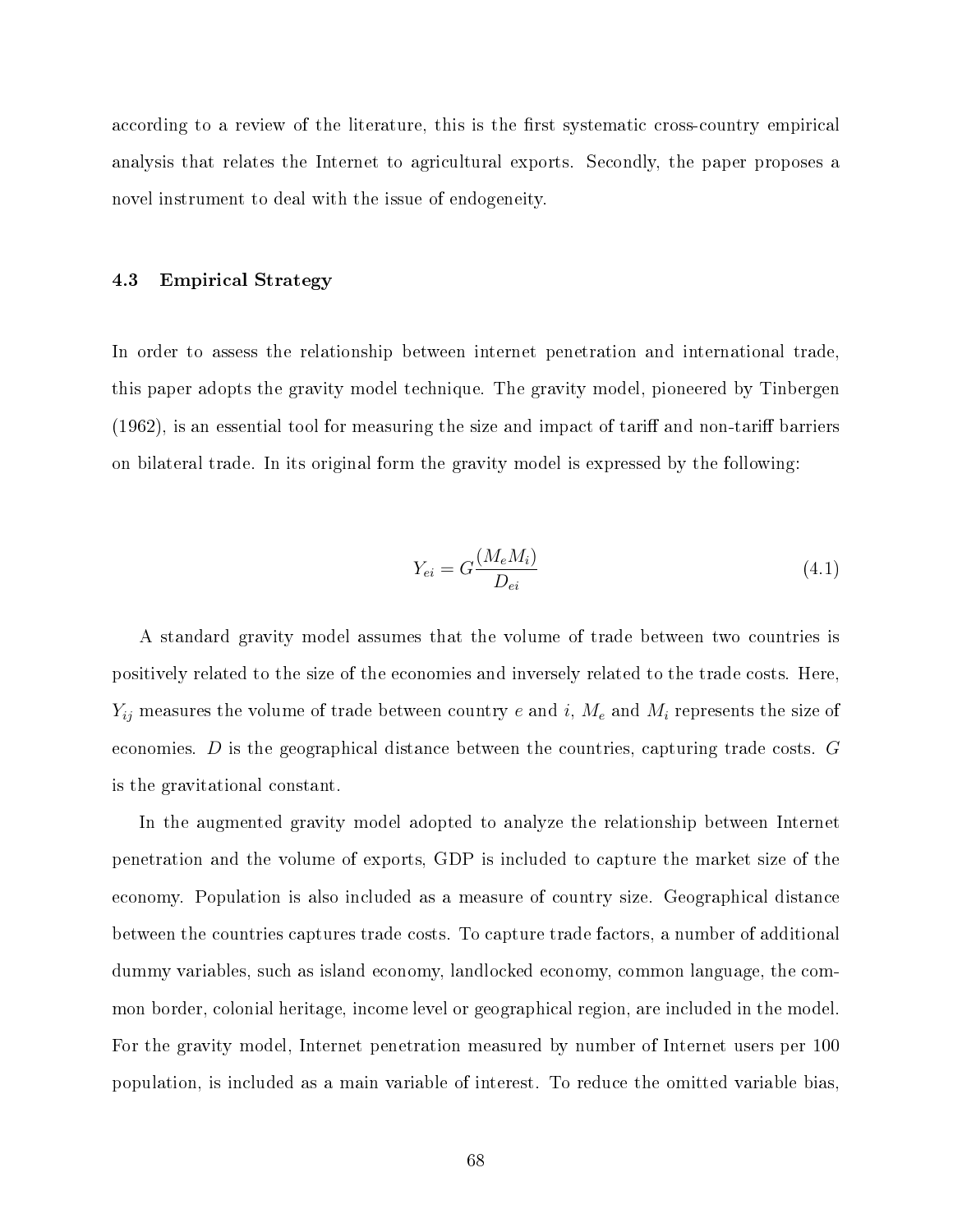according to a review of the literature, this is the first systematic cross-country empirical analysis that relates the Internet to agricultural exports. Secondly, the paper proposes a novel instrument to deal with the issue of endogeneity.

#### 4.3 Empirical Strategy

In order to assess the relationship between internet penetration and international trade, this paper adopts the gravity model technique. The gravity model, pioneered by Tinbergen  $(1962)$ , is an essential tool for measuring the size and impact of tariff and non-tariff barriers on bilateral trade. In its original form the gravity model is expressed by the following:

$$
Y_{ei} = G \frac{(M_e M_i)}{D_{ei}} \tag{4.1}
$$

A standard gravity model assumes that the volume of trade between two countries is positively related to the size of the economies and inversely related to the trade costs. Here,  $Y_{ij}$  measures the volume of trade between country e and i,  $M_e$  and  $M_i$  represents the size of economies.  $D$  is the geographical distance between the countries, capturing trade costs.  $G$ is the gravitational constant.

In the augmented gravity model adopted to analyze the relationship between Internet penetration and the volume of exports, GDP is included to capture the market size of the economy. Population is also included as a measure of country size. Geographical distance between the countries captures trade costs. To capture trade factors, a number of additional dummy variables, such as island economy, landlocked economy, common language, the common border, colonial heritage, income level or geographical region, are included in the model. For the gravity model, Internet penetration measured by number of Internet users per 100 population, is included as a main variable of interest. To reduce the omitted variable bias,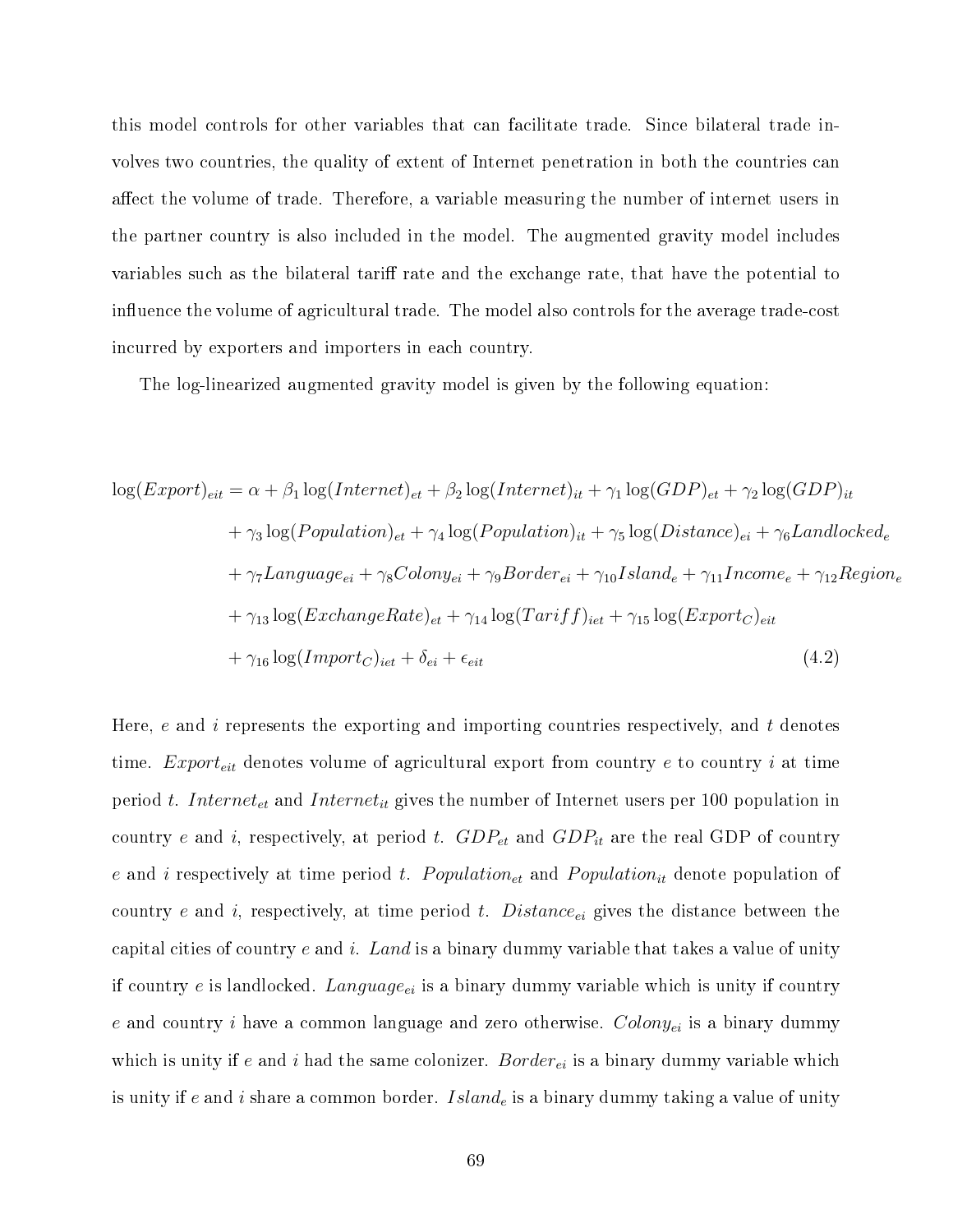this model controls for other variables that can facilitate trade. Since bilateral trade involves two countries, the quality of extent of Internet penetration in both the countries can affect the volume of trade. Therefore, a variable measuring the number of internet users in the partner country is also included in the model. The augmented gravity model includes variables such as the bilateral tariff rate and the exchange rate, that have the potential to influence the volume of agricultural trade. The model also controls for the average trade-cost incurred by exporters and importers in each country.

The log-linearized augmented gravity model is given by the following equation:

$$
log(Export)_{eit} = \alpha + \beta_1 log(Internet)_{et} + \beta_2 log(Internet)_{it} + \gamma_1 log(GDP)_{et} + \gamma_2 log(GDP)_{it}
$$
  
+  $\gamma_3 log(Population)_{et} + \gamma_4 log(Population)_{it} + \gamma_5 log(Distance)_{ei} + \gamma_6 Landlocked_e$   
+  $\gamma_7 Language_{ei} + \gamma_8 Colony_{ei} + \gamma_9 Border_{ei} + \gamma_{10} Island_e + \gamma_{11} Income_e + \gamma_{12} Region_e$   
+  $\gamma_{13} log(ExchangeRate)_{et} + \gamma_{14} log(Tariff)_{iet} + \gamma_{15} log(Exporto)_{eit}$   
+  $\gamma_{16} log(Import_C)_{iet} + \delta_{ei} + \epsilon_{eit}$  (4.2)

Here,  $e$  and  $i$  represents the exporting and importing countries respectively, and  $t$  denotes time.  $Export_{eit}$  denotes volume of agricultural export from country  $e$  to country  $i$  at time period t. Internet<sub>et</sub> and Internet<sub>it</sub> gives the number of Internet users per 100 population in country e and i, respectively, at period t.  $GDP_{et}$  and  $GDP_{it}$  are the real GDP of country e and i respectively at time period t. Population<sub>et</sub> and Population<sub>it</sub> denote population of country e and i, respectively, at time period t. Distance<sub>ei</sub> gives the distance between the capital cities of country  $e$  and  $i$ . Land is a binary dummy variable that takes a value of unity if country e is landlocked. Language<sub>ei</sub> is a binary dummy variable which is unity if country e and country i have a common language and zero otherwise.  $Colony_{ei}$  is a binary dummy which is unity if e and i had the same colonizer. Border<sub>ei</sub> is a binary dummy variable which is unity if e and i share a common border. Island<sub>e</sub> is a binary dummy taking a value of unity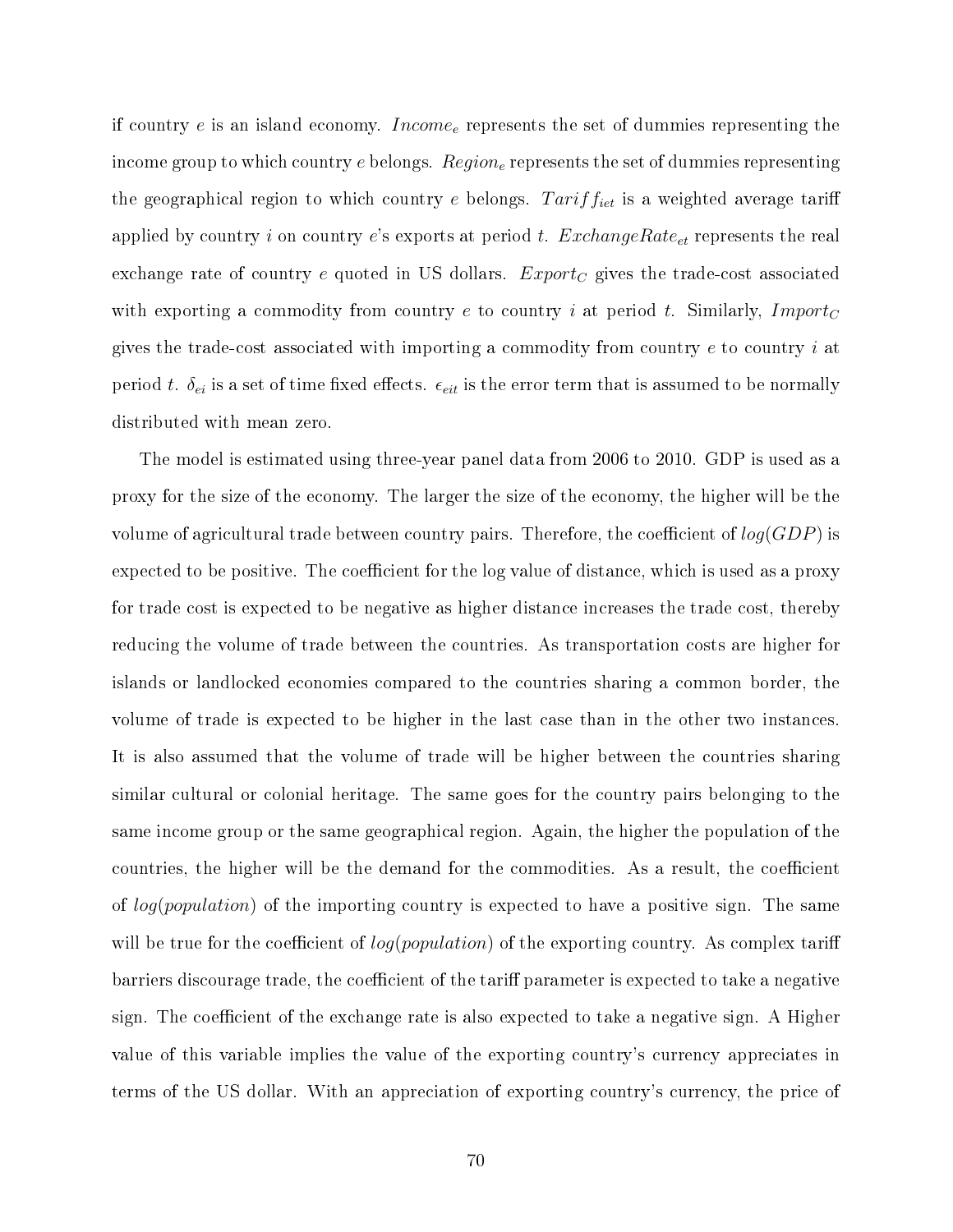if country e is an island economy. Income<sub>e</sub> represents the set of dummies representing the income group to which country e belongs. Region<sub>e</sub> represents the set of dummies representing the geographical region to which country  $e$  belongs.  $Tariff_{iet}$  is a weighted average tariff applied by country i on country e's exports at period t.  $ExchangeRate_{et}$  represents the real exchange rate of country e quoted in US dollars.  $Export_C$  gives the trade-cost associated with exporting a commodity from country e to country i at period t. Similarly, Import<sub>C</sub> gives the trade-cost associated with importing a commodity from country  $e$  to country  $i$  at period t.  $\delta_{ei}$  is a set of time fixed effects.  $\epsilon_{eit}$  is the error term that is assumed to be normally distributed with mean zero.

The model is estimated using three-year panel data from 2006 to 2010. GDP is used as a proxy for the size of the economy. The larger the size of the economy, the higher will be the volume of agricultural trade between country pairs. Therefore, the coefficient of  $log(GDP)$  is expected to be positive. The coefficient for the log value of distance, which is used as a proxy for trade cost is expected to be negative as higher distance increases the trade cost, thereby reducing the volume of trade between the countries. As transportation costs are higher for islands or landlocked economies compared to the countries sharing a common border, the volume of trade is expected to be higher in the last case than in the other two instances. It is also assumed that the volume of trade will be higher between the countries sharing similar cultural or colonial heritage. The same goes for the country pairs belonging to the same income group or the same geographical region. Again, the higher the population of the countries, the higher will be the demand for the commodities. As a result, the coefficient of  $log(population)$  of the importing country is expected to have a positive sign. The same will be true for the coefficient of  $log(population)$  of the exporting country. As complex tariff barriers discourage trade, the coefficient of the tariff parameter is expected to take a negative sign. The coefficient of the exchange rate is also expected to take a negative sign. A Higher value of this variable implies the value of the exporting country's currency appreciates in terms of the US dollar. With an appreciation of exporting country's currency, the price of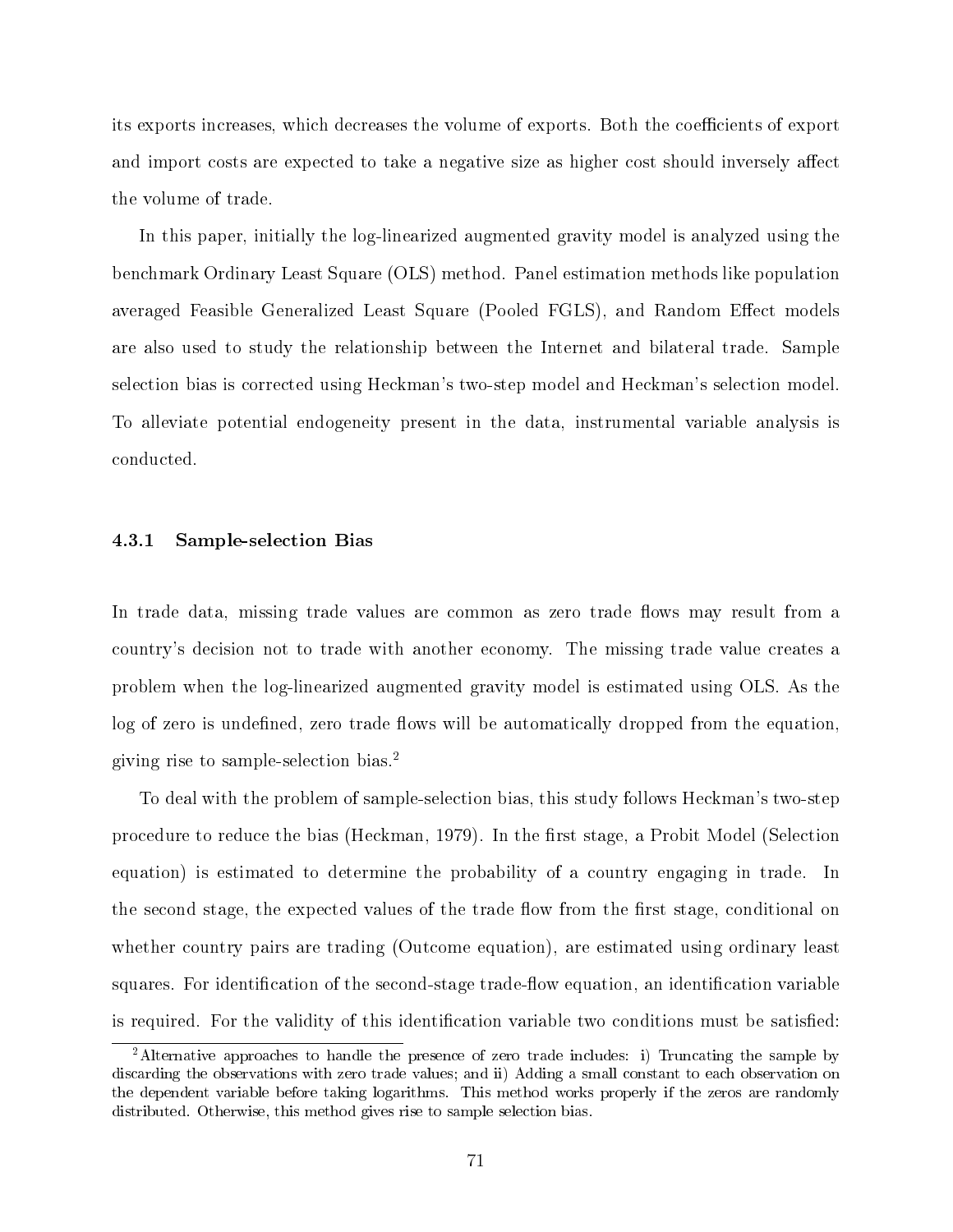its exports increases, which decreases the volume of exports. Both the coefficients of export and import costs are expected to take a negative size as higher cost should inversely affect the volume of trade.

In this paper, initially the log-linearized augmented gravity model is analyzed using the benchmark Ordinary Least Square (OLS) method. Panel estimation methods like population averaged Feasible Generalized Least Square (Pooled FGLS), and Random Effect models are also used to study the relationship between the Internet and bilateral trade. Sample selection bias is corrected using Heckman's two-step model and Heckman's selection model. To alleviate potential endogeneity present in the data, instrumental variable analysis is conducted.

#### 4.3.1 Sample-selection Bias

In trade data, missing trade values are common as zero trade flows may result from a country's decision not to trade with another economy. The missing trade value creates a problem when the log-linearized augmented gravity model is estimated using OLS. As the log of zero is undefined, zero trade flows will be automatically dropped from the equation, giving rise to sample-selection bias.[2](#page-77-0)

To deal with the problem of sample-selection bias, this study follows Heckman's two-step procedure to reduce the bias (Heckman, 1979). In the first stage, a Probit Model (Selection equation) is estimated to determine the probability of a country engaging in trade. In the second stage, the expected values of the trade flow from the first stage, conditional on whether country pairs are trading (Outcome equation), are estimated using ordinary least squares. For identification of the second-stage trade-flow equation, an identification variable is required. For the validity of this identification variable two conditions must be satisfied:

<span id="page-77-0"></span><sup>&</sup>lt;sup>2</sup>Alternative approaches to handle the presence of zero trade includes: i) Truncating the sample by discarding the observations with zero trade values; and ii) Adding a small constant to each observation on the dependent variable before taking logarithms. This method works properly if the zeros are randomly distributed. Otherwise, this method gives rise to sample selection bias.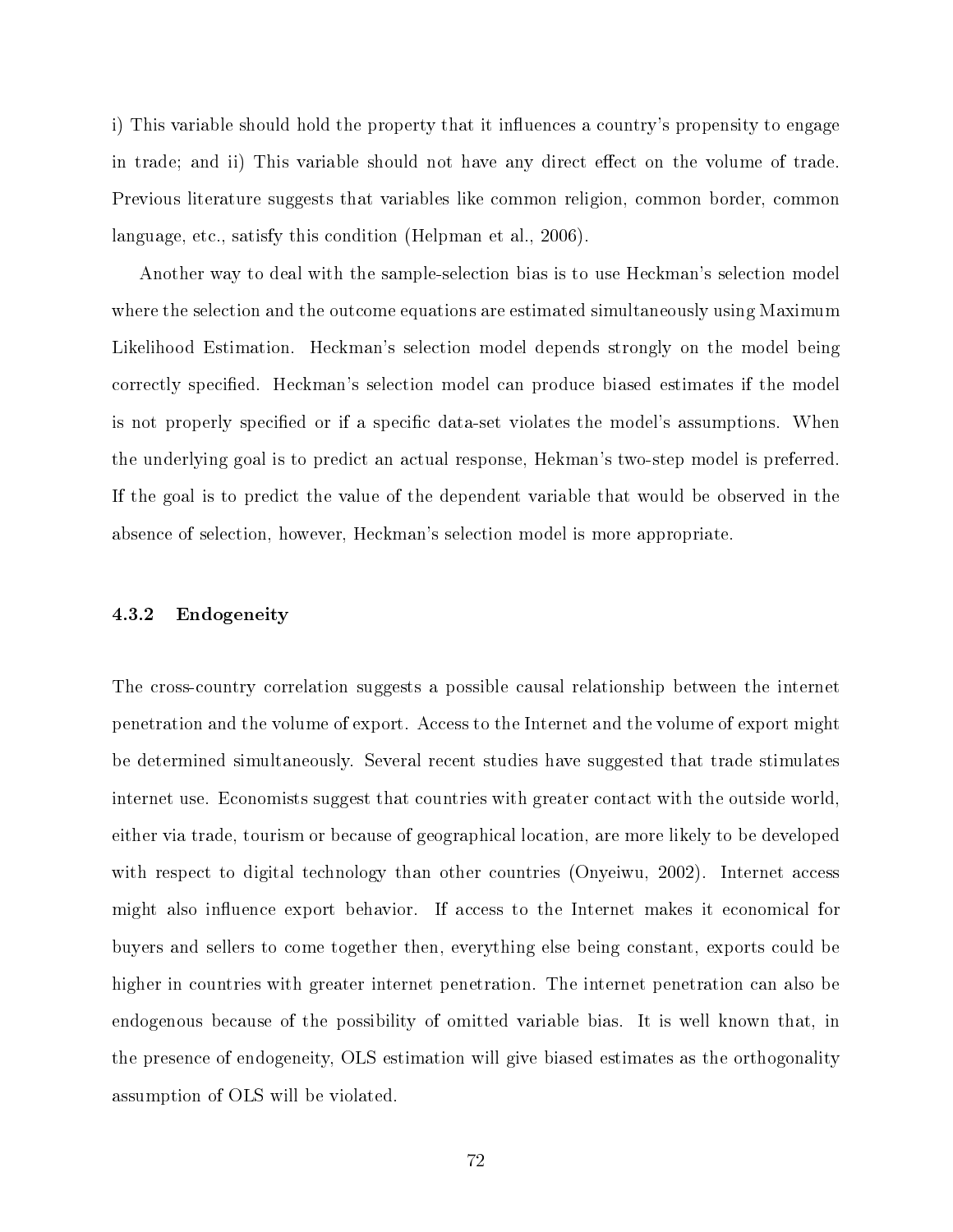i) This variable should hold the property that it influences a country's propensity to engage in trade; and ii) This variable should not have any direct effect on the volume of trade. Previous literature suggests that variables like common religion, common border, common language, etc., satisfy this condition (Helpman et al., 2006).

Another way to deal with the sample-selection bias is to use Heckman's selection model where the selection and the outcome equations are estimated simultaneously using Maximum Likelihood Estimation. Heckman's selection model depends strongly on the model being correctly specified. Heckman's selection model can produce biased estimates if the model is not properly specified or if a specific data-set violates the model's assumptions. When the underlying goal is to predict an actual response, Hekman's two-step model is preferred. If the goal is to predict the value of the dependent variable that would be observed in the absence of selection, however, Heckman's selection model is more appropriate.

#### 4.3.2 Endogeneity

The cross-country correlation suggests a possible causal relationship between the internet penetration and the volume of export. Access to the Internet and the volume of export might be determined simultaneously. Several recent studies have suggested that trade stimulates internet use. Economists suggest that countries with greater contact with the outside world, either via trade, tourism or because of geographical location, are more likely to be developed with respect to digital technology than other countries (Onyeiwu, 2002). Internet access might also influence export behavior. If access to the Internet makes it economical for buyers and sellers to come together then, everything else being constant, exports could be higher in countries with greater internet penetration. The internet penetration can also be endogenous because of the possibility of omitted variable bias. It is well known that, in the presence of endogeneity, OLS estimation will give biased estimates as the orthogonality assumption of OLS will be violated.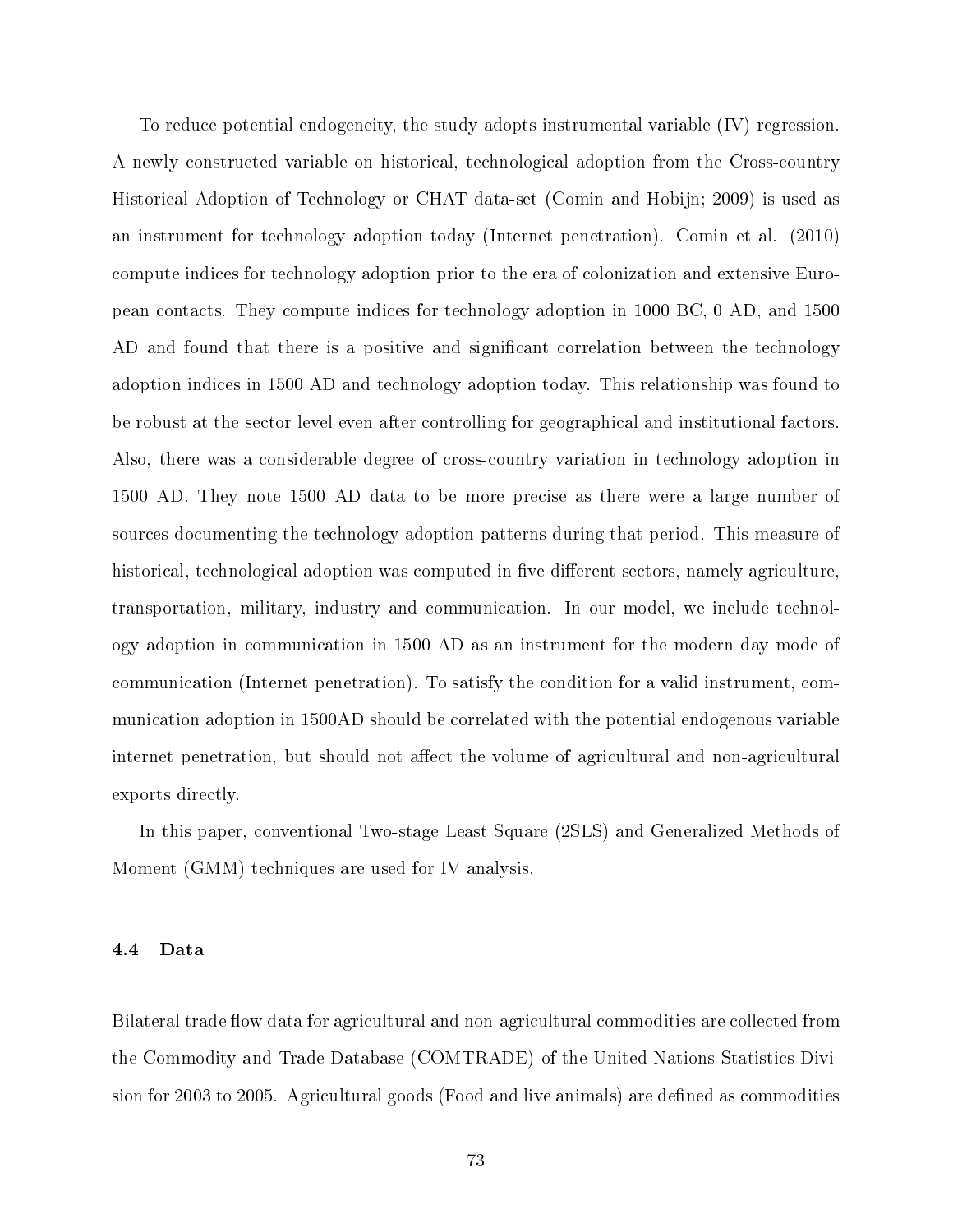To reduce potential endogeneity, the study adopts instrumental variable (IV) regression. A newly constructed variable on historical, technological adoption from the Cross-country Historical Adoption of Technology or CHAT data-set (Comin and Hobijn; 2009) is used as an instrument for technology adoption today (Internet penetration). Comin et al. (2010) compute indices for technology adoption prior to the era of colonization and extensive European contacts. They compute indices for technology adoption in 1000 BC, 0 AD, and 1500 AD and found that there is a positive and significant correlation between the technology adoption indices in 1500 AD and technology adoption today. This relationship was found to be robust at the sector level even after controlling for geographical and institutional factors. Also, there was a considerable degree of cross-country variation in technology adoption in 1500 AD. They note 1500 AD data to be more precise as there were a large number of sources documenting the technology adoption patterns during that period. This measure of historical, technological adoption was computed in five different sectors, namely agriculture, transportation, military, industry and communication. In our model, we include technology adoption in communication in 1500 AD as an instrument for the modern day mode of communication (Internet penetration). To satisfy the condition for a valid instrument, communication adoption in 1500AD should be correlated with the potential endogenous variable internet penetration, but should not affect the volume of agricultural and non-agricultural exports directly.

In this paper, conventional Two-stage Least Square (2SLS) and Generalized Methods of Moment (GMM) techniques are used for IV analysis.

#### 4.4 Data

Bilateral trade flow data for agricultural and non-agricultural commodities are collected from the Commodity and Trade Database (COMTRADE) of the United Nations Statistics Division for 2003 to 2005. Agricultural goods (Food and live animals) are defined as commodities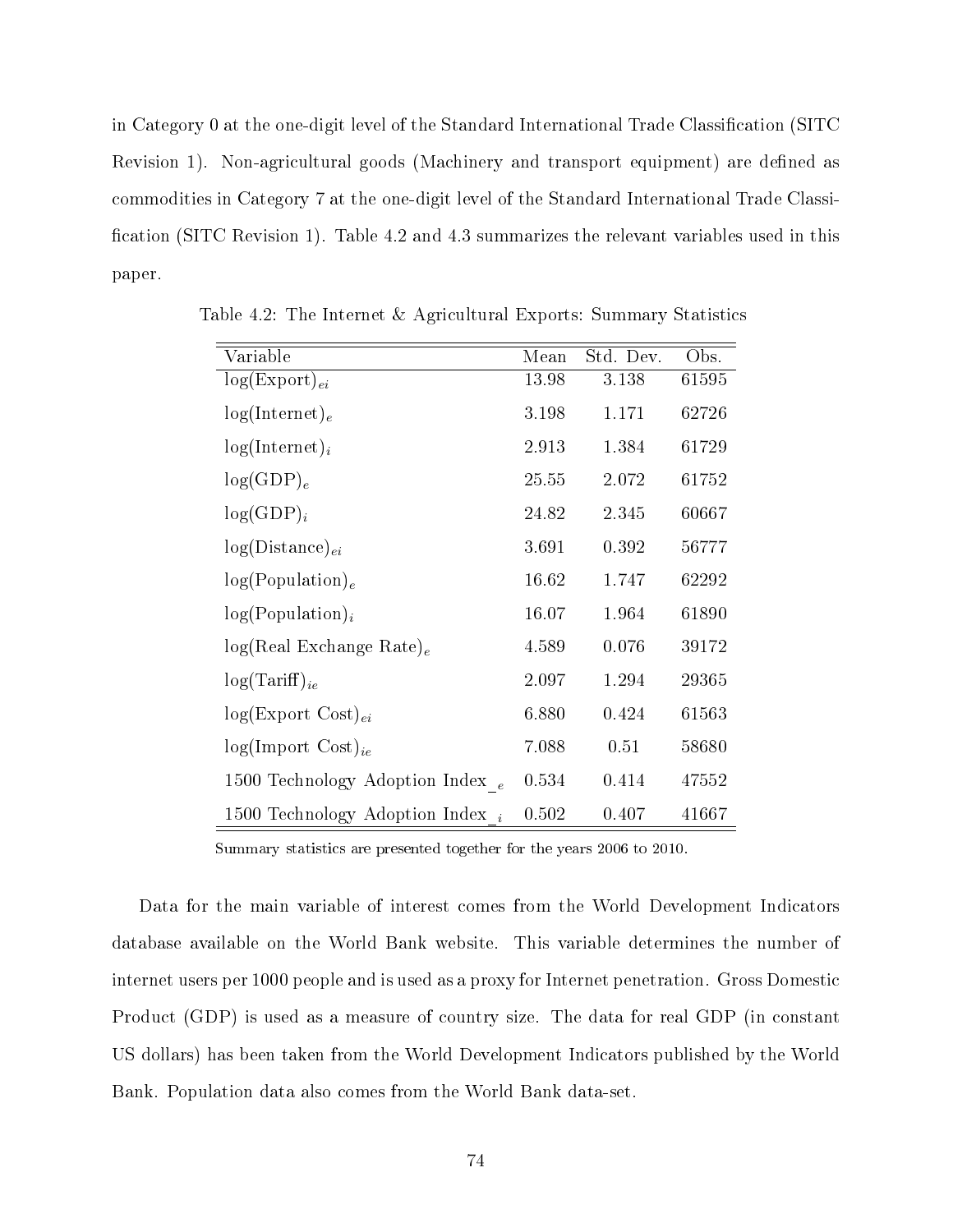in Category 0 at the one-digit level of the Standard International Trade Classification (SITC Revision 1). Non-agricultural goods (Machinery and transport equipment) are defined as commodities in Category 7 at the one-digit level of the Standard International Trade Classi cation (SITC Revision 1). Table 4.2 and 4.3 summarizes the relevant variables used in this paper.

| Variable                            | Mean  | Std. Dev. | Obs.  |
|-------------------------------------|-------|-----------|-------|
| $log(Expert)_{ei}$                  | 13.98 | 3.138     | 61595 |
| $log(Internet)_e$                   | 3.198 | 1.171     | 62726 |
| $log(Internet)_i$                   | 2.913 | 1.384     | 61729 |
| $log(GDP)_e$                        | 25.55 | 2.072     | 61752 |
| $log(GDP)_i$                        | 24.82 | 2.345     | 60667 |
| $log(Distance)_{ei}$                | 3.691 | 0.392     | 56777 |
| log(Population) <sub>e</sub>        | 16.62 | 1.747     | 62292 |
| $log(Population)_{i}$               | 16.07 | 1.964     | 61890 |
| $log(Real Exchange Rate)_e$         | 4.589 | 0.076     | 39172 |
| $log(Tariff)_{ie}$                  | 2.097 | 1.294     | 29365 |
| $log(Expert Cost)_{ei}$             | 6.880 | 0.424     | 61563 |
| $log(Import \; Cost)_{ie}$          | 7.088 | 0.51      | 58680 |
| 1500 Technology Adoption Index $_e$ | 0.534 | 0.414     | 47552 |
| 1500 Technology Adoption Index $_i$ | 0.502 | 0.407     | 41667 |

Table 4.2: The Internet & Agricultural Exports: Summary Statistics

Summary statistics are presented together for the years 2006 to 2010.

Data for the main variable of interest comes from the World Development Indicators database available on the World Bank website. This variable determines the number of internet users per 1000 people and is used as a proxy for Internet penetration. Gross Domestic Product (GDP) is used as a measure of country size. The data for real GDP (in constant US dollars) has been taken from the World Development Indicators published by the World Bank. Population data also comes from the World Bank data-set.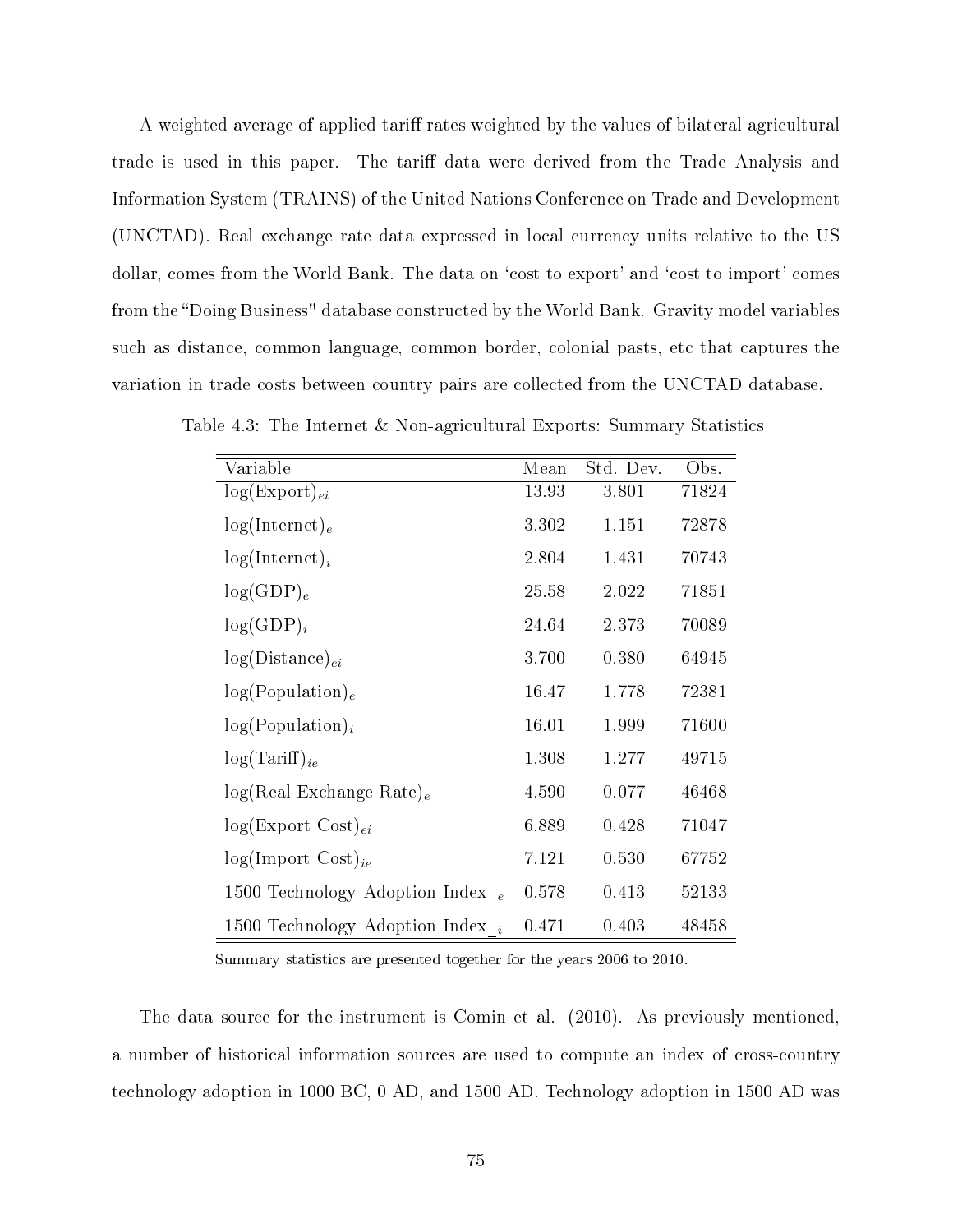A weighted average of applied tariff rates weighted by the values of bilateral agricultural trade is used in this paper. The tariff data were derived from the Trade Analysis and Information System (TRAINS) of the United Nations Conference on Trade and Development (UNCTAD). Real exchange rate data expressed in local currency units relative to the US dollar, comes from the World Bank. The data on 'cost to export' and 'cost to import' comes from the "Doing Business" database constructed by the World Bank. Gravity model variables such as distance, common language, common border, colonial pasts, etc that captures the variation in trade costs between country pairs are collected from the UNCTAD database.

| Variable                            | Mean  | Std. Dev. | Obs.  |
|-------------------------------------|-------|-----------|-------|
| $log(Expert)_{ei}$                  | 13.93 | 3.801     | 71824 |
| $log(Internet)_e$                   | 3.302 | 1.151     | 72878 |
| $log(Internet)_i$                   | 2.804 | 1.431     | 70743 |
| $log(GDP)_{e}$                      | 25.58 | 2.022     | 71851 |
| $log(GDP)_i$                        | 24.64 | 2.373     | 70089 |
| $log(Distance)_{ei}$                | 3.700 | 0.380     | 64945 |
| log(Population) <sub>e</sub>        | 16.47 | 1.778     | 72381 |
| $log(Population)_{i}$               | 16.01 | 1.999     | 71600 |
| $log(Tariff)_{ie}$                  | 1.308 | 1.277     | 49715 |
| $log(Real Exchange Rate)_e$         | 4.590 | 0.077     | 46468 |
| $log(Expert Cost)_{ei}$             | 6.889 | 0.428     | 71047 |
| $log(Import \; Cost)_{ie}$          | 7.121 | 0.530     | 67752 |
| 1500 Technology Adoption Index $_e$ | 0.578 | 0.413     | 52133 |
| 1500 Technology Adoption Index $_i$ | 0.471 | 0.403     | 48458 |

Table 4.3: The Internet & Non-agricultural Exports: Summary Statistics

Summary statistics are presented together for the years 2006 to 2010.

The data source for the instrument is Comin et al. (2010). As previously mentioned, a number of historical information sources are used to compute an index of cross-country technology adoption in 1000 BC, 0 AD, and 1500 AD. Technology adoption in 1500 AD was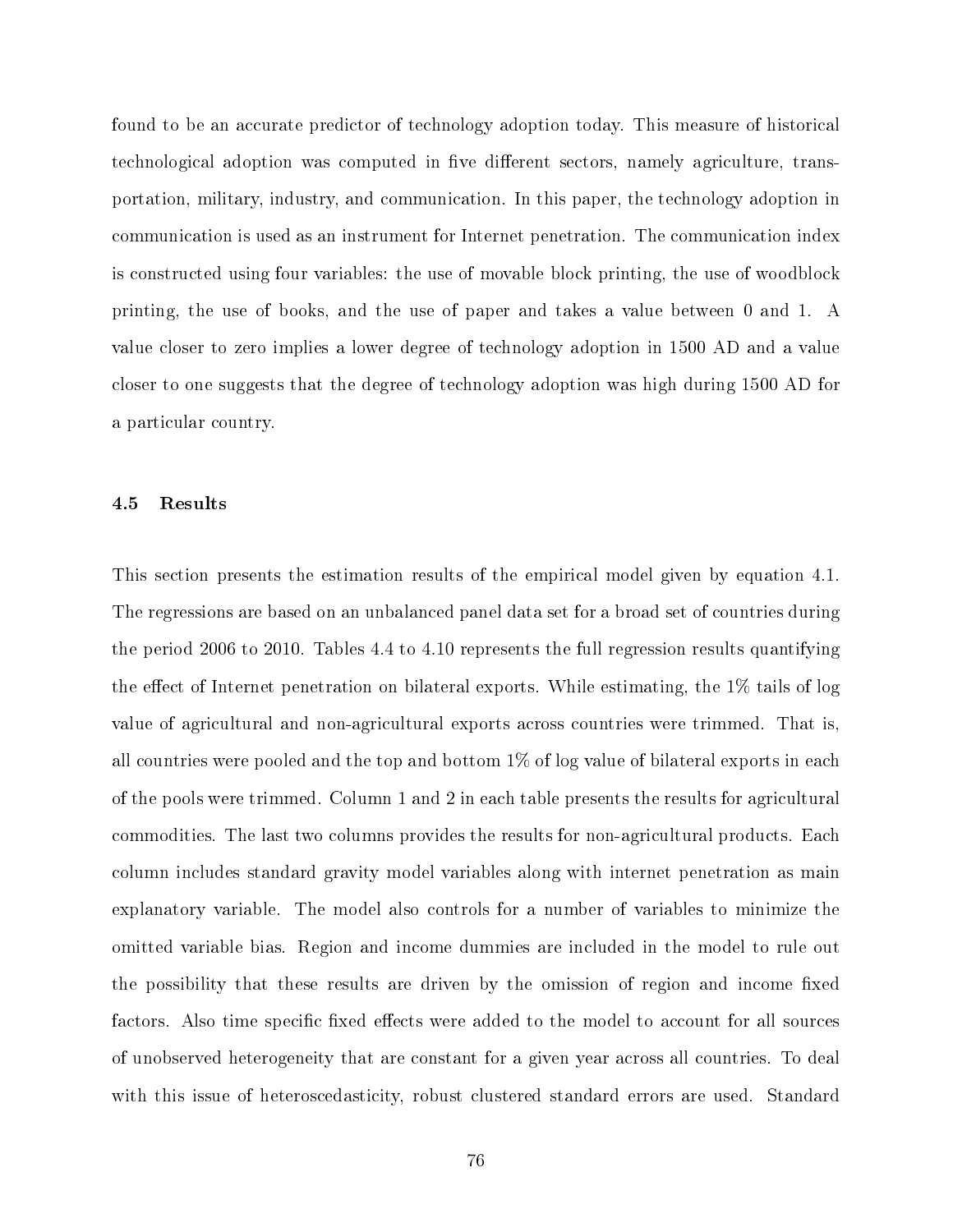found to be an accurate predictor of technology adoption today. This measure of historical technological adoption was computed in five different sectors, namely agriculture, transportation, military, industry, and communication. In this paper, the technology adoption in communication is used as an instrument for Internet penetration. The communication index is constructed using four variables: the use of movable block printing, the use of woodblock printing, the use of books, and the use of paper and takes a value between 0 and 1. A value closer to zero implies a lower degree of technology adoption in 1500 AD and a value closer to one suggests that the degree of technology adoption was high during 1500 AD for a particular country.

#### 4.5 Results

This section presents the estimation results of the empirical model given by equation 4.1. The regressions are based on an unbalanced panel data set for a broad set of countries during the period 2006 to 2010. Tables 4.4 to 4.10 represents the full regression results quantifying the effect of Internet penetration on bilateral exports. While estimating, the  $1\%$  tails of log value of agricultural and non-agricultural exports across countries were trimmed. That is, all countries were pooled and the top and bottom 1% of log value of bilateral exports in each of the pools were trimmed. Column 1 and 2 in each table presents the results for agricultural commodities. The last two columns provides the results for non-agricultural products. Each column includes standard gravity model variables along with internet penetration as main explanatory variable. The model also controls for a number of variables to minimize the omitted variable bias. Region and income dummies are included in the model to rule out the possibility that these results are driven by the omission of region and income fixed factors. Also time specific fixed effects were added to the model to account for all sources of unobserved heterogeneity that are constant for a given year across all countries. To deal with this issue of heteroscedasticity, robust clustered standard errors are used. Standard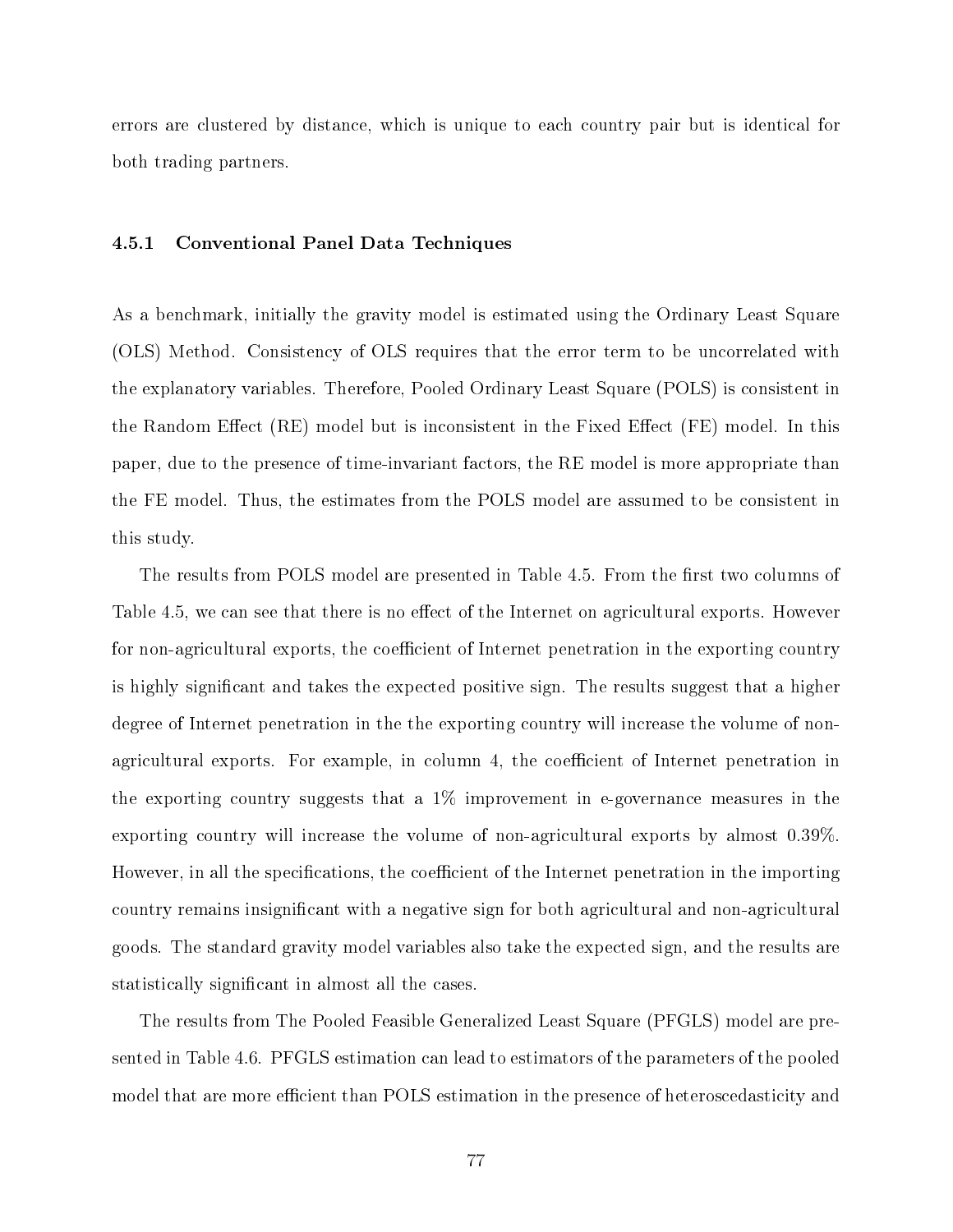errors are clustered by distance, which is unique to each country pair but is identical for both trading partners.

#### 4.5.1 Conventional Panel Data Techniques

As a benchmark, initially the gravity model is estimated using the Ordinary Least Square (OLS) Method. Consistency of OLS requires that the error term to be uncorrelated with the explanatory variables. Therefore, Pooled Ordinary Least Square (POLS) is consistent in the Random Effect  $(RE)$  model but is inconsistent in the Fixed Effect  $(FE)$  model. In this paper, due to the presence of time-invariant factors, the RE model is more appropriate than the FE model. Thus, the estimates from the POLS model are assumed to be consistent in this study.

The results from POLS model are presented in Table 4.5. From the first two columns of Table 4.5, we can see that there is no effect of the Internet on agricultural exports. However for non-agricultural exports, the coefficient of Internet penetration in the exporting country is highly signicant and takes the expected positive sign. The results suggest that a higher degree of Internet penetration in the the exporting country will increase the volume of nonagricultural exports. For example, in column 4, the coefficient of Internet penetration in the exporting country suggests that a  $1\%$  improvement in e-governance measures in the exporting country will increase the volume of non-agricultural exports by almost 0.39%. However, in all the specifications, the coefficient of the Internet penetration in the importing country remains insignificant with a negative sign for both agricultural and non-agricultural goods. The standard gravity model variables also take the expected sign, and the results are statistically signicant in almost all the cases.

The results from The Pooled Feasible Generalized Least Square (PFGLS) model are presented in Table 4.6. PFGLS estimation can lead to estimators of the parameters of the pooled model that are more efficient than POLS estimation in the presence of heteroscedasticity and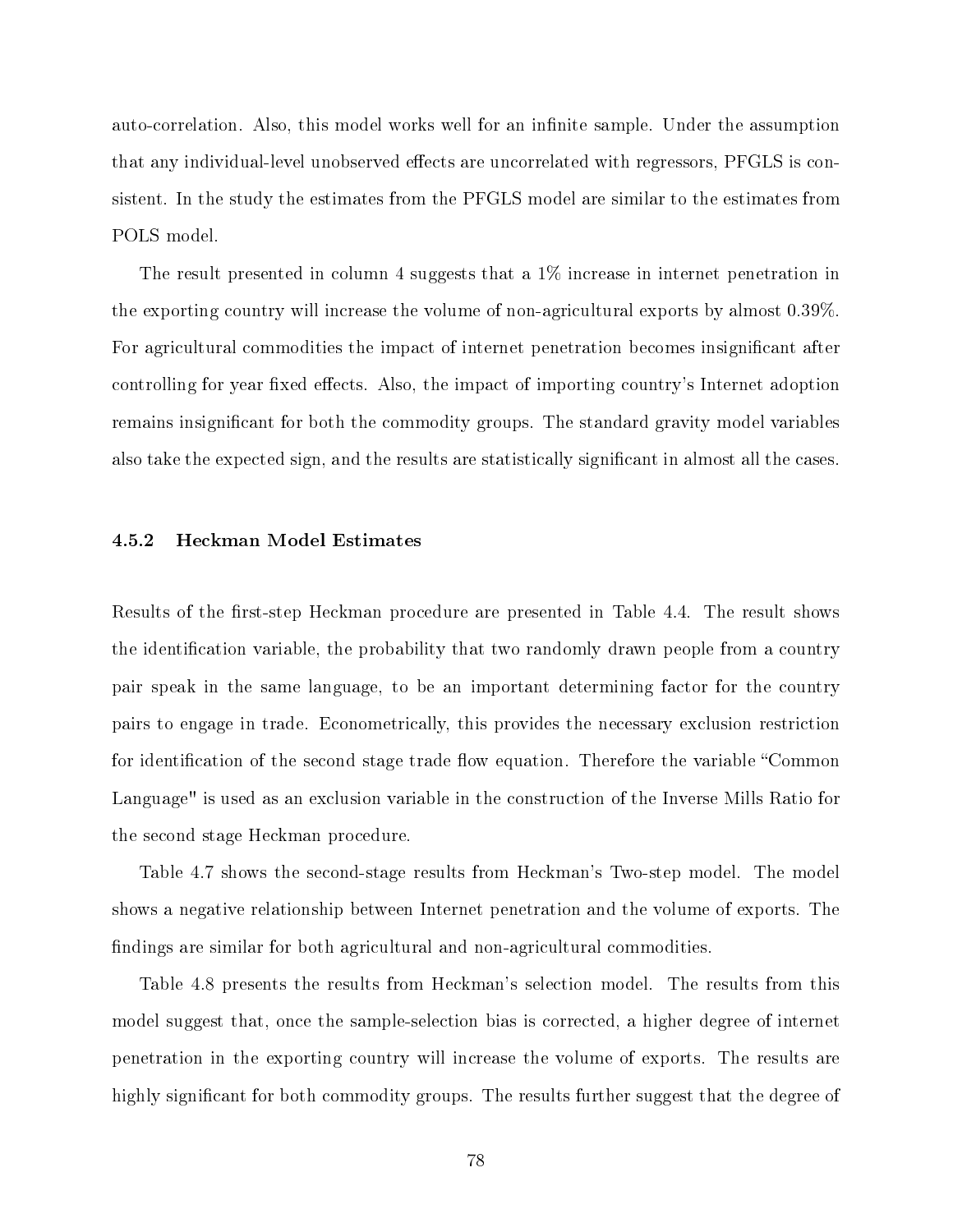auto-correlation. Also, this model works well for an infinite sample. Under the assumption that any individual-level unobserved effects are uncorrelated with regressors, PFGLS is consistent. In the study the estimates from the PFGLS model are similar to the estimates from POLS model.

The result presented in column 4 suggests that a 1% increase in internet penetration in the exporting country will increase the volume of non-agricultural exports by almost 0.39%. For agricultural commodities the impact of internet penetration becomes insignificant after controlling for year fixed effects. Also, the impact of importing country's Internet adoption remains insignicant for both the commodity groups. The standard gravity model variables also take the expected sign, and the results are statistically significant in almost all the cases.

#### 4.5.2 Heckman Model Estimates

Results of the first-step Heckman procedure are presented in Table 4.4. The result shows the identification variable, the probability that two randomly drawn people from a country pair speak in the same language, to be an important determining factor for the country pairs to engage in trade. Econometrically, this provides the necessary exclusion restriction for identification of the second stage trade flow equation. Therefore the variable "Common Language" is used as an exclusion variable in the construction of the Inverse Mills Ratio for the second stage Heckman procedure.

Table 4.7 shows the second-stage results from Heckman's Two-step model. The model shows a negative relationship between Internet penetration and the volume of exports. The findings are similar for both agricultural and non-agricultural commodities.

Table 4.8 presents the results from Heckman's selection model. The results from this model suggest that, once the sample-selection bias is corrected, a higher degree of internet penetration in the exporting country will increase the volume of exports. The results are highly significant for both commodity groups. The results further suggest that the degree of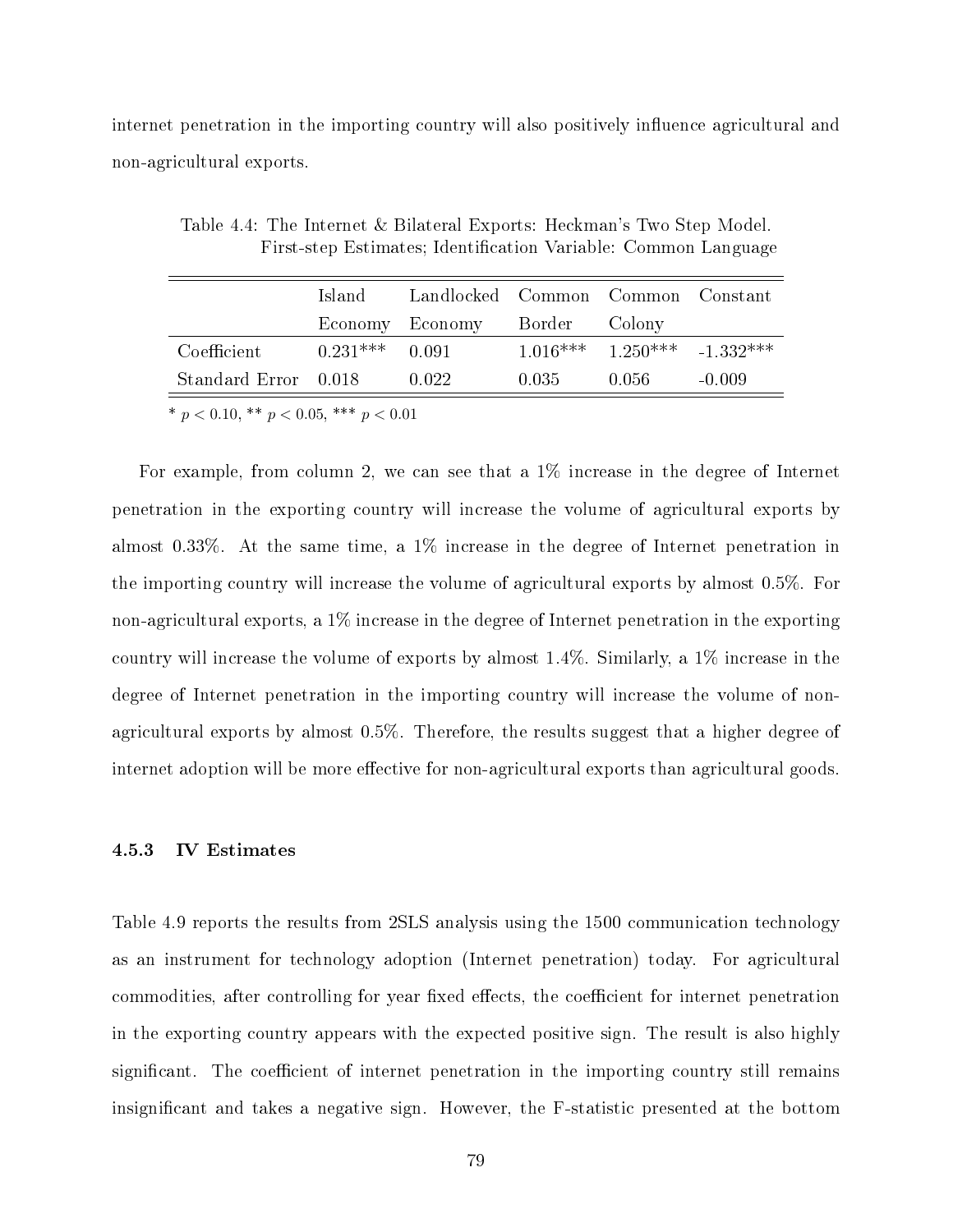internet penetration in the importing country will also positively influence agricultural and non-agricultural exports.

|                      | -Island          | Landlocked Common Common Constant |       |                                   |          |
|----------------------|------------------|-----------------------------------|-------|-----------------------------------|----------|
|                      |                  | Economy Economy Border            |       | – Colony                          |          |
| Coefficient          | $0.231***$ 0.091 |                                   |       | $1.016***$ $1.250***$ $-1.332***$ |          |
| Standard Error 0.018 |                  | 0.022                             | 0.035 | 0.056 -                           | $-0.009$ |

Table 4.4: The Internet & Bilateral Exports: Heckman's Two Step Model. First-step Estimates; Identification Variable: Common Language

\*  $p < 0.10,$  \*\*  $p < 0.05,$  \*\*\*  $p < 0.01$ 

For example, from column 2, we can see that a 1% increase in the degree of Internet penetration in the exporting country will increase the volume of agricultural exports by almost 0.33%. At the same time, a 1% increase in the degree of Internet penetration in the importing country will increase the volume of agricultural exports by almost 0.5%. For non-agricultural exports, a 1% increase in the degree of Internet penetration in the exporting country will increase the volume of exports by almost 1.4%. Similarly, a 1% increase in the degree of Internet penetration in the importing country will increase the volume of nonagricultural exports by almost 0.5%. Therefore, the results suggest that a higher degree of internet adoption will be more effective for non-agricultural exports than agricultural goods.

#### 4.5.3 IV Estimates

Table 4.9 reports the results from 2SLS analysis using the 1500 communication technology as an instrument for technology adoption (Internet penetration) today. For agricultural commodities, after controlling for year fixed effects, the coefficient for internet penetration in the exporting country appears with the expected positive sign. The result is also highly significant. The coefficient of internet penetration in the importing country still remains insignicant and takes a negative sign. However, the F-statistic presented at the bottom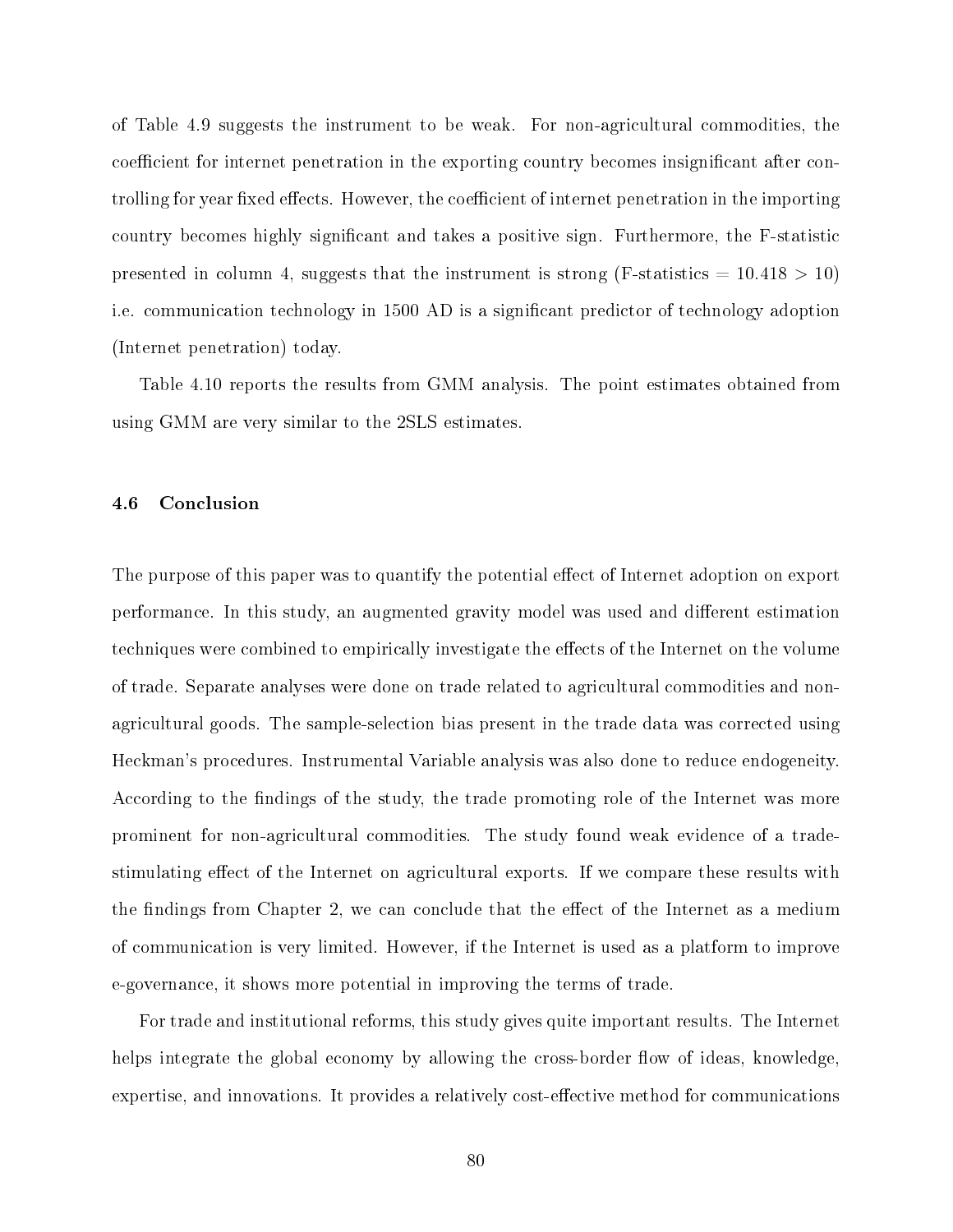of Table 4.9 suggests the instrument to be weak. For non-agricultural commodities, the coefficient for internet penetration in the exporting country becomes insignificant after controlling for year fixed effects. However, the coefficient of internet penetration in the importing country becomes highly signicant and takes a positive sign. Furthermore, the F-statistic presented in column 4, suggests that the instrument is strong (F-statistics  $= 10.418 > 10$ ) i.e. communication technology in 1500 AD is a signicant predictor of technology adoption (Internet penetration) today.

Table 4.10 reports the results from GMM analysis. The point estimates obtained from using GMM are very similar to the 2SLS estimates.

#### 4.6 Conclusion

The purpose of this paper was to quantify the potential effect of Internet adoption on export performance. In this study, an augmented gravity model was used and different estimation techniques were combined to empirically investigate the effects of the Internet on the volume of trade. Separate analyses were done on trade related to agricultural commodities and nonagricultural goods. The sample-selection bias present in the trade data was corrected using Heckman's procedures. Instrumental Variable analysis was also done to reduce endogeneity. According to the findings of the study, the trade promoting role of the Internet was more prominent for non-agricultural commodities. The study found weak evidence of a tradestimulating effect of the Internet on agricultural exports. If we compare these results with the findings from Chapter 2, we can conclude that the effect of the Internet as a medium of communication is very limited. However, if the Internet is used as a platform to improve e-governance, it shows more potential in improving the terms of trade.

For trade and institutional reforms, this study gives quite important results. The Internet helps integrate the global economy by allowing the cross-border flow of ideas, knowledge, expertise, and innovations. It provides a relatively cost-effective method for communications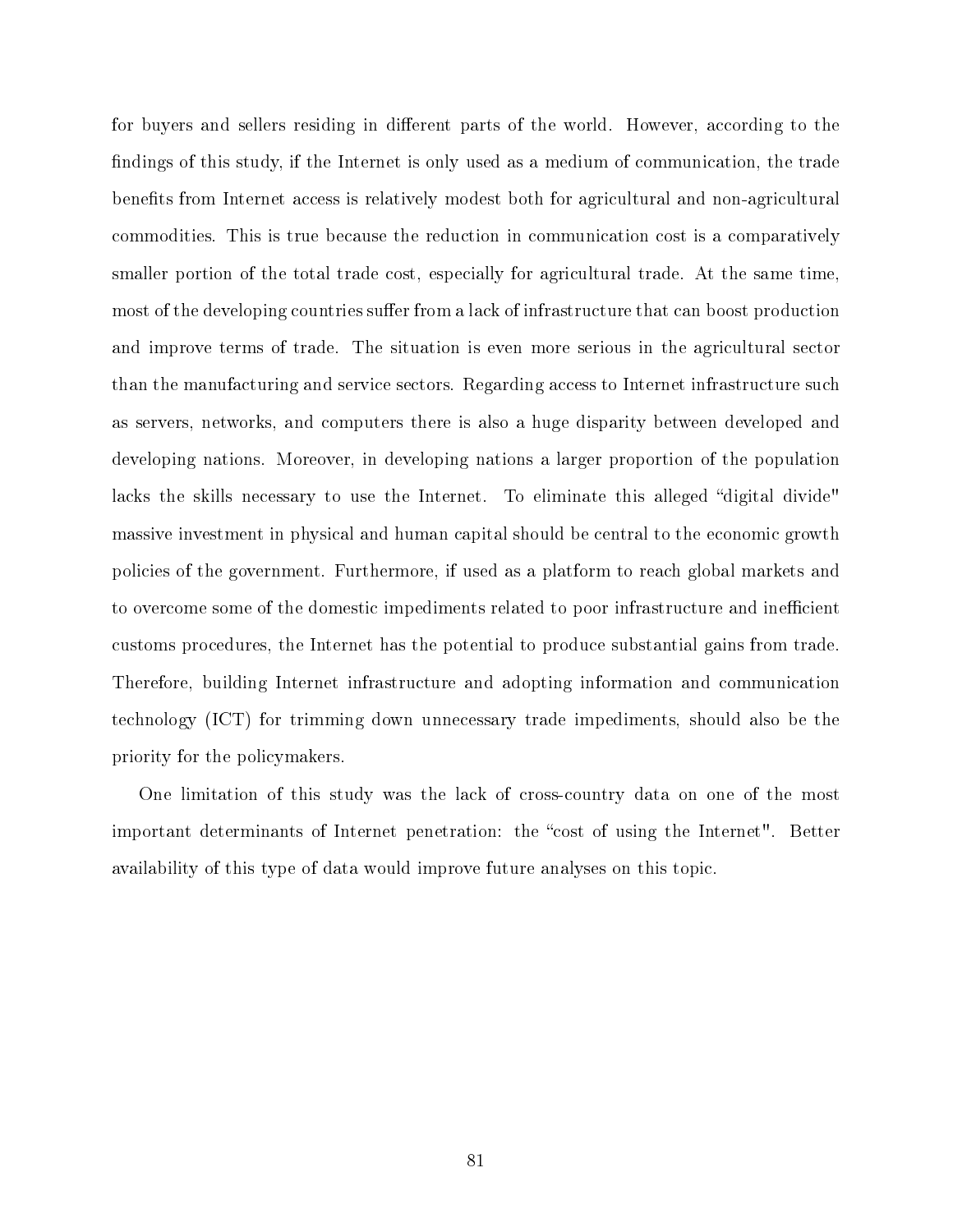for buyers and sellers residing in different parts of the world. However, according to the findings of this study, if the Internet is only used as a medium of communication, the trade benefits from Internet access is relatively modest both for agricultural and non-agricultural commodities. This is true because the reduction in communication cost is a comparatively smaller portion of the total trade cost, especially for agricultural trade. At the same time, most of the developing countries suffer from a lack of infrastructure that can boost production and improve terms of trade. The situation is even more serious in the agricultural sector than the manufacturing and service sectors. Regarding access to Internet infrastructure such as servers, networks, and computers there is also a huge disparity between developed and developing nations. Moreover, in developing nations a larger proportion of the population lacks the skills necessary to use the Internet. To eliminate this alleged "digital divide" massive investment in physical and human capital should be central to the economic growth policies of the government. Furthermore, if used as a platform to reach global markets and to overcome some of the domestic impediments related to poor infrastructure and inefficient customs procedures, the Internet has the potential to produce substantial gains from trade. Therefore, building Internet infrastructure and adopting information and communication technology (ICT) for trimming down unnecessary trade impediments, should also be the priority for the policymakers.

One limitation of this study was the lack of cross-country data on one of the most important determinants of Internet penetration: the "cost of using the Internet". Better availability of this type of data would improve future analyses on this topic.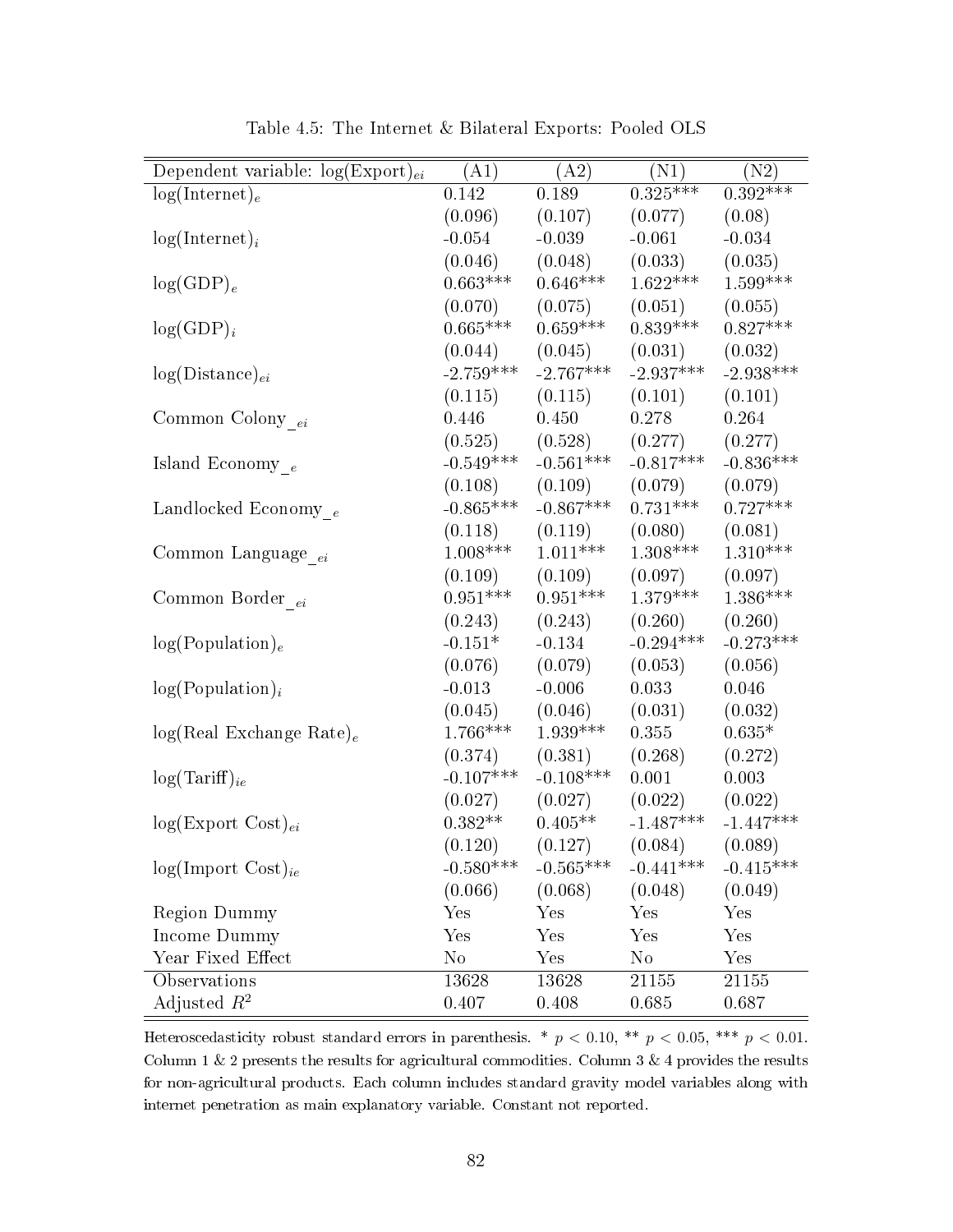| Dependent variable: $log(Expert)_{ei}$ | (A1)        | (A2)                 | (N1)        | (N2)                  |
|----------------------------------------|-------------|----------------------|-------------|-----------------------|
| $log(Internet)_e$                      | 0.142       | 0.189                | $0.325***$  | $0.\overline{392***}$ |
|                                        | (0.096)     | (0.107)              | (0.077)     | (0.08)                |
| $log(Internet)_i$                      | $-0.054$    | $-0.039$             | $-0.061$    | $-0.034$              |
|                                        | (0.046)     | (0.048)              | (0.033)     | (0.035)               |
| $log(GDP)_e$                           | $0.663***$  | $0.646***$           | $1.622***$  | $1.599***$            |
|                                        | (0.070)     | (0.075)              | (0.051)     | (0.055)               |
| $log(GDP)_i$                           | $0.665***$  | $0.659***$           | $0.839***$  | $0.827***$            |
|                                        | (0.044)     | (0.045)              | (0.031)     | (0.032)               |
| $log(Distance)_{ei}$                   | $-2.759***$ | $-2.767***$          | $-2.937***$ | $-2.938***$           |
|                                        | (0.115)     | (0.115)              | (0.101)     | (0.101)               |
| Common Colony $_{ei}$                  | 0.446       | 0.450                | 0.278       | 0.264                 |
|                                        | (0.525)     | (0.528)              | (0.277)     | (0.277)               |
| Island Economy $_e$                    | $-0.549***$ | $-0.561***$          | $-0.817***$ | $-0.836***$           |
|                                        | (0.108)     | (0.109)              | (0.079)     | (0.079)               |
| Landlocked Economy $_e$                | $-0.865***$ | $-0.867***$          | $0.731***$  | $0.727***$            |
|                                        | (0.118)     | (0.119)              | (0.080)     | (0.081)               |
| Common Language $_{ei}$                | $1.008***$  | $1.011***$           | $1.308***$  | $1.310***$            |
|                                        | (0.109)     | (0.109)              | (0.097)     | (0.097)               |
| Common Border $_{ei}$                  | $0.951***$  | $0.951***$           | $1.379***$  | $1.386***$            |
|                                        | (0.243)     | (0.243)              | (0.260)     | (0.260)               |
| log(Population) <sub>e</sub>           | $-0.151*$   | $-0.134$             | $-0.294***$ | $-0.273***$           |
|                                        | (0.076)     | (0.079)              | (0.053)     | (0.056)               |
| $log(Population)_{i}$                  | $-0.013$    | $-0.006$             | 0.033       | 0.046                 |
|                                        | (0.045)     | (0.046)              | (0.031)     | (0.032)               |
| $log(Real Exchange Rate)_e$            | $1.766***$  | $1.939***$           | 0.355       | $0.635*$              |
|                                        | (0.374)     | (0.381)              | (0.268)     | (0.272)               |
| $log(Tariff)_{ie}$                     | $-0.107***$ | $-0.108***$          | 0.001       | 0.003                 |
|                                        | (0.027)     | (0.027)              | (0.022)     | (0.022)               |
| $log(Expert Cost)_{ei}$                | $0.382**$   | $0.405**$            | $-1.487***$ | $-1.447***$           |
|                                        | (0.120)     | (0.127)              | (0.084)     | (0.089)               |
| $log(Import Cost)_{ie}$                | $-0.580***$ | $-0.565***$          | $-0.441***$ | $-0.415***$           |
|                                        | (0.066)     | (0.068)              | (0.048)     | (0.049)               |
| <b>Region Dummy</b>                    | Yes         | Yes                  | Yes         | Yes                   |
| Income Dummy                           | Yes         | Yes                  | Yes         | Yes                   |
| Year Fixed Effect                      | $\rm No$    | $\operatorname{Yes}$ | $\rm No$    | Yes                   |
| Observations                           | 13628       | 13628                | 21155       | 21155                 |
| Adjusted $R^2$                         | 0.407       | 0.408                | 0.685       | 0.687                 |

Table 4.5: The Internet & Bilateral Exports: Pooled OLS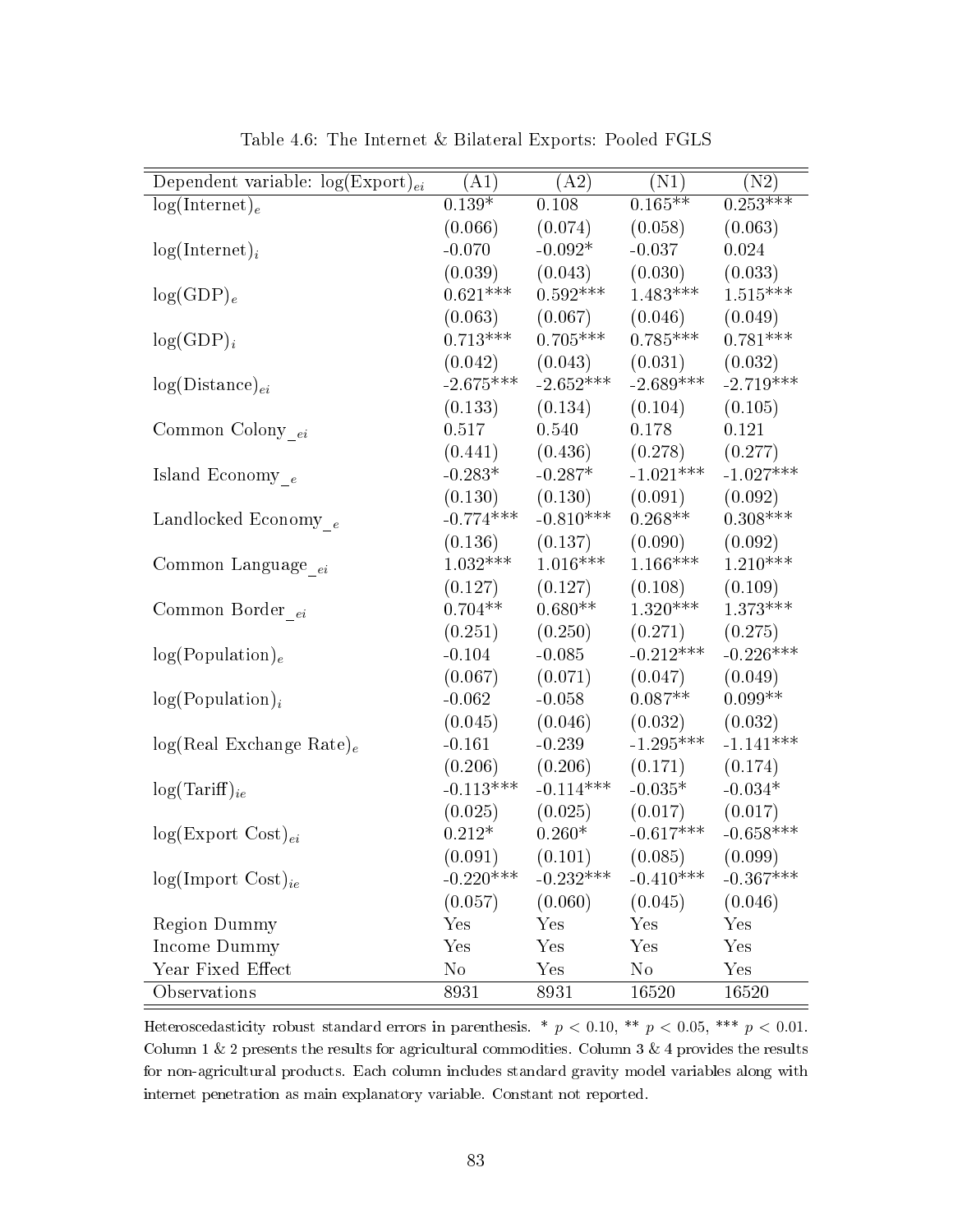| Dependent variable: $log(Expert)_{ei}$ | (A1)        | (A2)        | (N1)        | (N2)        |
|----------------------------------------|-------------|-------------|-------------|-------------|
| $log(Internet)_e$                      | $0.139*$    | 0.108       | $0.165**$   | $0.253***$  |
|                                        | (0.066)     | (0.074)     | (0.058)     | (0.063)     |
| $log(Internet)_i$                      | $-0.070$    | $-0.092*$   | $-0.037$    | 0.024       |
|                                        | (0.039)     | (0.043)     | (0.030)     | (0.033)     |
| $log(GDP)_e$                           | $0.621***$  | $0.592***$  | $1.483***$  | $1.515***$  |
|                                        | (0.063)     | (0.067)     | (0.046)     | (0.049)     |
| $log(GDP)_i$                           | $0.713***$  | $0.705***$  | $0.785***$  | $0.781***$  |
|                                        | (0.042)     | (0.043)     | (0.031)     | (0.032)     |
| $log(Distance)_{ei}$                   | $-2.675***$ | $-2.652***$ | $-2.689***$ | $-2.719***$ |
|                                        | (0.133)     | (0.134)     | (0.104)     | (0.105)     |
| Common Colony $_{ei}$                  | 0.517       | 0.540       | 0.178       | 0.121       |
|                                        | (0.441)     | (0.436)     | (0.278)     | (0.277)     |
| Island Economy $_{\,e}$                | $-0.283*$   | $-0.287*$   | $-1.021***$ | $-1.027***$ |
|                                        | (0.130)     | (0.130)     | (0.091)     | (0.092)     |
| Landlocked Economy $_e$                | $-0.774***$ | $-0.810***$ | $0.268**$   | $0.308***$  |
|                                        | (0.136)     | (0.137)     | (0.090)     | (0.092)     |
| Common Language $_{\_ei}$              | $1.032***$  | $1.016***$  | $1.166***$  | $1.210***$  |
|                                        | (0.127)     | (0.127)     | (0.108)     | (0.109)     |
| Common Border <sub>ei</sub>            | $0.704**$   | $0.680**$   | $1.320***$  | $1.373***$  |
|                                        | (0.251)     | (0.250)     | (0.271)     | (0.275)     |
| log(Population) <sub>e</sub>           | $-0.104$    | $-0.085$    | $-0.212***$ | $-0.226***$ |
|                                        | (0.067)     | (0.071)     | (0.047)     | (0.049)     |
| $log(Population)_{i}$                  | $-0.062$    | $-0.058$    | $0.087**$   | $0.099**$   |
|                                        | (0.045)     | (0.046)     | (0.032)     | (0.032)     |
| $log(Real Exchange Rate)_e$            | $-0.161$    | $-0.239$    | $-1.295***$ | $-1.141***$ |
|                                        | (0.206)     | (0.206)     | (0.171)     | (0.174)     |
| $log(Tariff)_{ie}$                     | $-0.113***$ | $-0.114***$ | $-0.035*$   | $-0.034*$   |
|                                        | (0.025)     | (0.025)     | (0.017)     | (0.017)     |
| $log(Expert Cost)_{ei}$                | $0.212*$    | $0.260*$    | $-0.617***$ | $-0.658***$ |
|                                        | (0.091)     | (0.101)     | (0.085)     | (0.099)     |
| $log(Import Cost)_{ie}$                | $-0.220***$ | $-0.232***$ | $-0.410***$ | $-0.367***$ |
|                                        | (0.057)     | (0.060)     | (0.045)     | (0.046)     |
| <b>Region Dummy</b>                    | Yes         | Yes         | Yes         | Yes         |
| Income Dummy                           | Yes         | Yes         | Yes         | Yes         |
| Year Fixed Effect                      | $\rm No$    | Yes         | $\rm No$    | Yes         |
| <b>Observations</b>                    | 8931        | 8931        | 16520       | 16520       |

Table 4.6: The Internet & Bilateral Exports: Pooled FGLS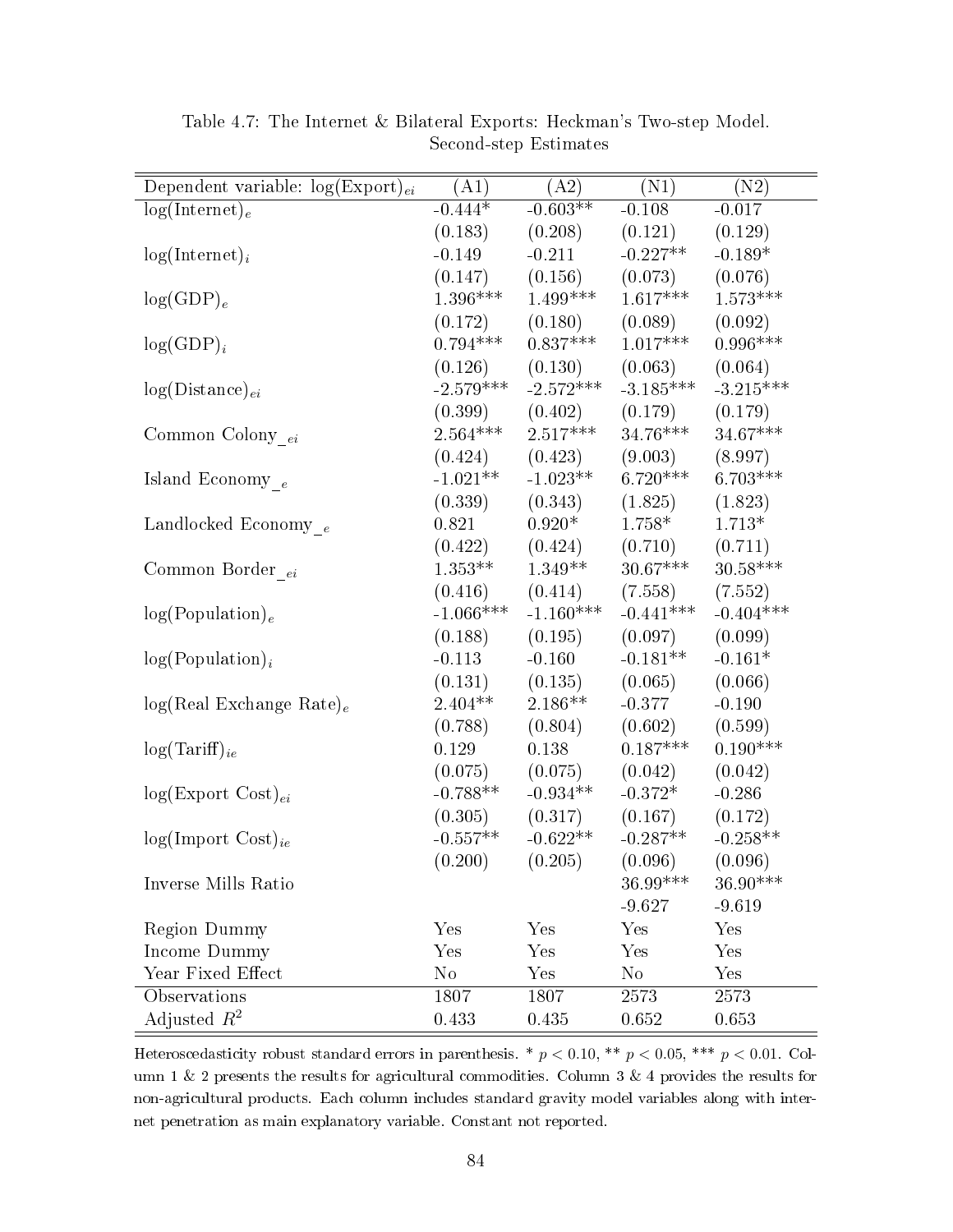| Dependent variable: $log(Expert)_{ei}$ | (A1)        | (A2)        | (N1)        | (N2)                   |
|----------------------------------------|-------------|-------------|-------------|------------------------|
| $log(Internet)_e$                      | $-0.444*$   | $-0.603**$  | $-0.108$    | $-0.017$               |
|                                        | (0.183)     | (0.208)     | (0.121)     | (0.129)                |
| $log(Internet)_i$                      | $-0.149$    | $-0.211$    | $-0.227**$  | $-0.189*$              |
|                                        | (0.147)     | (0.156)     | (0.073)     | (0.076)                |
| $log(GDP)_e$                           | $1.396***$  | $1.499***$  | $1.617***$  | $1.573***$             |
|                                        | (0.172)     | (0.180)     | (0.089)     | (0.092)                |
| $log(GDP)_i$                           | $0.794***$  | $0.837***$  | $1.017***$  | $0.996***$             |
|                                        | (0.126)     | (0.130)     | (0.063)     | (0.064)                |
| $log(Distance)_{ei}$                   | $-2.579***$ | $-2.572***$ | $-3.185***$ | $-3.215***$            |
|                                        | (0.399)     | (0.402)     | (0.179)     | (0.179)                |
| Common Colony $_{ei}$                  | $2.564***$  | $2.517***$  | $34.76***$  | $34.67***$             |
|                                        | (0.424)     | (0.423)     | (9.003)     | (8.997)                |
| Island Economy $_e$                    | $-1.021**$  | $-1.023**$  | $6.720***$  | $6.703***$             |
|                                        | (0.339)     | (0.343)     | (1.825)     | (1.823)                |
| Landlocked Economy $_e$                | 0.821       | $0.920*$    | $1.758*$    | $1.713*$               |
|                                        | (0.422)     | (0.424)     | (0.710)     | (0.711)                |
| Common Border $_{ei}$                  | $1.353**$   | $1.349**$   | $30.67***$  | $30.58^{\ast\ast\ast}$ |
|                                        | (0.416)     | (0.414)     | (7.558)     | (7.552)                |
| log(Population) <sub>e</sub>           | $-1.066***$ | $-1.160***$ | $-0.441***$ | $-0.404***$            |
|                                        | (0.188)     | (0.195)     | (0.097)     | (0.099)                |
| $log(Population)_{i}$                  | $-0.113$    | $-0.160$    | $-0.181**$  | $-0.161*$              |
|                                        | (0.131)     | (0.135)     | (0.065)     | (0.066)                |
| $log(Real Exchange Rate)_e$            | $2.404**$   | $2.186**$   | $-0.377$    | $-0.190$               |
|                                        | (0.788)     | (0.804)     | (0.602)     | (0.599)                |
| $log(Tariff)_{ie}$                     | 0.129       | 0.138       | $0.187***$  | $0.190***$             |
|                                        | (0.075)     | (0.075)     | (0.042)     | (0.042)                |
| $log(Expert Cost)_{ei}$                | $-0.788**$  | $-0.934**$  | $-0.372*$   | $-0.286$               |
|                                        | (0.305)     | (0.317)     | (0.167)     | (0.172)                |
| $log(Import \; Cost)_{ie}$             | $-0.557**$  | $-0.622**$  | $-0.287**$  | $-0.258**$             |
|                                        | (0.200)     | (0.205)     | (0.096)     | (0.096)                |
| Inverse Mills Ratio                    |             |             | 36.99***    | $36.90***$             |
|                                        |             |             | $-9.627$    | $-9.619$               |
| <b>Region Dummy</b>                    | Yes         | Yes         | Yes         | Yes                    |
| Income Dummy                           | Yes         | Yes         | Yes         | Yes                    |
| Year Fixed Effect                      | $\rm No$    | Yes         | $\rm No$    | $\operatorname{Yes}$   |
| Observations                           | 1807        | 1807        | 2573        | 2573                   |
| Adjusted $R^2$                         | 0.433       | 0.435       | 0.652       | 0.653                  |

Table 4.7: The Internet & Bilateral Exports: Heckman's Two-step Model. Second-step Estimates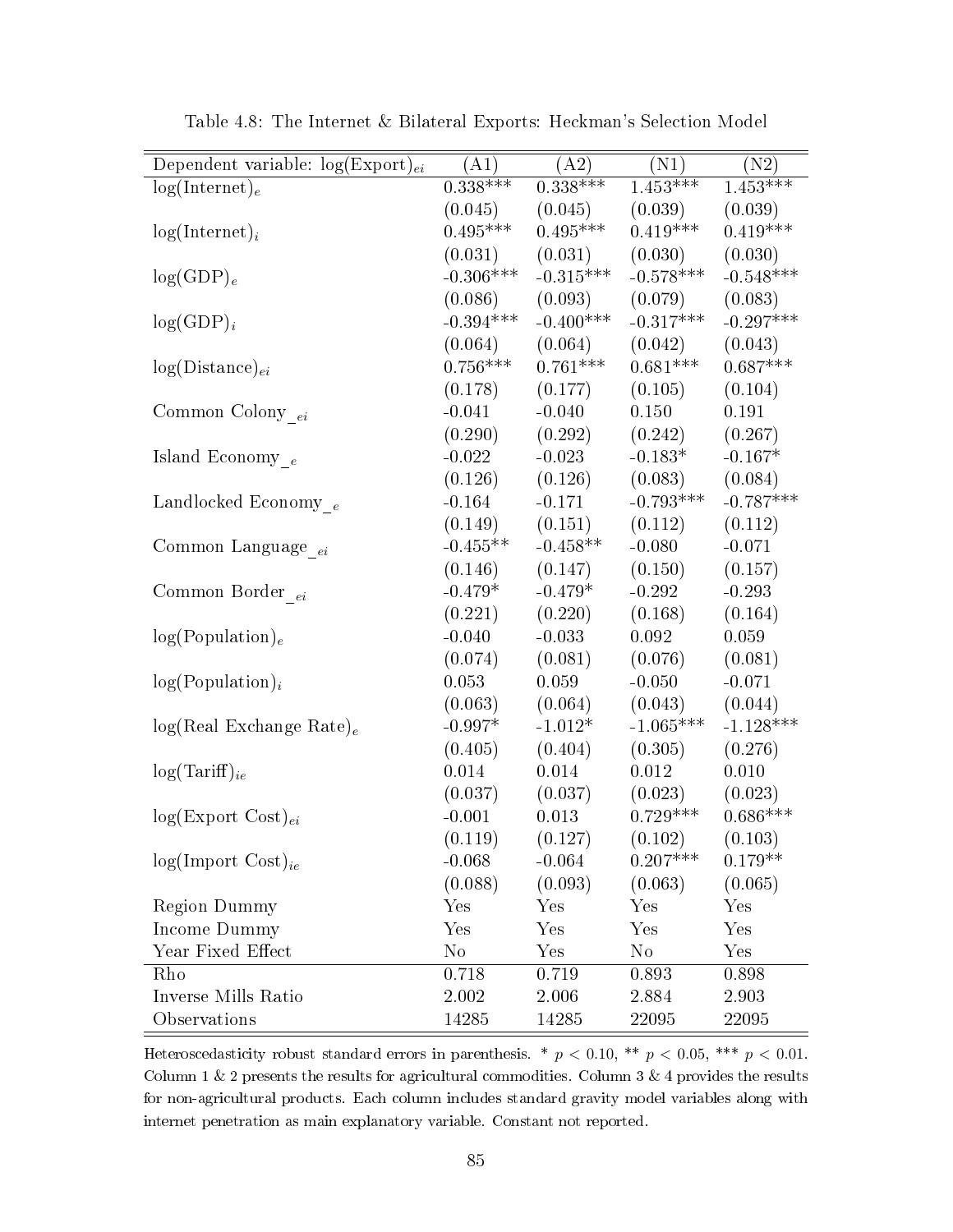| $0.338***$<br>$0.338***$<br>$1.\overline{453***}$<br>$1.\overline{453***}$<br>$log(Internet)_e$<br>(0.039)<br>(0.045)<br>(0.045)<br>(0.039)<br>$0.495***$<br>$0.495***$<br>$0.419***$<br>$0.419***$<br>$log(Internet)_i$<br>(0.031)<br>(0.031)<br>(0.030)<br>(0.030)<br>$-0.306***$<br>$-0.315***$<br>$-0.578***$<br>$-0.548***$<br>$log(GDP)_e$<br>(0.086)<br>(0.093)<br>(0.079)<br>(0.083)<br>$-0.394***$<br>$-0.400***$<br>$-0.297***$<br>$-0.317***$<br>$log(GDP)_i$<br>(0.042)<br>(0.064)<br>(0.064)<br>(0.043)<br>$0.756***$<br>$0.761***$<br>$0.681***$<br>$0.687***$<br>$log(Distance)_{ei}$<br>(0.178)<br>(0.177)<br>(0.105)<br>(0.104)<br>$-0.041$<br>$-0.040$<br>0.150<br>0.191<br>Common Colony ei<br>(0.290)<br>(0.292)<br>(0.242)<br>(0.267)<br>$-0.183*$<br>$-0.167*$<br>$-0.022$<br>$-0.023$<br>Island Economy $_e$<br>(0.126)<br>(0.126)<br>(0.083)<br>(0.084)<br>$-0.793***$<br>$-0.787***$<br>$-0.171$<br>Landlocked Economy $_e$<br>$-0.164$<br>(0.149)<br>(0.112)<br>(0.151)<br>(0.112)<br>$-0.455**$<br>$-0.458**$<br>$-0.080$<br>$-0.071$<br>Common Language <sub>ei</sub><br>(0.146)<br>(0.147)<br>(0.150)<br>(0.157)<br>$-0.479*$<br>$-0.479*$<br>$-0.292$<br>$-0.293$<br>Common Border <sub>ei</sub><br>(0.221)<br>(0.220)<br>(0.168)<br>(0.164)<br>$-0.040$<br>$-0.033$<br>0.092<br>0.059<br>log(Population) <sub>e</sub><br>(0.074)<br>(0.081)<br>(0.076)<br>(0.081)<br>0.059<br>$-0.050$<br>$-0.071$<br>$log(Population)_{i}$<br>0.053<br>(0.063)<br>(0.064)<br>(0.043)<br>(0.044)<br>$-1.128***$<br>$-0.997*$<br>$-1.012*$<br>$-1.065***$<br>$log(Real Exchange Rate)_e$<br>(0.405)<br>(0.404)<br>(0.305)<br>(0.276)<br>0.014<br>0.014<br>0.012<br>0.010<br>$log(Tariff)_{ie}$<br>(0.037)<br>(0.023)<br>(0.023)<br>(0.037)<br>$0.729***$<br>$0.686***$<br>$-0.001$<br>0.013<br>$log(Expert Cost)_{ei}$<br>(0.119)<br>(0.127)<br>(0.102)<br>(0.103) | Dependent variable: $log(Expert)_{ei}$ | (A1) | (A2) | (N1) | (N2) |
|----------------------------------------------------------------------------------------------------------------------------------------------------------------------------------------------------------------------------------------------------------------------------------------------------------------------------------------------------------------------------------------------------------------------------------------------------------------------------------------------------------------------------------------------------------------------------------------------------------------------------------------------------------------------------------------------------------------------------------------------------------------------------------------------------------------------------------------------------------------------------------------------------------------------------------------------------------------------------------------------------------------------------------------------------------------------------------------------------------------------------------------------------------------------------------------------------------------------------------------------------------------------------------------------------------------------------------------------------------------------------------------------------------------------------------------------------------------------------------------------------------------------------------------------------------------------------------------------------------------------------------------------------------------------------------------------------------------------------------------------------------------------------------------------------------------------------------------------------------------------------------|----------------------------------------|------|------|------|------|
|                                                                                                                                                                                                                                                                                                                                                                                                                                                                                                                                                                                                                                                                                                                                                                                                                                                                                                                                                                                                                                                                                                                                                                                                                                                                                                                                                                                                                                                                                                                                                                                                                                                                                                                                                                                                                                                                                  |                                        |      |      |      |      |
|                                                                                                                                                                                                                                                                                                                                                                                                                                                                                                                                                                                                                                                                                                                                                                                                                                                                                                                                                                                                                                                                                                                                                                                                                                                                                                                                                                                                                                                                                                                                                                                                                                                                                                                                                                                                                                                                                  |                                        |      |      |      |      |
|                                                                                                                                                                                                                                                                                                                                                                                                                                                                                                                                                                                                                                                                                                                                                                                                                                                                                                                                                                                                                                                                                                                                                                                                                                                                                                                                                                                                                                                                                                                                                                                                                                                                                                                                                                                                                                                                                  |                                        |      |      |      |      |
|                                                                                                                                                                                                                                                                                                                                                                                                                                                                                                                                                                                                                                                                                                                                                                                                                                                                                                                                                                                                                                                                                                                                                                                                                                                                                                                                                                                                                                                                                                                                                                                                                                                                                                                                                                                                                                                                                  |                                        |      |      |      |      |
|                                                                                                                                                                                                                                                                                                                                                                                                                                                                                                                                                                                                                                                                                                                                                                                                                                                                                                                                                                                                                                                                                                                                                                                                                                                                                                                                                                                                                                                                                                                                                                                                                                                                                                                                                                                                                                                                                  |                                        |      |      |      |      |
|                                                                                                                                                                                                                                                                                                                                                                                                                                                                                                                                                                                                                                                                                                                                                                                                                                                                                                                                                                                                                                                                                                                                                                                                                                                                                                                                                                                                                                                                                                                                                                                                                                                                                                                                                                                                                                                                                  |                                        |      |      |      |      |
|                                                                                                                                                                                                                                                                                                                                                                                                                                                                                                                                                                                                                                                                                                                                                                                                                                                                                                                                                                                                                                                                                                                                                                                                                                                                                                                                                                                                                                                                                                                                                                                                                                                                                                                                                                                                                                                                                  |                                        |      |      |      |      |
|                                                                                                                                                                                                                                                                                                                                                                                                                                                                                                                                                                                                                                                                                                                                                                                                                                                                                                                                                                                                                                                                                                                                                                                                                                                                                                                                                                                                                                                                                                                                                                                                                                                                                                                                                                                                                                                                                  |                                        |      |      |      |      |
|                                                                                                                                                                                                                                                                                                                                                                                                                                                                                                                                                                                                                                                                                                                                                                                                                                                                                                                                                                                                                                                                                                                                                                                                                                                                                                                                                                                                                                                                                                                                                                                                                                                                                                                                                                                                                                                                                  |                                        |      |      |      |      |
|                                                                                                                                                                                                                                                                                                                                                                                                                                                                                                                                                                                                                                                                                                                                                                                                                                                                                                                                                                                                                                                                                                                                                                                                                                                                                                                                                                                                                                                                                                                                                                                                                                                                                                                                                                                                                                                                                  |                                        |      |      |      |      |
|                                                                                                                                                                                                                                                                                                                                                                                                                                                                                                                                                                                                                                                                                                                                                                                                                                                                                                                                                                                                                                                                                                                                                                                                                                                                                                                                                                                                                                                                                                                                                                                                                                                                                                                                                                                                                                                                                  |                                        |      |      |      |      |
|                                                                                                                                                                                                                                                                                                                                                                                                                                                                                                                                                                                                                                                                                                                                                                                                                                                                                                                                                                                                                                                                                                                                                                                                                                                                                                                                                                                                                                                                                                                                                                                                                                                                                                                                                                                                                                                                                  |                                        |      |      |      |      |
|                                                                                                                                                                                                                                                                                                                                                                                                                                                                                                                                                                                                                                                                                                                                                                                                                                                                                                                                                                                                                                                                                                                                                                                                                                                                                                                                                                                                                                                                                                                                                                                                                                                                                                                                                                                                                                                                                  |                                        |      |      |      |      |
|                                                                                                                                                                                                                                                                                                                                                                                                                                                                                                                                                                                                                                                                                                                                                                                                                                                                                                                                                                                                                                                                                                                                                                                                                                                                                                                                                                                                                                                                                                                                                                                                                                                                                                                                                                                                                                                                                  |                                        |      |      |      |      |
|                                                                                                                                                                                                                                                                                                                                                                                                                                                                                                                                                                                                                                                                                                                                                                                                                                                                                                                                                                                                                                                                                                                                                                                                                                                                                                                                                                                                                                                                                                                                                                                                                                                                                                                                                                                                                                                                                  |                                        |      |      |      |      |
|                                                                                                                                                                                                                                                                                                                                                                                                                                                                                                                                                                                                                                                                                                                                                                                                                                                                                                                                                                                                                                                                                                                                                                                                                                                                                                                                                                                                                                                                                                                                                                                                                                                                                                                                                                                                                                                                                  |                                        |      |      |      |      |
|                                                                                                                                                                                                                                                                                                                                                                                                                                                                                                                                                                                                                                                                                                                                                                                                                                                                                                                                                                                                                                                                                                                                                                                                                                                                                                                                                                                                                                                                                                                                                                                                                                                                                                                                                                                                                                                                                  |                                        |      |      |      |      |
|                                                                                                                                                                                                                                                                                                                                                                                                                                                                                                                                                                                                                                                                                                                                                                                                                                                                                                                                                                                                                                                                                                                                                                                                                                                                                                                                                                                                                                                                                                                                                                                                                                                                                                                                                                                                                                                                                  |                                        |      |      |      |      |
|                                                                                                                                                                                                                                                                                                                                                                                                                                                                                                                                                                                                                                                                                                                                                                                                                                                                                                                                                                                                                                                                                                                                                                                                                                                                                                                                                                                                                                                                                                                                                                                                                                                                                                                                                                                                                                                                                  |                                        |      |      |      |      |
|                                                                                                                                                                                                                                                                                                                                                                                                                                                                                                                                                                                                                                                                                                                                                                                                                                                                                                                                                                                                                                                                                                                                                                                                                                                                                                                                                                                                                                                                                                                                                                                                                                                                                                                                                                                                                                                                                  |                                        |      |      |      |      |
|                                                                                                                                                                                                                                                                                                                                                                                                                                                                                                                                                                                                                                                                                                                                                                                                                                                                                                                                                                                                                                                                                                                                                                                                                                                                                                                                                                                                                                                                                                                                                                                                                                                                                                                                                                                                                                                                                  |                                        |      |      |      |      |
|                                                                                                                                                                                                                                                                                                                                                                                                                                                                                                                                                                                                                                                                                                                                                                                                                                                                                                                                                                                                                                                                                                                                                                                                                                                                                                                                                                                                                                                                                                                                                                                                                                                                                                                                                                                                                                                                                  |                                        |      |      |      |      |
|                                                                                                                                                                                                                                                                                                                                                                                                                                                                                                                                                                                                                                                                                                                                                                                                                                                                                                                                                                                                                                                                                                                                                                                                                                                                                                                                                                                                                                                                                                                                                                                                                                                                                                                                                                                                                                                                                  |                                        |      |      |      |      |
|                                                                                                                                                                                                                                                                                                                                                                                                                                                                                                                                                                                                                                                                                                                                                                                                                                                                                                                                                                                                                                                                                                                                                                                                                                                                                                                                                                                                                                                                                                                                                                                                                                                                                                                                                                                                                                                                                  |                                        |      |      |      |      |
|                                                                                                                                                                                                                                                                                                                                                                                                                                                                                                                                                                                                                                                                                                                                                                                                                                                                                                                                                                                                                                                                                                                                                                                                                                                                                                                                                                                                                                                                                                                                                                                                                                                                                                                                                                                                                                                                                  |                                        |      |      |      |      |
|                                                                                                                                                                                                                                                                                                                                                                                                                                                                                                                                                                                                                                                                                                                                                                                                                                                                                                                                                                                                                                                                                                                                                                                                                                                                                                                                                                                                                                                                                                                                                                                                                                                                                                                                                                                                                                                                                  |                                        |      |      |      |      |
|                                                                                                                                                                                                                                                                                                                                                                                                                                                                                                                                                                                                                                                                                                                                                                                                                                                                                                                                                                                                                                                                                                                                                                                                                                                                                                                                                                                                                                                                                                                                                                                                                                                                                                                                                                                                                                                                                  |                                        |      |      |      |      |
|                                                                                                                                                                                                                                                                                                                                                                                                                                                                                                                                                                                                                                                                                                                                                                                                                                                                                                                                                                                                                                                                                                                                                                                                                                                                                                                                                                                                                                                                                                                                                                                                                                                                                                                                                                                                                                                                                  |                                        |      |      |      |      |
|                                                                                                                                                                                                                                                                                                                                                                                                                                                                                                                                                                                                                                                                                                                                                                                                                                                                                                                                                                                                                                                                                                                                                                                                                                                                                                                                                                                                                                                                                                                                                                                                                                                                                                                                                                                                                                                                                  |                                        |      |      |      |      |
|                                                                                                                                                                                                                                                                                                                                                                                                                                                                                                                                                                                                                                                                                                                                                                                                                                                                                                                                                                                                                                                                                                                                                                                                                                                                                                                                                                                                                                                                                                                                                                                                                                                                                                                                                                                                                                                                                  |                                        |      |      |      |      |
| $0.207***$<br>$0.179**$<br>$-0.064$<br>$log(Import Cost)_{ie}$<br>$-0.068$                                                                                                                                                                                                                                                                                                                                                                                                                                                                                                                                                                                                                                                                                                                                                                                                                                                                                                                                                                                                                                                                                                                                                                                                                                                                                                                                                                                                                                                                                                                                                                                                                                                                                                                                                                                                       |                                        |      |      |      |      |
| (0.088)<br>(0.093)<br>(0.063)<br>(0.065)                                                                                                                                                                                                                                                                                                                                                                                                                                                                                                                                                                                                                                                                                                                                                                                                                                                                                                                                                                                                                                                                                                                                                                                                                                                                                                                                                                                                                                                                                                                                                                                                                                                                                                                                                                                                                                         |                                        |      |      |      |      |
| Region Dummy<br>Yes<br>Yes<br>Yes<br>Yes                                                                                                                                                                                                                                                                                                                                                                                                                                                                                                                                                                                                                                                                                                                                                                                                                                                                                                                                                                                                                                                                                                                                                                                                                                                                                                                                                                                                                                                                                                                                                                                                                                                                                                                                                                                                                                         |                                        |      |      |      |      |
| Income Dummy<br>Yes<br>Yes<br>Yes<br>Yes                                                                                                                                                                                                                                                                                                                                                                                                                                                                                                                                                                                                                                                                                                                                                                                                                                                                                                                                                                                                                                                                                                                                                                                                                                                                                                                                                                                                                                                                                                                                                                                                                                                                                                                                                                                                                                         |                                        |      |      |      |      |
| Year Fixed Effect<br>$\rm No$<br>Yes<br>$\rm No$<br>Yes                                                                                                                                                                                                                                                                                                                                                                                                                                                                                                                                                                                                                                                                                                                                                                                                                                                                                                                                                                                                                                                                                                                                                                                                                                                                                                                                                                                                                                                                                                                                                                                                                                                                                                                                                                                                                          |                                        |      |      |      |      |
| 0.719<br>0.893<br>Rho<br>0.718<br>0.898                                                                                                                                                                                                                                                                                                                                                                                                                                                                                                                                                                                                                                                                                                                                                                                                                                                                                                                                                                                                                                                                                                                                                                                                                                                                                                                                                                                                                                                                                                                                                                                                                                                                                                                                                                                                                                          |                                        |      |      |      |      |
| Inverse Mills Ratio<br>2.002<br>2.006<br>2.884<br>2.903                                                                                                                                                                                                                                                                                                                                                                                                                                                                                                                                                                                                                                                                                                                                                                                                                                                                                                                                                                                                                                                                                                                                                                                                                                                                                                                                                                                                                                                                                                                                                                                                                                                                                                                                                                                                                          |                                        |      |      |      |      |
| Observations<br>14285<br>14285<br>22095<br>22095                                                                                                                                                                                                                                                                                                                                                                                                                                                                                                                                                                                                                                                                                                                                                                                                                                                                                                                                                                                                                                                                                                                                                                                                                                                                                                                                                                                                                                                                                                                                                                                                                                                                                                                                                                                                                                 |                                        |      |      |      |      |

Table 4.8: The Internet & Bilateral Exports: Heckman's Selection Model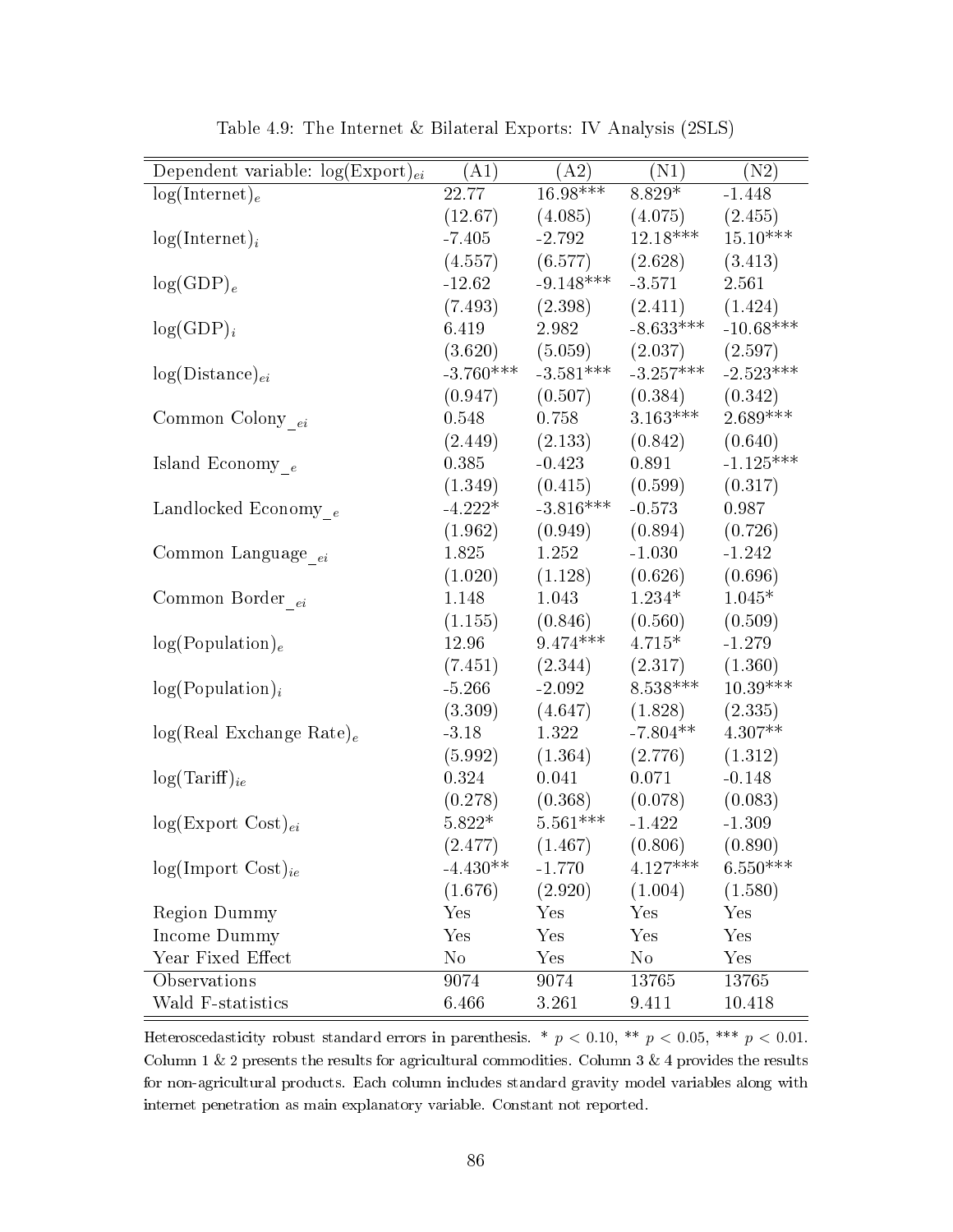| Dependent variable: $log(Expert)_{ei}$ | (A1)        | (A2)                | (N1)                    | (N2)        |
|----------------------------------------|-------------|---------------------|-------------------------|-------------|
| $log(Internet)_e$                      | 22.77       | $16.98***$          | $8.829*$                | $-1.448$    |
|                                        | (12.67)     | (4.085)             | (4.075)                 | (2.455)     |
| $log(Internet)_i$                      | $-7.405$    | $-2.792$            | $12.18***$              | $15.10***$  |
|                                        | (4.557)     | (6.577)             | (2.628)                 | (3.413)     |
| $log(GDP)_e$                           | $-12.62$    | $-9.148***$         | $-3.571$                | 2.561       |
|                                        | (7.493)     | (2.398)             | (2.411)                 | (1.424)     |
| $log(GDP)_i$                           | 6.419       | 2.982               | $-8.633***$             | $-10.68***$ |
|                                        | (3.620)     |                     | $(5.059)$ $(2.037)$     | (2.597)     |
| $log(Distance)_{ei}$                   | $-3.760***$ |                     | $-3.581***$ $-3.257***$ | $-2.523***$ |
|                                        | (0.947)     | (0.507)             | (0.384)                 | (0.342)     |
| Common Colony $_{ei}$                  | 0.548       | 0.758               | $3.163***$              | $2.689***$  |
|                                        | (2.449)     | (2.133)             | (0.842)                 | (0.640)     |
| Island Economy $_{\,e}$                | 0.385       | $-0.423$            | 0.891                   | $-1.125***$ |
|                                        | (1.349)     | (0.415)             | (0.599)                 | (0.317)     |
| Landlocked Economy $_{\,e}$            | $-4.222*$   | $-3.816***$         | $-0.573$                | 0.987       |
|                                        | (1.962)     | (0.949)             | (0.894)                 | (0.726)     |
| Common Language <sub>ei</sub>          | 1.825       | 1.252               | $-1.030$                | $-1.242$    |
|                                        | (1.020)     | (1.128)             | (0.626)                 | (0.696)     |
| Common Border <sub>ei</sub>            | 1.148       | 1.043               | $1.234*$                | $1.045*$    |
|                                        | (1.155)     | (0.846)             | (0.560)                 | (0.509)     |
| log(Population) <sub>e</sub>           | 12.96       | $9.474***$          | $4.715*$                | $-1.279$    |
|                                        | (7.451)     | (2.344)             | (2.317)                 | (1.360)     |
| $log(Population)_{i}$                  | $-5.266$    | $-2.092$            | $8.538***$              | $10.39***$  |
|                                        | (3.309)     | (4.647)             | (1.828)                 | (2.335)     |
| $log(Real Exchange Rate)_e$            | $-3.18$     | 1.322               | $-7.804**$              | $4.307**$   |
|                                        | (5.992)     | (1.364)             | (2.776)                 | (1.312)     |
| $log(Tariff)_{ie}$                     | 0.324       | 0.041               | 0.071                   | $-0.148$    |
|                                        | (0.278)     | $(0.368)$ $(0.078)$ |                         | (0.083)     |
| $log(Expert Cost)_{ei}$                | $5.822*$    | $5.561***$          | $-1.422$                | $-1.309$    |
|                                        | (2.477)     | (1.467)             | (0.806)                 | (0.890)     |
| $log(Import Cost)_{ie}$                | $-4.430**$  | $-1.770$            | $4.127***$              | $6.550***$  |
|                                        | (1.676)     | (2.920)             | (1.004)                 | (1.580)     |
| <b>Region Dummy</b>                    | Yes         | Yes                 | Yes                     | Yes         |
| Income Dummy                           | Yes         | Yes                 | Yes                     | Yes         |
| Year Fixed Effect                      | $\rm No$    | Yes                 | $\rm No$                | Yes         |
| Observations                           | 9074        | 9074                | 13765                   | 13765       |
| Wald F-statistics                      | 6.466       | 3.261               | 9.411                   | 10.418      |

Table 4.9: The Internet & Bilateral Exports: IV Analysis (2SLS)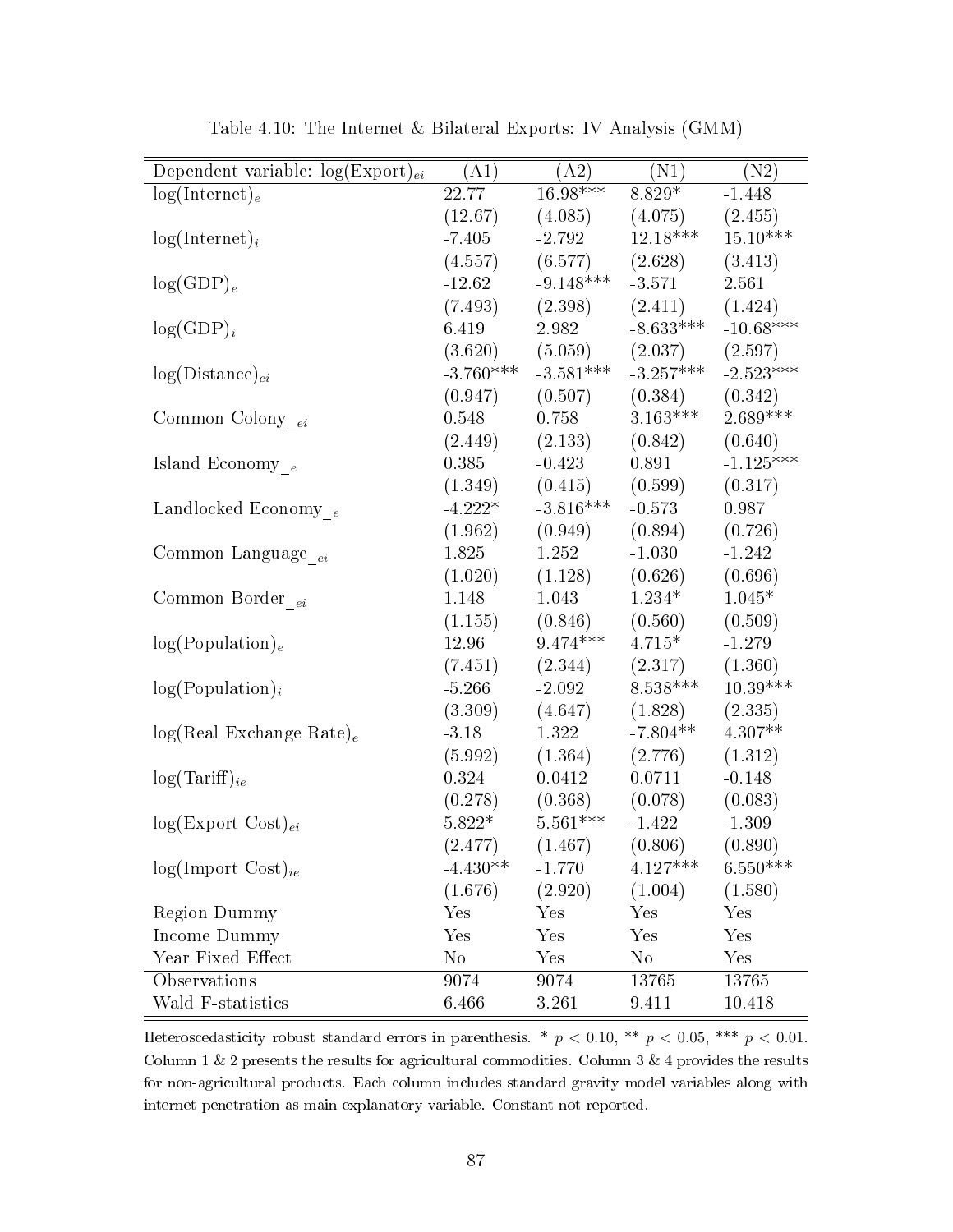| Dependent variable: $log(Expert)_{ei}$ | (A1)        | (A2)        | (N1)                    | (N2)        |  |
|----------------------------------------|-------------|-------------|-------------------------|-------------|--|
| $log(Internet)_e$                      | 22.77       | $16.98***$  | $8.829*$                | $-1.448$    |  |
|                                        | (12.67)     | (4.085)     | (4.075)                 | (2.455)     |  |
| $log(Internet)_i$                      | $-7.405$    | $-2.792$    | $12.18***$              | $15.10***$  |  |
|                                        | (4.557)     | (6.577)     | (2.628)                 | (3.413)     |  |
| $log(GDP)_e$                           | $-12.62$    | $-9.148***$ | $-3.571$                | 2.561       |  |
|                                        | (7.493)     | (2.398)     | (2.411)                 | (1.424)     |  |
| $log(GDP)_i$                           | 6.419       | 2.982       | $-8.633***$             | $-10.68***$ |  |
|                                        | (3.620)     |             | $(5.059)$ $(2.037)$     | (2.597)     |  |
| $log(Distance)_{ei}$                   | $-3.760***$ |             | $-3.581***$ $-3.257***$ | $-2.523***$ |  |
|                                        | (0.947)     | (0.507)     | (0.384)                 | (0.342)     |  |
| Common Colony $_{ei}$                  | 0.548       | 0.758       | $3.163***$              | $2.689***$  |  |
|                                        | (2.449)     | (2.133)     | (0.842)                 | (0.640)     |  |
| Island Economy $_{\,e}$                | 0.385       | $-0.423$    | 0.891                   | $-1.125***$ |  |
|                                        | (1.349)     | (0.415)     | (0.599)                 | (0.317)     |  |
| Landlocked Economy $_e$                | $-4.222*$   | $-3.816***$ | $-0.573$                | 0.987       |  |
|                                        | (1.962)     | (0.949)     | (0.894)                 | (0.726)     |  |
| Common Language <sub>ei</sub>          | 1.825       | 1.252       | $-1.030$                | $-1.242$    |  |
|                                        | (1.020)     | (1.128)     | (0.626)                 | (0.696)     |  |
| Common Border <sub>ei</sub>            | 1.148       | 1.043       | $1.234*$                | $1.045*$    |  |
|                                        | (1.155)     | (0.846)     | (0.560)                 | (0.509)     |  |
| log(Population) <sub>e</sub>           | 12.96       | $9.474***$  | $4.715*$                | $-1.279$    |  |
|                                        | (7.451)     | (2.344)     | (2.317)                 | (1.360)     |  |
| $log(Population)_{i}$                  | $-5.266$    | $-2.092$    | $8.538***$              | $10.39***$  |  |
|                                        | (3.309)     | (4.647)     | (1.828)                 | (2.335)     |  |
| $log(Real Exchange Rate)_e$            | $-3.18$     | 1.322       | $-7.804**$              | $4.307**$   |  |
|                                        | (5.992)     | (1.364)     | (2.776)                 | (1.312)     |  |
| $log(Tariff)_{ie}$                     | 0.324       | 0.0412      | 0.0711                  | $-0.148$    |  |
|                                        | (0.278)     | (0.368)     | (0.078)                 | (0.083)     |  |
| $log(Expert Cost)_{ei}$                | $5.822*$    | $5.561***$  | $-1.422$                | $-1.309$    |  |
|                                        | (2.477)     | (1.467)     | (0.806)                 | (0.890)     |  |
| $log(Import Cost)_{ie}$                | $-4.430**$  | $-1.770$    | $4.127***$              | $6.550***$  |  |
|                                        | (1.676)     | (2.920)     | (1.004)                 | (1.580)     |  |
| <b>Region Dummy</b>                    | Yes         | Yes         | Yes                     | Yes         |  |
| Income Dummy                           | Yes         | Yes         | Yes                     | Yes         |  |
| Year Fixed Effect                      | $\rm No$    | Yes         | $\rm No$                | Yes         |  |
| Observations                           | 9074        | 9074        | 13765                   | 13765       |  |
| Wald F-statistics                      | 6.466       | 3.261       | 9.411                   | 10.418      |  |

Table 4.10: The Internet & Bilateral Exports: IV Analysis (GMM)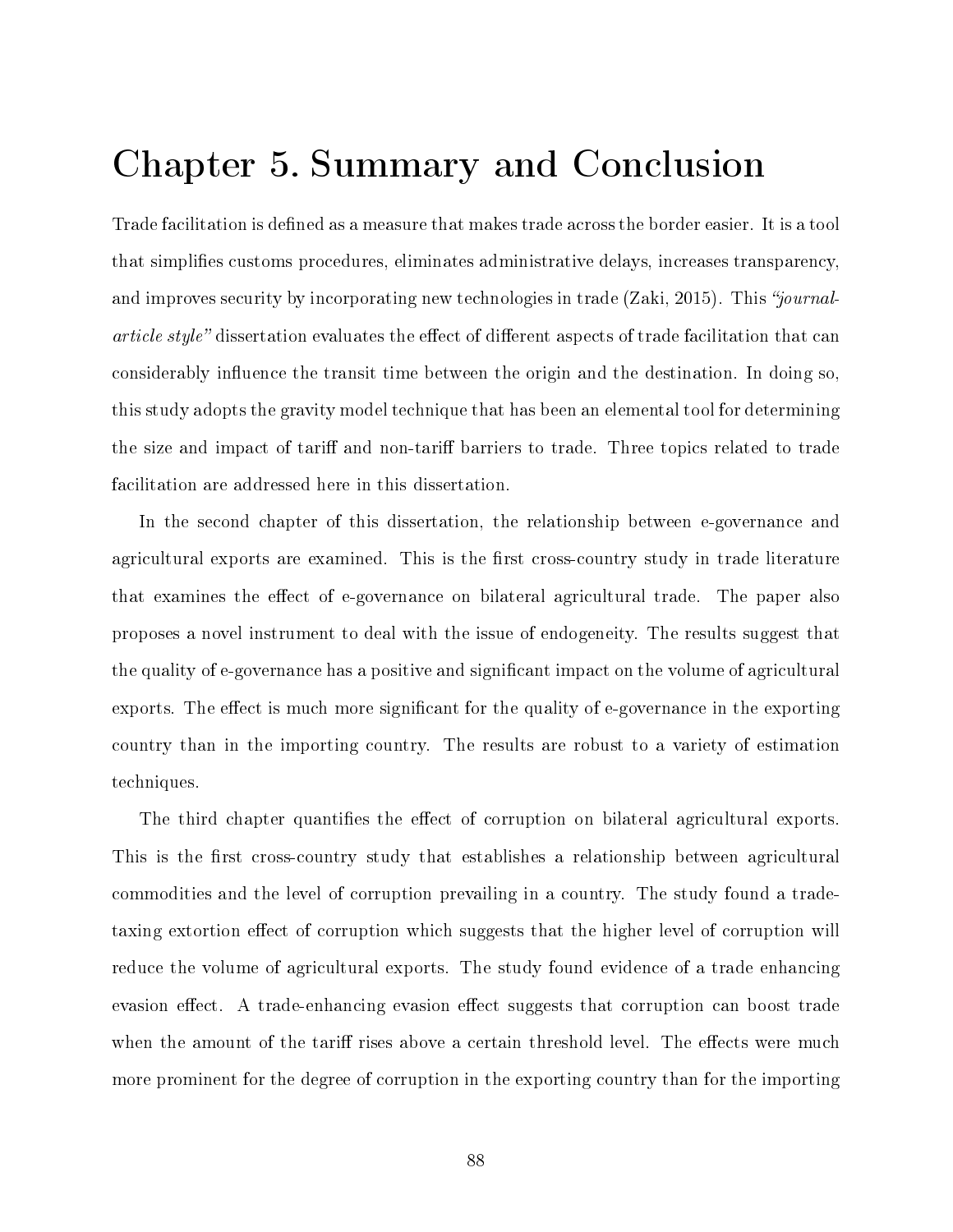## Chapter 5. Summary and Conclusion

Trade facilitation is defined as a measure that makes trade across the border easier. It is a tool that simplies customs procedures, eliminates administrative delays, increases transparency, and improves security by incorporating new technologies in trade  $(Zaki, 2015)$ . This "journal*article style*" dissertation evaluates the effect of different aspects of trade facilitation that can considerably influence the transit time between the origin and the destination. In doing so, this study adopts the gravity model technique that has been an elemental tool for determining the size and impact of tariff and non-tariff barriers to trade. Three topics related to trade facilitation are addressed here in this dissertation.

In the second chapter of this dissertation, the relationship between e-governance and agricultural exports are examined. This is the first cross-country study in trade literature that examines the effect of e-governance on bilateral agricultural trade. The paper also proposes a novel instrument to deal with the issue of endogeneity. The results suggest that the quality of e-governance has a positive and signicant impact on the volume of agricultural exports. The effect is much more significant for the quality of e-governance in the exporting country than in the importing country. The results are robust to a variety of estimation techniques.

The third chapter quantifies the effect of corruption on bilateral agricultural exports. This is the first cross-country study that establishes a relationship between agricultural commodities and the level of corruption prevailing in a country. The study found a tradetaxing extortion effect of corruption which suggests that the higher level of corruption will reduce the volume of agricultural exports. The study found evidence of a trade enhancing evasion effect. A trade-enhancing evasion effect suggests that corruption can boost trade when the amount of the tariff rises above a certain threshold level. The effects were much more prominent for the degree of corruption in the exporting country than for the importing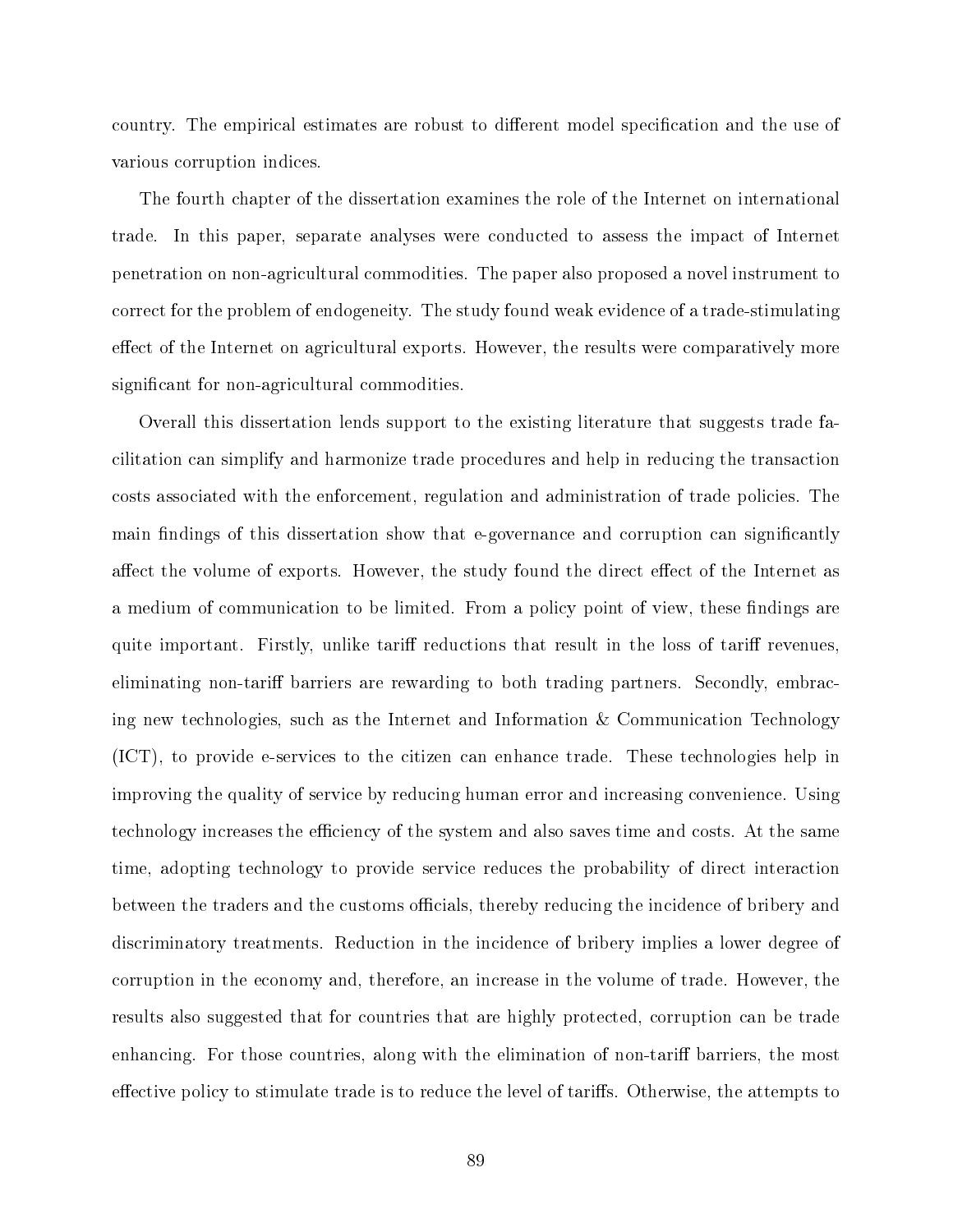country. The empirical estimates are robust to different model specification and the use of various corruption indices.

The fourth chapter of the dissertation examines the role of the Internet on international trade. In this paper, separate analyses were conducted to assess the impact of Internet penetration on non-agricultural commodities. The paper also proposed a novel instrument to correct for the problem of endogeneity. The study found weak evidence of a trade-stimulating effect of the Internet on agricultural exports. However, the results were comparatively more significant for non-agricultural commodities.

Overall this dissertation lends support to the existing literature that suggests trade facilitation can simplify and harmonize trade procedures and help in reducing the transaction costs associated with the enforcement, regulation and administration of trade policies. The main findings of this dissertation show that e-governance and corruption can significantly affect the volume of exports. However, the study found the direct effect of the Internet as a medium of communication to be limited. From a policy point of view, these findings are quite important. Firstly, unlike tariff reductions that result in the loss of tariff revenues, eliminating non-tariff barriers are rewarding to both trading partners. Secondly, embracing new technologies, such as the Internet and Information & Communication Technology (ICT), to provide e-services to the citizen can enhance trade. These technologies help in improving the quality of service by reducing human error and increasing convenience. Using technology increases the efficiency of the system and also saves time and costs. At the same time, adopting technology to provide service reduces the probability of direct interaction between the traders and the customs officials, thereby reducing the incidence of bribery and discriminatory treatments. Reduction in the incidence of bribery implies a lower degree of corruption in the economy and, therefore, an increase in the volume of trade. However, the results also suggested that for countries that are highly protected, corruption can be trade enhancing. For those countries, along with the elimination of non-tariff barriers, the most effective policy to stimulate trade is to reduce the level of tariffs. Otherwise, the attempts to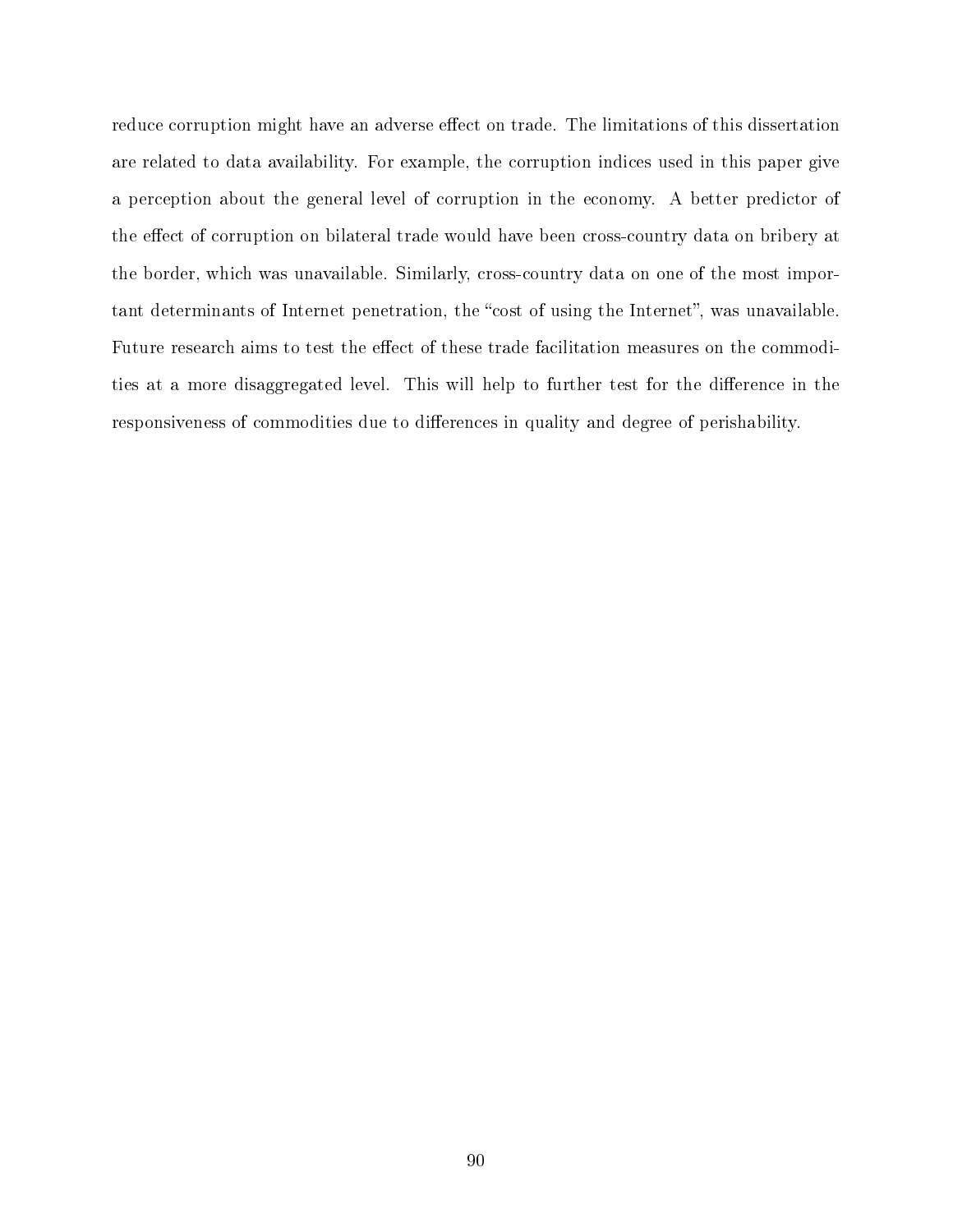reduce corruption might have an adverse effect on trade. The limitations of this dissertation are related to data availability. For example, the corruption indices used in this paper give a perception about the general level of corruption in the economy. A better predictor of the effect of corruption on bilateral trade would have been cross-country data on bribery at the border, which was unavailable. Similarly, cross-country data on one of the most important determinants of Internet penetration, the "cost of using the Internet", was unavailable. Future research aims to test the effect of these trade facilitation measures on the commodities at a more disaggregated level. This will help to further test for the difference in the responsiveness of commodities due to differences in quality and degree of perishability.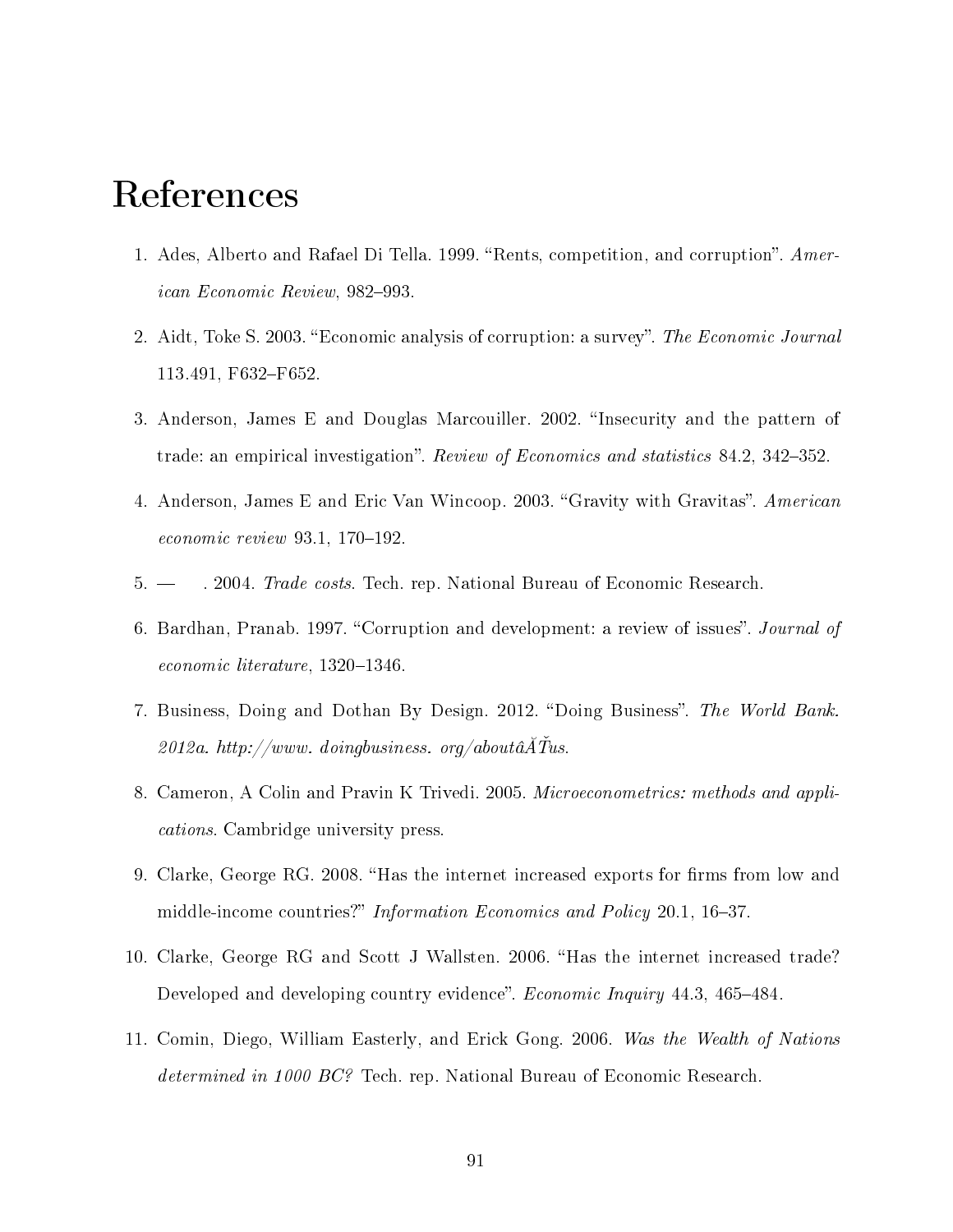## References

- 1. Ades, Alberto and Rafael Di Tella. 1999. "Rents, competition, and corruption". American Economic Review, 982-993.
- 2. Aidt, Toke S. 2003. "Economic analysis of corruption: a survey". The Economic Journal 113.491, F632-F652.
- 3. Anderson, James E and Douglas Marcouiller. 2002. "Insecurity and the pattern of trade: an empirical investigation". Review of Economics and statistics 84.2, 342–352.
- 4. Anderson, James E and Eric Van Wincoop. 2003. "Gravity with Gravitas". American  $economic$  review 93.1, 170-192.
- 5. . 2004. Trade costs. Tech. rep. National Bureau of Economic Research.
- 6. Bardhan, Pranab. 1997. "Corruption and development: a review of issues". *Journal of*  $economic$  literature,  $1320-1346$ .
- 7. Business, Doing and Dothan By Design. 2012. "Doing Business". The World Bank.  $2012a.$  http://www.doingbusiness.org/aboutâ $ATus$ .
- 8. Cameron, A Colin and Pravin K Trivedi. 2005. Microeconometrics: methods and applications. Cambridge university press.
- 9. Clarke, George RG. 2008. "Has the internet increased exports for firms from low and middle-income countries?" Information Economics and Policy 20.1, 16-37.
- 10. Clarke, George RG and Scott J Wallsten. 2006. Has the internet increased trade? Developed and developing country evidence". *Economic Inquiry* 44.3, 465–484.
- 11. Comin, Diego, William Easterly, and Erick Gong. 2006. Was the Wealth of Nations determined in 1000 BC? Tech. rep. National Bureau of Economic Research.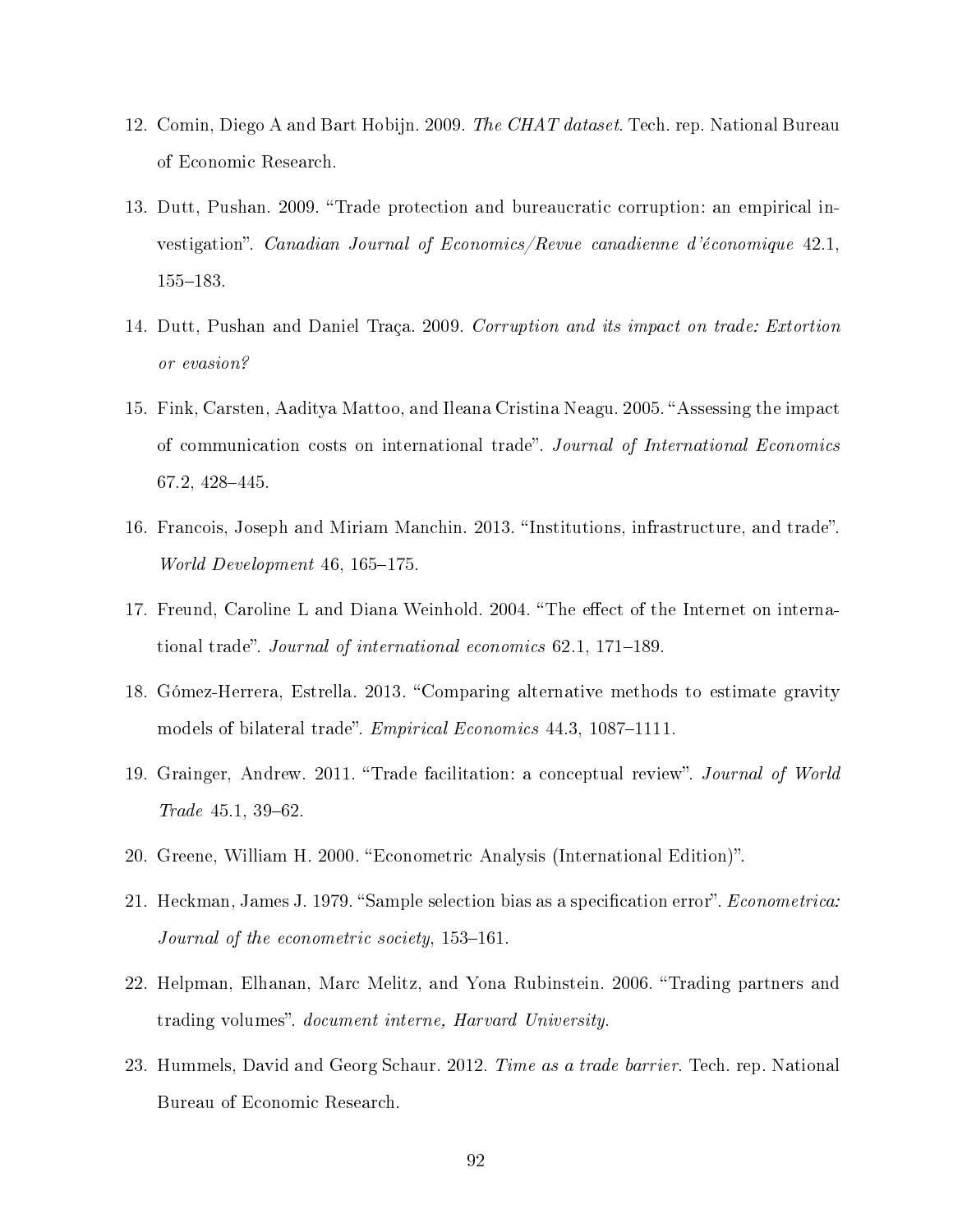- 12. Comin, Diego A and Bart Hobijn. 2009. The CHAT dataset. Tech. rep. National Bureau of Economic Research.
- 13. Dutt, Pushan. 2009. "Trade protection and bureaucratic corruption: an empirical investigation". Canadian Journal of Economics/Revue canadienne d'économique 42.1, 155-183.
- 14. Dutt, Pushan and Daniel Traça. 2009. Corruption and its impact on trade: Extortion or evasion?
- 15. Fink, Carsten, Aaditya Mattoo, and Ileana Cristina Neagu. 2005. "Assessing the impact of communication costs on international trade". Journal of International Economics 67.2, 428-445.
- 16. Francois, Joseph and Miriam Manchin. 2013. "Institutions, infrastructure, and trade". World Development  $46, 165-175$ .
- 17. Freund, Caroline L and Diana Weinhold. 2004. "The effect of the Internet on international trade". Journal of international economics  $62.1, 171-189$ .
- 18. Gómez-Herrera, Estrella. 2013. "Comparing alternative methods to estimate gravity models of bilateral trade". *Empirical Economics* 44.3, 1087–1111.
- 19. Grainger, Andrew. 2011. "Trade facilitation: a conceptual review". Journal of World  $Trade 45.1, 39-62.$
- 20. Greene, William H. 2000. Econometric Analysis (International Edition).
- 21. Heckman, James J. 1979. "Sample selection bias as a specification error". *Econometrica:* Journal of the econometric society,  $153-161$ .
- 22. Helpman, Elhanan, Marc Melitz, and Yona Rubinstein. 2006. "Trading partners and trading volumes". *document interne*, *Harvard University*.
- 23. Hummels, David and Georg Schaur. 2012. Time as a trade barrier. Tech. rep. National Bureau of Economic Research.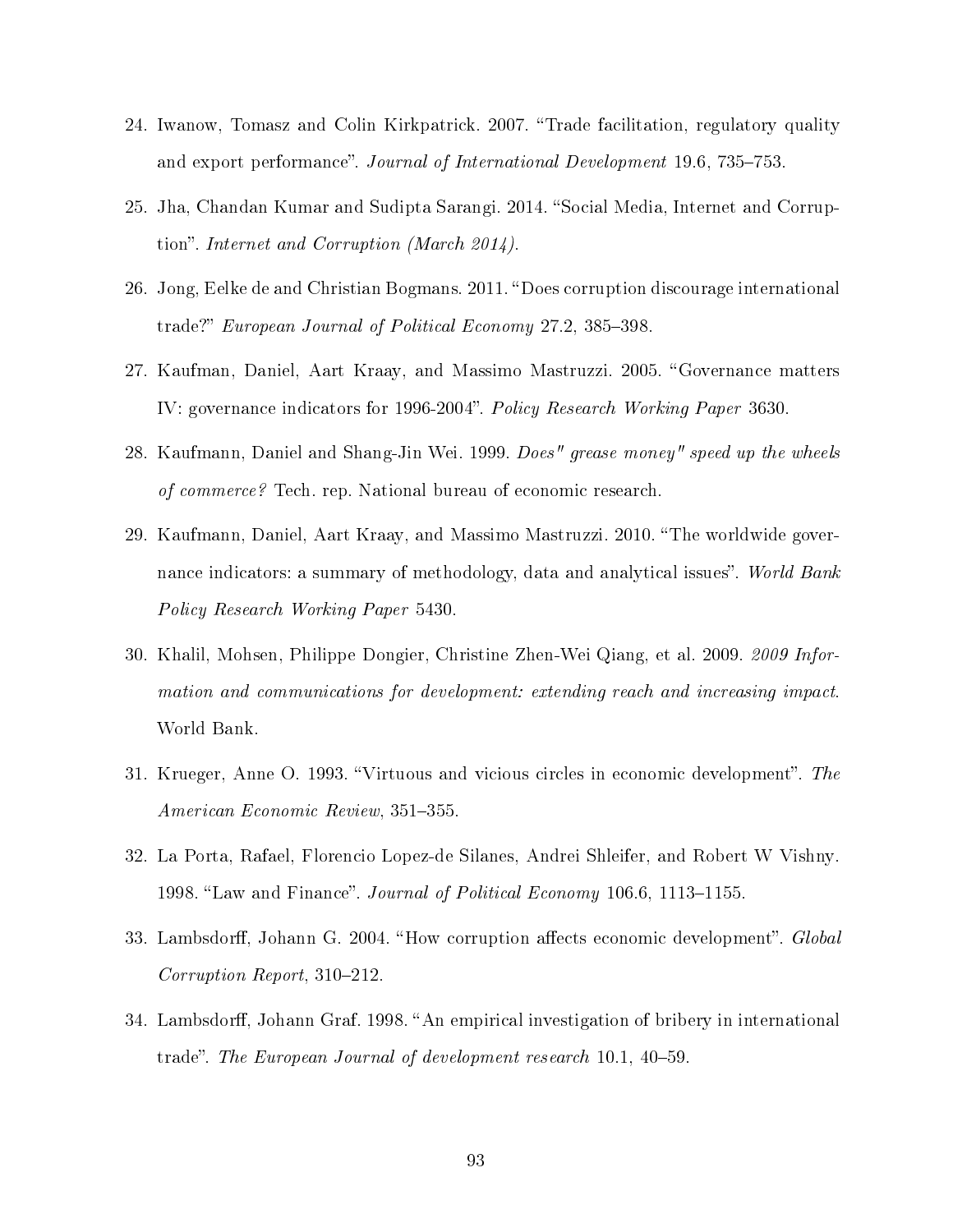- 24. Iwanow, Tomasz and Colin Kirkpatrick. 2007. "Trade facilitation, regulatory quality and export performance". Journal of International Development 19.6, 735–753.
- 25. Jha, Chandan Kumar and Sudipta Sarangi. 2014. "Social Media, Internet and Corruption". Internet and Corruption (March 2014).
- 26. Jong, Eelke de and Christian Bogmans. 2011. Does corruption discourage international trade?" European Journal of Political Economy 27.2, 385–398.
- 27. Kaufman, Daniel, Aart Kraay, and Massimo Mastruzzi. 2005. Governance matters IV: governance indicators for 1996-2004". Policy Research Working Paper 3630.
- 28. Kaufmann, Daniel and Shang-Jin Wei. 1999. Does" grease money" speed up the wheels of commerce? Tech. rep. National bureau of economic research.
- 29. Kaufmann, Daniel, Aart Kraay, and Massimo Mastruzzi. 2010. "The worldwide governance indicators: a summary of methodology, data and analytical issues". World Bank Policy Research Working Paper 5430.
- 30. Khalil, Mohsen, Philippe Dongier, Christine Zhen-Wei Qiang, et al. 2009. 2009 Information and communications for development: extending reach and increasing impact. World Bank.
- 31. Krueger, Anne O. 1993. "Virtuous and vicious circles in economic development". The American Economic Review, 351-355.
- 32. La Porta, Rafael, Florencio Lopez-de Silanes, Andrei Shleifer, and Robert W Vishny. 1998. "Law and Finance". Journal of Political Economy 106.6, 1113–1155.
- 33. Lambsdorff, Johann G. 2004. "How corruption affects economic development". Global  $Corruption$  Report, 310-212.
- 34. Lambsdorff, Johann Graf. 1998. "An empirical investigation of bribery in international trade". The European Journal of development research 10.1, 40–59.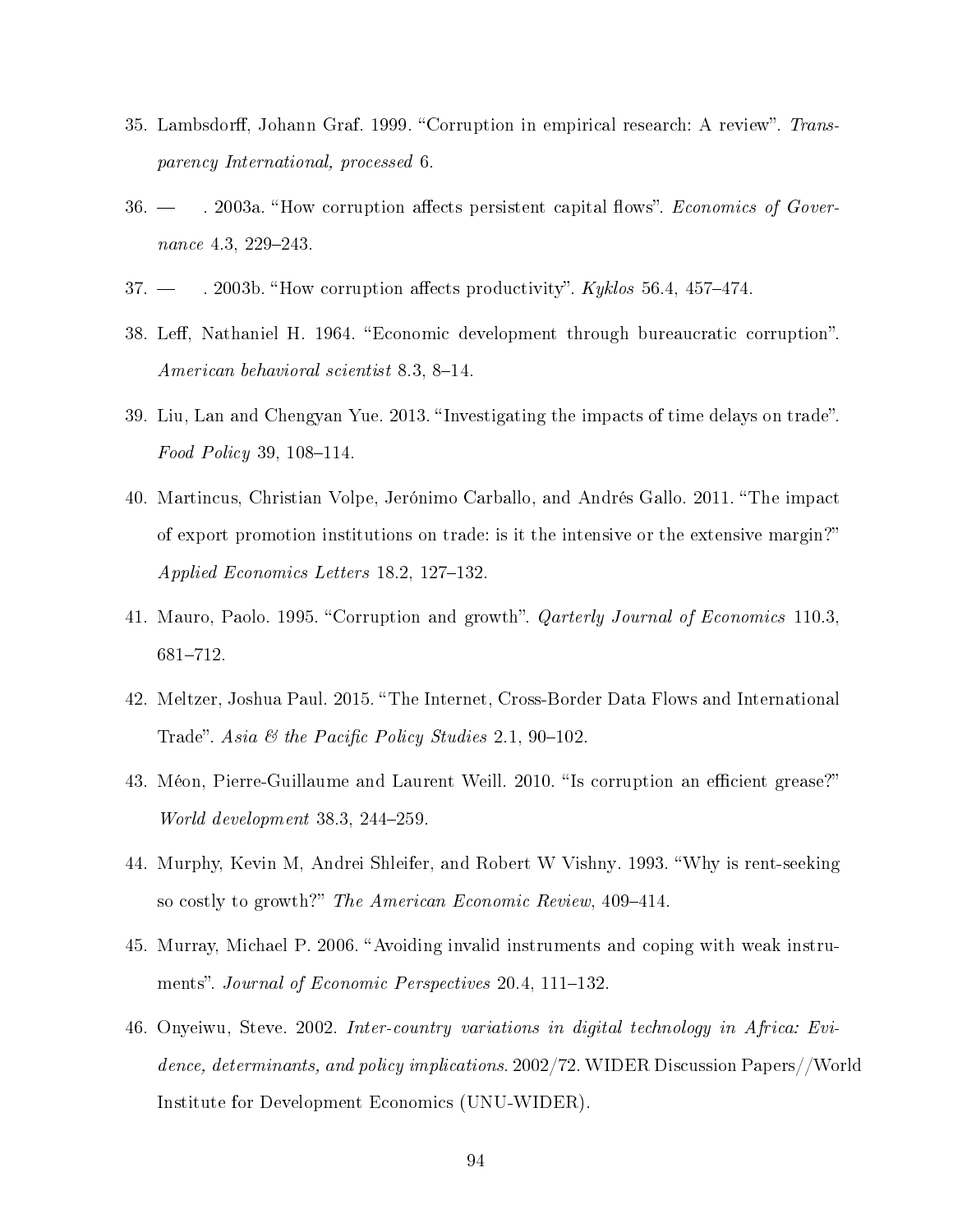- 35. Lambsdorff, Johann Graf. 1999. "Corruption in empirical research: A review". Transparency International, processed 6.
- 36. . 2003a. How corruption aects persistent capital ows. Economics of Governance  $4.3, 229 - 243.$
- $37.$   $\rightarrow$  2003b. "How corruption affects productivity". Kyklos 56.4, 457–474.
- 38. Leff, Nathaniel H. 1964. "Economic development through bureaucratic corruption". American behavioral scientist 8.3, 8–14.
- 39. Liu, Lan and Chengyan Yue. 2013. "Investigating the impacts of time delays on trade".  $Food Policy 39, 108–114.$
- 40. Martincus, Christian Volpe, Jerónimo Carballo, and Andrés Gallo. 2011. The impact of export promotion institutions on trade: is it the intensive or the extensive margin? Applied Economics Letters  $18.2, 127-132$ .
- 41. Mauro, Paolo. 1995. "Corruption and growth". *Qarterly Journal of Economics* 110.3, 681-712.
- 42. Meltzer, Joshua Paul. 2015. "The Internet, Cross-Border Data Flows and International Trade". Asia & the Pacific Policy Studies 2.1, 90-102.
- 43. Méon, Pierre-Guillaume and Laurent Weill. 2010. "Is corruption an efficient grease?" World development  $38.3, 244-259$ .
- 44. Murphy, Kevin M, Andrei Shleifer, and Robert W Vishny. 1993. Why is rent-seeking so costly to growth?" The American Economic Review, 409-414.
- 45. Murray, Michael P. 2006. "Avoiding invalid instruments and coping with weak instruments". Journal of Economic Perspectives 20.4, 111–132.
- 46. Onyeiwu, Steve. 2002. Inter-country variations in digital technology in Africa: Evidence, determinants, and policy implications. 2002/72. WIDER Discussion Papers//World Institute for Development Economics (UNU-WIDER).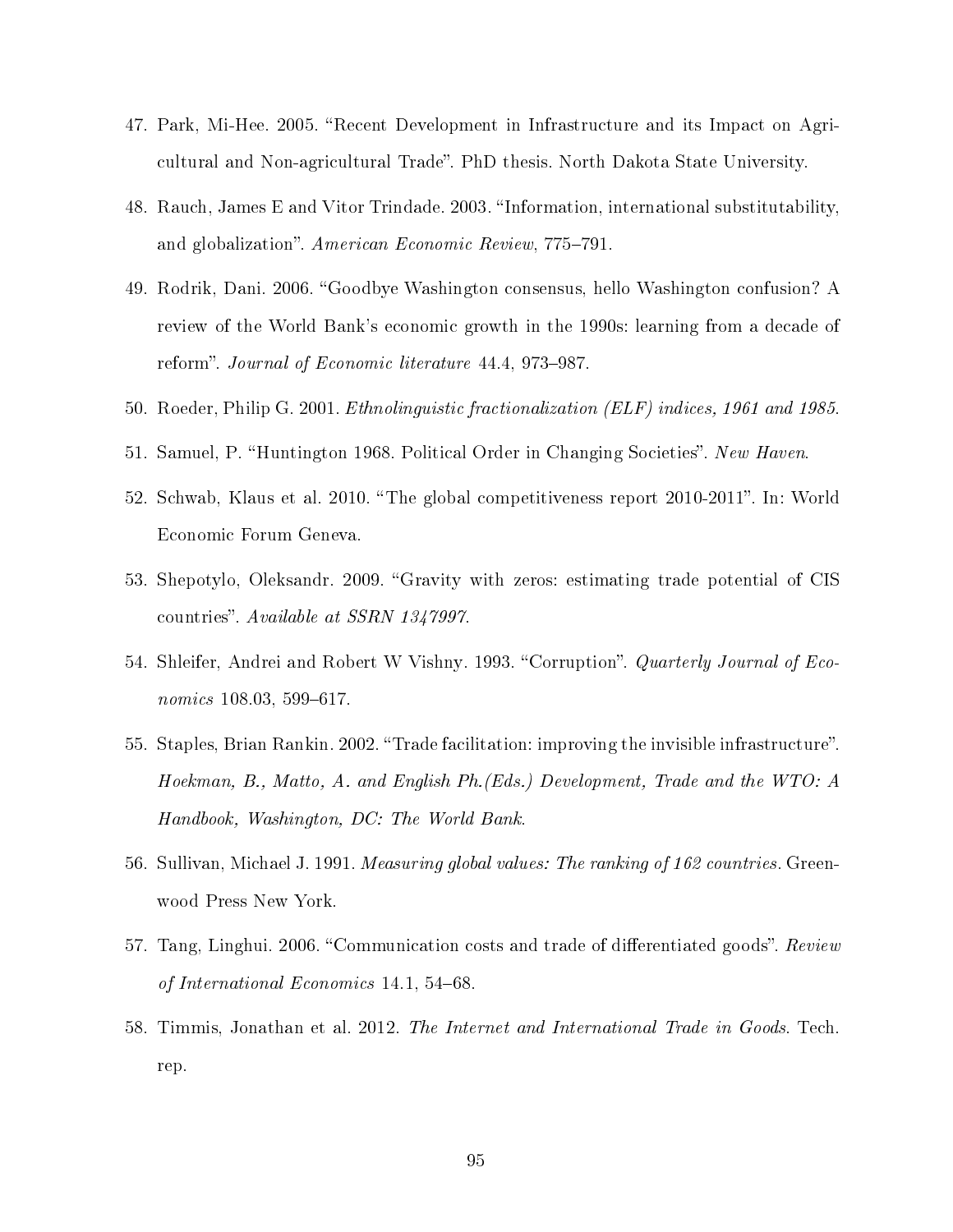- 47. Park, Mi-Hee. 2005. "Recent Development in Infrastructure and its Impact on Agricultural and Non-agricultural Trade". PhD thesis. North Dakota State University.
- 48. Rauch, James E and Vitor Trindade. 2003. "Information, international substitutability, and globalization". American Economic Review, 775-791.
- 49. Rodrik, Dani. 2006. Goodbye Washington consensus, hello Washington confusion? A review of the World Bank's economic growth in the 1990s: learning from a decade of reform". Journal of Economic literature 44.4, 973-987.
- 50. Roeder, Philip G. 2001. Ethnolinguistic fractionalization (ELF) indices, 1961 and 1985.
- 51. Samuel, P. "Huntington 1968. Political Order in Changing Societies". New Haven.
- 52. Schwab, Klaus et al. 2010. The global competitiveness report 2010-2011. In: World Economic Forum Geneva.
- 53. Shepotylo, Oleksandr. 2009. "Gravity with zeros: estimating trade potential of CIS countries". Available at SSRN 1347997.
- 54. Shleifer, Andrei and Robert W Vishny. 1993. "Corruption". Quarterly Journal of Eco $nonics$  108.03, 599-617.
- 55. Staples, Brian Rankin. 2002. "Trade facilitation: improving the invisible infrastructure". Hoekman, B., Matto, A. and English Ph.(Eds.) Development, Trade and the WTO: A Handbook, Washington, DC: The World Bank.
- 56. Sullivan, Michael J. 1991. Measuring global values: The ranking of 162 countries. Greenwood Press New York.
- 57. Tang, Linghui. 2006. "Communication costs and trade of differentiated goods". Review of International Economics 14.1, 54–68.
- 58. Timmis, Jonathan et al. 2012. The Internet and International Trade in Goods. Tech. rep.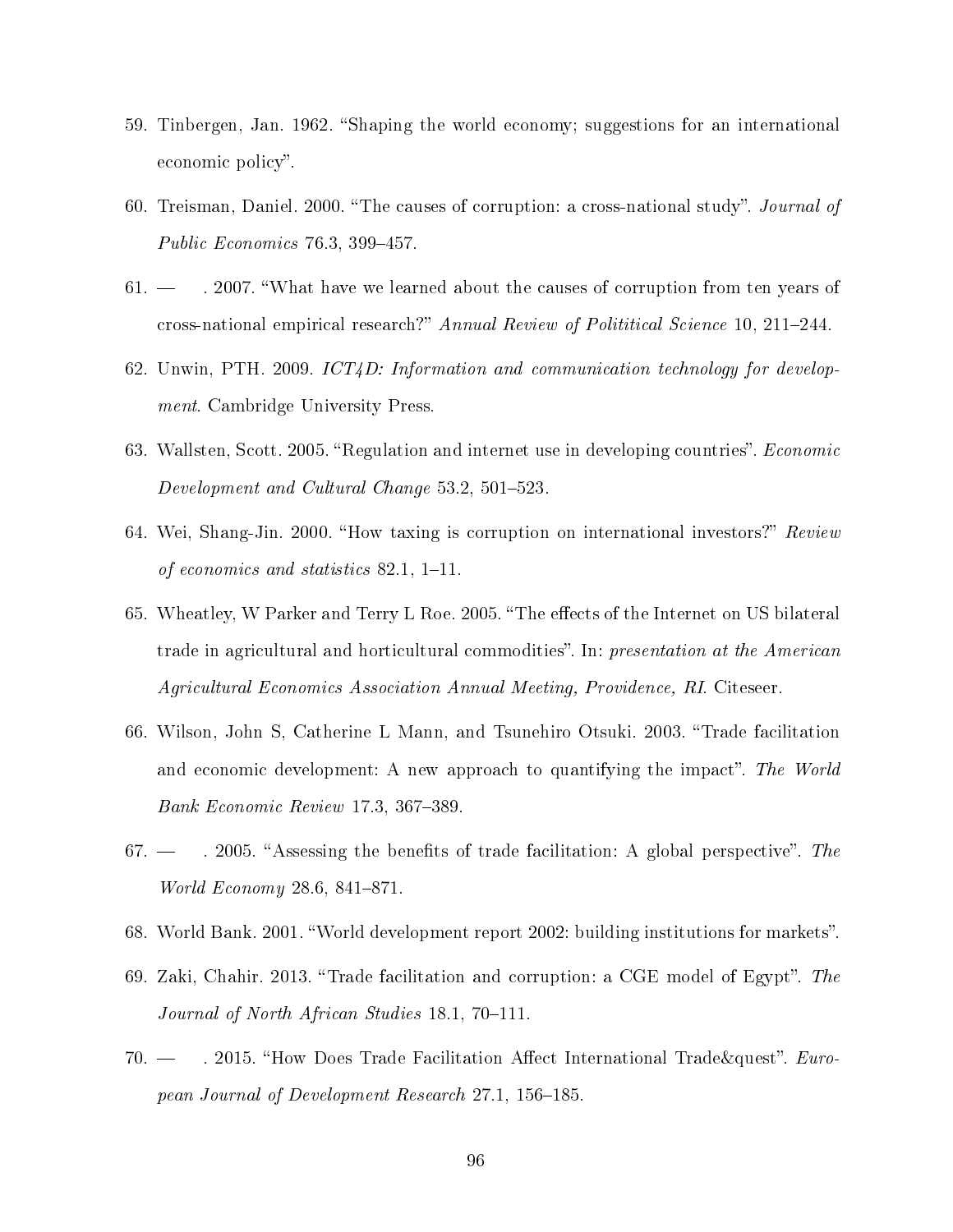- 59. Tinbergen, Jan. 1962. Shaping the world economy; suggestions for an international economic policy".
- 60. Treisman, Daniel. 2000. "The causes of corruption: a cross-national study". Journal of Public Economics  $76.3, 399-457.$
- $61.$   $-$  . 2007. "What have we learned about the causes of corruption from ten years of cross-national empirical research?" Annual Review of Polititical Science 10, 211-244.
- 62. Unwin, PTH. 2009. ICT4D: Information and communication technology for development. Cambridge University Press.
- 63. Wallsten, Scott. 2005. "Regulation and internet use in developing countries". *Economic* Development and Cultural Change  $53.2, 501-523$ .
- 64. Wei, Shang-Jin. 2000. "How taxing is corruption on international investors?" Review of economics and statistics  $82.1, 1-11.$
- 65. Wheatley, W Parker and Terry L Roe. 2005. "The effects of the Internet on US bilateral trade in agricultural and horticultural commodities". In: presentation at the American Agricultural Economics Association Annual Meeting, Providence, RI. Citeseer.
- 66. Wilson, John S, Catherine L Mann, and Tsunehiro Otsuki. 2003. Trade facilitation and economic development: A new approach to quantifying the impact". The World Bank Economic Review 17.3, 367–389.
- 67.  $\rightarrow$  2005. "Assessing the benefits of trade facilitation: A global perspective". The *World Economy* 28.6, 841-871.
- 68. World Bank. 2001. "World development report 2002: building institutions for markets".
- 69. Zaki, Chahir. 2013. "Trade facilitation and corruption: a CGE model of Egypt". The Journal of North African Studies  $18.1, 70-111$ .
- 70.  $-$  . 2015. "How Does Trade Facilitation Affect International Trade&quest". European Journal of Development Research 27.1, 156–185.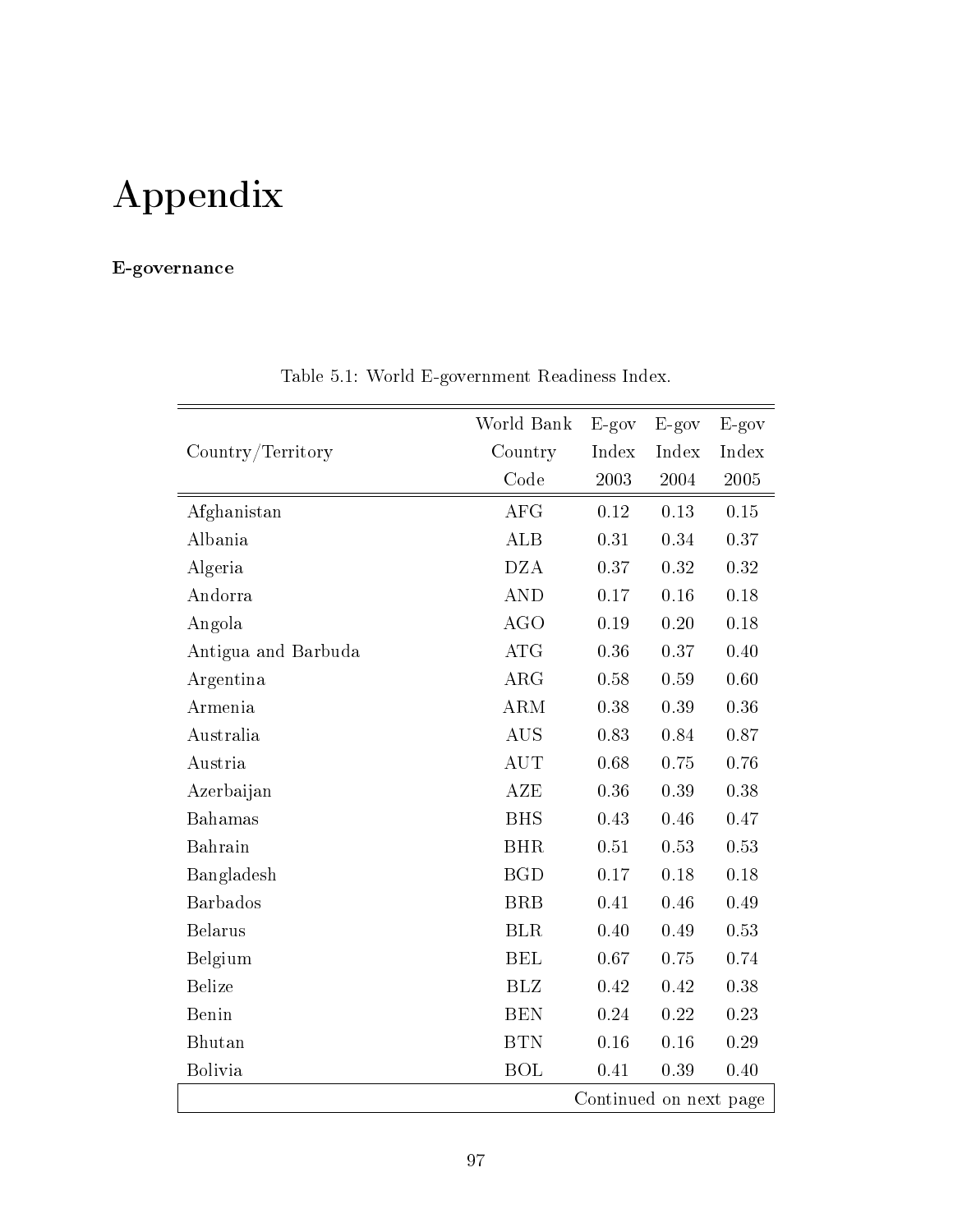# Appendix

### E-governance

| World Bank          |            |                        |         |         |  |  |  |
|---------------------|------------|------------------------|---------|---------|--|--|--|
|                     |            | $E-gov$                | $E-gov$ | $E-gov$ |  |  |  |
| Country/Territory   | Country    | Index                  | Index   | Index   |  |  |  |
|                     | Code       | 2003                   | 2004    | 2005    |  |  |  |
| Afghanistan         | <b>AFG</b> | 0.12                   | 0.13    | 0.15    |  |  |  |
| Albania             | <b>ALB</b> | 0.31                   | 0.34    | 0.37    |  |  |  |
| Algeria             | <b>DZA</b> | 0.37                   | 0.32    | 0.32    |  |  |  |
| Andorra             | <b>AND</b> | 0.17                   | 0.16    | 0.18    |  |  |  |
| Angola              | <b>AGO</b> | 0.19                   | 0.20    | 0.18    |  |  |  |
| Antigua and Barbuda | <b>ATG</b> | 0.36                   | 0.37    | 0.40    |  |  |  |
| Argentina           | ARG        | 0.58                   | 0.59    | 0.60    |  |  |  |
| Armenia             | <b>ARM</b> | 0.38                   | 0.39    | 0.36    |  |  |  |
| Australia           | <b>AUS</b> | 0.83                   | 0.84    | 0.87    |  |  |  |
| Austria             | <b>AUT</b> | 0.68                   | 0.75    | 0.76    |  |  |  |
| Azerbaijan          | <b>AZE</b> | 0.36                   | 0.39    | 0.38    |  |  |  |
| Bahamas             | <b>BHS</b> | 0.43                   | 0.46    | 0.47    |  |  |  |
| Bahrain             | <b>BHR</b> | 0.51                   | 0.53    | 0.53    |  |  |  |
| Bangladesh          | <b>BGD</b> | 0.17                   | 0.18    | 0.18    |  |  |  |
| <b>Barbados</b>     | <b>BRB</b> | 0.41                   | 0.46    | 0.49    |  |  |  |
| <b>Belarus</b>      | <b>BLR</b> | 0.40                   | 0.49    | 0.53    |  |  |  |
| Belgium             | <b>BEL</b> | 0.67                   | 0.75    | 0.74    |  |  |  |
| <b>Belize</b>       | <b>BLZ</b> | 0.42                   | 0.42    | 0.38    |  |  |  |
| Benin               | <b>BEN</b> | 0.24                   | 0.22    | 0.23    |  |  |  |
| Bhutan              | <b>BTN</b> | 0.16                   | 0.16    | 0.29    |  |  |  |
| <b>Bolivia</b>      | <b>BOL</b> | 0.41                   | 0.39    | 0.40    |  |  |  |
|                     |            | Continued on next page |         |         |  |  |  |

Table 5.1: World E-government Readiness Index.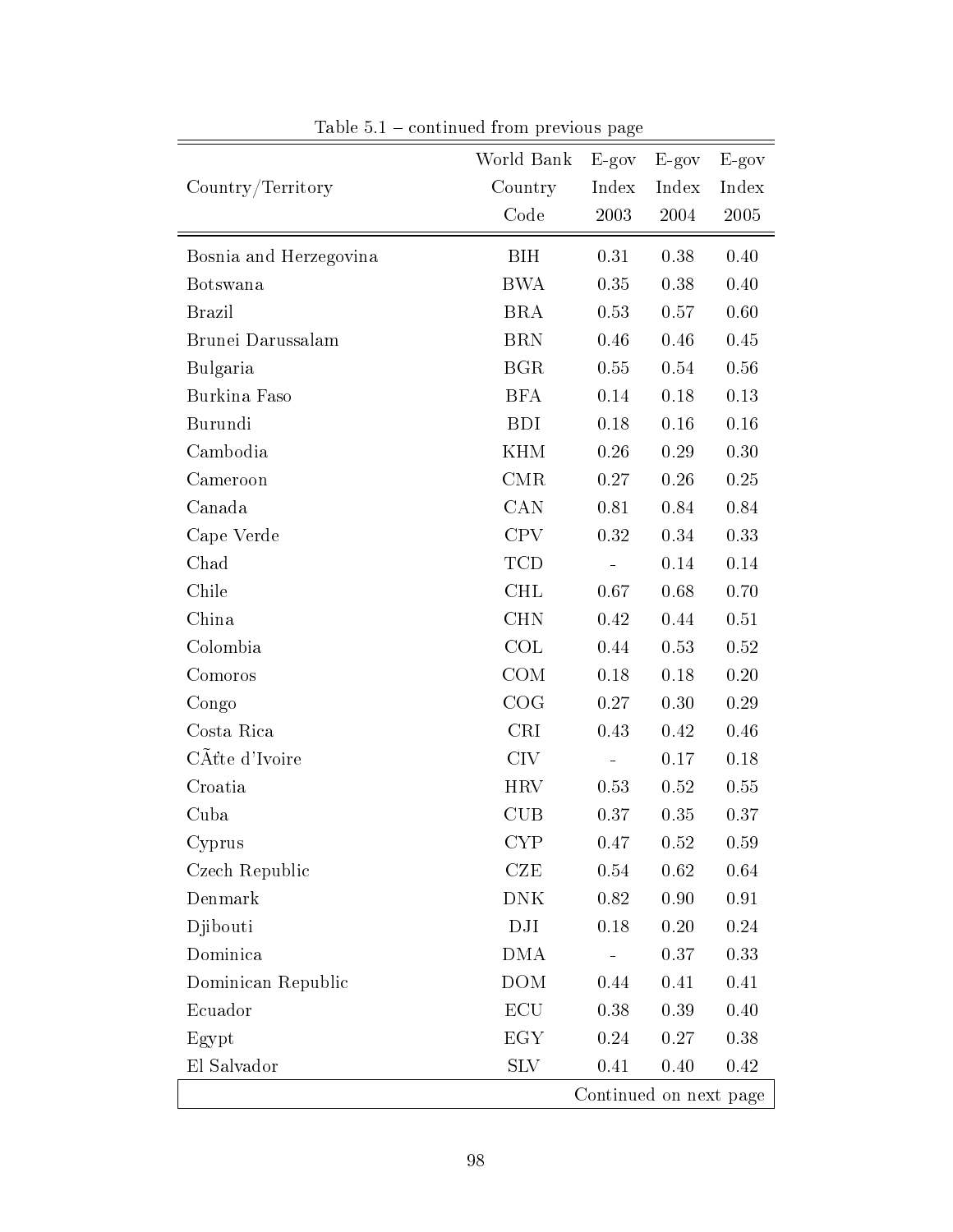|                        | World Bank      | $E-gov$  | $E-gov$                | $E-gov$    |
|------------------------|-----------------|----------|------------------------|------------|
| Country/Territory      | Country         | Index    | Index                  | Index      |
|                        | Code            | $2003\,$ | 2004                   | 2005       |
| Bosnia and Herzegovina | <b>BIH</b>      | 0.31     | 0.38                   | 0.40       |
| Botswana               | <b>BWA</b>      | 0.35     | 0.38                   | 0.40       |
| <b>Brazil</b>          | <b>BRA</b>      | 0.53     | 0.57                   | 0.60       |
| Brunei Darussalam      | <b>BRN</b>      | 0.46     | 0.46                   | 0.45       |
| Bulgaria               | <b>BGR</b>      | 0.55     | 0.54                   | 0.56       |
| Burkina Faso           | <b>BFA</b>      | 0.14     | 0.18                   | 0.13       |
| Burundi                | <b>BDI</b>      | 0.18     | $0.16\,$               | 0.16       |
| Cambodia               | <b>KHM</b>      | 0.26     | 0.29                   | $0.30\,$   |
| Cameroon               | CMR             | 0.27     | 0.26                   | 0.25       |
| Canada                 | <b>CAN</b>      | 0.81     | 0.84                   | 0.84       |
| Cape Verde             | <b>CPV</b>      | 0.32     | 0.34                   | 0.33       |
| Chad                   | <b>TCD</b>      |          | 0.14                   | 0.14       |
| Chile                  | <b>CHL</b>      | 0.67     | 0.68                   | 0.70       |
| China                  | <b>CHN</b>      | 0.42     | 0.44                   | 0.51       |
| Colombia               | COL             | 0.44     | 0.53                   | 0.52       |
| Comoros                | COM             | 0.18     | 0.18                   | 0.20       |
| Congo                  | COG             | 0.27     | 0.30                   | 0.29       |
| Costa Rica             | <b>CRI</b>      | 0.43     | 0.42                   | 0.46       |
| CÂtte d'Ivoire         | CIV <sub></sub> |          | 0.17                   | 0.18       |
| Croatia                | HRV             | 0.53     | 0.52                   | 0.55       |
| Cuba                   | <b>CUB</b>      | 0.37     | 0.35                   | 0.37       |
| Cyprus                 | <b>CYP</b>      | 0.47     | 0.52                   | 0.59       |
| Czech Republic         | CZE             | 0.54     | 0.62                   | 0.64       |
| Denmark                | <b>DNK</b>      | 0.82     | 0.90                   | $\rm 0.91$ |
| Djibouti               | DJI             | 0.18     | 0.20                   | 0.24       |
| Dominica               | DMA             |          | 0.37                   | 0.33       |
| Dominican Republic     | <b>DOM</b>      | 0.44     | 0.41                   | 0.41       |
| Ecuador                | ECU             | 0.38     | 0.39                   | 0.40       |
| Egypt                  | EGY             | 0.24     | 0.27                   | 0.38       |
| El Salvador            | <b>SLV</b>      | 0.41     | 0.40                   | 0.42       |
|                        |                 |          | Continued on next page |            |

Table  $5.1$  – continued from previous page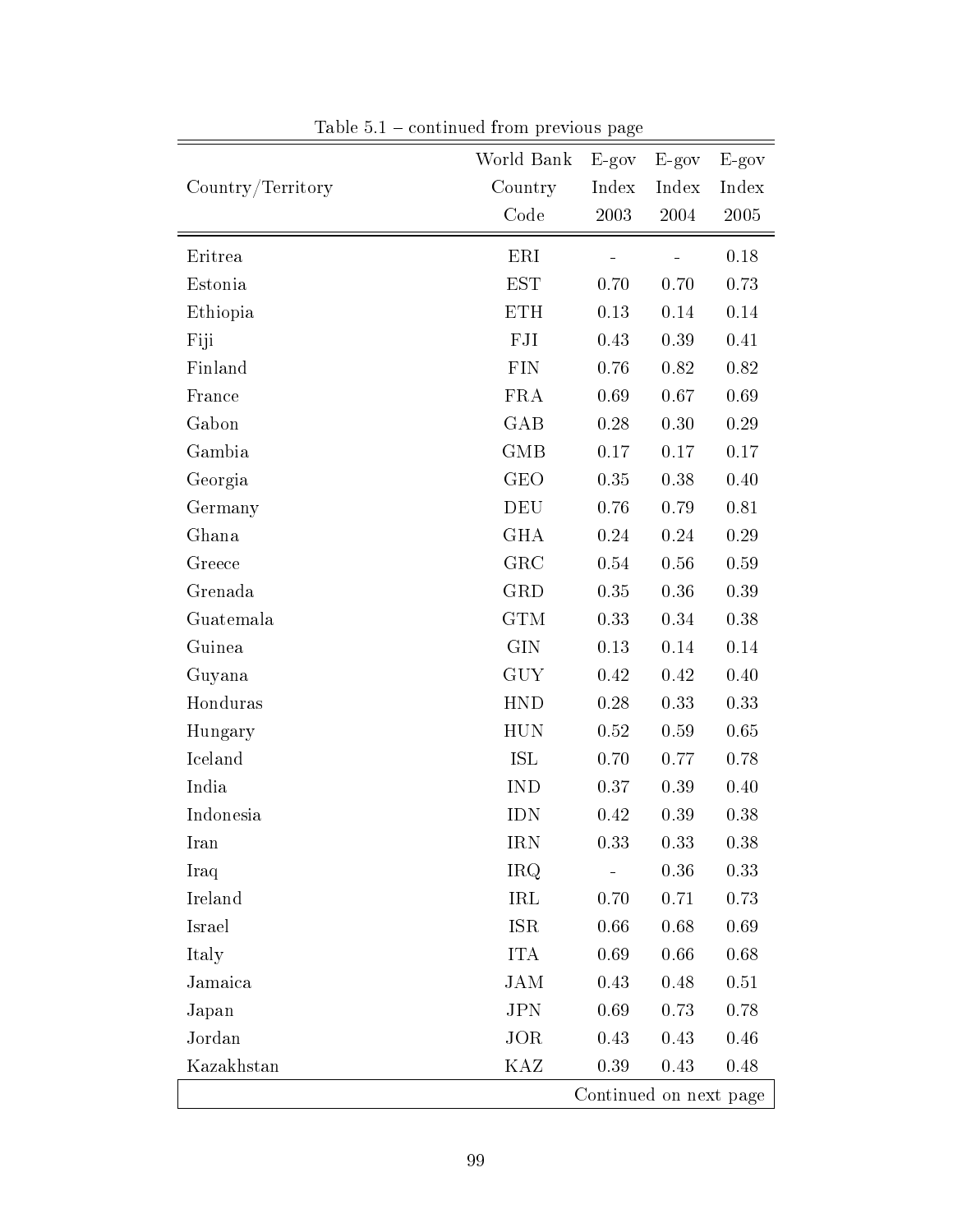| World Bank        |            | $E-gov$                | $E-gov$ | $E-gov$ |  |  |  |  |  |
|-------------------|------------|------------------------|---------|---------|--|--|--|--|--|
| Country/Territory | Country    | Index                  | Index   | Index   |  |  |  |  |  |
|                   | Code       | 2003                   | 2004    | 2005    |  |  |  |  |  |
| Eritrea           | ERI        |                        |         | 0.18    |  |  |  |  |  |
| Estonia           | <b>EST</b> | 0.70                   | 0.70    | 0.73    |  |  |  |  |  |
| Ethiopia          | <b>ETH</b> | 0.13                   | 0.14    | 0.14    |  |  |  |  |  |
| Fiji              | FJI        | 0.43                   | 0.39    | 0.41    |  |  |  |  |  |
| Finland           | <b>FIN</b> | 0.76                   | 0.82    | 0.82    |  |  |  |  |  |
| France            | <b>FRA</b> | 0.69                   | 0.67    | 0.69    |  |  |  |  |  |
| Gabon             | GAB        | 0.28                   | 0.30    | 0.29    |  |  |  |  |  |
| Gambia            | <b>GMB</b> | 0.17                   | 0.17    | 0.17    |  |  |  |  |  |
| Georgia           | <b>GEO</b> | 0.35                   | 0.38    | 0.40    |  |  |  |  |  |
| Germany           | <b>DEU</b> | 0.76                   | 0.79    | 0.81    |  |  |  |  |  |
| Ghana             | <b>GHA</b> | 0.24                   | 0.24    | 0.29    |  |  |  |  |  |
| Greece            | GRC        | 0.54                   | 0.56    | 0.59    |  |  |  |  |  |
| Grenada           | <b>GRD</b> | 0.35                   | 0.36    | 0.39    |  |  |  |  |  |
| Guatemala         | <b>GTM</b> | 0.33                   | 0.34    | 0.38    |  |  |  |  |  |
| Guinea            | <b>GIN</b> | 0.13                   | 0.14    | 0.14    |  |  |  |  |  |
| Guyana            | <b>GUY</b> | 0.42                   | 0.42    | 0.40    |  |  |  |  |  |
| Honduras          | <b>HND</b> | 0.28                   | 0.33    | 0.33    |  |  |  |  |  |
| Hungary           | <b>HUN</b> | 0.52                   | 0.59    | 0.65    |  |  |  |  |  |
| Iceland           | ISL        | 0.70                   | 0.77    | 0.78    |  |  |  |  |  |
| India             | <b>IND</b> | 0.37                   | 0.39    | 0.40    |  |  |  |  |  |
| Indonesia         | <b>IDN</b> | 0.42                   | 0.39    | 0.38    |  |  |  |  |  |
| Iran              | <b>IRN</b> | 0.33                   | 0.33    | 0.38    |  |  |  |  |  |
| Iraq              | <b>IRQ</b> |                        | 0.36    | 0.33    |  |  |  |  |  |
| Ireland           | IRL        | 0.70                   | 0.71    | 0.73    |  |  |  |  |  |
| Israel            | <b>ISR</b> | 0.66                   | 0.68    | 0.69    |  |  |  |  |  |
| Italy             | <b>ITA</b> | 0.69                   | 0.66    | 0.68    |  |  |  |  |  |
| Jamaica           | <b>JAM</b> | 0.43                   | 0.48    | 0.51    |  |  |  |  |  |
| Japan             | <b>JPN</b> | 0.69                   | 0.73    | 0.78    |  |  |  |  |  |
| Jordan            | JOR        | 0.43                   | 0.43    | 0.46    |  |  |  |  |  |
| Kazakhstan        | KAZ        | 0.39                   | 0.43    | 0.48    |  |  |  |  |  |
|                   |            | Continued on next page |         |         |  |  |  |  |  |

Table  $5.1$  – continued from previous page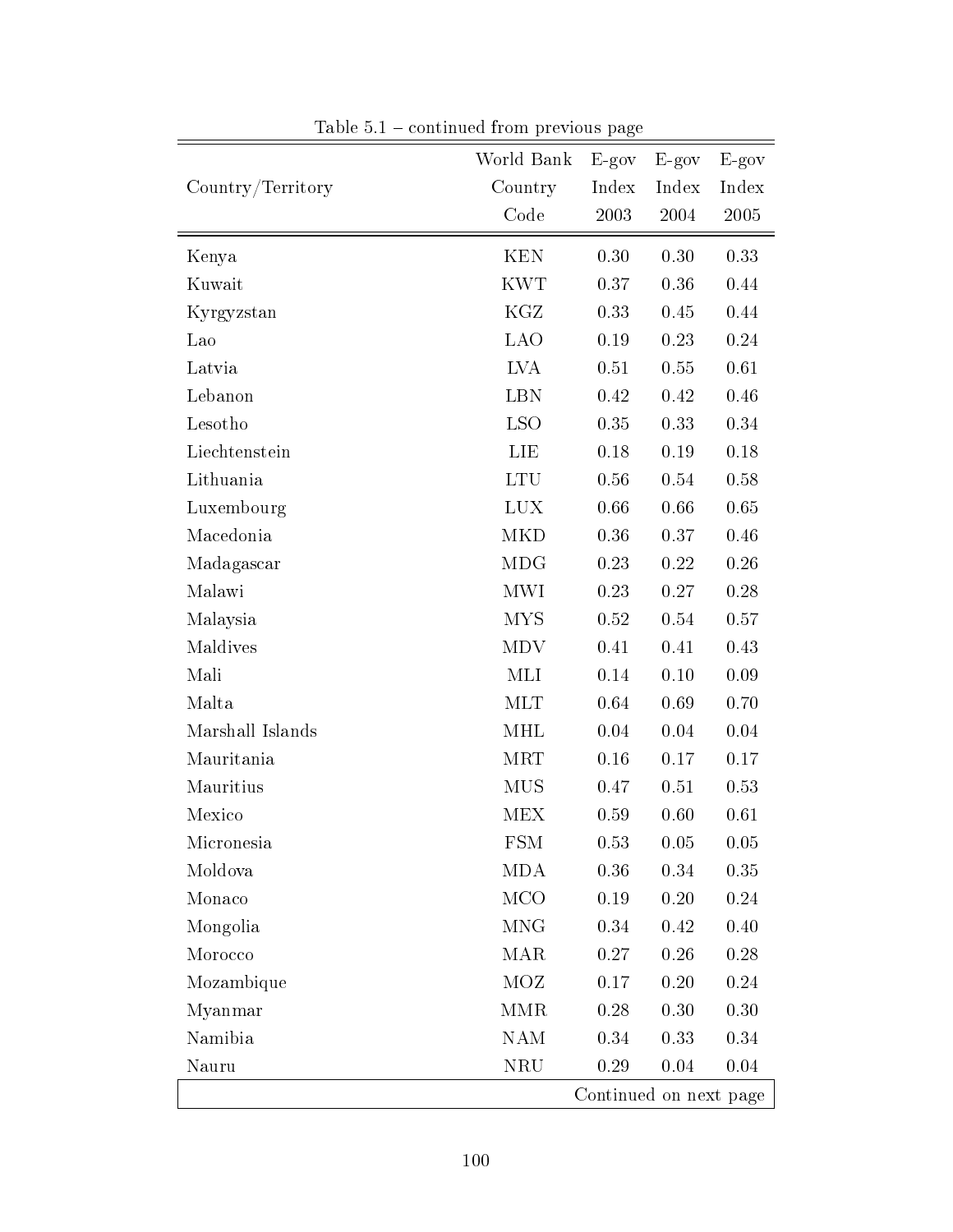|                   | World Bank  | $E-gov$                | $E-gov$ | $E-gov$  |
|-------------------|-------------|------------------------|---------|----------|
| Country/Territory | Country     | Index                  | Index   | Index    |
|                   | Code        | 2003                   | 2004    | 2005     |
| Kenya             | <b>KEN</b>  | 0.30                   | 0.30    | 0.33     |
| Kuwait            | <b>KWT</b>  | 0.37                   | 0.36    | 0.44     |
| Kyrgyzstan        | KGZ         | 0.33                   | 0.45    | 0.44     |
| Lao               | <b>LAO</b>  | 0.19                   | 0.23    | 0.24     |
| Latvia            | <b>LVA</b>  | $0.51\,$               | 0.55    | 0.61     |
| Lebanon           | <b>LBN</b>  | 0.42                   | 0.42    | 0.46     |
| Lesotho           | <b>LSO</b>  | 0.35                   | 0.33    | 0.34     |
| Liechtenstein     | <b>TIE</b>  | 0.18                   | 0.19    | 0.18     |
| Lithuania         | <b>LTU</b>  | 0.56                   | 0.54    | 0.58     |
| Luxembourg        | <b>LUX</b>  | 0.66                   | 0.66    | 0.65     |
| Macedonia         | <b>MKD</b>  | $0.36\,$               | 0.37    | 0.46     |
| Madagascar        | <b>MDG</b>  | 0.23                   | 0.22    | $0.26\,$ |
| Malawi            | <b>MWI</b>  | 0.23                   | 0.27    | 0.28     |
| Malaysia          | <b>MYS</b>  | 0.52                   | 0.54    | 0.57     |
| Maldives          | <b>MDV</b>  | 0.41                   | 0.41    | 0.43     |
| Mali              | MLI         | 0.14                   | 0.10    | 0.09     |
| Malta             | <b>MLT</b>  | 0.64                   | 0.69    | 0.70     |
| Marshall Islands  | MHL         | 0.04                   | 0.04    | 0.04     |
| Mauritania        | <b>MRT</b>  | 0.16                   | 0.17    | 0.17     |
| Mauritius         | <b>MUS</b>  | 0.47                   | 0.51    | 0.53     |
| Mexico            | MEX         | 0.59                   | 0.60    | 0.61     |
| Micronesia        | ${\rm FSM}$ | 0.53                   | 0.05    | 0.05     |
| Moldova           | <b>MDA</b>  | 0.36                   | 0.34    | 0.35     |
| Monaco            | <b>MCO</b>  | 0.19                   | 0.20    | 0.24     |
| Mongolia          | <b>MNG</b>  | 0.34                   | 0.42    | 0.40     |
| Morocco           | <b>MAR</b>  | 0.27                   | 0.26    | 0.28     |
| Mozambique        | <b>MOZ</b>  | 0.17                   | 0.20    | 0.24     |
| Myanmar           | MMR         | 0.28                   | 0.30    | 0.30     |
| Namibia           | <b>NAM</b>  | 0.34                   | 0.33    | 0.34     |
| Nauru             | <b>NRU</b>  | 0.29                   | 0.04    | 0.04     |
|                   |             | Continued on next page |         |          |

Table  $5.1$  – continued from previous page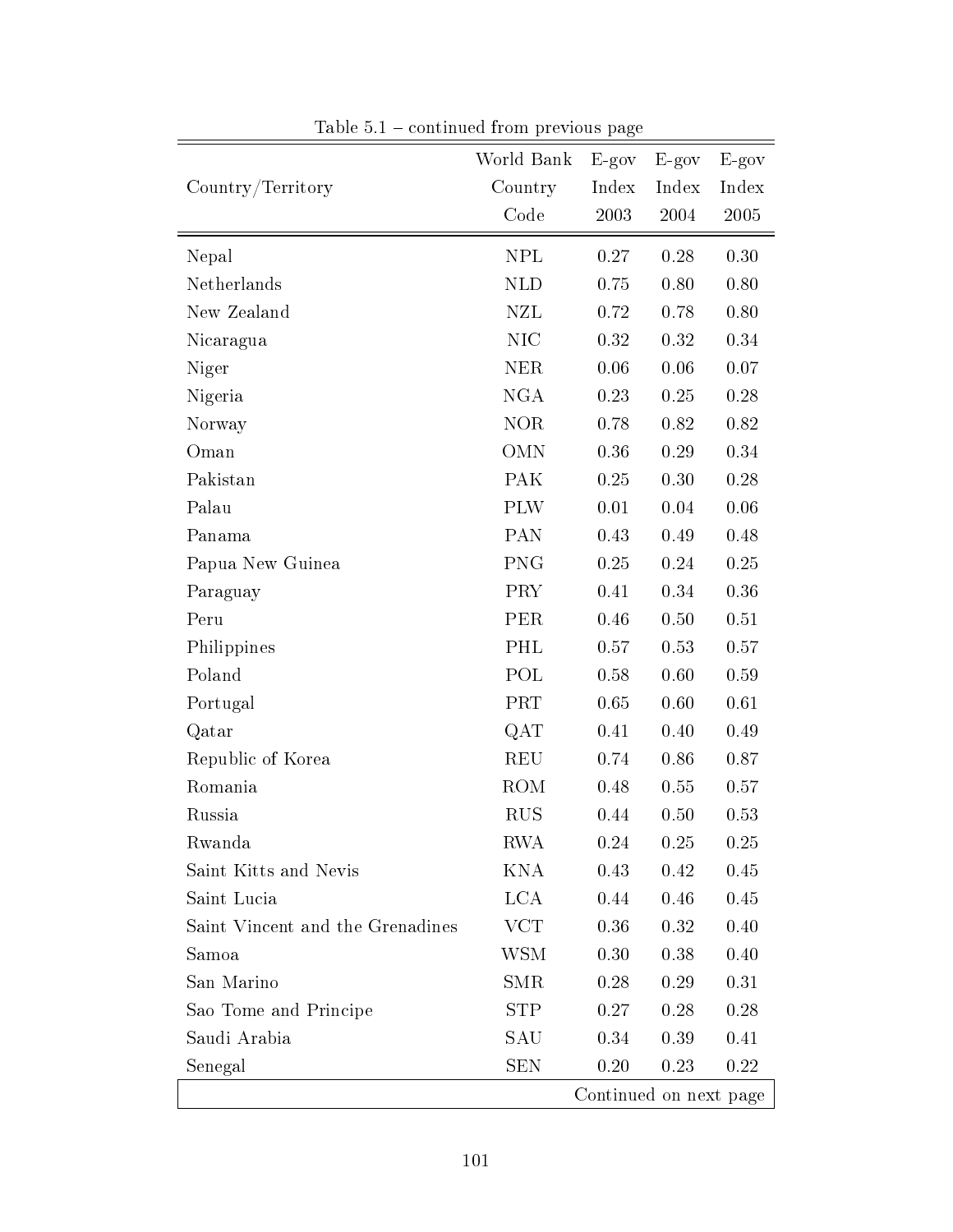|                                  | World Bank | $E-gov$ | $E-gov$                | $E-gov$  |
|----------------------------------|------------|---------|------------------------|----------|
| Country/Territory                | Country    | Index   | Index                  | Index    |
|                                  | Code       | 2003    | 2004                   | 2005     |
| Nepal                            | <b>NPL</b> | 0.27    | 0.28                   | 0.30     |
| Netherlands                      | <b>NLD</b> | 0.75    | 0.80                   | 0.80     |
| New Zealand                      | <b>NZL</b> | 0.72    | 0.78                   | 0.80     |
| Nicaragua                        | <b>NIC</b> | 0.32    | 0.32                   | 0.34     |
| Niger                            | <b>NER</b> | 0.06    | 0.06                   | 0.07     |
| Nigeria                          | <b>NGA</b> | 0.23    | 0.25                   | 0.28     |
| Norway                           | <b>NOR</b> | 0.78    | 0.82                   | 0.82     |
| Oman                             | <b>OMN</b> | 0.36    | 0.29                   | 0.34     |
| Pakistan                         | <b>PAK</b> | 0.25    | 0.30                   | $0.28\,$ |
| Palau                            | <b>PLW</b> | 0.01    | 0.04                   | 0.06     |
| Panama                           | PAN        | 0.43    | 0.49                   | 0.48     |
| Papua New Guinea                 | <b>PNG</b> | 0.25    | 0.24                   | 0.25     |
| Paraguay                         | <b>PRY</b> | 0.41    | 0.34                   | 0.36     |
| Peru                             | PER        | 0.46    | 0.50                   | $0.51\,$ |
| Philippines                      | PHL        | 0.57    | 0.53                   | 0.57     |
| Poland                           | POL        | 0.58    | 0.60                   | 0.59     |
| Portugal                         | <b>PRT</b> | 0.65    | 0.60                   | 0.61     |
| Qatar                            | QAT        | 0.41    | 0.40                   | 0.49     |
| Republic of Korea                | <b>REU</b> | 0.74    | 0.86                   | 0.87     |
| Romania                          | ROM        | 0.48    | 0.55                   | 0.57     |
| Russia                           | <b>RUS</b> | 0.44    | 0.50                   | 0.53     |
| Rwanda                           | <b>RWA</b> | 0.24    | 0.25                   | 0.25     |
| Saint Kitts and Nevis            | KNA        | 0.43    | 0.42                   | 0.45     |
| Saint Lucia                      | <b>LCA</b> | 0.44    | 0.46                   | 0.45     |
| Saint Vincent and the Grenadines | <b>VCT</b> | 0.36    | 0.32                   | 0.40     |
| Samoa                            | WSM        | 0.30    | 0.38                   | 0.40     |
| San Marino                       | <b>SMR</b> | 0.28    | 0.29                   | 0.31     |
| Sao Tome and Principe            | <b>STP</b> | 0.27    | 0.28                   | 0.28     |
| Saudi Arabia                     | SAU        | 0.34    | 0.39                   | 0.41     |
| Senegal                          | SEN        | 0.20    | 0.23                   | 0.22     |
|                                  |            |         | Continued on next page |          |

Table  $5.1$  – continued from previous page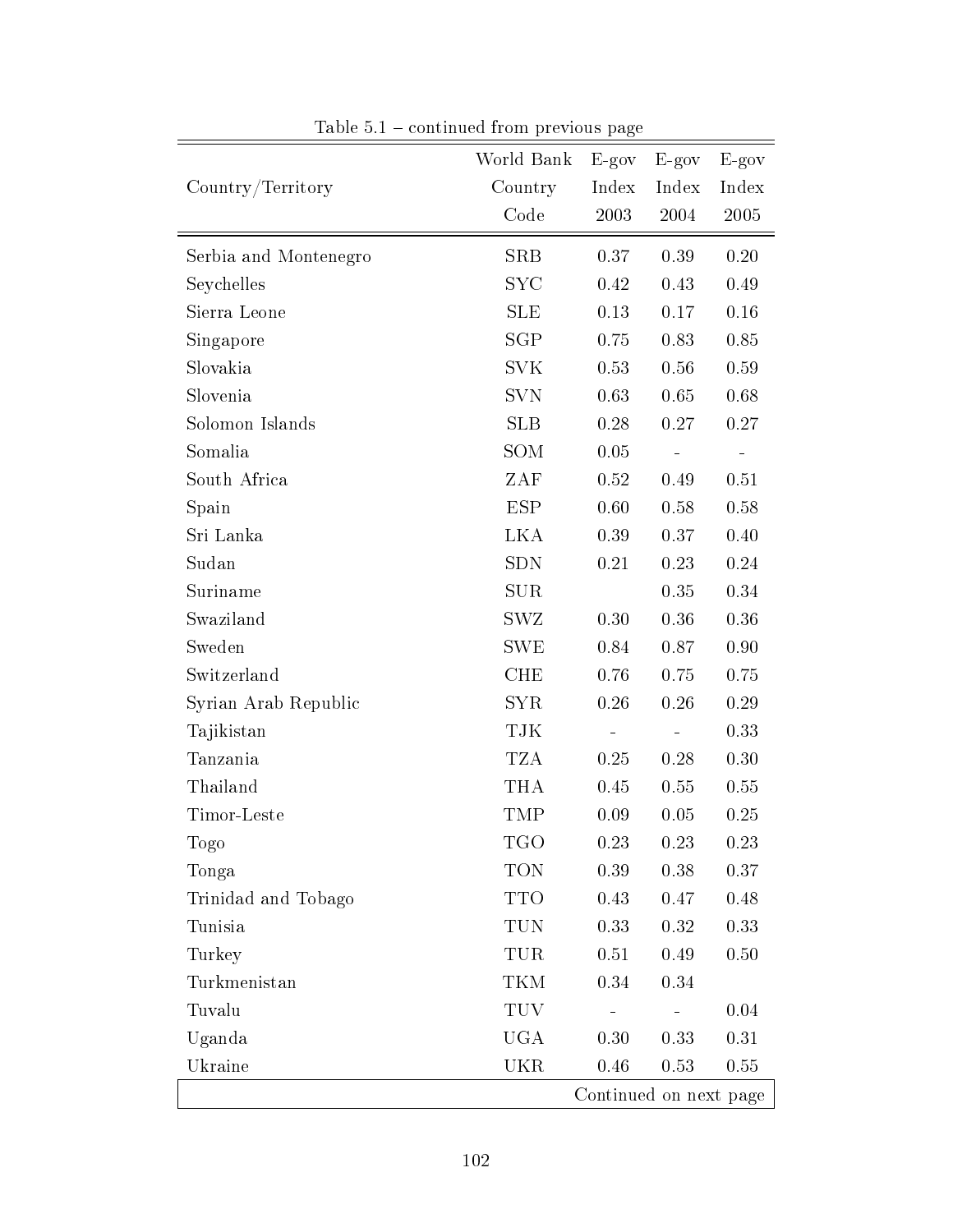|                       | World Bank | $E-gov$ | $E-gov$                | $E-gov$  |
|-----------------------|------------|---------|------------------------|----------|
| Country/Territory     | Country    | Index   | Index                  | Index    |
|                       | Code       | 2003    | 2004                   | 2005     |
| Serbia and Montenegro | <b>SRB</b> | 0.37    | 0.39                   | 0.20     |
| Seychelles            | <b>SYC</b> | 0.42    | 0.43                   | 0.49     |
| Sierra Leone          | <b>SLE</b> | 0.13    | 0.17                   | 0.16     |
| Singapore             | SGP        | 0.75    | 0.83                   | 0.85     |
| Slovakia              | <b>SVK</b> | 0.53    | 0.56                   | 0.59     |
| Slovenia              | <b>SVN</b> | 0.63    | 0.65                   | 0.68     |
| Solomon Islands       | SLB        | 0.28    | 0.27                   | 0.27     |
| Somalia               | SOM        | 0.05    |                        |          |
| South Africa          | ZAF        | 0.52    | 0.49                   | 0.51     |
| Spain                 | <b>ESP</b> | 0.60    | 0.58                   | 0.58     |
| Sri Lanka             | LKA        | 0.39    | 0.37                   | 0.40     |
| Sudan                 | <b>SDN</b> | 0.21    | 0.23                   | 0.24     |
| Suriname              | <b>SUR</b> |         | 0.35                   | 0.34     |
| Swaziland             | SWZ        | 0.30    | 0.36                   | 0.36     |
| Sweden                | <b>SWE</b> | 0.84    | 0.87                   | 0.90     |
| Switzerland           | <b>CHE</b> | 0.76    | 0.75                   | 0.75     |
| Syrian Arab Republic  | <b>SYR</b> | 0.26    | $0.26\,$               | 0.29     |
| Tajikistan            | TJK        |         |                        | 0.33     |
| Tanzania              | <b>TZA</b> | 0.25    | $0.28\,$               | 0.30     |
| Thailand              | <b>THA</b> | 0.45    | 0.55                   | 0.55     |
| Timor-Leste           | TMP        | 0.09    | 0.05                   | 0.25     |
| Togo                  | <b>TGO</b> | 0.23    | 0.23                   | 0.23     |
| Tonga                 | <b>TON</b> | 0.39    | $0.38\,$               | 0.37     |
| Trinidad and Tobago   | <b>TTO</b> | 0.43    | 0.47                   | 0.48     |
| Tunisia               | TUN        | 0.33    | 0.32                   | 0.33     |
| Turkey                | TUR        | 0.51    | 0.49                   | $0.50\,$ |
| Turkmenistan          | TKM        | 0.34    | 0.34                   |          |
| Tuvalu                | <b>TUV</b> |         |                        | 0.04     |
| Uganda                | UGA        | 0.30    | 0.33                   | 0.31     |
| Ukraine               | <b>UKR</b> | 0.46    | 0.53                   | $0.55\,$ |
|                       |            |         | Continued on next page |          |

Table  $5.1$  – continued from previous page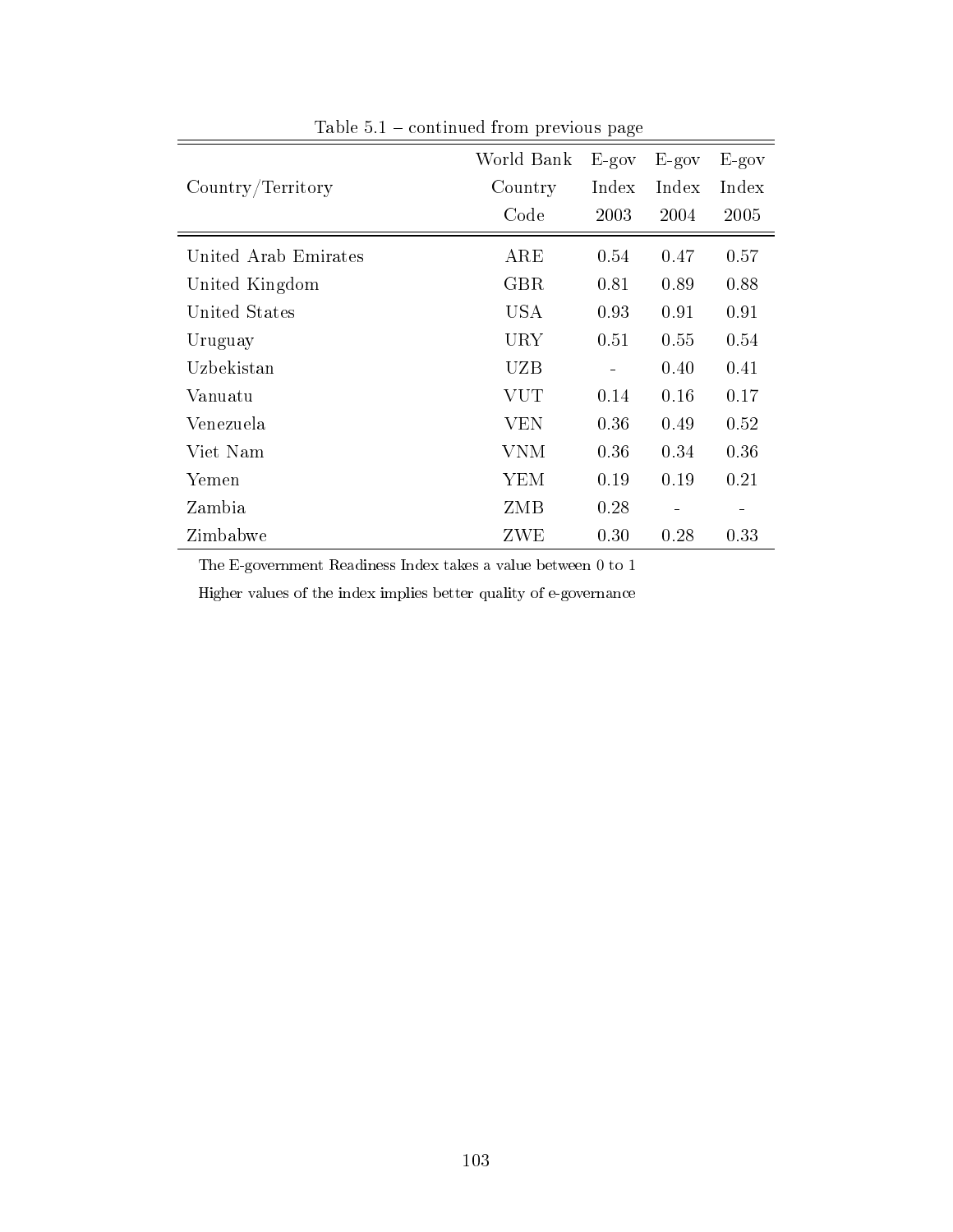|                      | World Bank | $E-gov$ | $E-gov$ | $E-gov$                  |
|----------------------|------------|---------|---------|--------------------------|
| Country/Territory    | Country    | Index   | Index   | Index                    |
|                      | Code       | 2003    | 2004    | 2005                     |
| United Arab Emirates | ARE        | 0.54    | 0.47    | 0.57                     |
| United Kingdom       | <b>GBR</b> | 0.81    | 0.89    | 0.88                     |
| United States        | USA        | 0.93    | 0.91    | 0.91                     |
| Uruguay              | URY        | 0.51    | 0.55    | 0.54                     |
| Uzbekistan           | UZB        | -       | 0.40    | 0.41                     |
| Vanuatu              | VUT        | 0.14    | 0.16    | 0.17                     |
| Venezuela            | <b>VEN</b> | 0.36    | 0.49    | 0.52                     |
| Viet Nam             | VNM        | 0.36    | 0.34    | 0.36                     |
| Yemen                | YEM        | 0.19    | 0.19    | 0.21                     |
| Zambia               | ZMB        | 0.28    | -       | $\overline{\phantom{0}}$ |
| Zimbabwe             | ZWE        | 0.30    | 0.28    | 0.33                     |

Table  $5.1$  – continued from previous page

The E-government Readiness Index takes a value between 0 to 1

Higher values of the index implies better quality of e-governance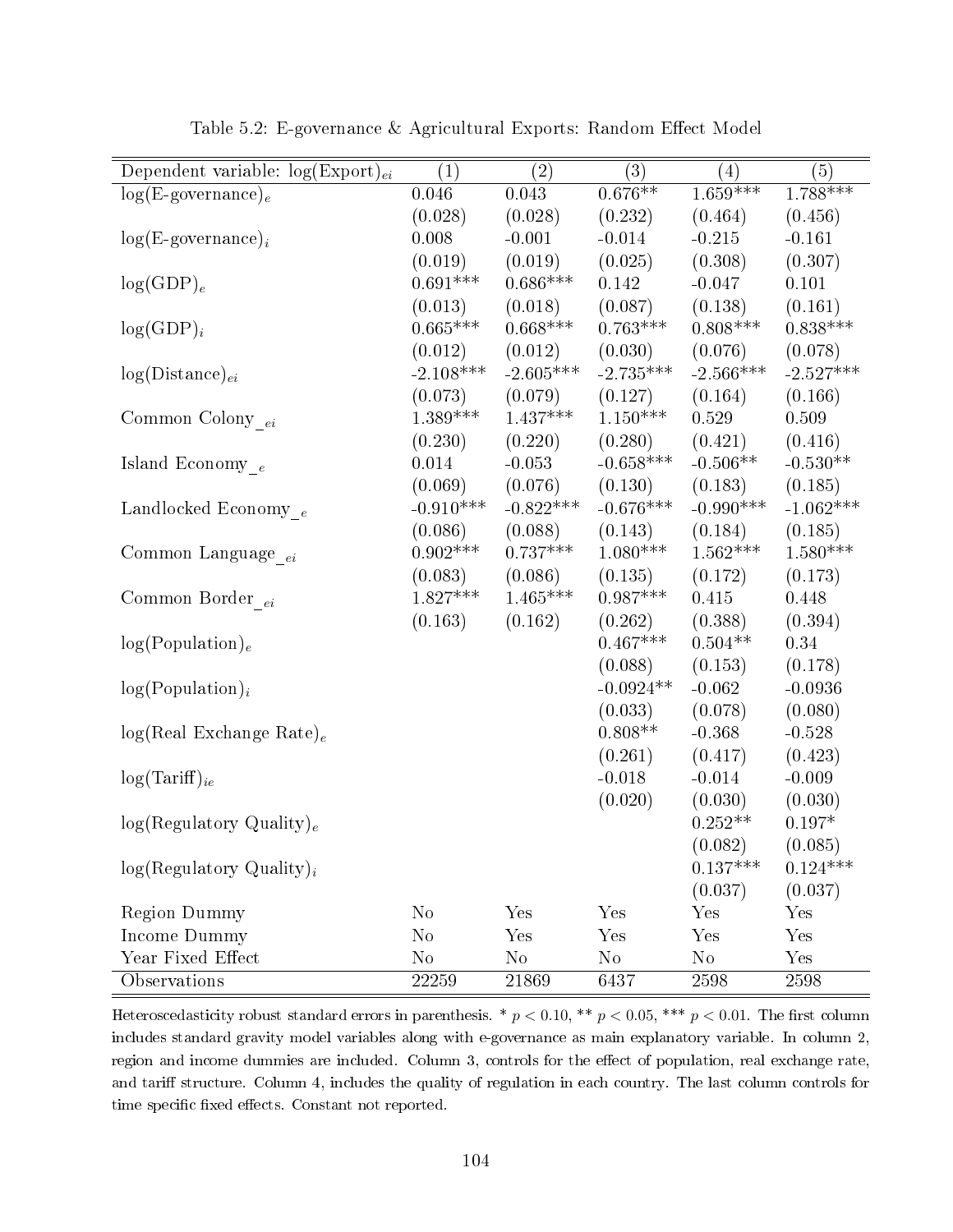| Dependent variable: $log(Expert)_{ei}$ | $\left( 1\right)$ | $\left( 2\right)$ | (3)         | (4)         | (5)             |
|----------------------------------------|-------------------|-------------------|-------------|-------------|-----------------|
| $log(E$ -governance) <sub>e</sub>      | 0.046             | 0.043             | $0.676**$   | $1.659***$  | $1.788***$      |
|                                        | (0.028)           | (0.028)           | (0.232)     | (0.464)     | (0.456)         |
| $log(E\text{-}govername{name})_i$      | 0.008             | $-0.001$          | $-0.014$    | $-0.215$    | $-0.161$        |
|                                        | (0.019)           | (0.019)           | (0.025)     | (0.308)     | (0.307)         |
| $log(GDP)_{e}$                         | $0.691***$        | $0.686***$        | 0.142       | $-0.047$    | 0.101           |
|                                        | (0.013)           | (0.018)           | (0.087)     | (0.138)     | (0.161)         |
| $log(GDP)_i$                           | $0.665***$        | $0.668***$        | $0.763***$  | $0.808***$  | $0.838^{***}\;$ |
|                                        | (0.012)           | (0.012)           | (0.030)     | (0.076)     | (0.078)         |
| $log(Distance)_{ei}$                   | $-2.108***$       | $-2.605***$       | $-2.735***$ | $-2.566***$ | $-2.527***$     |
|                                        | (0.073)           | (0.079)           | (0.127)     | (0.164)     | (0.166)         |
| Common Colony $_{ei}$                  | $1.389***$        | $1.437***$        | $1.150***$  | 0.529       | 0.509           |
|                                        | (0.230)           | (0.220)           | (0.280)     | (0.421)     | (0.416)         |
| Island Economy $_e$                    | 0.014             | $-0.053$          | $-0.658***$ | $-0.506**$  | $-0.530**$      |
|                                        | (0.069)           | (0.076)           | (0.130)     | (0.183)     | (0.185)         |
| Landlocked Economy $_e$                | $-0.910***$       | $-0.822***$       | $-0.676***$ | $-0.990***$ | $-1.062***$     |
|                                        | (0.086)           | (0.088)           | (0.143)     | (0.184)     | (0.185)         |
| Common Language $_{\,ei}$              | $0.902***$        | $0.737***$        | $1.080***$  | $1.562***$  | $1.580***$      |
|                                        | (0.083)           | (0.086)           | (0.135)     | (0.172)     | (0.173)         |
| Common Border $_{ei}$                  | $1.827***$        | $1.465***$        | $0.987***$  | 0.415       | 0.448           |
|                                        | (0.163)           | (0.162)           | (0.262)     | (0.388)     | (0.394)         |
| log(Population) <sub>e</sub>           |                   |                   | $0.467***$  | $0.504**$   | 0.34            |
|                                        |                   |                   | (0.088)     | (0.153)     | (0.178)         |
| $log(Population)_{i}$                  |                   |                   | $-0.0924**$ | $-0.062$    | $-0.0936$       |
|                                        |                   |                   | (0.033)     | (0.078)     | (0.080)         |
| $log(Real Exchange Rate)_e$            |                   |                   | $0.808**$   | $-0.368$    | $-0.528$        |
|                                        |                   |                   | (0.261)     | (0.417)     | (0.423)         |
| $log(Tariff)_{ie}$                     |                   |                   | $-0.018$    | $-0.014$    | $-0.009$        |
|                                        |                   |                   | (0.020)     | (0.030)     | (0.030)         |
| log(Regulatory Quality) <sub>e</sub>   |                   |                   |             | $0.252**$   | $0.197*$        |
|                                        |                   |                   |             | (0.082)     | (0.085)         |
| $log(Regulatory Quality)_{i}$          |                   |                   |             | $0.137***$  | $0.124***$      |
|                                        |                   |                   |             | (0.037)     | (0.037)         |
| Region Dummy                           | $\rm No$          | Yes               | Yes         | Yes         | $_{\rm Yes}$    |
| Income Dummy                           | $\rm No$          | Yes               | Yes         | Yes         | Yes             |
| Year Fixed Effect                      | $\rm No$          | $\rm No$          | $\rm No$    | No          | Yes             |
| Observations                           | 22259             | 21869             | 6437        | 2598        | 2598            |

Table 5.2: E-governance & Agricultural Exports: Random Effect Model

Heteroscedasticity robust standard errors in parenthesis. \*  $p < 0.10$ , \*\*  $p < 0.05$ , \*\*\*  $p < 0.01$ . The first column includes standard gravity model variables along with e-governance as main explanatory variable. In column 2, region and income dummies are included. Column 3, controls for the effect of population, real exchange rate, and tariff structure. Column 4, includes the quality of regulation in each country. The last column controls for time specific fixed effects. Constant not reported.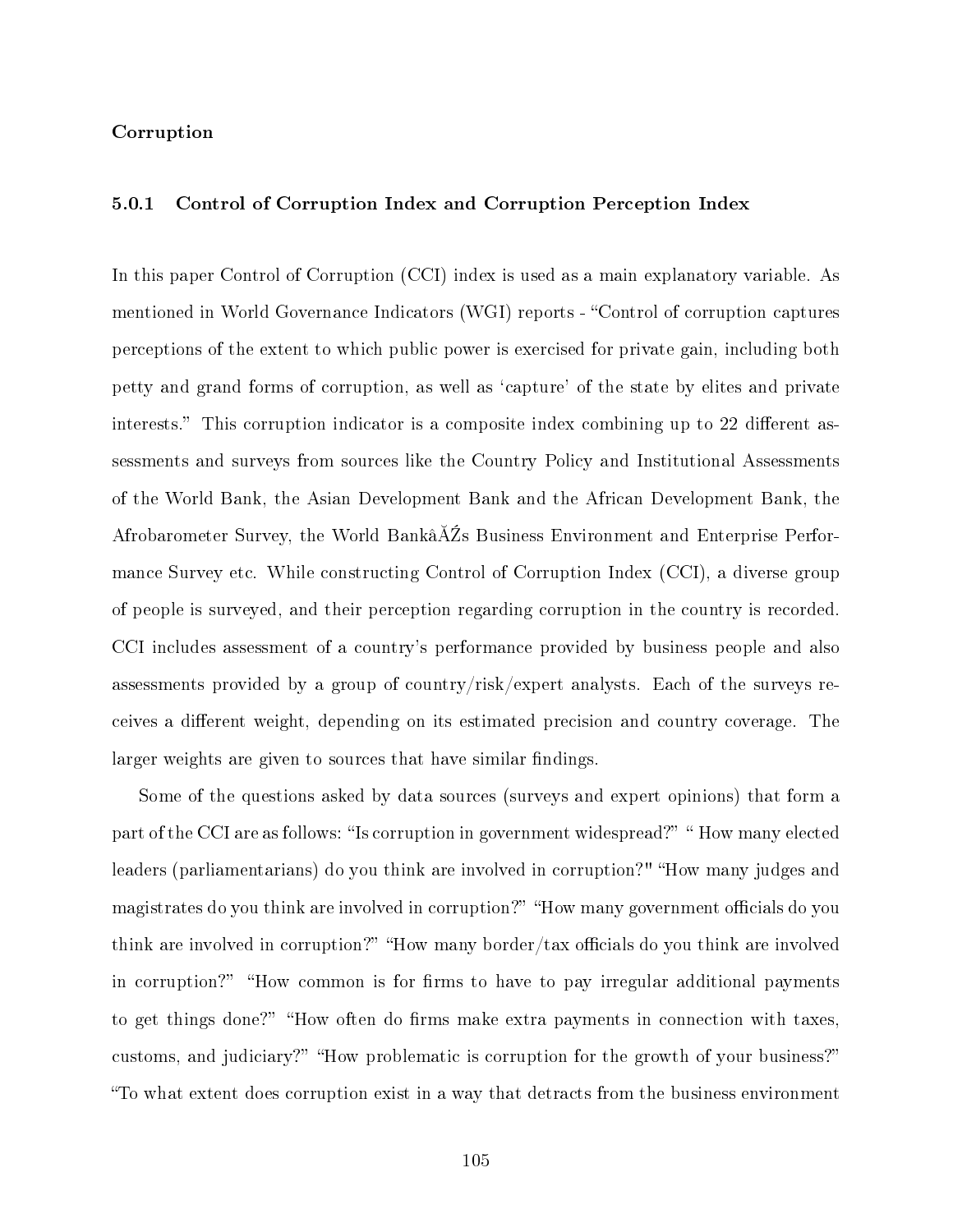## Corruption

## 5.0.1 Control of Corruption Index and Corruption Perception Index

In this paper Control of Corruption (CCI) index is used as a main explanatory variable. As mentioned in World Governance Indicators (WGI) reports - "Control of corruption captures perceptions of the extent to which public power is exercised for private gain, including both petty and grand forms of corruption, as well as `capture' of the state by elites and private interests." This corruption indicator is a composite index combining up to 22 different assessments and surveys from sources like the Country Policy and Institutional Assessments of the World Bank, the Asian Development Bank and the African Development Bank, the Afrobarometer Survey, the World Bankâ $\tilde{A}Z$ s Business Environment and Enterprise Performance Survey etc. While constructing Control of Corruption Index (CCI), a diverse group of people is surveyed, and their perception regarding corruption in the country is recorded. CCI includes assessment of a country's performance provided by business people and also assessments provided by a group of country/risk/expert analysts. Each of the surveys receives a different weight, depending on its estimated precision and country coverage. The larger weights are given to sources that have similar findings.

Some of the questions asked by data sources (surveys and expert opinions) that form a part of the CCI are as follows: "Is corruption in government widespread?" "How many elected leaders (parliamentarians) do you think are involved in corruption?" "How many judges and magistrates do you think are involved in corruption?" "How many government officials do you think are involved in corruption?" "How many border/tax officials do you think are involved in corruption?" "How common is for firms to have to pay irregular additional payments to get things done?" "How often do firms make extra payments in connection with taxes, customs, and judiciary?" "How problematic is corruption for the growth of your business?" To what extent does corruption exist in a way that detracts from the business environment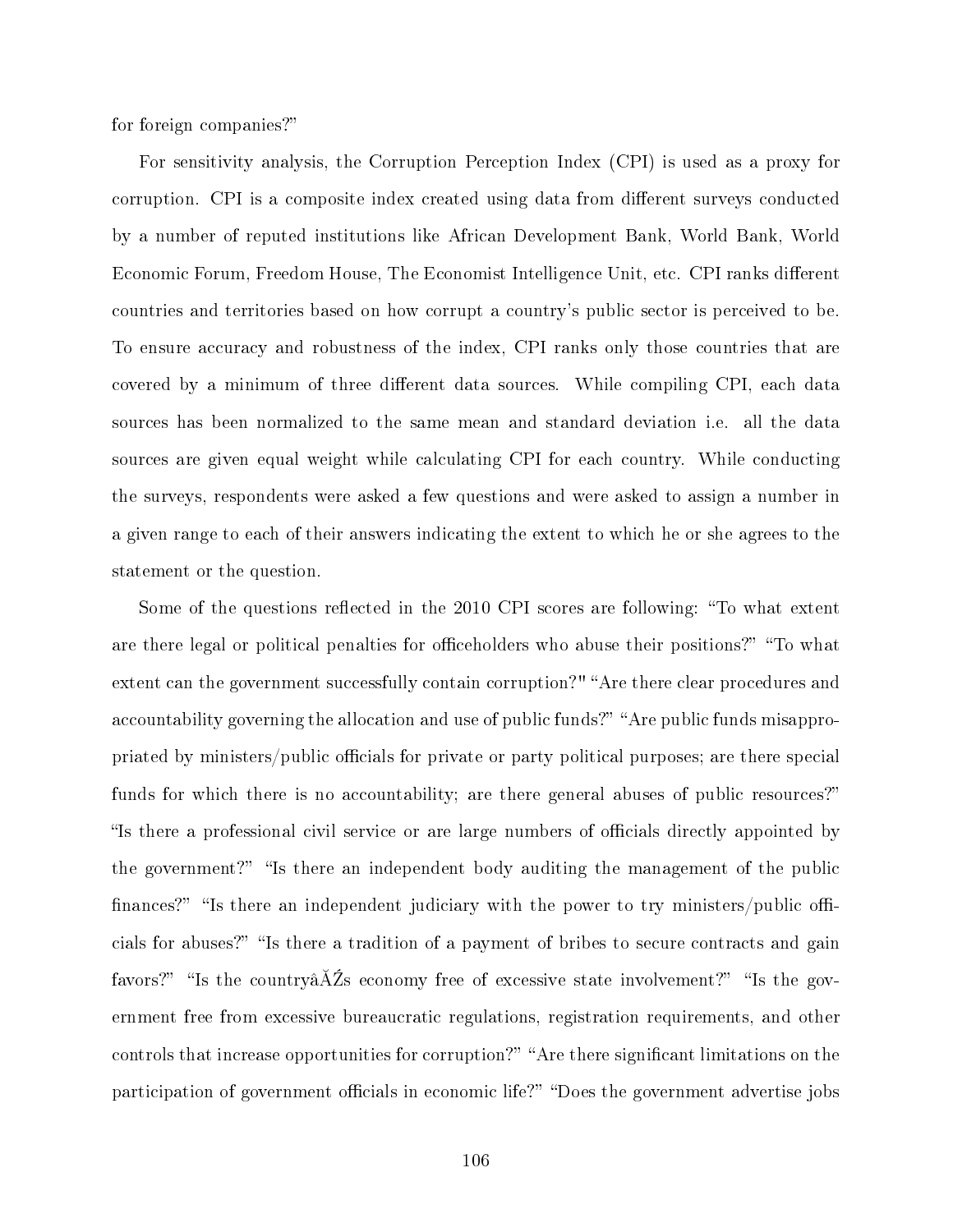for foreign companies?

For sensitivity analysis, the Corruption Perception Index (CPI) is used as a proxy for corruption. CPI is a composite index created using data from different surveys conducted by a number of reputed institutions like African Development Bank, World Bank, World Economic Forum, Freedom House, The Economist Intelligence Unit, etc. CPI ranks different countries and territories based on how corrupt a country's public sector is perceived to be. To ensure accuracy and robustness of the index, CPI ranks only those countries that are covered by a minimum of three different data sources. While compiling CPI, each data sources has been normalized to the same mean and standard deviation i.e. all the data sources are given equal weight while calculating CPI for each country. While conducting the surveys, respondents were asked a few questions and were asked to assign a number in a given range to each of their answers indicating the extent to which he or she agrees to the statement or the question.

Some of the questions reflected in the 2010 CPI scores are following: "To what extent are there legal or political penalties for officeholders who abuse their positions?" "To what extent can the government successfully contain corruption?" "Are there clear procedures and accountability governing the allocation and use of public funds?" "Are public funds misappropriated by ministers/public officials for private or party political purposes; are there special funds for which there is no accountability; are there general abuses of public resources?" Is there a professional civil service or are large numbers of officials directly appointed by the government?" "Is there an independent body auditing the management of the public finances?" "Is there an independent judiciary with the power to try ministers/public officials for abuses?" "Is there a tradition of a payment of bribes to secure contracts and gain favors?" "Is the country $\tilde{A}Z$ s economy free of excessive state involvement?" "Is the government free from excessive bureaucratic regulations, registration requirements, and other controls that increase opportunities for corruption?" "Are there significant limitations on the participation of government officials in economic life?" "Does the government advertise jobs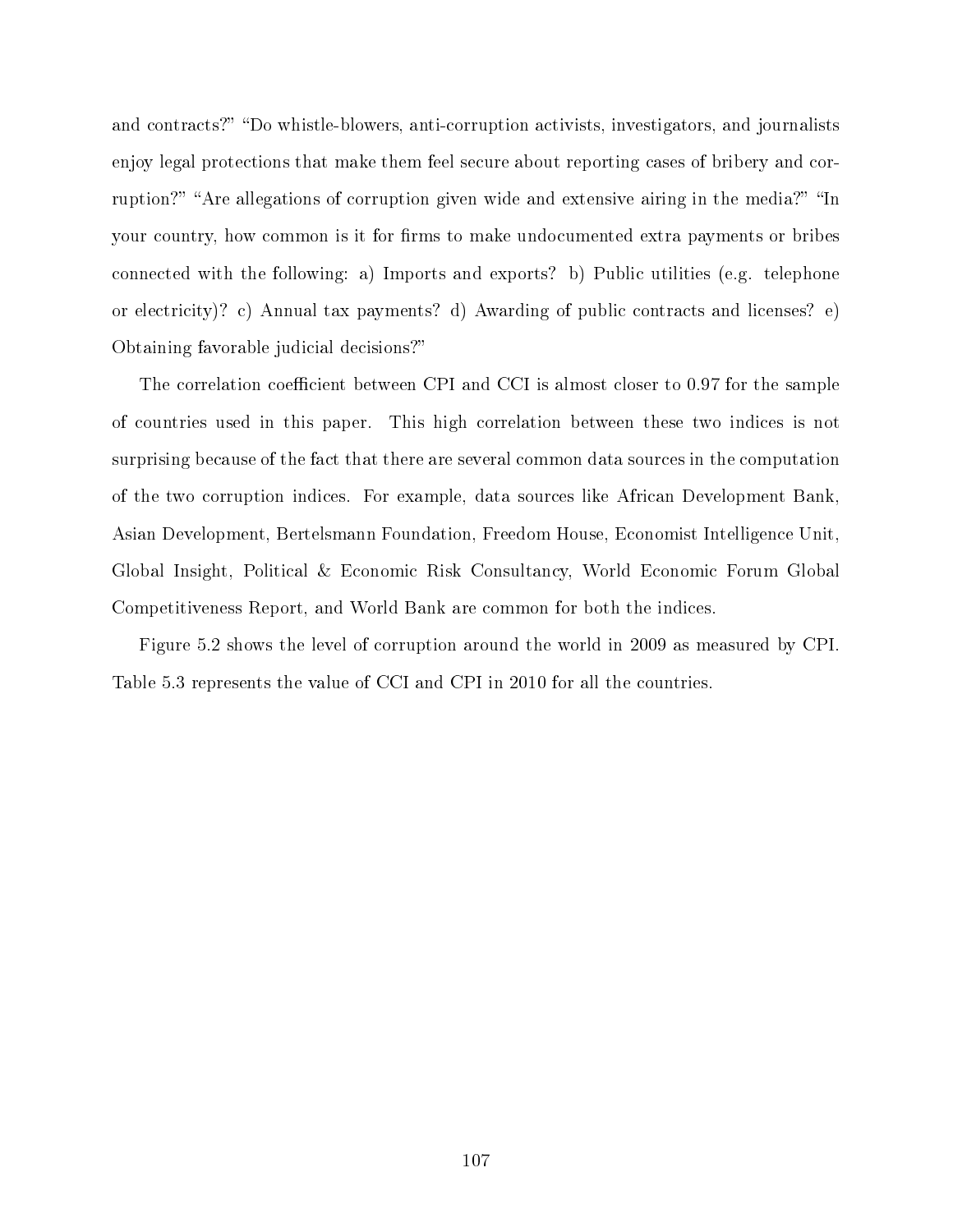and contracts?" "Do whistle-blowers, anti-corruption activists, investigators, and journalists enjoy legal protections that make them feel secure about reporting cases of bribery and corruption?" "Are allegations of corruption given wide and extensive airing in the media?" "In your country, how common is it for firms to make undocumented extra payments or bribes connected with the following: a) Imports and exports? b) Public utilities (e.g. telephone or electricity)? c) Annual tax payments? d) Awarding of public contracts and licenses? e) Obtaining favorable judicial decisions?

The correlation coefficient between CPI and CCI is almost closer to 0.97 for the sample of countries used in this paper. This high correlation between these two indices is not surprising because of the fact that there are several common data sources in the computation of the two corruption indices. For example, data sources like African Development Bank, Asian Development, Bertelsmann Foundation, Freedom House, Economist Intelligence Unit, Global Insight, Political & Economic Risk Consultancy, World Economic Forum Global Competitiveness Report, and World Bank are common for both the indices.

Figure [5.2](#page-125-0) shows the level of corruption around the world in 2009 as measured by CPI. Table [5.3](#page-115-0) represents the value of CCI and CPI in 2010 for all the countries.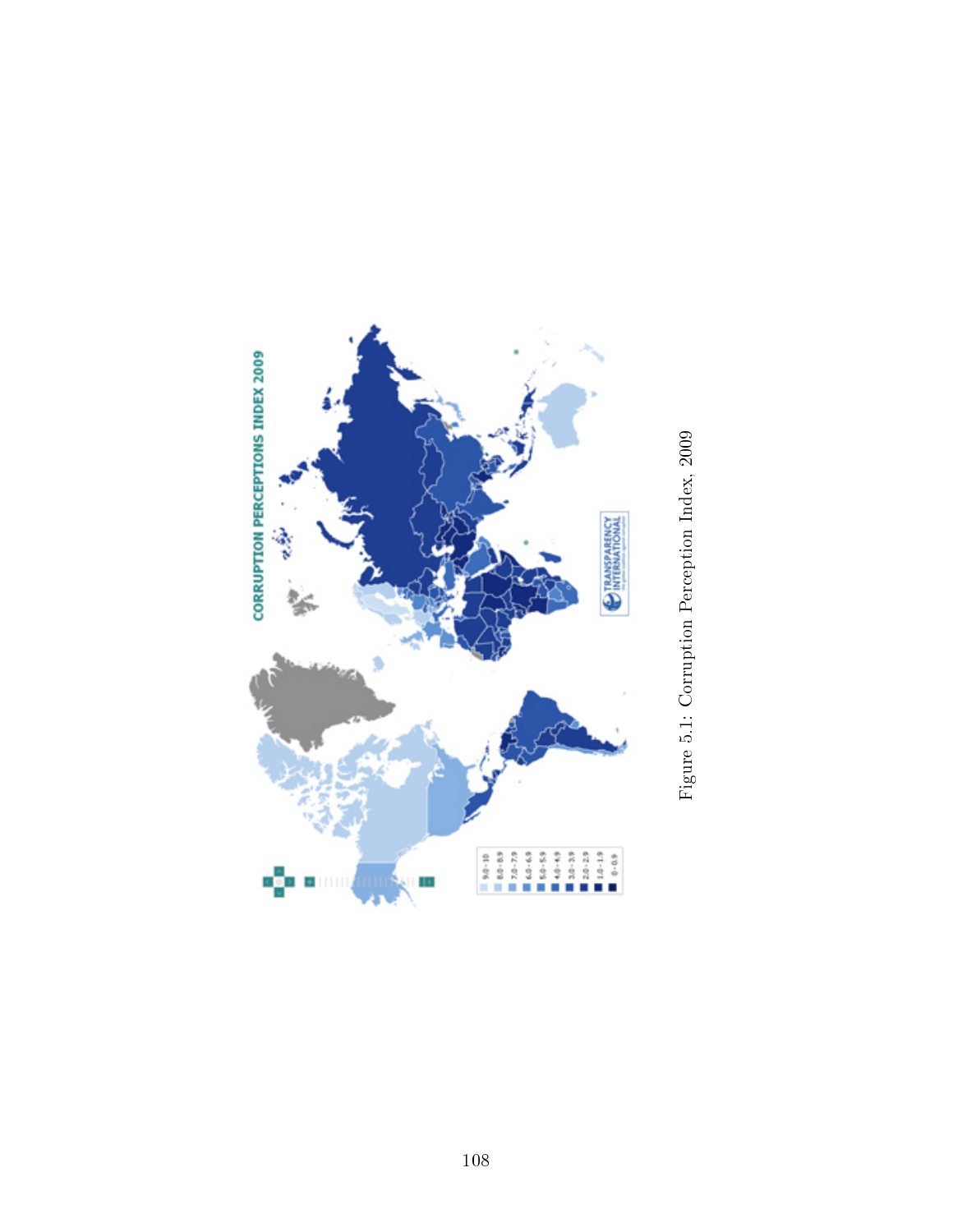

Figure 5.1: Corruption Perception Index, 2009 Figure 5.1: Corruption Perception Index, 2009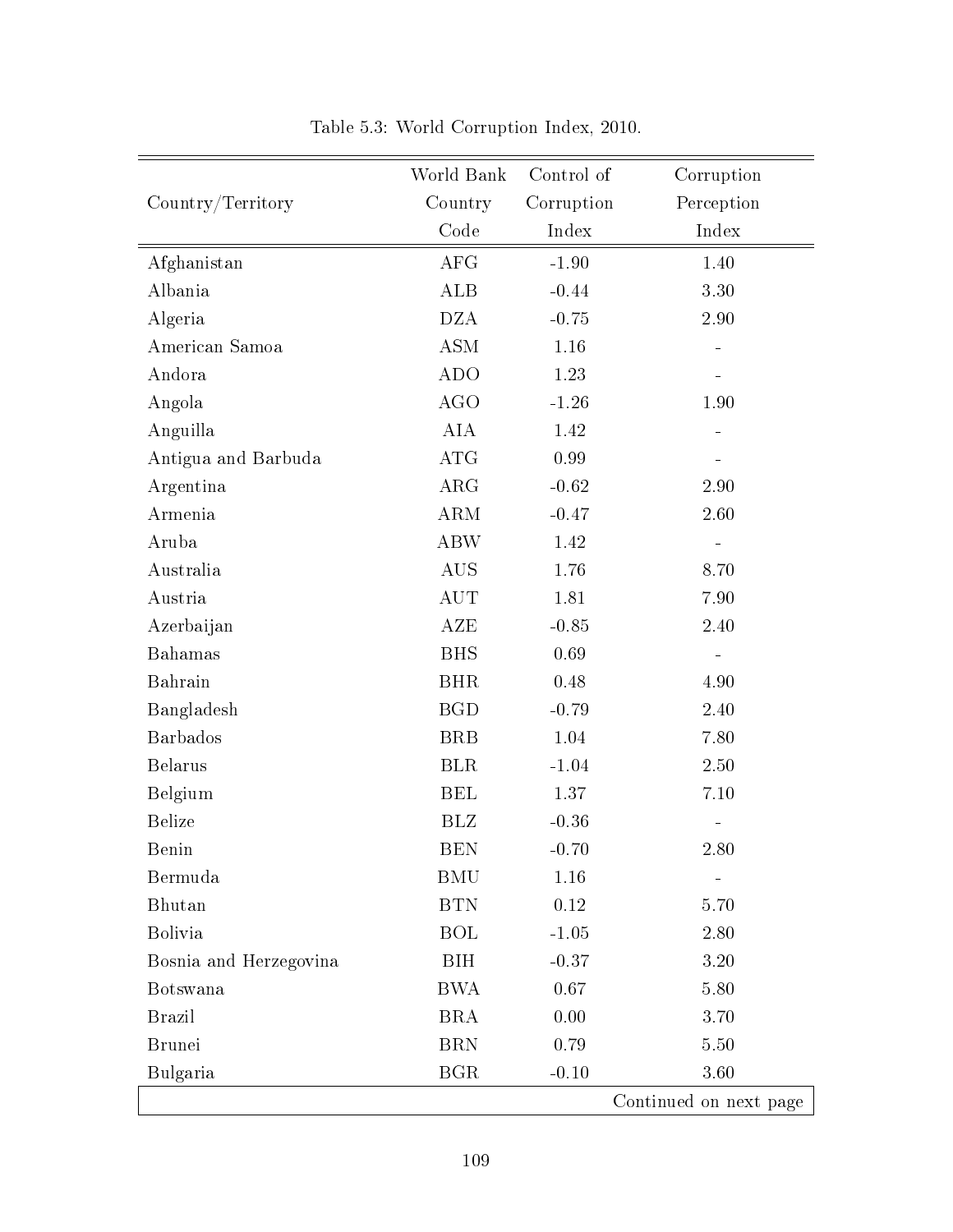<span id="page-115-0"></span>

|                        | World Bank | Control of | Corruption             |
|------------------------|------------|------------|------------------------|
| Country/Territory      | Country    | Corruption | Perception             |
|                        | Code       | Index      | Index                  |
| Afghanistan            | <b>AFG</b> | $-1.90$    | 1.40                   |
| Albania                | ALB        | $-0.44$    | 3.30                   |
| Algeria                | <b>DZA</b> | $-0.75$    | 2.90                   |
| American Samoa         | <b>ASM</b> | 1.16       |                        |
| Andora                 | <b>ADO</b> | 1.23       |                        |
| Angola                 | <b>AGO</b> | $-1.26$    | 1.90                   |
| Anguilla               | <b>AIA</b> | 1.42       |                        |
| Antigua and Barbuda    | <b>ATG</b> | 0.99       |                        |
| Argentina              | $\rm{ARG}$ | $-0.62$    | 2.90                   |
| Armenia                | <b>ARM</b> | $-0.47$    | 2.60                   |
| Aruba                  | <b>ABW</b> | 1.42       |                        |
| Australia              | <b>AUS</b> | 1.76       | 8.70                   |
| Austria                | <b>AUT</b> | 1.81       | 7.90                   |
| Azerbaijan             | AZE        | $-0.85$    | 2.40                   |
| Bahamas                | <b>BHS</b> | 0.69       |                        |
| Bahrain                | <b>BHR</b> | 0.48       | 4.90                   |
| Bangladesh             | <b>BGD</b> | $-0.79$    | 2.40                   |
| <b>Barbados</b>        | <b>BRB</b> | 1.04       | 7.80                   |
| <b>Belarus</b>         | <b>BLR</b> | $-1.04$    | 2.50                   |
| Belgium                | <b>BEL</b> | 1.37       | $7.10\,$               |
| <b>Belize</b>          | $\rm BLZ$  | $-0.36$    |                        |
| Benin                  | <b>BEN</b> | $-0.70$    | 2.80                   |
| Bermuda                | <b>BMU</b> | 1.16       |                        |
| Bhutan                 | <b>BTN</b> | 0.12       | 5.70                   |
| <b>Bolivia</b>         | <b>BOL</b> | $-1.05$    | 2.80                   |
| Bosnia and Herzegovina | <b>BIH</b> | $-0.37$    | 3.20                   |
| Botswana               | <b>BWA</b> | 0.67       | 5.80                   |
| <b>Brazil</b>          | <b>BRA</b> | 0.00       | 3.70                   |
| <b>Brunei</b>          | <b>BRN</b> | 0.79       | 5.50                   |
| Bulgaria               | <b>BGR</b> | $-0.10$    | 3.60                   |
|                        |            |            | Continued on next page |

Table 5.3: World Corruption Index, 2010.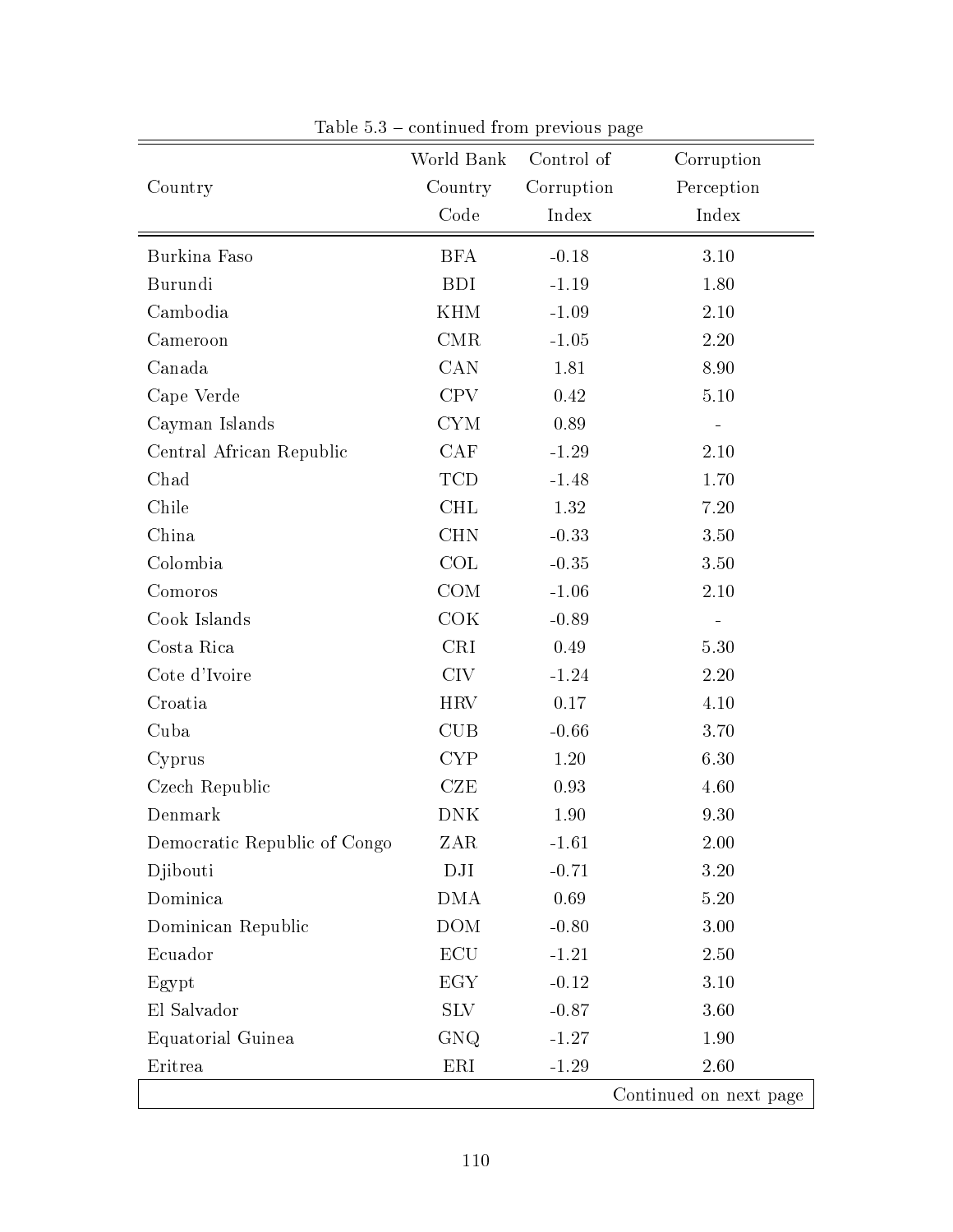|                              | World Bank | Control of | Corruption             |
|------------------------------|------------|------------|------------------------|
| Country                      | Country    | Corruption | Perception             |
|                              | Code       | Index      | Index                  |
| Burkina Faso                 | <b>BFA</b> | $-0.18$    | 3.10                   |
| Burundi                      | <b>BDI</b> | $-1.19$    | 1.80                   |
| Cambodia                     | <b>KHM</b> | $-1.09$    | 2.10                   |
| Cameroon                     | $\rm CMR$  | $-1.05$    | $2.20\,$               |
| Canada                       | CAN        | 1.81       | 8.90                   |
| Cape Verde                   | <b>CPV</b> | 0.42       | $5.10\,$               |
| Cayman Islands               | CYM        | 0.89       |                        |
| Central African Republic     | CAF        | $-1.29$    | 2.10                   |
| Chad                         | <b>TCD</b> | $-1.48$    | 1.70                   |
| Chile                        | <b>CHL</b> | 1.32       | 7.20                   |
| China                        | <b>CHN</b> | $-0.33$    | 3.50                   |
| Colombia                     | COL        | $-0.35$    | 3.50                   |
| Comoros                      | COM        | $-1.06$    | 2.10                   |
| Cook Islands                 | COK        | $-0.89$    |                        |
| Costa Rica                   | <b>CRI</b> | 0.49       | 5.30                   |
| Cote d'Ivoire                | <b>CIV</b> | $-1.24$    | 2.20                   |
| Croatia                      | <b>HRV</b> | 0.17       | 4.10                   |
| Cuba                         | <b>CUB</b> | $-0.66$    | 3.70                   |
| Cyprus                       | <b>CYP</b> | 1.20       | 6.30                   |
| Czech Republic               | CZE        | 0.93       | 4.60                   |
| Denmark                      | <b>DNK</b> | 1.90       | 9.30                   |
| Democratic Republic of Congo | ZAR        | $-1.61$    | 2.00                   |
| Djibouti                     | DJI        | $-0.71$    | 3.20                   |
| Dominica                     | <b>DMA</b> | 0.69       | $5.20\,$               |
| Dominican Republic           | <b>DOM</b> | $-0.80$    | 3.00                   |
| Ecuador                      | <b>ECU</b> | $-1.21$    | 2.50                   |
| Egypt                        | EGY        | $-0.12$    | 3.10                   |
| El Salvador                  | SLV        | $-0.87$    | 3.60                   |
| Equatorial Guinea            | GNQ        | $-1.27$    | 1.90                   |
| Eritrea                      | ERI        | $-1.29$    | 2.60                   |
|                              |            |            | Continued on next page |

Table  $5.3$  – continued from previous page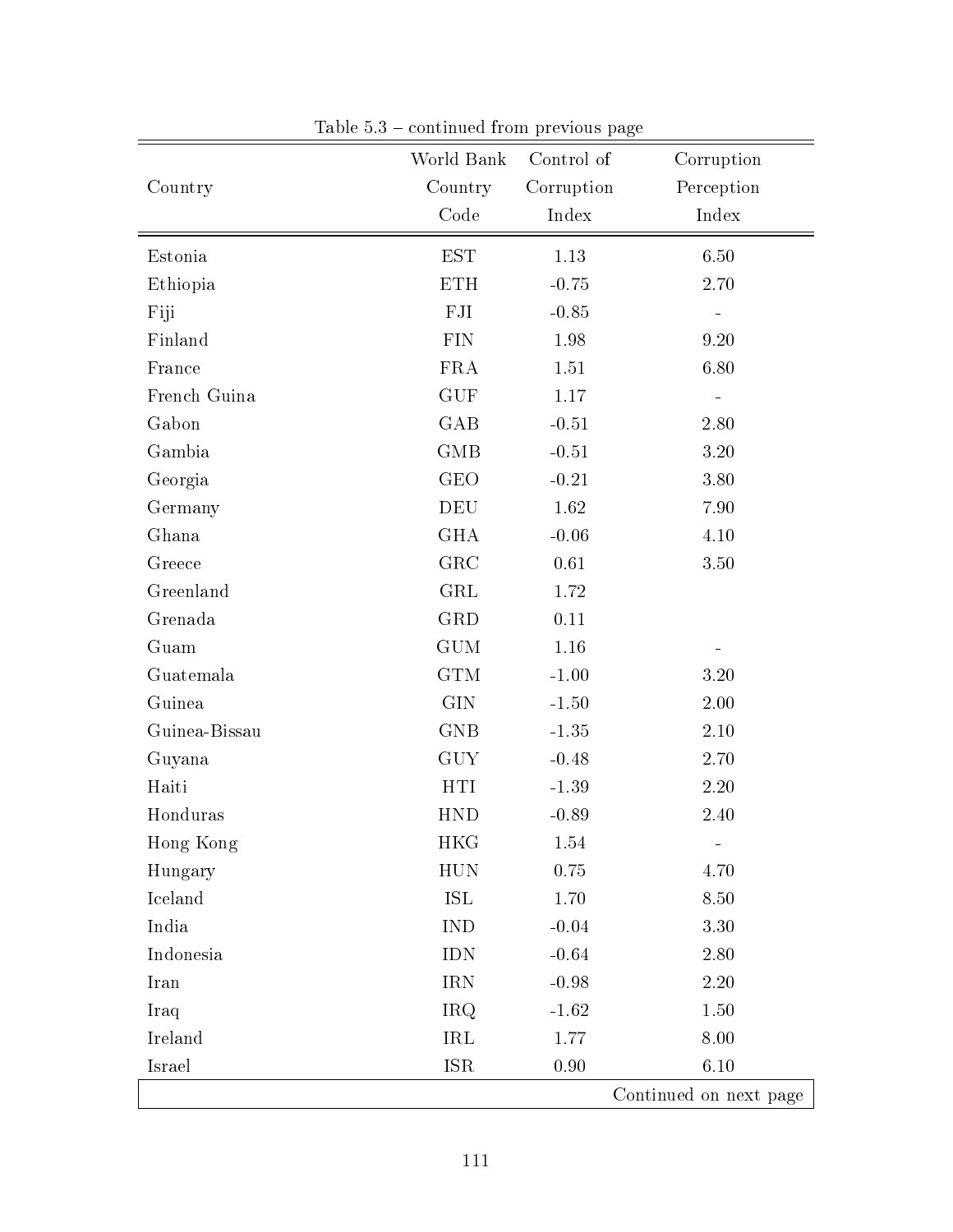| Country       | World Bank<br>Country | Control of<br>Corruption | Corruption<br>Perception |
|---------------|-----------------------|--------------------------|--------------------------|
|               | Code                  | Index                    | Index                    |
| Estonia       | <b>EST</b>            | 1.13                     | 6.50                     |
| Ethiopia      | <b>ETH</b>            | $-0.75$                  | 2.70                     |
| Fiji          | ${\rm FJI}$           | $-0.85$                  |                          |
| Finland       | <b>FIN</b>            | 1.98                     | 9.20                     |
| France        | <b>FRA</b>            | 1.51                     | 6.80                     |
| French Guina  | <b>GUF</b>            | 1.17                     | $\equiv$                 |
| Gabon         | GAB                   | $-0.51$                  | 2.80                     |
| Gambia        | GMB                   | $-0.51$                  | 3.20                     |
| Georgia       | $\rm{GEO}$            | $-0.21$                  | 3.80                     |
| Germany       | DEU                   | 1.62                     | 7.90                     |
| Ghana         | <b>GHA</b>            | $-0.06$                  | 4.10                     |
| Greece        | GRC                   | 0.61                     | 3.50                     |
| Greenland     | <b>GRL</b>            | 1.72                     |                          |
| Grenada       | GRD                   | 0.11                     |                          |
| Guam          | <b>GUM</b>            | 1.16                     |                          |
| Guatemala     | <b>GTM</b>            | $-1.00$                  | 3.20                     |
| Guinea        | <b>GIN</b>            | $-1.50$                  | 2.00                     |
| Guinea-Bissau | <b>GNB</b>            | $-1.35$                  | 2.10                     |
| Guyana        | <b>GUY</b>            | $-0.48$                  | 2.70                     |
| Haiti         | <b>HTI</b>            | $-1.39$                  | $2.20\,$                 |
| Honduras      | <b>HND</b>            | $-0.89$                  | 2.40                     |
| Hong Kong     | <b>HKG</b>            | 1.54                     |                          |
| Hungary       | <b>HUN</b>            | 0.75                     | 4.70                     |
| Iceland       | ISL                   | 1.70                     | 8.50                     |
| India         | <b>IND</b>            | $-0.04$                  | 3.30                     |
| Indonesia     | <b>IDN</b>            | $-0.64$                  | 2.80                     |
| Iran          | <b>IRN</b>            | $-0.98$                  | 2.20                     |
| Iraq          | <b>IRQ</b>            | $-1.62$                  | 1.50                     |
| Ireland       | IRL                   | 1.77                     | 8.00                     |
| Israel        | <b>ISR</b>            | 0.90                     | 6.10                     |
|               |                       |                          | Continued on next page   |

Table  $5.3$  – continued from previous page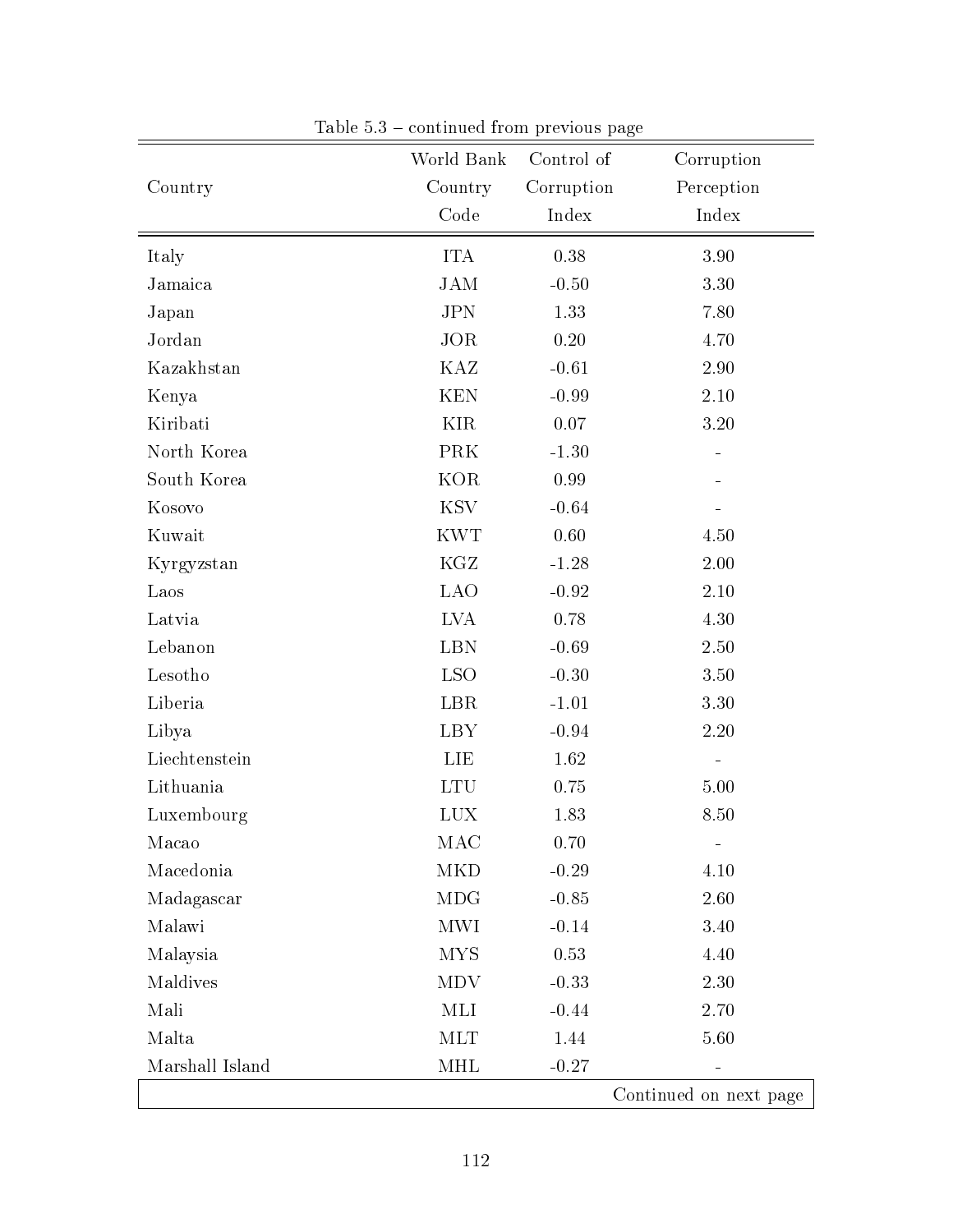|                 | World Bank | Control of | Corruption             |
|-----------------|------------|------------|------------------------|
| Country         | Country    | Corruption | Perception             |
|                 | Code       | Index      | Index                  |
| Italy           | <b>ITA</b> | 0.38       | 3.90                   |
| Jamaica         | <b>JAM</b> | $-0.50$    | 3.30                   |
| Japan           | <b>JPN</b> | 1.33       | 7.80                   |
| Jordan          | <b>JOR</b> | 0.20       | 4.70                   |
| Kazakhstan      | KAZ        | $-0.61$    | 2.90                   |
| Kenya           | <b>KEN</b> | $-0.99$    | $2.10\,$               |
| Kiribati        | <b>KIR</b> | 0.07       | 3.20                   |
| North Korea     | <b>PRK</b> | $-1.30$    |                        |
| South Korea     | <b>KOR</b> | 0.99       |                        |
| Kosovo          | <b>KSV</b> | $-0.64$    |                        |
| Kuwait          | <b>KWT</b> | 0.60       | 4.50                   |
| Kyrgyzstan      | KGZ        | $-1.28$    | $2.00\,$               |
| Laos            | <b>LAO</b> | $-0.92$    | $2.10\,$               |
| Latvia          | <b>LVA</b> | 0.78       | 4.30                   |
| Lebanon         | <b>LBN</b> | $-0.69$    | 2.50                   |
| Lesotho         | <b>LSO</b> | $-0.30$    | 3.50                   |
| Liberia         | LBR        | $-1.01$    | 3.30                   |
| Libya           | <b>LBY</b> | $-0.94$    | 2.20                   |
| Liechtenstein   | LIE        | 1.62       |                        |
| Lithuania       | <b>LTU</b> | 0.75       | $5.00\,$               |
| Luxembourg      | LUX        | 1.83       | 8.50                   |
| Macao           | MAC        | 0.70       |                        |
| Macedonia       | MKD        | $-0.29$    | 4.10                   |
| Madagascar      | MDG        | $-0.85$    | 2.60                   |
| Malawi          | MWI        | $-0.14$    | 3.40                   |
| Malaysia        | <b>MYS</b> | 0.53       | 4.40                   |
| Maldives        | MDV        | $-0.33$    | 2.30                   |
| Mali            | MLI        | $-0.44$    | 2.70                   |
| Malta           | MLT        | 1.44       | 5.60                   |
| Marshall Island | MHL        | $-0.27$    |                        |
|                 |            |            | Continued on next page |

Table  $5.3$  – continued from previous page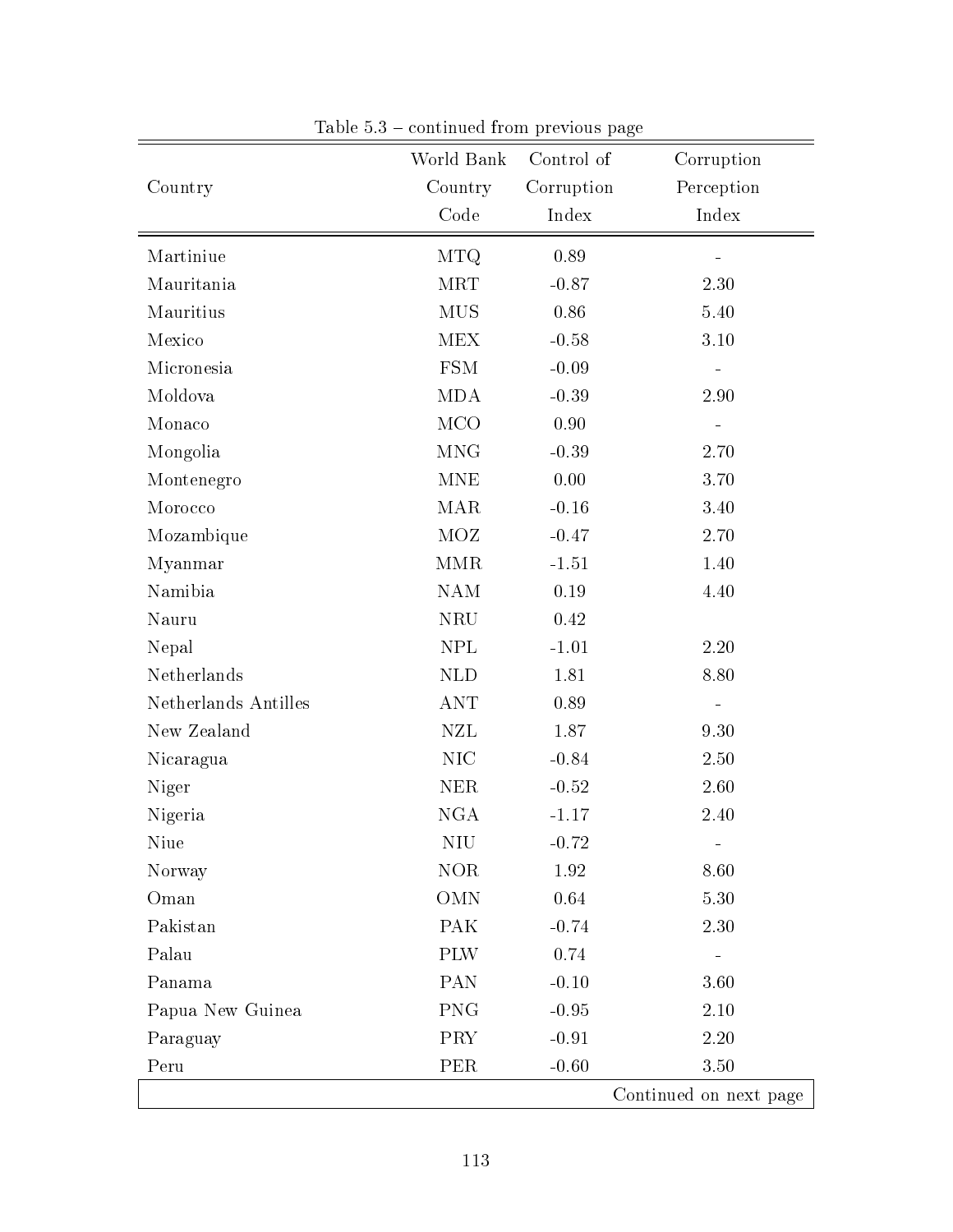|                      | World Bank           | Control of | Corruption               |
|----------------------|----------------------|------------|--------------------------|
| Country              | Country              | Corruption | Perception               |
|                      | Code                 | Index      | Index                    |
| Martiniue            | <b>MTQ</b>           | 0.89       |                          |
| Mauritania           | <b>MRT</b>           | $-0.87$    | 2.30                     |
| Mauritius            | <b>MUS</b>           | 0.86       | 5.40                     |
| Mexico               | <b>MEX</b>           | $-0.58$    | $3.10\,$                 |
| Micronesia           | <b>FSM</b>           | $-0.09$    |                          |
| Moldova              | <b>MDA</b>           | $-0.39$    | 2.90                     |
| Monaco               | <b>MCO</b>           | 0.90       |                          |
| Mongolia             | <b>MNG</b>           | $-0.39$    | 2.70                     |
| Montenegro           | <b>MNE</b>           | 0.00       | 3.70                     |
| Morocco              | <b>MAR</b>           | $-0.16$    | 3.40                     |
| Mozambique           | <b>MOZ</b>           | $-0.47$    | 2.70                     |
| Myanmar              | $\operatorname{MMR}$ | $-1.51$    | 1.40                     |
| Namibia              | <b>NAM</b>           | 0.19       | 4.40                     |
| Nauru                | <b>NRU</b>           | 0.42       |                          |
| Nepal                | <b>NPL</b>           | $-1.01$    | 2.20                     |
| Netherlands          | <b>NLD</b>           | 1.81       | 8.80                     |
| Netherlands Antilles | <b>ANT</b>           | 0.89       | $\overline{\phantom{0}}$ |
| New Zealand          | <b>NZL</b>           | 1.87       | 9.30                     |
| Nicaragua            | <b>NIC</b>           | $-0.84$    | 2.50                     |
| Niger                | <b>NER</b>           | $-0.52$    | 2.60                     |
| Nigeria              | <b>NGA</b>           | $-1.17$    | 2.40                     |
| Niue                 | NIŲ                  | $-0.72$    |                          |
| Norway               | $\rm{NOR}$           | 1.92       | 8.60                     |
| Oman                 | <b>OMN</b>           | 0.64       | 5.30                     |
| Pakistan             | <b>PAK</b>           | $-0.74$    | 2.30                     |
| Palau                | <b>PLW</b>           | 0.74       |                          |
| Panama               | <b>PAN</b>           | $-0.10$    | 3.60                     |
| Papua New Guinea     | <b>PNG</b>           | $-0.95$    | $2.10\,$                 |
| Paraguay             | <b>PRY</b>           | $-0.91$    | 2.20                     |
| Peru                 | <b>PER</b>           | $-0.60$    | 3.50                     |
|                      |                      |            | Continued on next page   |

Table  $5.3$  – continued from previous page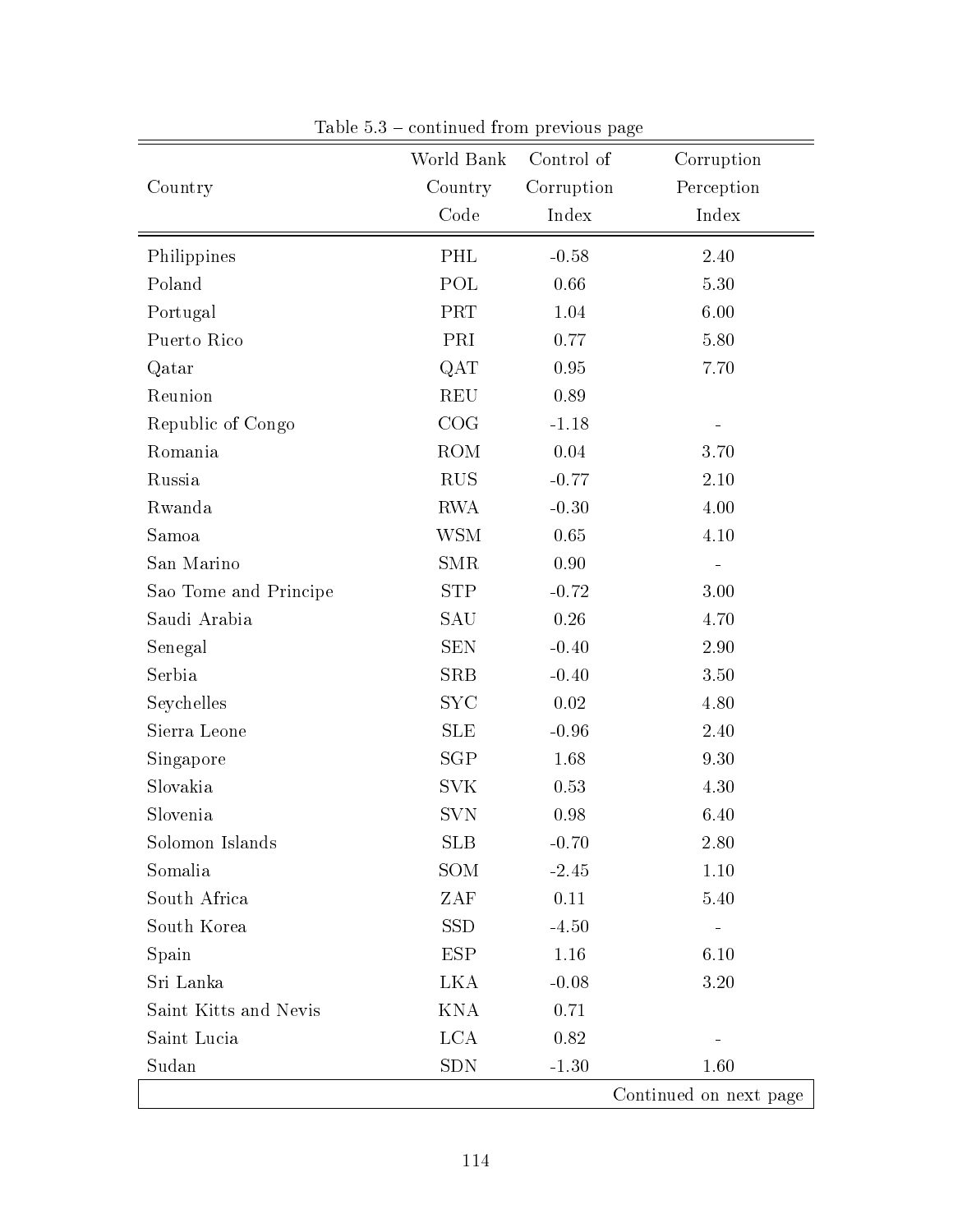|                       | World Bank | Control of | Corruption             |
|-----------------------|------------|------------|------------------------|
| Country               | Country    | Corruption | Perception             |
|                       | Code       | Index      | Index                  |
| Philippines           | PHL        | $-0.58$    | 2.40                   |
| Poland                | POL        | 0.66       | 5.30                   |
| Portugal              | PRT        | 1.04       | 6.00                   |
| Puerto Rico           | PRI        | 0.77       | 5.80                   |
| Qatar                 | QAT        | 0.95       | 7.70                   |
| Reunion               | <b>REU</b> | 0.89       |                        |
| Republic of Congo     | COG        | $-1.18$    |                        |
| Romania               | <b>ROM</b> | 0.04       | 3.70                   |
| Russia                | <b>RUS</b> | $-0.77$    | 2.10                   |
| Rwanda                | <b>RWA</b> | $-0.30$    | 4.00                   |
| Samoa                 | <b>WSM</b> | 0.65       | 4.10                   |
| San Marino            | <b>SMR</b> | 0.90       |                        |
| Sao Tome and Principe | <b>STP</b> | $-0.72$    | 3.00                   |
| Saudi Arabia          | SAU        | 0.26       | 4.70                   |
| Senegal               | <b>SEN</b> | $-0.40$    | 2.90                   |
| Serbia                | <b>SRB</b> | $-0.40$    | 3.50                   |
| Seychelles            | <b>SYC</b> | 0.02       | 4.80                   |
| Sierra Leone          | <b>SLE</b> | $-0.96$    | 2.40                   |
| Singapore             | <b>SGP</b> | 1.68       | 9.30                   |
| Slovakia              | <b>SVK</b> | 0.53       | 4.30                   |
| Slovenia              | <b>SVN</b> | 0.98       | 6.40                   |
| Solomon Islands       | <b>SLB</b> | $-0.70$    | 2.80                   |
| Somalia               | SOM        | $-2.45$    | 1.10                   |
| South Africa          | ZAF        | 0.11       | 5.40                   |
| South Korea           | <b>SSD</b> | $-4.50$    |                        |
| Spain                 | <b>ESP</b> | 1.16       | 6.10                   |
| Sri Lanka             | LKA        | $-0.08$    | 3.20                   |
| Saint Kitts and Nevis | <b>KNA</b> | 0.71       |                        |
| Saint Lucia           | <b>LCA</b> | 0.82       |                        |
| Sudan                 | <b>SDN</b> | $-1.30$    | 1.60                   |
|                       |            |            | Continued on next page |

Table  $5.3$  – continued from previous page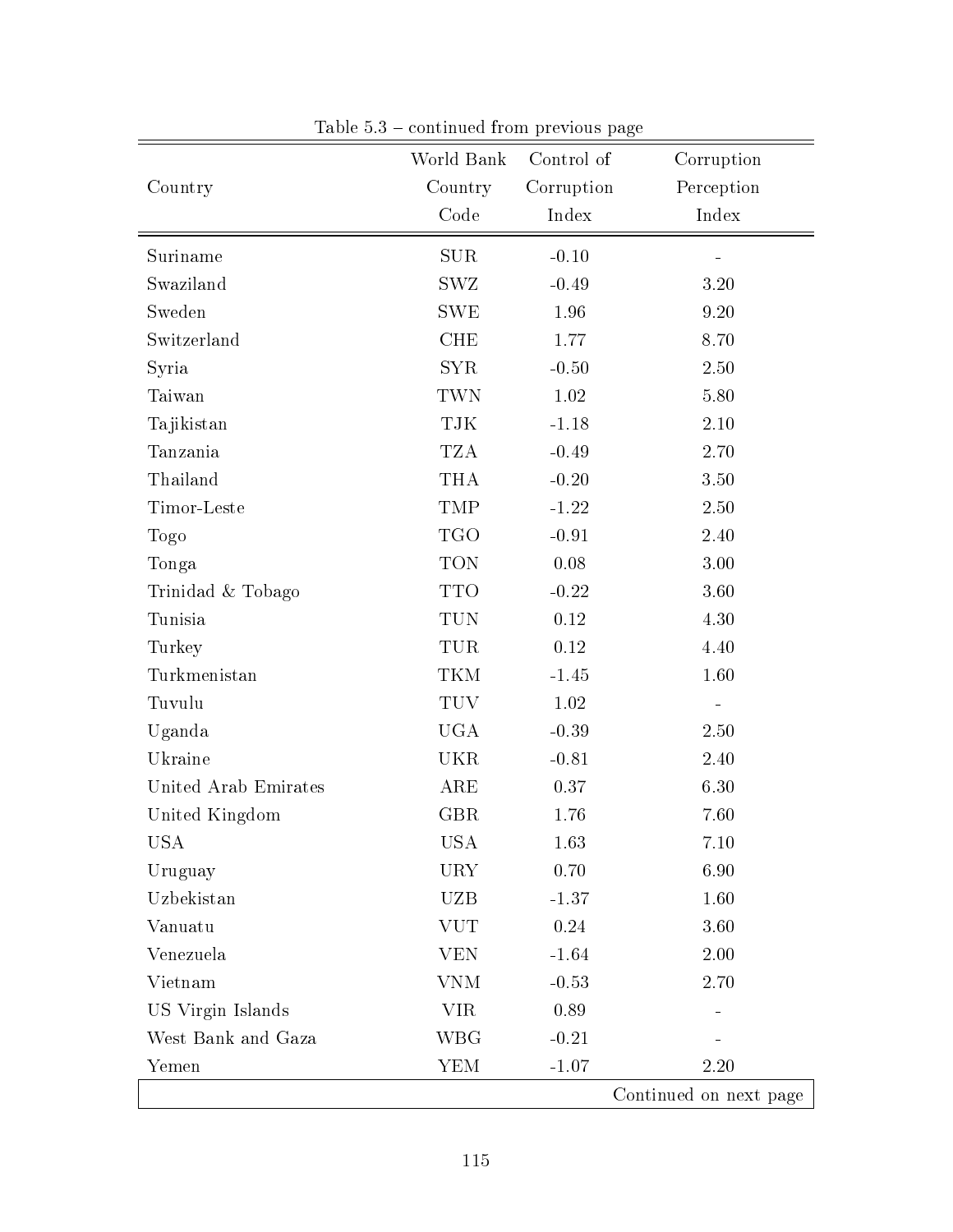|                      | World Bank   | Control of | Corruption             |
|----------------------|--------------|------------|------------------------|
| Country              | Country      | Corruption | Perception             |
|                      | Code         | Index      | Index                  |
| Suriname             | <b>SUR</b>   | $-0.10$    |                        |
| Swaziland            | SWZ          | $-0.49$    | 3.20                   |
| Sweden               | <b>SWE</b>   | 1.96       | 9.20                   |
| Switzerland          | <b>CHE</b>   | 1.77       | 8.70                   |
| Syria                | <b>SYR</b>   | $-0.50$    | 2.50                   |
| Taiwan               | TWN          | 1.02       | 5.80                   |
| Tajikistan           | TJK          | $-1.18$    | $2.10\,$               |
| Tanzania             | <b>TZA</b>   | $-0.49$    | 2.70                   |
| Thailand             | <b>THA</b>   | $-0.20$    | 3.50                   |
| Timor-Leste          | <b>TMP</b>   | $-1.22$    | 2.50                   |
| Togo                 | <b>TGO</b>   | $-0.91$    | 2.40                   |
| Tonga                | <b>TON</b>   | 0.08       | $3.00\,$               |
| Trinidad & Tobago    | <b>TTO</b>   | $-0.22$    | 3.60                   |
| Tunisia              | TUN          | $0.12\,$   | 4.30                   |
| Turkey               | TUR          | 0.12       | 4.40                   |
| Turkmenistan         | TKM          | $-1.45$    | 1.60                   |
| Tuvulu               | <b>TUV</b>   | 1.02       |                        |
| Uganda               | <b>UGA</b>   | $-0.39$    | 2.50                   |
| Ukraine              | <b>UKR</b>   | $-0.81$    | 2.40                   |
| United Arab Emirates | $_{\rm ARE}$ | 0.37       | 6.30                   |
| United Kingdom       | <b>GBR</b>   | 1.76       | 7.60                   |
| USA                  | USA          | 1.63       | 7.10                   |
| Uruguay              | <b>URY</b>   | 0.70       | 6.90                   |
| Uzbekistan           | UZB          | $-1.37$    | 1.60                   |
| Vanuatu              | VUT          | 0.24       | 3.60                   |
| Venezuela            | <b>VEN</b>   | $-1.64$    | 2.00                   |
| Vietnam              | VNM          | $-0.53$    | 2.70                   |
| US Virgin Islands    | <b>VIR</b>   | 0.89       |                        |
| West Bank and Gaza   | WBG          | $-0.21$    |                        |
| Yemen                | YEM          | $-1.07$    | 2.20                   |
|                      |              |            | Continued on next page |

Table  $5.3$  – continued from previous page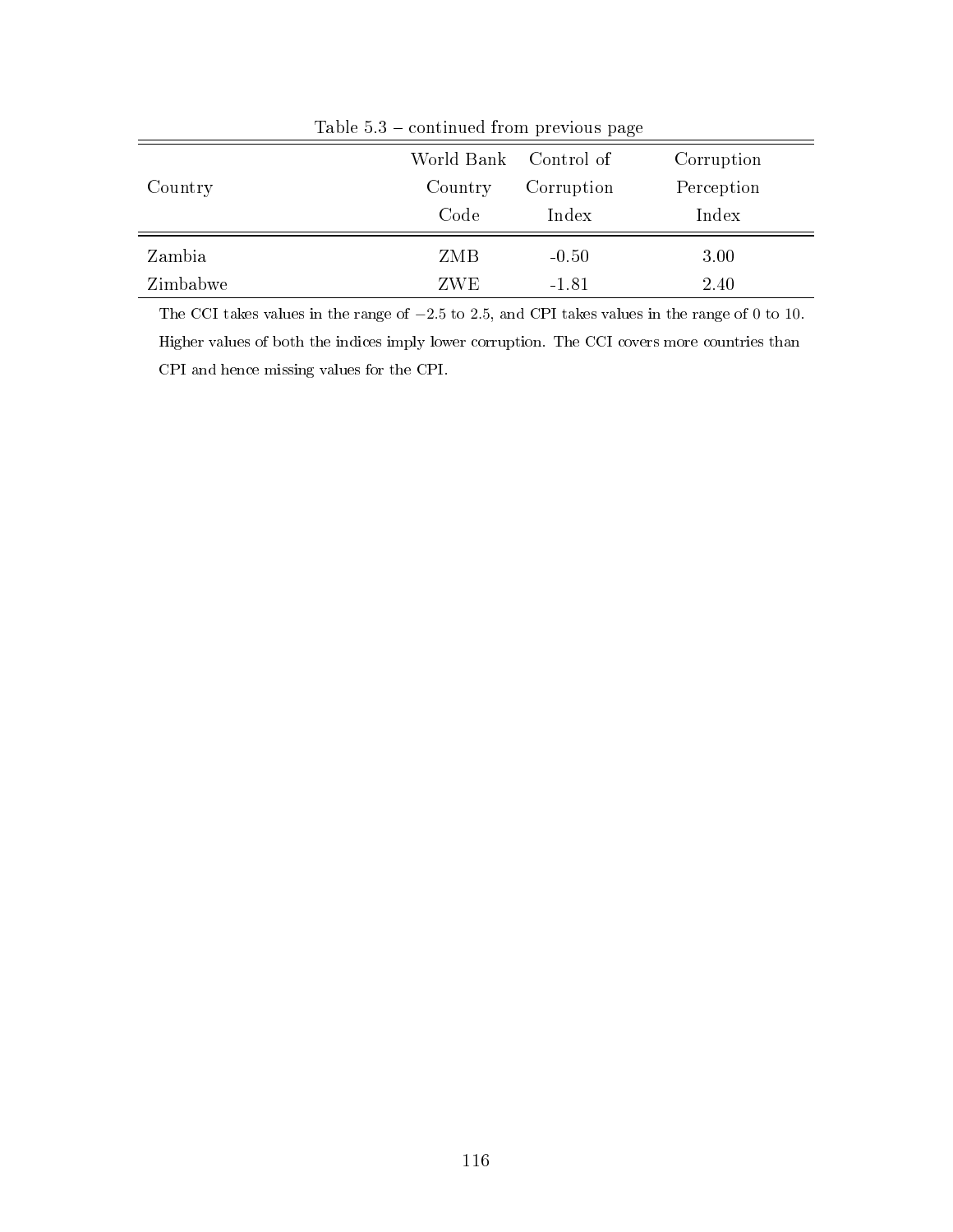|          |                       | $200 - 0.0$ $-0.0$ $-0.0$ $-0.0$ $-0.0$ $-0.0$ $-0.0$ $-0.0$ $-0.0$ |            |  |  |  |
|----------|-----------------------|---------------------------------------------------------------------|------------|--|--|--|
|          | World Bank Control of |                                                                     | Corruption |  |  |  |
| Country  | Country               | Corruption                                                          | Perception |  |  |  |
|          | Code                  | Index                                                               | Index      |  |  |  |
| Zambia   | ZMB                   | $-0.50$                                                             | 3.00       |  |  |  |
| Zimbabwe | ZWE                   | $-1.81$                                                             | 2.40       |  |  |  |

Table  $5.3$  – continued from previous page

The CCI takes values in the range of −2.5 to 2.5, and CPI takes values in the range of 0 to 10. Higher values of both the indices imply lower corruption. The CCI covers more countries than CPI and hence missing values for the CPI.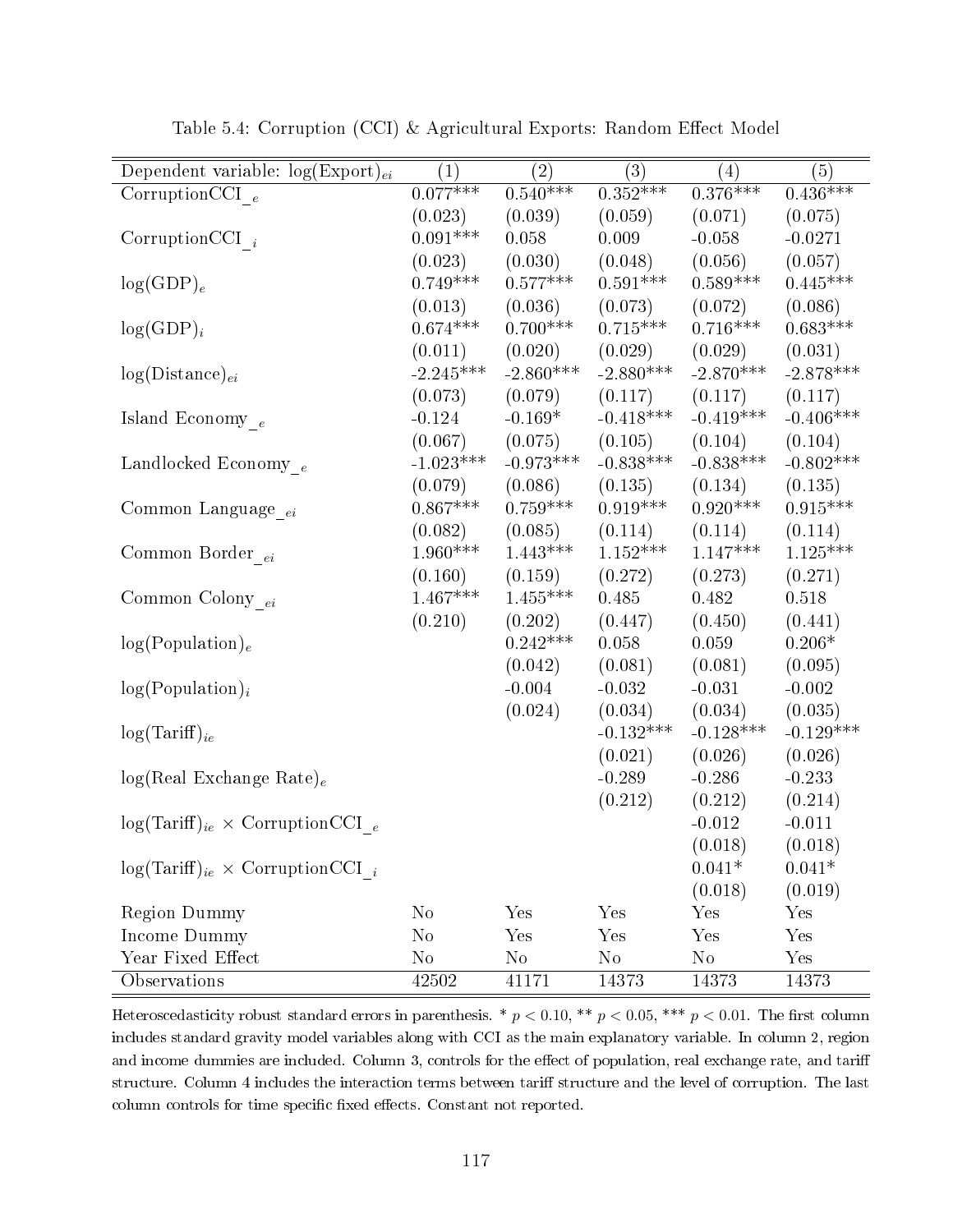| Dependent variable: $log(Expert)_{ei}$      | (1)         | (2)         | (3)             | (4)         | (5)         |
|---------------------------------------------|-------------|-------------|-----------------|-------------|-------------|
| CorruptionCCI $_e$                          | $0.077***$  | $0.540***$  | $0.352***$      | $0.376***$  | $0.436***$  |
|                                             | (0.023)     | (0.039)     | (0.059)         | (0.071)     | (0.075)     |
| Corruption CCI $_i$                         | $0.091***$  | 0.058       | 0.009           | $-0.058$    | $-0.0271$   |
|                                             | (0.023)     | (0.030)     | (0.048)         | (0.056)     | (0.057)     |
| $log(GDP)_e$                                | $0.749***$  | $0.577***$  | $0.591***$      | $0.589***$  | $0.445***$  |
|                                             | (0.013)     | (0.036)     | (0.073)         | (0.072)     | (0.086)     |
| $log(GDP)_i$                                | $0.674***$  | $0.700***$  | $0.715^{***}\;$ | $0.716***$  | $0.683***$  |
|                                             | (0.011)     | (0.020)     | (0.029)         | (0.029)     | (0.031)     |
| $log(Distance)_{ei}$                        | $-2.245***$ | $-2.860***$ | $-2.880***$     | $-2.870***$ | $-2.878***$ |
|                                             | (0.073)     | (0.079)     | (0.117)         | (0.117)     | (0.117)     |
| Island Economy $_e$                         | $-0.124$    | $-0.169*$   | $-0.418***$     | $-0.419***$ | $-0.406***$ |
|                                             | (0.067)     | (0.075)     | (0.105)         | (0.104)     | (0.104)     |
| Landlocked Economy $_e$                     | $-1.023***$ | $-0.973***$ | $-0.838***$     | $-0.838***$ | $-0.802***$ |
|                                             | (0.079)     | (0.086)     | (0.135)         | (0.134)     | (0.135)     |
| Common Language <sub>ei</sub>               | $0.867***$  | $0.759***$  | $0.919***$      | $0.920***$  | $0.915***$  |
|                                             | (0.082)     | (0.085)     | (0.114)         | (0.114)     | (0.114)     |
| Common Border $_{ei}$                       | $1.960***$  | $1.443***$  | $1.152***$      | $1.147***$  | $1.125***$  |
|                                             | (0.160)     | (0.159)     | (0.272)         | (0.273)     | (0.271)     |
| Common Colony $_{ei}$                       | $1.467***$  | $1.455***$  | 0.485           | 0.482       | 0.518       |
|                                             | (0.210)     | (0.202)     | (0.447)         | (0.450)     | (0.441)     |
| $log(Population)_{e}$                       |             | $0.242***$  | 0.058           | 0.059       | $0.206*$    |
|                                             |             | (0.042)     | (0.081)         | (0.081)     | (0.095)     |
| $log(Population)_{i}$                       |             | $-0.004$    | $-0.032$        | $-0.031$    | $-0.002$    |
|                                             |             | (0.024)     | (0.034)         | (0.034)     | (0.035)     |
| $log(Tariff)_{ie}$                          |             |             | $-0.132***$     | $-0.128***$ | $-0.129***$ |
|                                             |             |             | (0.021)         | (0.026)     | (0.026)     |
| $log(Real Exchange Rate)_e$                 |             |             | $-0.289$        | $-0.286$    | $-0.233$    |
|                                             |             |             | (0.212)         | (0.212)     | (0.214)     |
| $log(Tariff)_{ie} \times CorruptionCCI_{e}$ |             |             |                 | $-0.012$    | $-0.011$    |
|                                             |             |             |                 | (0.018)     | (0.018)     |
| $log(Tariff)_{ie} \times CorruptionCCI_{i}$ |             |             |                 | $0.041*$    | $0.041*$    |
|                                             |             |             |                 | (0.018)     | (0.019)     |
| Region Dummy                                | $\rm No$    | Yes         | Yes             | Yes         | Yes         |
| Income Dummy                                | $\rm No$    | Yes         | Yes             | Yes         | Yes         |
| Year Fixed Effect                           | $\rm No$    | $\rm No$    | $\rm No$        | No          | Yes         |
| Observations                                | 42502       | 41171       | 14373           | 14373       | 14373       |

Table 5.4: Corruption (CCI) & Agricultural Exports: Random Effect Model

Heteroscedasticity robust standard errors in parenthesis. \*  $p < 0.10$ , \*\*  $p < 0.05$ , \*\*\*  $p < 0.01$ . The first column includes standard gravity model variables along with CCI as the main explanatory variable. In column 2, region and income dummies are included. Column 3, controls for the effect of population, real exchange rate, and tariff structure. Column 4 includes the interaction terms between tariff structure and the level of corruption. The last column controls for time specific fixed effects. Constant not reported.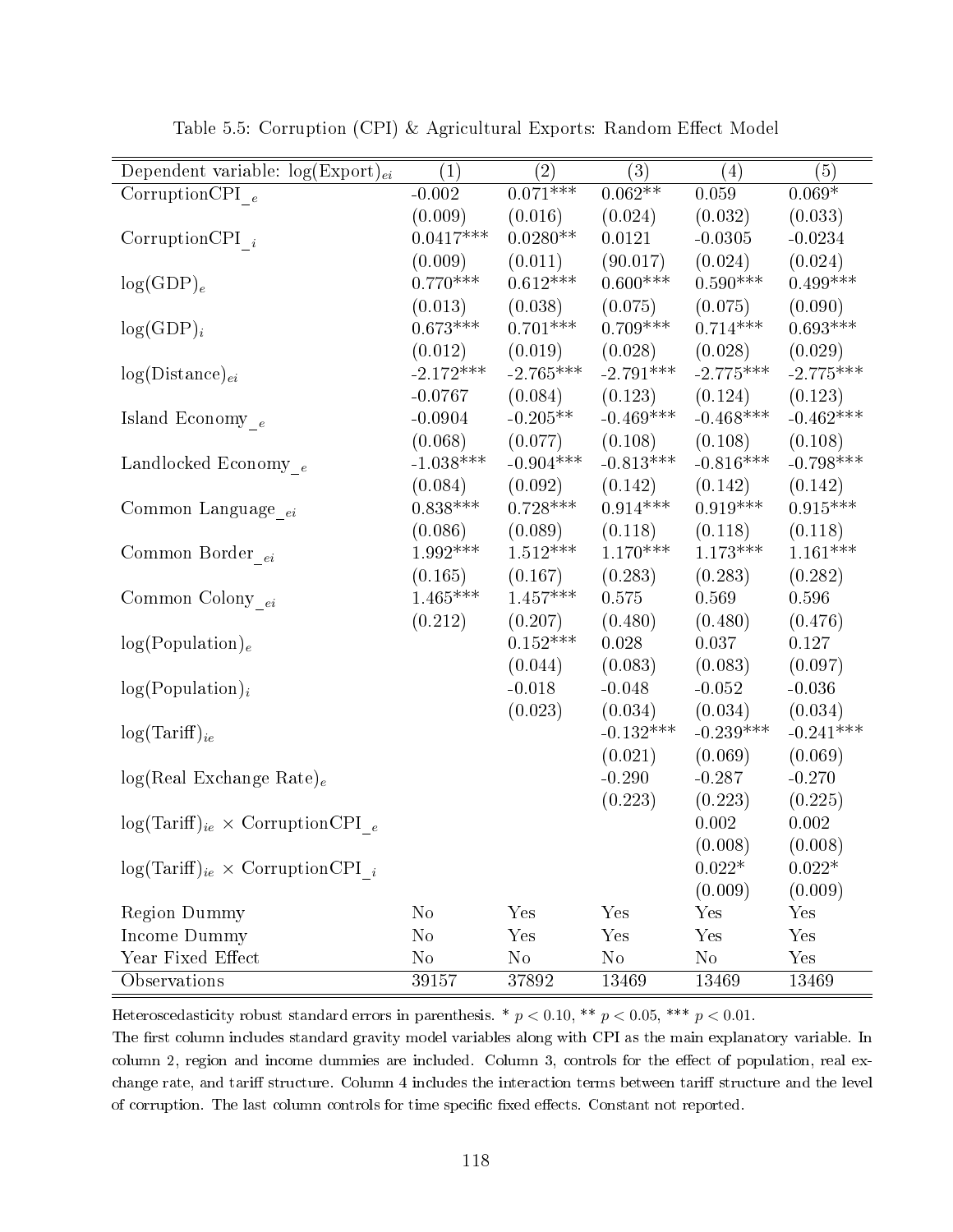| Dependent variable: $log(Expert)_{ei}$      | (1)         | (2)         | (3)         | (4)         | (5)         |
|---------------------------------------------|-------------|-------------|-------------|-------------|-------------|
| Corruption CPI $_e$                         | $-0.002$    | $0.071***$  | $0.062**$   | 0.059       | $0.069*$    |
|                                             | (0.009)     | (0.016)     | (0.024)     | (0.032)     | (0.033)     |
| Corruption CPI $_i$                         | $0.0417***$ | $0.0280**$  | 0.0121      | $-0.0305$   | $-0.0234$   |
|                                             | (0.009)     | (0.011)     | (90.017)    | (0.024)     | (0.024)     |
| $log(GDP)_e$                                | $0.770***$  | $0.612***$  | $0.600***$  | $0.590***$  | $0.499***$  |
|                                             | (0.013)     | (0.038)     | (0.075)     | (0.075)     | (0.090)     |
| $log(GDP)_i$                                | $0.673***$  | $0.701***$  | $0.709***$  | $0.714***$  | $0.693***$  |
|                                             | (0.012)     | (0.019)     | (0.028)     | (0.028)     | (0.029)     |
| $log(Distance)_{ei}$                        | $-2.172***$ | $-2.765***$ | $-2.791***$ | $-2.775***$ | $-2.775***$ |
|                                             | $-0.0767$   | (0.084)     | (0.123)     | (0.124)     | (0.123)     |
| Island Economy $_e$                         | $-0.0904$   | $-0.205**$  | $-0.469***$ | $-0.468***$ | $-0.462***$ |
|                                             | (0.068)     | (0.077)     | (0.108)     | (0.108)     | (0.108)     |
| Landlocked Economy $_e$                     | $-1.038***$ | $-0.904***$ | $-0.813***$ | $-0.816***$ | $-0.798***$ |
|                                             | (0.084)     | (0.092)     | (0.142)     | (0.142)     | (0.142)     |
| Common Language <sub>ei</sub>               | $0.838***$  | $0.728***$  | $0.914***$  | $0.919***$  | $0.915***$  |
|                                             | (0.086)     | (0.089)     | (0.118)     | (0.118)     | (0.118)     |
| Common Border $_{ei}$                       | $1.992***$  | $1.512***$  | $1.170***$  | $1.173***$  | $1.161***$  |
|                                             | (0.165)     | (0.167)     | (0.283)     | (0.283)     | (0.282)     |
| Common Colony $_{ei}$                       | $1.465***$  | $1.457***$  | 0.575       | 0.569       | 0.596       |
|                                             | (0.212)     | (0.207)     | (0.480)     | (0.480)     | (0.476)     |
| log(Population) <sub>e</sub>                |             | $0.152***$  | 0.028       | 0.037       | 0.127       |
|                                             |             | (0.044)     | (0.083)     | (0.083)     | (0.097)     |
| $log(Population)_{i}$                       |             | $-0.018$    | $-0.048$    | $-0.052$    | $-0.036$    |
|                                             |             | (0.023)     | (0.034)     | (0.034)     | (0.034)     |
| $log(Tariff)_{ie}$                          |             |             | $-0.132***$ | $-0.239***$ | $-0.241***$ |
|                                             |             |             | (0.021)     | (0.069)     | (0.069)     |
| $log(Real Exchange Rate)_e$                 |             |             | $-0.290$    | $-0.287$    | $-0.270$    |
|                                             |             |             | (0.223)     | (0.223)     | (0.225)     |
| $log(Tariff)_{ie} \times CorruptionCPI_{e}$ |             |             |             | $0.002\,$   | $0.002\,$   |
|                                             |             |             |             | (0.008)     | (0.008)     |
| $log(Tariff)_{ie} \times CorruptionCPI_{i}$ |             |             |             | $0.022*$    | $0.022*$    |
|                                             |             |             |             | (0.009)     | (0.009)     |
| <b>Region Dummy</b>                         | $\rm No$    | Yes         | Yes         | Yes         | Yes         |
| Income Dummy                                | $\rm No$    | Yes         | Yes         | Yes         | Yes         |
| Year Fixed Effect                           | $\rm No$    | $\rm No$    | $\rm No$    | $\rm No$    | Yes         |
| Observations                                | $39\,157$   | $3\,7892$   | 13469       | 13469       | 13469       |

Table 5.5: Corruption (CPI) & Agricultural Exports: Random Effect Model

Heteroscedasticity robust standard errors in parenthesis. \*  $p < 0.10$ , \*\*  $p < 0.05$ , \*\*\*  $p < 0.01$ .

The first column includes standard gravity model variables along with CPI as the main explanatory variable. In column 2, region and income dummies are included. Column 3, controls for the effect of population, real exchange rate, and tariff structure. Column 4 includes the interaction terms between tariff structure and the level of corruption. The last column controls for time specific fixed effects. Constant not reported.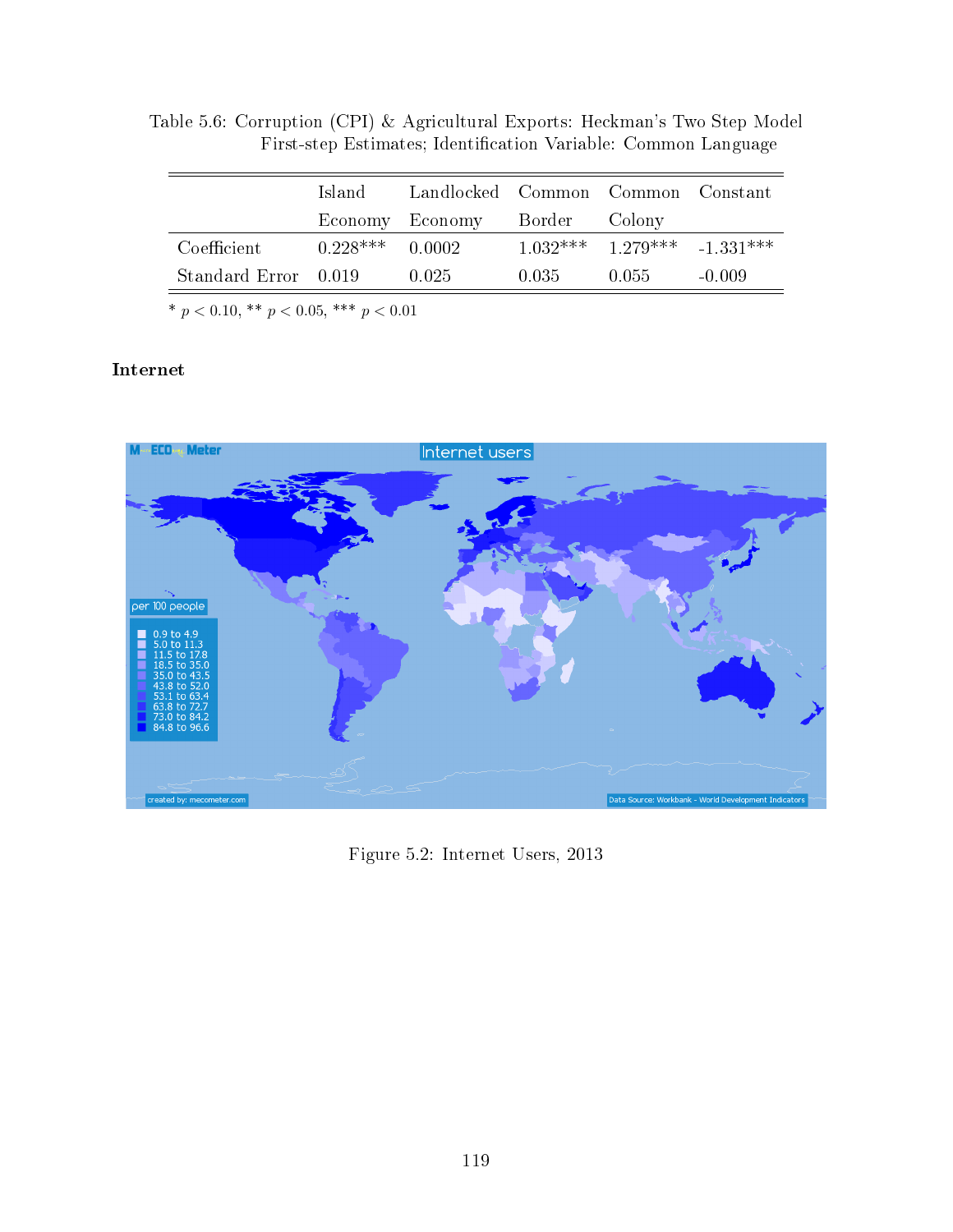|                      | Island.    | Landlocked Common Common Constant |       |                                   |          |
|----------------------|------------|-----------------------------------|-------|-----------------------------------|----------|
|                      |            | Economy Economy Border Colony     |       |                                   |          |
| Coefficient          | $0.228***$ | 0.0002                            |       | $1.032***$ $1.279***$ $-1.331***$ |          |
| Standard Error 0.019 |            | 0.025                             | 0.035 | 0.055                             | $-0.009$ |

Table 5.6: Corruption (CPI) & Agricultural Exports: Heckman's Two Step Model First-step Estimates; Identification Variable: Common Language

\*  $p < 0.10,$  \*\*  $p < 0.05,$  \*\*\*  $p < 0.01$ 

## Internet

<span id="page-125-0"></span>

Figure 5.2: Internet Users, 2013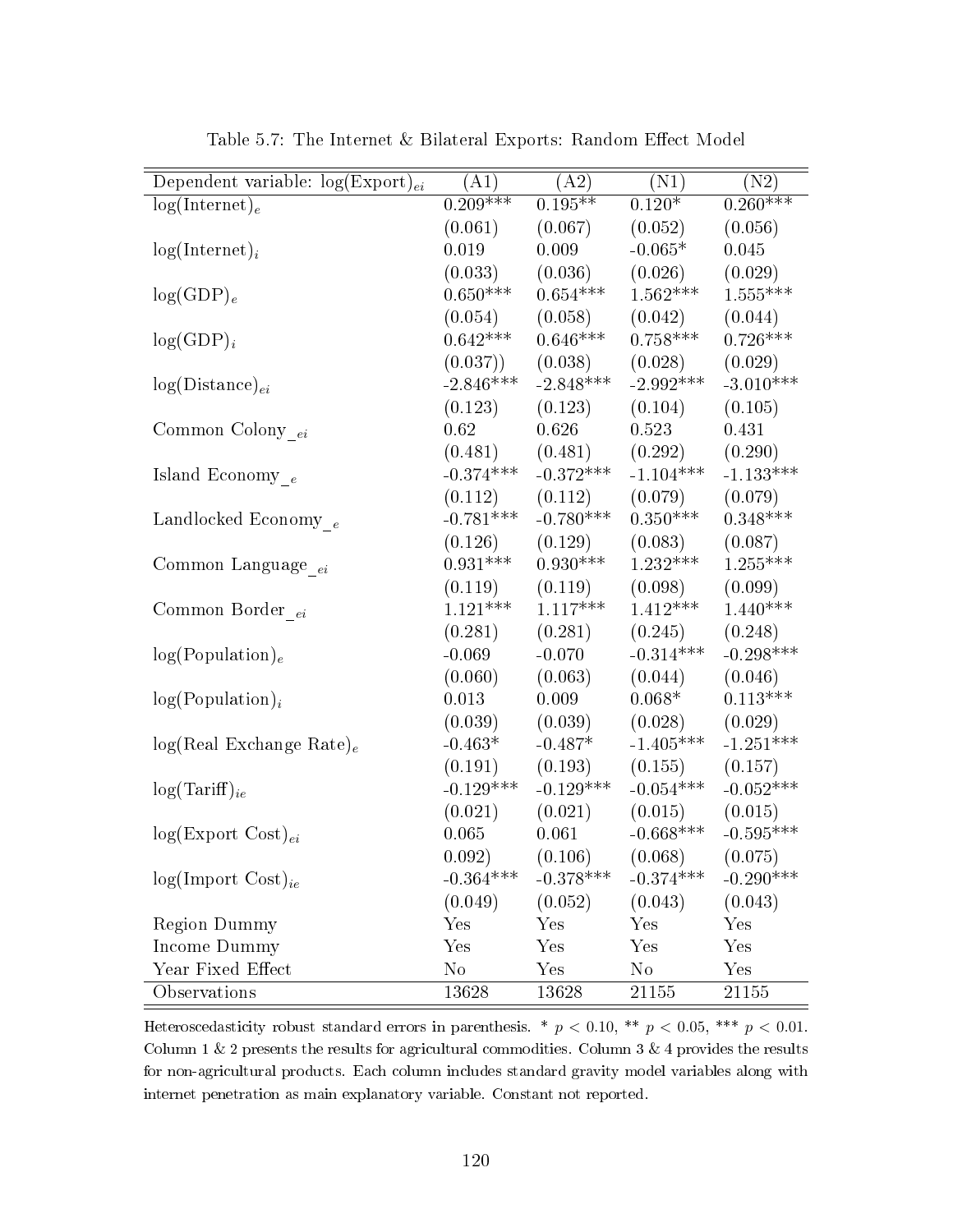| Dependent variable: $log(Expert)_{ei}$ | (A1)        | (A2)        | (N1)        | (N2)        |
|----------------------------------------|-------------|-------------|-------------|-------------|
| $log(Internet)_e$                      | $0.209***$  | $0.195***$  | $0.120*$    | $0.260***$  |
|                                        | (0.061)     | (0.067)     | (0.052)     | (0.056)     |
| $log(Internet)_i$                      | 0.019       | 0.009       | $-0.065*$   | 0.045       |
|                                        | (0.033)     | (0.036)     | (0.026)     | (0.029)     |
| $log(GDP)_e$                           | $0.650***$  | $0.654***$  | $1.562***$  | $1.555***$  |
|                                        | (0.054)     | (0.058)     | (0.042)     | (0.044)     |
| $log(GDP)_i$                           | $0.642***$  | $0.646***$  | $0.758***$  | $0.726***$  |
|                                        | (0.037))    | (0.038)     | (0.028)     | (0.029)     |
| $log(Distance)_{ei}$                   | $-2.846***$ | $-2.848***$ | $-2.992***$ | $-3.010***$ |
|                                        | (0.123)     | (0.123)     | (0.104)     | (0.105)     |
| Common Colony $_{ei}$                  | 0.62        | 0.626       | 0.523       | 0.431       |
|                                        | (0.481)     | (0.481)     | (0.292)     | (0.290)     |
| Island Economy $_e$                    | $-0.374***$ | $-0.372***$ | $-1.104***$ | $-1.133***$ |
|                                        | (0.112)     | (0.112)     | (0.079)     | (0.079)     |
| Landlocked Economy $_e$                | $-0.781***$ | $-0.780***$ | $0.350***$  | $0.348***$  |
|                                        | (0.126)     | (0.129)     | (0.083)     | (0.087)     |
| Common Language <sub>ei</sub>          | $0.931***$  | $0.930***$  | $1.232***$  | $1.255***$  |
|                                        | (0.119)     | (0.119)     | (0.098)     | (0.099)     |
| Common Border <sub>ei</sub>            | $1.121***$  | $1.117***$  | $1.412***$  | $1.440***$  |
|                                        | (0.281)     | (0.281)     | (0.245)     | (0.248)     |
| log(Population) <sub>e</sub>           | $-0.069$    | $-0.070$    | $-0.314***$ | $-0.298***$ |
|                                        | (0.060)     | (0.063)     | (0.044)     | (0.046)     |
| $log(Population)_{i}$                  | 0.013       | 0.009       | $0.068*$    | $0.113***$  |
|                                        | (0.039)     | (0.039)     | (0.028)     | (0.029)     |
| $log(Real Exchange Rate)_e$            | $-0.463*$   | $-0.487*$   | $-1.405***$ | $-1.251***$ |
|                                        | (0.191)     | (0.193)     | (0.155)     | (0.157)     |
| $log(Tariff)_{ie}$                     | $-0.129***$ | $-0.129***$ | $-0.054***$ | $-0.052***$ |
|                                        | (0.021)     | (0.021)     | (0.015)     | (0.015)     |
| $log(Expert Cost)_{ei}$                | 0.065       | 0.061       | $-0.668***$ | $-0.595***$ |
|                                        | 0.092)      | (0.106)     | (0.068)     | (0.075)     |
| $log(Import Cost)_{ie}$                | $-0.364***$ | $-0.378***$ | $-0.374***$ | $-0.290***$ |
|                                        | (0.049)     | (0.052)     | (0.043)     | (0.043)     |
| Region Dummy                           | $\rm Yes$   | Yes         | Yes         | Yes         |
| Income Dummy                           | Yes         | Yes         | Yes         | Yes         |
| Year Fixed Effect                      | $\rm No$    | Yes         | $\rm No$    | Yes         |
| Observations                           | 13628       | 13628       | 21155       | 21155       |

Table 5.7: The Internet & Bilateral Exports: Random Effect Model

Heteroscedasticity robust standard errors in parenthesis. \*  $p < 0.10$ , \*\*  $p < 0.05$ , \*\*\*  $p < 0.01$ . Column 1 & 2 presents the results for agricultural commodities. Column 3 & 4 provides the results for non-agricultural products. Each column includes standard gravity model variables along with internet penetration as main explanatory variable. Constant not reported.